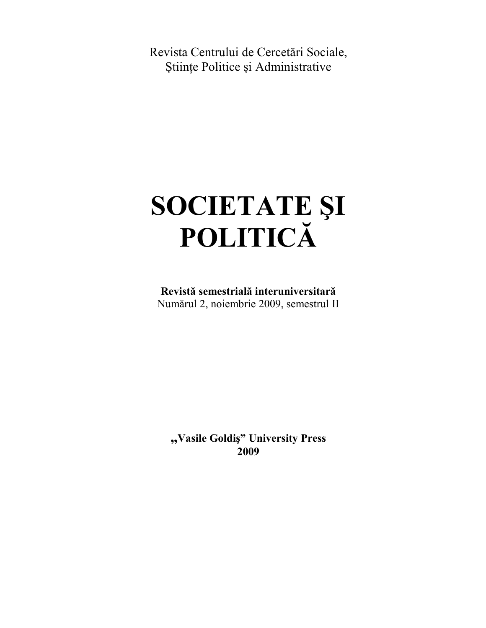Revista Centrului de Cercetări Sociale, Ştiințe Politice și Administrative

# **SOCIETATE ŞI POLITICĂ**

**Revistă semestrială interuniversitară**  Numărul 2, noiembrie 2009, semestrul II

**"Vasile Goldiş" University Press 2009**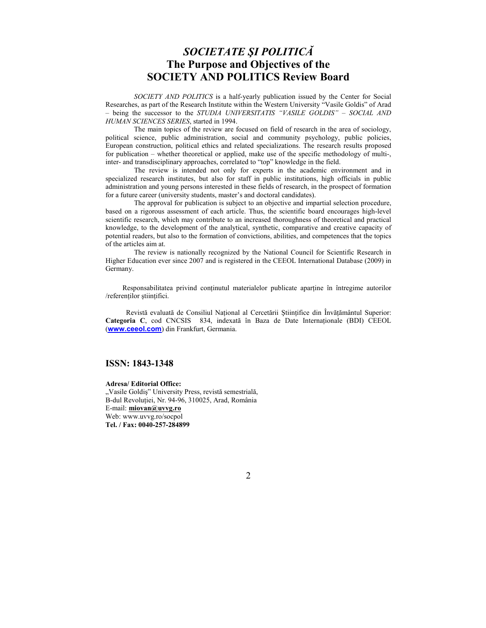# *SOCIETATE ŞI POLITICĂ*  **The Purpose and Objectives of the SOCIETY AND POLITICS Review Board**

*SOCIETY AND POLITICS* is a half-yearly publication issued by the Center for Social Researches, as part of the Research Institute within the Western University "Vasile Goldis" of Arad – being the successor to the *STUDIA UNIVERSITATIS "VASILE GOLDIS" – SOCIAL AND HUMAN SCIENCES SERIES*, started in 1994.

 The main topics of the review are focused on field of research in the area of sociology, political science, public administration, social and community psychology, public policies, European construction, political ethics and related specializations. The research results proposed for publication – whether theoretical or applied, make use of the specific methodology of multi-, inter- and transdisciplinary approaches, correlated to "top" knowledge in the field.

 The review is intended not only for experts in the academic environment and in specialized research institutes, but also for staff in public institutions, high officials in public administration and young persons interested in these fields of research, in the prospect of formation for a future career (university students, master's and doctoral candidates).

 The approval for publication is subject to an objective and impartial selection procedure, based on a rigorous assessment of each article. Thus, the scientific board encourages high-level scientific research, which may contribute to an increased thoroughness of theoretical and practical knowledge, to the development of the analytical, synthetic, comparative and creative capacity of potential readers, but also to the formation of convictions, abilities, and competences that the topics of the articles aim at.

 The review is nationally recognized by the National Council for Scientific Research in Higher Education ever since 2007 and is registered in the CEEOL International Database (2009) in Germany.

Responsabilitatea privind conținutul materialelor publicate aparține în întregime autorilor /referenților științifici.

Revistă evaluată de Consiliul Național al Cercetării Științifice din Învățământul Superior: Categoria C, cod CNCSIS 834, indexată în Baza de Date Internationale (BDI) CEEOL (**www.ceeol.com**) din Frankfurt, Germania.

#### **ISSN: 1843-1348**

**Adresa/ Editorial Office:** 

"Vasile Goldiş" University Press, revistă semestrială, B-dul Revoluției, Nr. 94-96, 310025, Arad, România E-mail: **miovan@uvvg.ro** Web: www.uvvg.ro/socpol **Tel. / Fax: 0040-257-284899**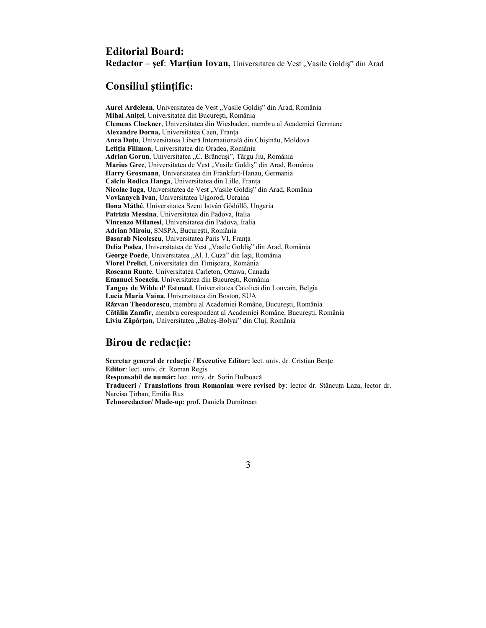# **Editorial Board:**  Redactor - şef: Marțian Iovan, Universitatea de Vest "Vasile Goldiș" din Arad

# **Consiliul științific:**

Aurel Ardelean, Universitatea de Vest "Vasile Goldiș" din Arad, România **Mihai Anitei**, Universitatea din București, România **Clemens Clockner**, Universitatea din Wiesbaden, membru al Academiei Germane **Alexandre Dorna, Universitatea Caen, Franța** Anca Duțu, Universitatea Liberă Internațională din Chișinău, Moldova Letiția Filimon, Universitatea din Oradea, România Adrian Gorun, Universitatea "C. Brâncuși", Târgu Jiu, România Marius Grec, Universitatea de Vest "Vasile Goldiş" din Arad, România **Harry Grosmann**, Universitatea din Frankfurt-Hanau, Germania **Calciu Rodica Hanga, Universitatea din Lille, Franța** Nicolae Iuga, Universitatea de Vest "Vasile Goldiș" din Arad, România **Vovkanych Ivan**, Universitatea Ujgorod, Ucraina **Ilona Máthé**, Universitatea Szent István Gődőllő, Ungaria **Patrizia Messina**, Universitatea din Padova, Italia **Vincenzo Milanesi**, Universitatea din Padova, Italia **Adrian Miroiu**, SNSPA, Bucureşti, România Basarab Nicolescu, Universitatea Paris VI, Franta Delia Podea, Universitatea de Vest "Vasile Goldiş" din Arad, România George Poede, Universitatea "Al. I. Cuza" din Iași, România **Viorel Prelici**, Universitatea din Timişoara, România **Roseann Runte**, Universitatea Carleton, Ottawa, Canada **Emanuel Socaciu**, Universitatea din Bucureşti, România **Tanguy de Wilde d' Estmael**, Universitatea Catolică din Louvain, Belgia **Lucia Maria Vaina**, Universitatea din Boston, SUA **Răzvan Theodorescu**, membru al Academiei Române, Bucureşti, România **Cătălin Zamfir**, membru corespondent al Academiei Române, Bucureşti, România Liviu Zăpârtan, Universitatea "Babes-Bolyai" din Cluj, România

# **Birou de redactie:**

Secretar general de redacție / Executive Editor: lect. univ. dr. Cristian Bențe **Editor**: lect. univ. dr. Roman Regis **Responsabil de număr:** lect. univ. dr. Sorin Bulboacă Traduceri / Translations from Romanian were revised by: lector dr. Stăncuța Laza, lector dr. Narcisa Țirban, Emilia Rus **Tehnoredactor/ Made-up:** prof**.** Daniela Dumitrean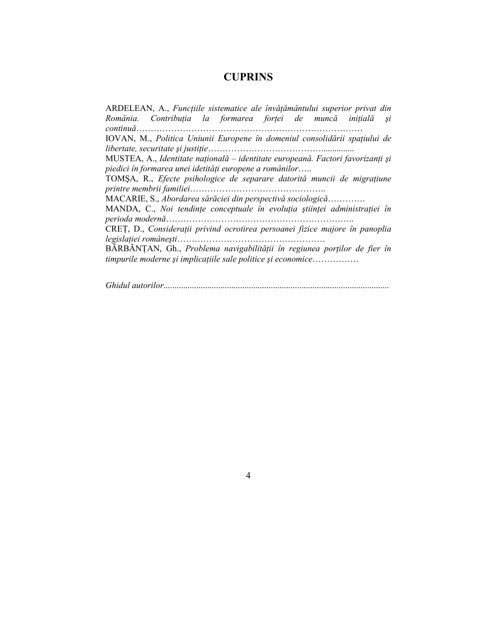# **CUPRINS**

ARDELEAN, A., *Funcțiile sistematice ale învățământului superior privat din România. Contribuția la formarea forței de muncă inițială și continuă*…………………………………………………………………… IOVAN, M., Politica Uniunii Europene în domeniul consolidării spațiului de *libertate, securitate și justiție………………………………………* MUSTEA, A., *Identitate natională – identitate europeană. Factori favorizanti și* piedici în formarea unei idetități europene a românilor….. TOMȘA, R., *Efecte psihologice de separare datorită muncii de migrațiune printre membrii familiei*……………………………………….. MACARIE, S., *Abordarea sărăciei din perspectivă sociologică*…………. MANDA, C., *Noi tendințe conceptuale în evoluția științei administrației în perioda modernă*……………………………………………………….. CREȚ, D., *Considerații privind ocrotirea persoanei fizice majore în panoplia legislaŃiei româneşti*…………………………………………… BĂRBĂNȚAN, Gh., *Problema navigabilității în regiunea porților de fier în timpurile moderne și implicațiile sale politice și economice……........* 

*Ghidul autorilor*.......................................................................................................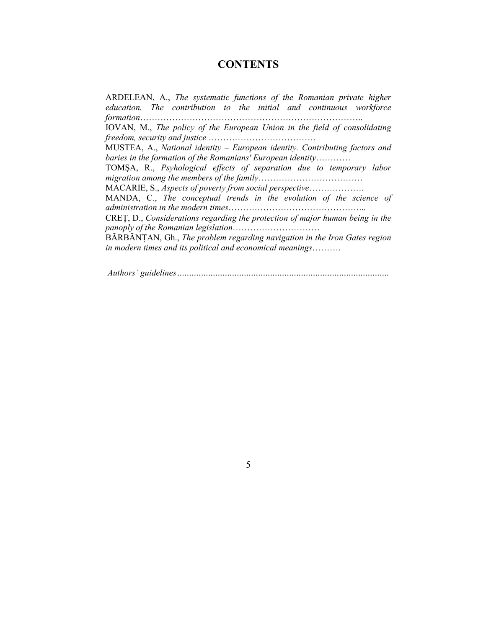# **CONTENTS**

ARDELEAN, A., *The systematic functions of the Romanian private higher education. The contribution to the initial and continuous workforce formation*………………………………………………………………….. IOVAN, M., *The policy of the European Union in the field of consolidating freedom, security and justice* ………………………………. MUSTEA, A., *National identity – European identity. Contributing factors and baries in the formation of the Romanians' European identity*………… TOMŞA, R., *Psyhological effects of separation due to temporary labor migration among the members of the family*……………………………… MACARIE, S., *Aspects of poverty from social perspective*………………. MANDA, C., *The conceptual trends in the evolution of the science of administration in the modern times*………………………………………... CREȚ, D., *Considerations regarding the protection of major human being in the panoply of the Romanian legislation*………………………… BĂRBĂNłAN, Gh., *The problem regarding navigation in the Iron Gates region in modern times and its political and economical meanings*……….

 *Authors' guidelines*.........................................................................................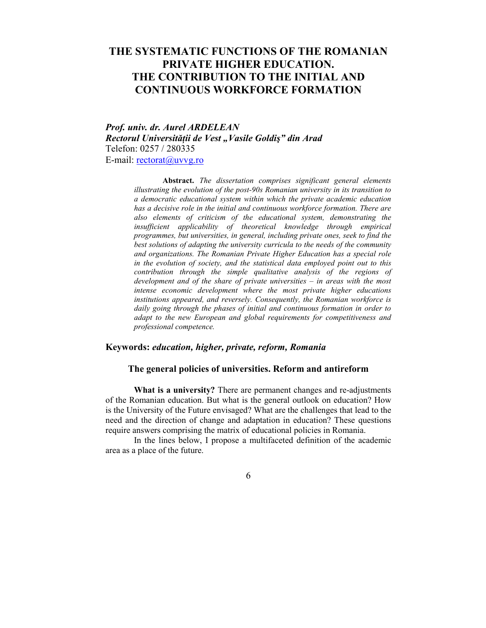# **THE SYSTEMATIC FUNCTIONS OF THE ROMANIAN PRIVATE HIGHER EDUCATION. THE CONTRIBUTION TO THE INITIAL AND CONTINUOUS WORKFORCE FORMATION**

*Prof. univ. dr. Aurel ARDELEAN*  **Rectorul Universitătii de Vest "Vasile Goldis" din Arad** Telefon: 0257 / 280335 E-mail: rectorat@uvvg.ro

> **Abstract.** *The dissertation comprises significant general elements illustrating the evolution of the post-90s Romanian university in its transition to a democratic educational system within which the private academic education has a decisive role in the initial and continuous workforce formation. There are also elements of criticism of the educational system, demonstrating the insufficient applicability of theoretical knowledge through empirical programmes, but universities, in general, including private ones, seek to find the best solutions of adapting the university curricula to the needs of the community and organizations. The Romanian Private Higher Education has a special role in the evolution of society, and the statistical data employed point out to this contribution through the simple qualitative analysis of the regions of development and of the share of private universities – in areas with the most intense economic development where the most private higher educations institutions appeared, and reversely. Consequently, the Romanian workforce is daily going through the phases of initial and continuous formation in order to adapt to the new European and global requirements for competitiveness and professional competence.*

## **Keywords:** *education, higher, private, reform, Romania*

#### **The general policies of universities. Reform and antireform**

**What is a university?** There are permanent changes and re-adjustments of the Romanian education. But what is the general outlook on education? How is the University of the Future envisaged? What are the challenges that lead to the need and the direction of change and adaptation in education? These questions require answers comprising the matrix of educational policies in Romania.

 In the lines below, I propose a multifaceted definition of the academic area as a place of the future.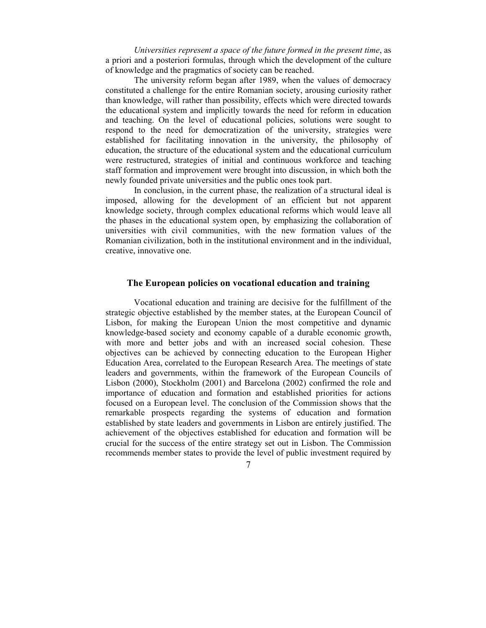*Universities represent a space of the future formed in the present time*, as a priori and a posteriori formulas, through which the development of the culture of knowledge and the pragmatics of society can be reached.

 The university reform began after 1989, when the values of democracy constituted a challenge for the entire Romanian society, arousing curiosity rather than knowledge, will rather than possibility, effects which were directed towards the educational system and implicitly towards the need for reform in education and teaching. On the level of educational policies, solutions were sought to respond to the need for democratization of the university, strategies were established for facilitating innovation in the university, the philosophy of education, the structure of the educational system and the educational curriculum were restructured, strategies of initial and continuous workforce and teaching staff formation and improvement were brought into discussion, in which both the newly founded private universities and the public ones took part.

 In conclusion, in the current phase, the realization of a structural ideal is imposed, allowing for the development of an efficient but not apparent knowledge society, through complex educational reforms which would leave all the phases in the educational system open, by emphasizing the collaboration of universities with civil communities, with the new formation values of the Romanian civilization, both in the institutional environment and in the individual, creative, innovative one.

#### **The European policies on vocational education and training**

Vocational education and training are decisive for the fulfillment of the strategic objective established by the member states, at the European Council of Lisbon, for making the European Union the most competitive and dynamic knowledge-based society and economy capable of a durable economic growth, with more and better jobs and with an increased social cohesion. These objectives can be achieved by connecting education to the European Higher Education Area, correlated to the European Research Area. The meetings of state leaders and governments, within the framework of the European Councils of Lisbon (2000), Stockholm (2001) and Barcelona (2002) confirmed the role and importance of education and formation and established priorities for actions focused on a European level. The conclusion of the Commission shows that the remarkable prospects regarding the systems of education and formation established by state leaders and governments in Lisbon are entirely justified. The achievement of the objectives established for education and formation will be crucial for the success of the entire strategy set out in Lisbon. The Commission recommends member states to provide the level of public investment required by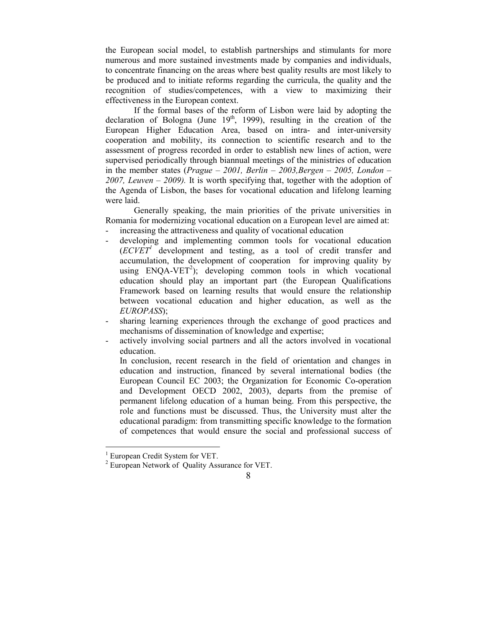the European social model, to establish partnerships and stimulants for more numerous and more sustained investments made by companies and individuals, to concentrate financing on the areas where best quality results are most likely to be produced and to initiate reforms regarding the curricula, the quality and the recognition of studies/competences, with a view to maximizing their effectiveness in the European context.

 If the formal bases of the reform of Lisbon were laid by adopting the declaration of Bologna (June  $19<sup>th</sup>$ , 1999), resulting in the creation of the European Higher Education Area, based on intra- and inter-university cooperation and mobility, its connection to scientific research and to the assessment of progress recorded in order to establish new lines of action, were supervised periodically through biannual meetings of the ministries of education in the member states (*Prague – 2001, Berlin – 2003,Bergen – 2005, London – 2007, Leuven – 2009).* It is worth specifying that, together with the adoption of the Agenda of Lisbon, the bases for vocational education and lifelong learning were laid.

 Generally speaking, the main priorities of the private universities in Romania for modernizing vocational education on a European level are aimed at: increasing the attractiveness and quality of vocational education

- developing and implementing common tools for vocational education (*ECVET<sup>1</sup>* development and testing, as a tool of credit transfer and accumulation, the development of cooperation for improving quality by using  $ENQA-VET<sup>2</sup>$ ; developing common tools in which vocational education should play an important part (the European Qualifications Framework based on learning results that would ensure the relationship between vocational education and higher education, as well as the *EUROPASS*);
- sharing learning experiences through the exchange of good practices and mechanisms of dissemination of knowledge and expertise;
- actively involving social partners and all the actors involved in vocational education.

In conclusion, recent research in the field of orientation and changes in education and instruction, financed by several international bodies (the European Council EC 2003; the Organization for Economic Co-operation and Development OECD 2002, 2003), departs from the premise of permanent lifelong education of a human being. From this perspective, the role and functions must be discussed. Thus, the University must alter the educational paradigm: from transmitting specific knowledge to the formation of competences that would ensure the social and professional success of

 1 European Credit System for VET.

<sup>&</sup>lt;sup>2</sup> European Network of Quality Assurance for VET.

<sup>8</sup>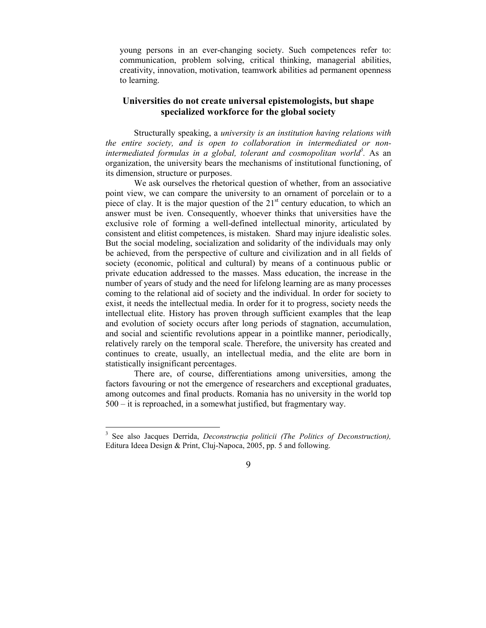young persons in an ever-changing society. Such competences refer to: communication, problem solving, critical thinking, managerial abilities, creativity, innovation, motivation, teamwork abilities ad permanent openness to learning.

## **Universities do not create universal epistemologists, but shape specialized workforce for the global society**

Structurally speaking, a *university is an institution having relations with the entire society, and is open to collaboration in intermediated or nonintermediated formulas in a global, tolerant and cosmopolitan world<sup>3</sup> .* As an organization, the university bears the mechanisms of institutional functioning, of its dimension, structure or purposes.

 We ask ourselves the rhetorical question of whether, from an associative point view, we can compare the university to an ornament of porcelain or to a piece of clay. It is the major question of the  $21<sup>st</sup>$  century education, to which an answer must be iven. Consequently, whoever thinks that universities have the exclusive role of forming a well-defined intellectual minority, articulated by consistent and elitist competences, is mistaken. Shard may injure idealistic soles. But the social modeling, socialization and solidarity of the individuals may only be achieved, from the perspective of culture and civilization and in all fields of society (economic, political and cultural) by means of a continuous public or private education addressed to the masses. Mass education, the increase in the number of years of study and the need for lifelong learning are as many processes coming to the relational aid of society and the individual. In order for society to exist, it needs the intellectual media. In order for it to progress, society needs the intellectual elite. History has proven through sufficient examples that the leap and evolution of society occurs after long periods of stagnation, accumulation, and social and scientific revolutions appear in a pointlike manner, periodically, relatively rarely on the temporal scale. Therefore, the university has created and continues to create, usually, an intellectual media, and the elite are born in statistically insignificant percentages.

 There are, of course, differentiations among universities, among the factors favouring or not the emergence of researchers and exceptional graduates, among outcomes and final products. Romania has no university in the world top 500 – it is reproached, in a somewhat justified, but fragmentary way.

<sup>&</sup>lt;sup>3</sup> See also Jacques Derrida, *Deconstrucția politicii (The Politics of Deconstruction)*, Editura Ideea Design & Print, Cluj-Napoca, 2005, pp. 5 and following.

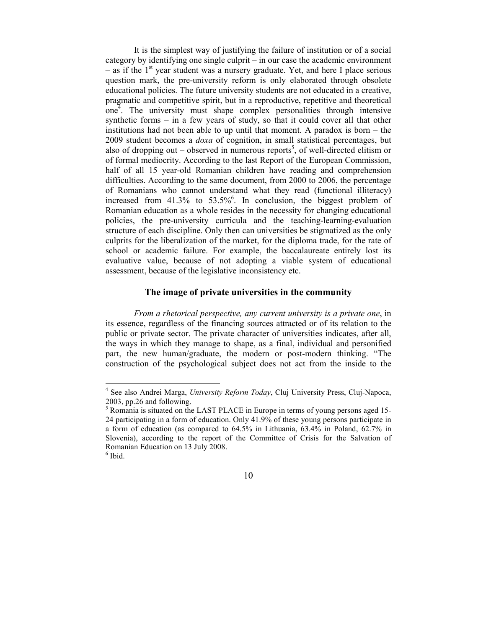It is the simplest way of justifying the failure of institution or of a social category by identifying one single culprit – in our case the academic environment  $-$  as if the  $1<sup>st</sup>$  year student was a nursery graduate. Yet, and here I place serious question mark, the pre-university reform is only elaborated through obsolete educational policies. The future university students are not educated in a creative, pragmatic and competitive spirit, but in a reproductive, repetitive and theoretical one<sup>4</sup> . The university must shape complex personalities through intensive synthetic forms – in a few years of study, so that it could cover all that other institutions had not been able to up until that moment. A paradox is born – the 2009 student becomes a *doxa* of cognition, in small statistical percentages, but also of dropping out  $-$  observed in numerous reports<sup>5</sup>, of well-directed elitism or of formal mediocrity. According to the last Report of the European Commission, half of all 15 year-old Romanian children have reading and comprehension difficulties. According to the same document, from 2000 to 2006, the percentage of Romanians who cannot understand what they read (functional illiteracy) increased from  $41.3\%$  to  $53.5\%$ . In conclusion, the biggest problem of Romanian education as a whole resides in the necessity for changing educational policies, the pre-university curricula and the teaching-learning-evaluation structure of each discipline. Only then can universities be stigmatized as the only culprits for the liberalization of the market, for the diploma trade, for the rate of school or academic failure. For example, the baccalaureate entirely lost its evaluative value, because of not adopting a viable system of educational assessment, because of the legislative inconsistency etc.

#### **The image of private universities in the community**

*From a rhetorical perspective, any current university is a private one*, in its essence, regardless of the financing sources attracted or of its relation to the public or private sector. The private character of universities indicates, after all, the ways in which they manage to shape, as a final, individual and personified part, the new human/graduate, the modern or post-modern thinking. "The construction of the psychological subject does not act from the inside to the

 $\overline{a}$ 

<sup>4</sup> See also Andrei Marga, *University Reform Today*, Cluj University Press, Cluj-Napoca, 2003, pp.26 and following.

<sup>&</sup>lt;sup>5</sup> Romania is situated on the LAST PLACE in Europe in terms of young persons aged 15-24 participating in a form of education. Only 41.9% of these young persons participate in a form of education (as compared to 64.5% in Lithuania, 63.4% in Poland, 62.7% in Slovenia), according to the report of the Committee of Crisis for the Salvation of Romanian Education on 13 July 2008.

<sup>6</sup> Ibid.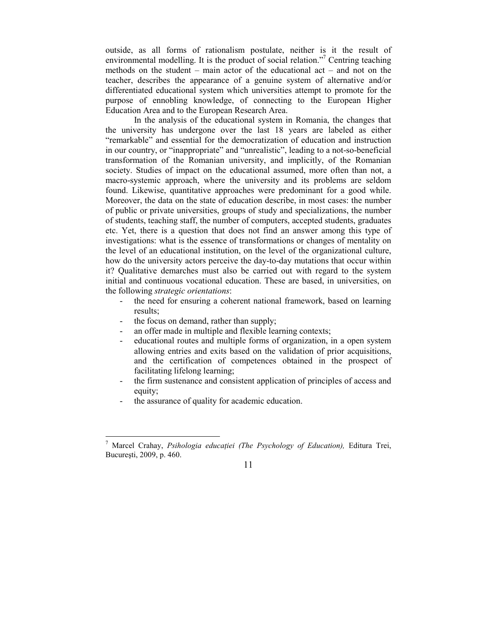outside, as all forms of rationalism postulate, neither is it the result of environmental modelling. It is the product of social relation."<sup>7</sup> Centring teaching methods on the student – main actor of the educational act – and not on the teacher, describes the appearance of a genuine system of alternative and/or differentiated educational system which universities attempt to promote for the purpose of ennobling knowledge, of connecting to the European Higher Education Area and to the European Research Area.

 In the analysis of the educational system in Romania, the changes that the university has undergone over the last 18 years are labeled as either "remarkable" and essential for the democratization of education and instruction in our country, or "inappropriate" and "unrealistic", leading to a not-so-beneficial transformation of the Romanian university, and implicitly, of the Romanian society. Studies of impact on the educational assumed, more often than not, a macro-systemic approach, where the university and its problems are seldom found. Likewise, quantitative approaches were predominant for a good while. Moreover, the data on the state of education describe, in most cases: the number of public or private universities, groups of study and specializations, the number of students, teaching staff, the number of computers, accepted students, graduates etc. Yet, there is a question that does not find an answer among this type of investigations: what is the essence of transformations or changes of mentality on the level of an educational institution, on the level of the organizational culture, how do the university actors perceive the day-to-day mutations that occur within it? Qualitative demarches must also be carried out with regard to the system initial and continuous vocational education. These are based, in universities, on the following *strategic orientations*:

- the need for ensuring a coherent national framework, based on learning results;
- the focus on demand, rather than supply;
- an offer made in multiple and flexible learning contexts;
- educational routes and multiple forms of organization, in a open system allowing entries and exits based on the validation of prior acquisitions, and the certification of competences obtained in the prospect of facilitating lifelong learning;
- the firm sustenance and consistent application of principles of access and equity;
- the assurance of quality for academic education.

 $\overline{a}$ 7 Marcel Crahay, *Psihologia educației (The Psychology of Education)*, Editura Trei, Bucureşti, 2009, p. 460.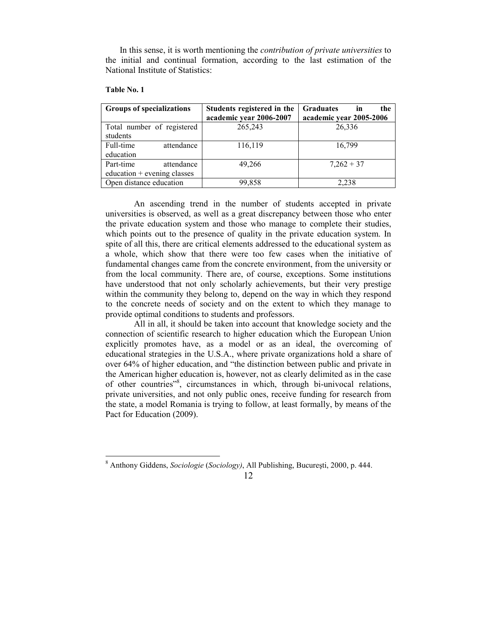In this sense, it is worth mentioning the *contribution of private universities* to the initial and continual formation, according to the last estimation of the National Institute of Statistics:

#### **Table No. 1**

| <b>Groups of specializations</b> |            | Students registered in the | <b>Graduates</b><br>the<br>in |  |
|----------------------------------|------------|----------------------------|-------------------------------|--|
|                                  |            | academic year 2006-2007    | academic year 2005-2006       |  |
| Total number of registered       |            | 265,243                    | 26,336                        |  |
| students                         |            |                            |                               |  |
| Full-time                        | attendance | 116,119                    | 16,799                        |  |
| education                        |            |                            |                               |  |
| Part-time                        | attendance | 49,266                     | $7,262 + 37$                  |  |
| $education + evening classes$    |            |                            |                               |  |
| Open distance education          |            | 99,858                     | 2,238                         |  |

An ascending trend in the number of students accepted in private universities is observed, as well as a great discrepancy between those who enter the private education system and those who manage to complete their studies, which points out to the presence of quality in the private education system. In spite of all this, there are critical elements addressed to the educational system as a whole, which show that there were too few cases when the initiative of fundamental changes came from the concrete environment, from the university or from the local community. There are, of course, exceptions. Some institutions have understood that not only scholarly achievements, but their very prestige within the community they belong to, depend on the way in which they respond to the concrete needs of society and on the extent to which they manage to provide optimal conditions to students and professors.

 All in all, it should be taken into account that knowledge society and the connection of scientific research to higher education which the European Union explicitly promotes have, as a model or as an ideal, the overcoming of educational strategies in the U.S.A., where private organizations hold a share of over 64% of higher education, and "the distinction between public and private in the American higher education is, however, not as clearly delimited as in the case of other countries"<sup>8</sup>, circumstances in which, through bi-univocal relations, private universities, and not only public ones, receive funding for research from the state, a model Romania is trying to follow, at least formally, by means of the Pact for Education (2009).

 8 Anthony Giddens, *Sociologie* (*Sociology)*, All Publishing, Bucureşti, 2000, p. 444.

<sup>12</sup>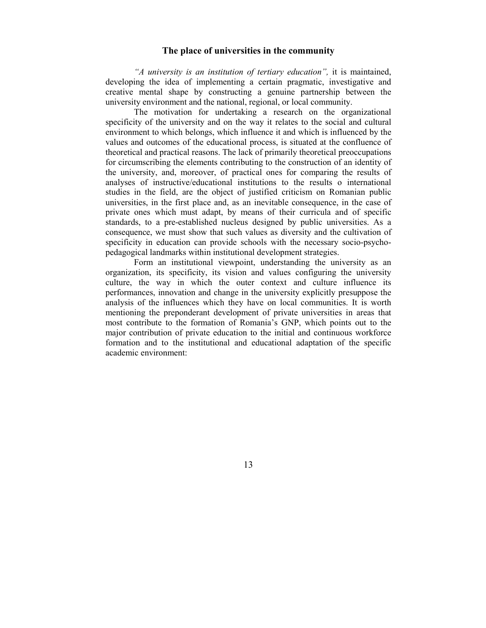#### **The place of universities in the community**

*"A university is an institution of tertiary education",* it is maintained, developing the idea of implementing a certain pragmatic, investigative and creative mental shape by constructing a genuine partnership between the university environment and the national, regional, or local community.

 The motivation for undertaking a research on the organizational specificity of the university and on the way it relates to the social and cultural environment to which belongs, which influence it and which is influenced by the values and outcomes of the educational process, is situated at the confluence of theoretical and practical reasons. The lack of primarily theoretical preoccupations for circumscribing the elements contributing to the construction of an identity of the university, and, moreover, of practical ones for comparing the results of analyses of instructive/educational institutions to the results o international studies in the field, are the object of justified criticism on Romanian public universities, in the first place and, as an inevitable consequence, in the case of private ones which must adapt, by means of their curricula and of specific standards, to a pre-established nucleus designed by public universities. As a consequence, we must show that such values as diversity and the cultivation of specificity in education can provide schools with the necessary socio-psychopedagogical landmarks within institutional development strategies.

 Form an institutional viewpoint, understanding the university as an organization, its specificity, its vision and values configuring the university culture, the way in which the outer context and culture influence its performances, innovation and change in the university explicitly presuppose the analysis of the influences which they have on local communities. It is worth mentioning the preponderant development of private universities in areas that most contribute to the formation of Romania's GNP, which points out to the major contribution of private education to the initial and continuous workforce formation and to the institutional and educational adaptation of the specific academic environment: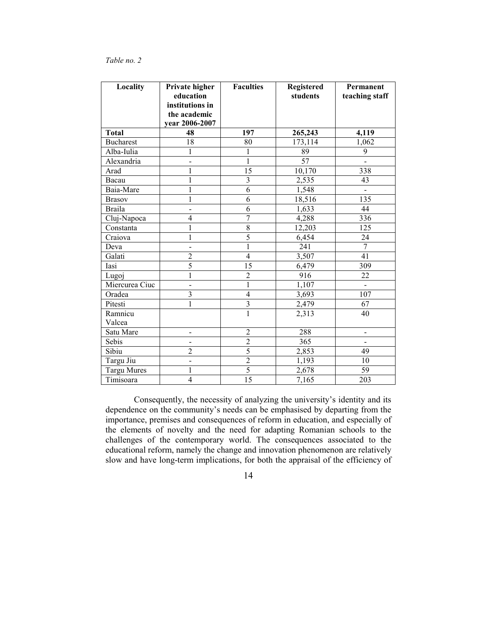#### *Table no. 2*

| Locality           | Private higher           | <b>Faculties</b>        | <b>Registered</b> | Permanent                |
|--------------------|--------------------------|-------------------------|-------------------|--------------------------|
|                    | education                |                         | students          | teaching staff           |
|                    | institutions in          |                         |                   |                          |
|                    | the academic             |                         |                   |                          |
|                    | year 2006-2007           |                         |                   |                          |
| <b>Total</b>       | 48                       | 197                     | 265,243           | 4,119                    |
| <b>Bucharest</b>   | 18                       | 80                      | 173,114           | 1,062                    |
| Alba-Iulia         | 1                        | 1                       | 89                | 9                        |
| Alexandria         | $\overline{a}$           | $\mathbf{1}$            | $\overline{57}$   | $\overline{a}$           |
| Arad               | $\mathbf{1}$             | $\overline{15}$         | 10,170            | 338                      |
| Bacau              | $\mathbf{1}$             | $\overline{3}$          | 2,535             | 43                       |
| Baia-Mare          | $\mathbf{1}$             | 6                       | 1,548             |                          |
| <b>Brasov</b>      | $\mathbf{1}$             | 6                       | 18,516            | 135                      |
| <b>Braila</b>      | $\overline{a}$           | 6                       | 1,633             | 44                       |
| Cluj-Napoca        | 4                        | $\overline{7}$          | 4,288             | 336                      |
| Constanta          | $\mathbf{1}$             | $\overline{8}$          | 12,203            | 125                      |
| Craiova            | 1                        | 5                       | 6,454             | 24                       |
| Deva               | $\overline{a}$           | $\mathbf{1}$            | 241               | $\overline{7}$           |
| Galati             | $\overline{2}$           | $\overline{4}$          | 3,507             | 41                       |
| Iasi               | $\overline{5}$           | $\overline{15}$         | 6,479             | 309                      |
| Lugoj              | $\,1$                    | $\overline{2}$          | 916               | 22                       |
| Miercurea Ciuc     | $\overline{\phantom{0}}$ | 1                       | 1,107             | $\blacksquare$           |
| Oradea             | 3                        | $\overline{4}$          | 3,693             | 107                      |
| Pitesti            | $\mathbf{1}$             | $\overline{\mathbf{3}}$ | 2,479             | 67                       |
| Ramnicu            |                          | $\overline{1}$          | 2,313             | 40                       |
| Valcea             |                          |                         |                   |                          |
| Satu Mare          | $\overline{\phantom{m}}$ | $\overline{2}$          | 288               | $\overline{\phantom{0}}$ |
| Sebis              | $\overline{\phantom{0}}$ | $\overline{2}$          | 365               | $\blacksquare$           |
| Sibiu              | $\overline{2}$           | 5                       | 2,853             | 49                       |
| Targu Jiu          | $\overline{a}$           | $\overline{2}$          | 1,193             | 10                       |
| <b>Targu Mures</b> | $\,1$                    | 5                       | 2,678             | 59                       |
| Timisoara          | $\overline{4}$           | 15                      | 7,165             | 203                      |

 Consequently, the necessity of analyzing the university's identity and its dependence on the community's needs can be emphasised by departing from the importance, premises and consequences of reform in education, and especially of the elements of novelty and the need for adapting Romanian schools to the challenges of the contemporary world. The consequences associated to the educational reform, namely the change and innovation phenomenon are relatively slow and have long-term implications, for both the appraisal of the efficiency of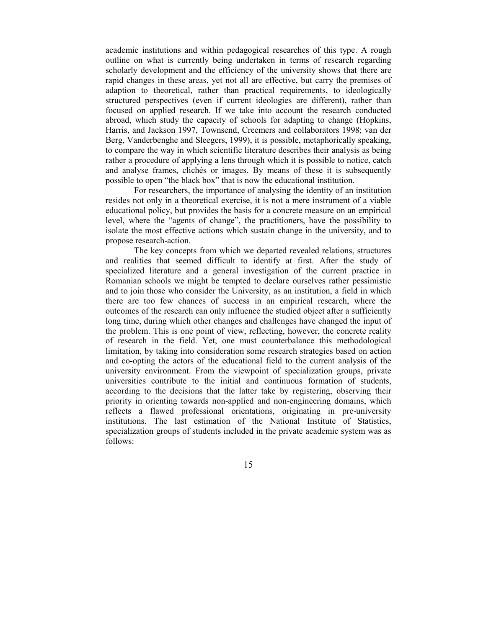academic institutions and within pedagogical researches of this type. A rough outline on what is currently being undertaken in terms of research regarding scholarly development and the efficiency of the university shows that there are rapid changes in these areas, yet not all are effective, but carry the premises of adaption to theoretical, rather than practical requirements, to ideologically structured perspectives (even if current ideologies are different), rather than focused on applied research. If we take into account the research conducted abroad, which study the capacity of schools for adapting to change (Hopkins, Harris, and Jackson 1997, Townsend, Creemers and collaborators 1998; van der Berg, Vanderbenghe and Sleegers, 1999), it is possible, metaphorically speaking, to compare the way in which scientific literature describes their analysis as being rather a procedure of applying a lens through which it is possible to notice, catch and analyse frames, clichés or images. By means of these it is subsequently possible to open "the black box" that is now the educational institution.

 For researchers, the importance of analysing the identity of an institution resides not only in a theoretical exercise, it is not a mere instrument of a viable educational policy, but provides the basis for a concrete measure on an empirical level, where the "agents of change", the practitioners, have the possibility to isolate the most effective actions which sustain change in the university, and to propose research-action.

 The key concepts from which we departed revealed relations, structures and realities that seemed difficult to identify at first. After the study of specialized literature and a general investigation of the current practice in Romanian schools we might be tempted to declare ourselves rather pessimistic and to join those who consider the University, as an institution, a field in which there are too few chances of success in an empirical research, where the outcomes of the research can only influence the studied object after a sufficiently long time, during which other changes and challenges have changed the input of the problem. This is one point of view, reflecting, however, the concrete reality of research in the field. Yet, one must counterbalance this methodological limitation, by taking into consideration some research strategies based on action and co-opting the actors of the educational field to the current analysis of the university environment. From the viewpoint of specialization groups, private universities contribute to the initial and continuous formation of students, according to the decisions that the latter take by registering, observing their priority in orienting towards non-applied and non-engineering domains, which reflects a flawed professional orientations, originating in pre-university institutions. The last estimation of the National Institute of Statistics, specialization groups of students included in the private academic system was as follows: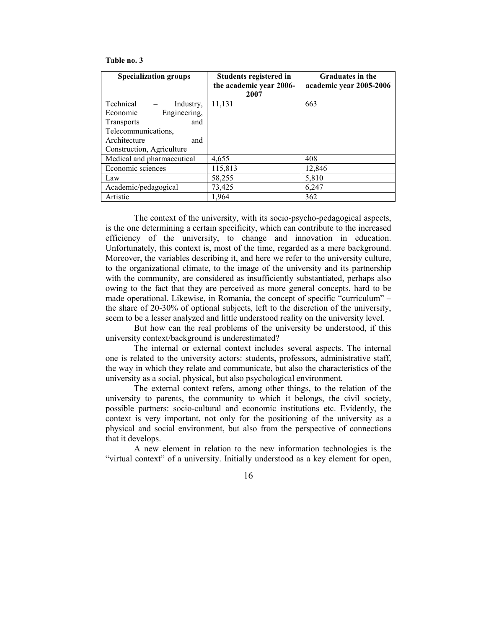#### **Table no. 3**

| <b>Specialization groups</b> | Students registered in<br>the academic year 2006-<br>2007 | <b>Graduates in the</b><br>academic year 2005-2006 |
|------------------------------|-----------------------------------------------------------|----------------------------------------------------|
| Technical<br>Industry,       | 11,131                                                    | 663                                                |
| Engineering,<br>Economic     |                                                           |                                                    |
| <b>Transports</b><br>and     |                                                           |                                                    |
| Telecommunications,          |                                                           |                                                    |
| Architecture<br>and          |                                                           |                                                    |
| Construction, Agriculture    |                                                           |                                                    |
| Medical and pharmaceutical   | 4,655                                                     | 408                                                |
| Economic sciences            | 115,813                                                   | 12,846                                             |
| Law                          | 58,255                                                    | 5,810                                              |
| Academic/pedagogical         | 73,425                                                    | 6,247                                              |
| Artistic                     | 1,964                                                     | 362                                                |

The context of the university, with its socio-psycho-pedagogical aspects, is the one determining a certain specificity, which can contribute to the increased efficiency of the university, to change and innovation in education. Unfortunately, this context is, most of the time, regarded as a mere background. Moreover, the variables describing it, and here we refer to the university culture, to the organizational climate, to the image of the university and its partnership with the community, are considered as insufficiently substantiated, perhaps also owing to the fact that they are perceived as more general concepts, hard to be made operational. Likewise, in Romania, the concept of specific "curriculum" – the share of 20-30% of optional subjects, left to the discretion of the university, seem to be a lesser analyzed and little understood reality on the university level.

 But how can the real problems of the university be understood, if this university context/background is underestimated?

 The internal or external context includes several aspects. The internal one is related to the university actors: students, professors, administrative staff, the way in which they relate and communicate, but also the characteristics of the university as a social, physical, but also psychological environment.

 The external context refers, among other things, to the relation of the university to parents, the community to which it belongs, the civil society, possible partners: socio-cultural and economic institutions etc. Evidently, the context is very important, not only for the positioning of the university as a physical and social environment, but also from the perspective of connections that it develops.

 A new element in relation to the new information technologies is the "virtual context" of a university. Initially understood as a key element for open,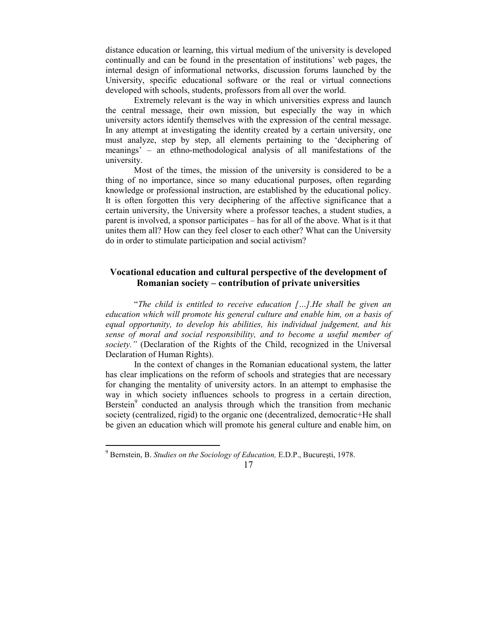distance education or learning, this virtual medium of the university is developed continually and can be found in the presentation of institutions' web pages, the internal design of informational networks, discussion forums launched by the University, specific educational software or the real or virtual connections developed with schools, students, professors from all over the world.

 Extremely relevant is the way in which universities express and launch the central message, their own mission, but especially the way in which university actors identify themselves with the expression of the central message. In any attempt at investigating the identity created by a certain university, one must analyze, step by step, all elements pertaining to the 'deciphering of meanings' – an ethno-methodological analysis of all manifestations of the university.

 Most of the times, the mission of the university is considered to be a thing of no importance, since so many educational purposes, often regarding knowledge or professional instruction, are established by the educational policy. It is often forgotten this very deciphering of the affective significance that a certain university, the University where a professor teaches, a student studies, a parent is involved, a sponsor participates – has for all of the above. What is it that unites them all? How can they feel closer to each other? What can the University do in order to stimulate participation and social activism?

# **Vocational education and cultural perspective of the development of Romanian society – contribution of private universities**

"*The child is entitled to receive education […].He shall be given an education which will promote his general culture and enable him, on a basis of equal opportunity, to develop his abilities, his individual judgement, and his sense of moral and social responsibility, and to become a useful member of society."* (Declaration of the Rights of the Child, recognized in the Universal Declaration of Human Rights).

In the context of changes in the Romanian educational system, the latter has clear implications on the reform of schools and strategies that are necessary for changing the mentality of university actors. In an attempt to emphasise the way in which society influences schools to progress in a certain direction, Berstein<sup>9</sup> conducted an analysis through which the transition from mechanic society (centralized, rigid) to the organic one (decentralized, democratic+He shall be given an education which will promote his general culture and enable him, on

 9 Bernstein, B. *Studies on the Sociology of Education,* E.D.P., Bucureşti, 1978.

<sup>17</sup>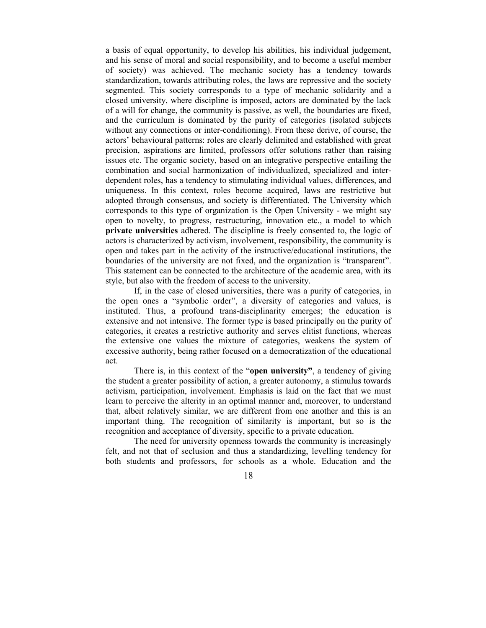a basis of equal opportunity, to develop his abilities, his individual judgement, and his sense of moral and social responsibility, and to become a useful member of society) was achieved. The mechanic society has a tendency towards standardization, towards attributing roles, the laws are repressive and the society segmented. This society corresponds to a type of mechanic solidarity and a closed university, where discipline is imposed, actors are dominated by the lack of a will for change, the community is passive, as well, the boundaries are fixed, and the curriculum is dominated by the purity of categories (isolated subjects without any connections or inter-conditioning). From these derive, of course, the actors' behavioural patterns: roles are clearly delimited and established with great precision, aspirations are limited, professors offer solutions rather than raising issues etc. The organic society, based on an integrative perspective entailing the combination and social harmonization of individualized, specialized and interdependent roles, has a tendency to stimulating individual values, differences, and uniqueness. In this context, roles become acquired, laws are restrictive but adopted through consensus, and society is differentiated. The University which corresponds to this type of organization is the Open University - we might say open to novelty, to progress, restructuring, innovation etc., a model to which **private universities** adhered. The discipline is freely consented to, the logic of actors is characterized by activism, involvement, responsibility, the community is open and takes part in the activity of the instructive/educational institutions, the boundaries of the university are not fixed, and the organization is "transparent". This statement can be connected to the architecture of the academic area, with its style, but also with the freedom of access to the university.

If, in the case of closed universities, there was a purity of categories, in the open ones a "symbolic order", a diversity of categories and values, is instituted. Thus, a profound trans-disciplinarity emerges; the education is extensive and not intensive. The former type is based principally on the purity of categories, it creates a restrictive authority and serves elitist functions, whereas the extensive one values the mixture of categories, weakens the system of excessive authority, being rather focused on a democratization of the educational act.

There is, in this context of the "**open university"**, a tendency of giving the student a greater possibility of action, a greater autonomy, a stimulus towards activism, participation, involvement. Emphasis is laid on the fact that we must learn to perceive the alterity in an optimal manner and, moreover, to understand that, albeit relatively similar, we are different from one another and this is an important thing. The recognition of similarity is important, but so is the recognition and acceptance of diversity, specific to a private education.

The need for university openness towards the community is increasingly felt, and not that of seclusion and thus a standardizing, levelling tendency for both students and professors, for schools as a whole. Education and the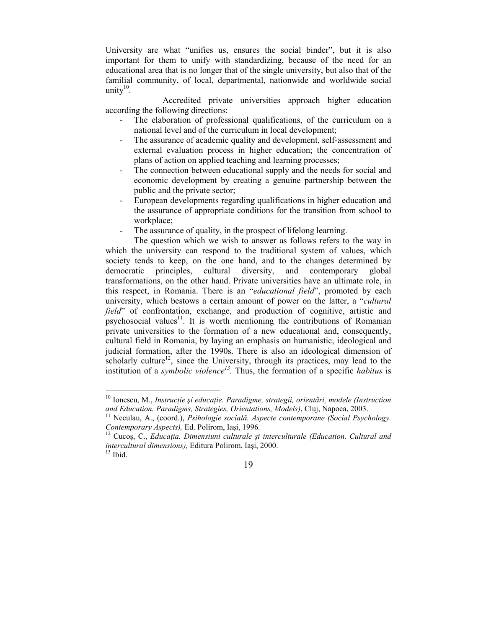University are what "unifies us, ensures the social binder", but it is also important for them to unify with standardizing, because of the need for an educational area that is no longer that of the single university, but also that of the familial community, of local, departmental, nationwide and worldwide social unity $10$ .

 Accredited private universities approach higher education according the following directions:

- The elaboration of professional qualifications, of the curriculum on a national level and of the curriculum in local development;
- The assurance of academic quality and development, self-assessment and external evaluation process in higher education; the concentration of plans of action on applied teaching and learning processes;
- The connection between educational supply and the needs for social and economic development by creating a genuine partnership between the public and the private sector;
- European developments regarding qualifications in higher education and the assurance of appropriate conditions for the transition from school to workplace;
- The assurance of quality, in the prospect of lifelong learning.

The question which we wish to answer as follows refers to the way in which the university can respond to the traditional system of values, which society tends to keep, on the one hand, and to the changes determined by democratic principles, cultural diversity, and contemporary global transformations, on the other hand. Private universities have an ultimate role, in this respect, in Romania. There is an "*educational field*", promoted by each university, which bestows a certain amount of power on the latter, a "*cultural field*" of confrontation, exchange, and production of cognitive, artistic and psychosocial values<sup>11</sup>. It is worth mentioning the contributions of Romanian private universities to the formation of a new educational and, consequently, cultural field in Romania, by laying an emphasis on humanistic, ideological and judicial formation, after the 1990s. There is also an ideological dimension of scholarly culture<sup>12</sup>, since the University, through its practices, may lead to the institution of a *symbolic violence<sup>13</sup> .* Thus, the formation of a specific *habitus* is

<sup>&</sup>lt;sup>10</sup> Ionescu, M., *Instrucție și educație. Paradigme, strategii, orientări, modele (Instruction and Education. Paradigms, Strategies, Orientations, Models)*, Cluj, Napoca, 2003.

<sup>11</sup> Neculau, A., (coord.), *Psihologie socială. Aspecte contemporane (Social Psychology. Contemporary Aspects),* Ed. Polirom, Iaşi, 1996*.*

Cucos, C., *Educația. Dimensiuni culturale și interculturale (Education. Cultural and intercultural dimensions),* Editura Polirom, Iaşi, 2000.

 $13$  Ibid.

<sup>19</sup>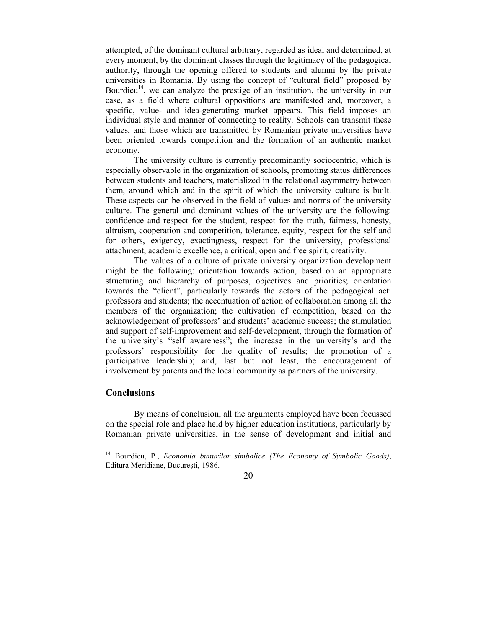attempted, of the dominant cultural arbitrary, regarded as ideal and determined, at every moment, by the dominant classes through the legitimacy of the pedagogical authority, through the opening offered to students and alumni by the private universities in Romania. By using the concept of "cultural field" proposed by Bourdieu<sup>14</sup>, we can analyze the prestige of an institution, the university in our case, as a field where cultural oppositions are manifested and, moreover, a specific, value- and idea-generating market appears. This field imposes an individual style and manner of connecting to reality. Schools can transmit these values, and those which are transmitted by Romanian private universities have been oriented towards competition and the formation of an authentic market economy.

 The university culture is currently predominantly sociocentric, which is especially observable in the organization of schools, promoting status differences between students and teachers, materialized in the relational asymmetry between them, around which and in the spirit of which the university culture is built. These aspects can be observed in the field of values and norms of the university culture. The general and dominant values of the university are the following: confidence and respect for the student, respect for the truth, fairness, honesty, altruism, cooperation and competition, tolerance, equity, respect for the self and for others, exigency, exactingness, respect for the university, professional attachment, academic excellence, a critical, open and free spirit, creativity.

 The values of a culture of private university organization development might be the following: orientation towards action, based on an appropriate structuring and hierarchy of purposes, objectives and priorities; orientation towards the "client", particularly towards the actors of the pedagogical act: professors and students; the accentuation of action of collaboration among all the members of the organization; the cultivation of competition, based on the acknowledgement of professors' and students' academic success; the stimulation and support of self-improvement and self-development, through the formation of the university's "self awareness"; the increase in the university's and the professors' responsibility for the quality of results; the promotion of a participative leadership; and, last but not least, the encouragement of involvement by parents and the local community as partners of the university.

## **Conclusions**

 $\overline{a}$ 

By means of conclusion, all the arguments employed have been focussed on the special role and place held by higher education institutions, particularly by Romanian private universities, in the sense of development and initial and

<sup>14</sup> Bourdieu, P., *Economia bunurilor simbolice (The Economy of Symbolic Goods)*, Editura Meridiane, Bucureşti, 1986.

<sup>20</sup>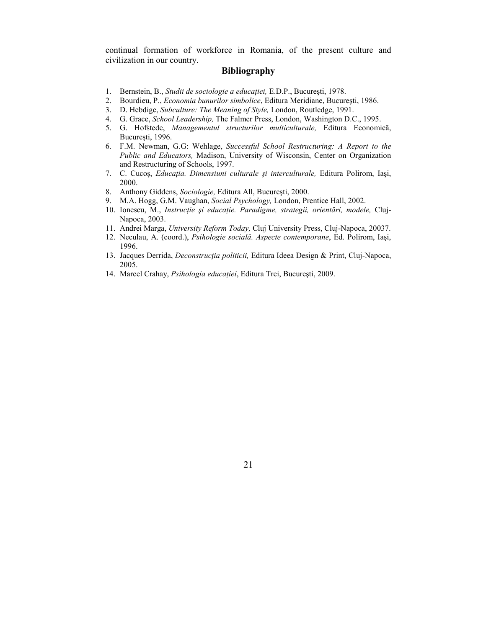continual formation of workforce in Romania, of the present culture and civilization in our country.

#### **Bibliography**

- 1. Bernstein, B., *Studii de sociologie a educației*, E.D.P., București, 1978.
- 2. Bourdieu, P., *Economia bunurilor simbolice*, Editura Meridiane, Bucureşti, 1986.
- 3. D. Hebdige, *Subculture: The Meaning of Style,* London, Routledge, 1991.
- 4. G. Grace, *School Leadership,* The Falmer Press, London, Washington D.C., 1995.
- 5. G. Hofstede, *Managementul structurilor multiculturale,* Editura Economică, Bucureşti, 1996.
- 6. F.M. Newman, G.G: Wehlage, *Successful School Restructuring: A Report to the Public and Educators,* Madison, University of Wisconsin, Center on Organization and Restructuring of Schools, 1997.
- 7. C. Cucoș, *Educația. Dimensiuni culturale și interculturale*, Editura Polirom, Iași, 2000.
- 8. Anthony Giddens, *Sociologie,* Editura All, Bucureşti, 2000.
- 9. M.A. Hogg, G.M. Vaughan, *Social Psychology,* London, Prentice Hall, 2002.
- 10. Ionescu, M., *Instrucție și educație. Paradigme, strategii, orientări, modele, Cluj*-Napoca, 2003.
- 11. Andrei Marga, *University Reform Today,* Cluj University Press, Cluj-Napoca, 20037.
- 12. Neculau, A. (coord.), *Psihologie socială. Aspecte contemporane*, Ed. Polirom, Iaşi, 1996.
- 13. Jacques Derrida, *Deconstrucția politicii*, Editura Ideea Design & Print, Cluj-Napoca, 2005.
- 14. Marcel Crahay, *Psihologia educației*, Editura Trei, București, 2009.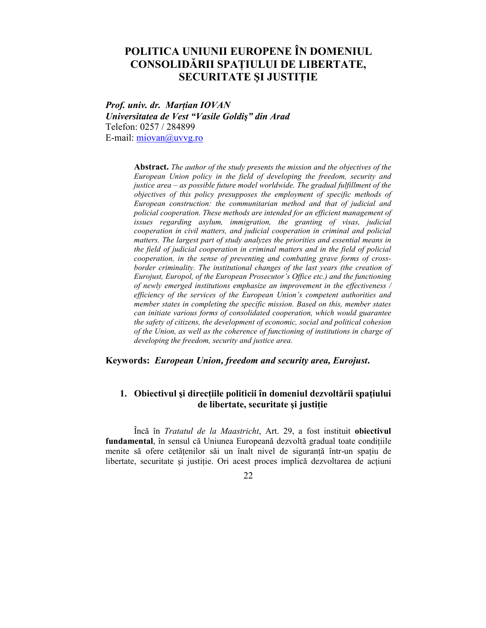# **POLITICA UNIUNII EUROPENE ÎN DOMENIUL CONSOLIDĂRII SPATIULUI DE LIBERTATE, SECURITATE ȘI JUSTIȚIE**

**Prof. univ. dr. Martian IOVAN** *Universitatea de Vest "Vasile Goldiş" din Arad*  Telefon: 0257 / 284899 E-mail: miovan@uvvg.ro

> **Abstract.** *The author of the study presents the mission and the objectives of the European Union policy in the field of developing the freedom, security and justice area – as possible future model worldwide. The gradual fulfillment of the objectives of this policy presupposes the employment of specific methods of European construction: the communitarian method and that of judicial and policial cooperation. These methods are intended for an efficient management of issues regarding asylum, immigration, the granting of visas, judicial cooperation in civil matters, and judicial cooperation in criminal and policial matters. The largest part of study analyzes the priorities and essential means in the field of judicial cooperation in criminal matters and in the field of policial cooperation, in the sense of preventing and combating grave forms of crossborder criminality. The institutional changes of the last years (the creation of Eurojust, Europol, of the European Prosecutor's Office etc.) and the functioning of newly emerged institutions emphasize an improvement in the effectiveness / efficiency of the services of the European Union's competent authorities and member states in completing the specific mission. Based on this, member states can initiate various forms of consolidated cooperation, which would guarantee the safety of citizens, the development of economic, social and political cohesion of the Union, as well as the coherence of functioning of institutions in charge of developing the freedom, security and justice area.*

**Keywords:** *European Union, freedom and security area, Eurojust***.** 

## 1. Obiectivul și direcțiile politicii în domeniul dezvoltării spațiului  $de$  libertate, securitate si justitie

Încă în *Tratatul de la Maastricht*, Art. 29, a fost instituit **obiectivul**  fundamental, în sensul că Uniunea Europeană dezvoltă gradual toate condițiile menite să ofere cetățenilor săi un înalt nivel de siguranță într-un spațiu de libertate, securitate și justiție. Ori acest proces implică dezvoltarea de acțiuni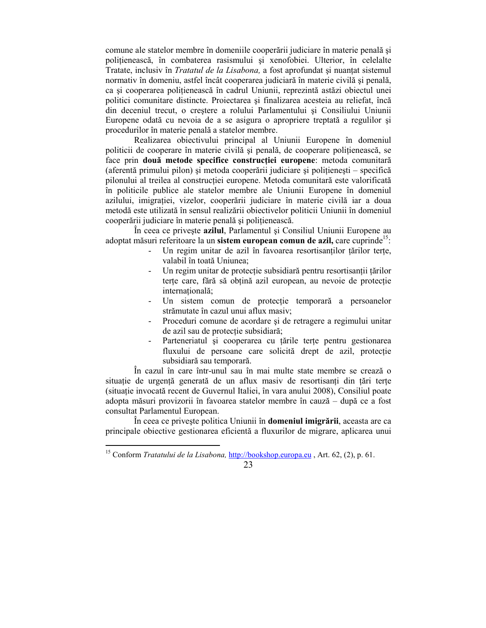comune ale statelor membre în domeniile cooperării judiciare în materie penală şi politienească, în combaterea rasismului și xenofobiei. Ulterior, în celelalte Tratate, inclusiv în *Tratatul de la Lisabona*, a fost aprofundat și nuanțat sistemul normativ în domeniu, astfel încât cooperarea judiciară în materie civilă şi penală, ca și cooperarea politienească în cadrul Uniunii, reprezintă astăzi obiectul unei politici comunitare distincte. Proiectarea şi finalizarea acesteia au reliefat, încă din deceniul trecut, o creştere a rolului Parlamentului şi Consiliului Uniunii Europene odată cu nevoia de a se asigura o apropriere treptată a regulilor şi procedurilor în materie penală a statelor membre.

Realizarea obiectivului principal al Uniunii Europene în domeniul politicii de cooperare în materie civilă și penală, de cooperare politienească, se face prin două metode specifice construcției europene: metoda comunitară (aferentă primului pilon) și metoda cooperării judiciare și polițienești – specifică pilonului al treilea al construcției europene. Metoda comunitară este valorificată în politicile publice ale statelor membre ale Uniunii Europene în domeniul azilului, imigrației, vizelor, cooperării judiciare în materie civilă iar a doua metodă este utilizată în sensul realizării obiectivelor politicii Uniunii în domeniul cooperării judiciare în materie penală și polițienească.

În ceea ce priveşte **azilul**, Parlamentul şi Consiliul Uniunii Europene au adoptat măsuri referitoare la un **sistem european comun de azil**, care cuprinde<sup>15</sup>:

- Un regim unitar de azil în favoarea resortisanților țărilor terțe, valabil în toată Uniunea;
- Un regim unitar de protecție subsidiară pentru resortisanții țărilor terte care, fără să obtină azil european, au nevoie de protectie internatională;
- Un sistem comun de protecție temporară a persoanelor strămutate în cazul unui aflux masiv;
- Proceduri comune de acordare şi de retragere a regimului unitar de azil sau de protecție subsidiară;
- Parteneriatul și cooperarea cu țările terțe pentru gestionarea fluxului de persoane care solicită drept de azil, protecție subsidiară sau temporară.

În cazul în care într-unul sau în mai multe state membre se crează o situatie de urgentă generată de un aflux masiv de resortisanti din tări terte (situație invocată recent de Guvernul Italiei, în vara anului 2008), Consiliul poate adopta măsuri provizorii în favoarea statelor membre în cauză – după ce a fost consultat Parlamentul European.

În ceea ce priveşte politica Uniunii în **domeniul imigrării**, aceasta are ca principale obiective gestionarea eficientă a fluxurilor de migrare, aplicarea unui

 $\overline{a}$ 

<sup>&</sup>lt;sup>15</sup> Conform *Tratatului de la Lisabona*, <u>http://bookshop.europa.eu</u> , Art. 62, (2), p. 61.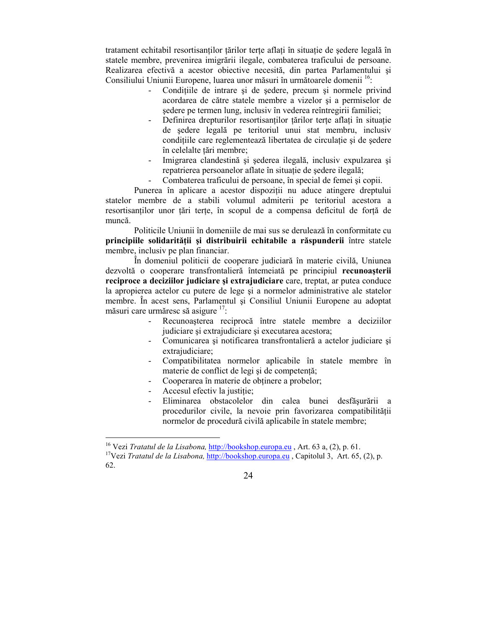tratament echitabil resortisanților țărilor terțe aflați în situație de sedere legală în statele membre, prevenirea imigrării ilegale, combaterea traficului de persoane. Realizarea efectivă a acestor obiective necesită, din partea Parlamentului şi Consiliului Uniunii Europene, luarea unor măsuri în următoarele domenii <sup>16</sup>:

- Conditiile de intrare si de sedere, precum si normele privind acordarea de către statele membre a vizelor și a permiselor de şedere pe termen lung, inclusiv în vederea reîntregirii familiei;
- Definirea drepturilor resortisanților țărilor terțe aflați în situație de şedere legală pe teritoriul unui stat membru, inclusiv condițiile care reglementează libertatea de circulație și de ședere în celelalte tări membre;
- Imigrarea clandestină şi şederea ilegală, inclusiv expulzarea şi repatrierea persoanelor aflate în situație de ședere ilegală;
- Combaterea traficului de persoane, în special de femei şi copii.

Punerea în aplicare a acestor dispoziții nu aduce atingere dreptului statelor membre de a stabili volumul admiterii pe teritoriul acestora a resortisanților unor țări terțe, în scopul de a compensa deficitul de forță de muncă.

Politicile Uniunii în domeniile de mai sus se derulează în conformitate cu **principiile solidaritătii și distribuirii echitabile a răspunderii** între statele membre, inclusiv pe plan financiar.

În domeniul politicii de cooperare judiciară în materie civilă, Uniunea dezvoltă o cooperare transfrontalieră întemeiată pe principiul **recunoaşterii reciproce a deciziilor judiciare şi extrajudiciare** care, treptat, ar putea conduce la apropierea actelor cu putere de lege şi a normelor administrative ale statelor membre. În acest sens, Parlamentul şi Consiliul Uniunii Europene au adoptat măsuri care urmăresc să asigure  $17$ :

- Recunoaşterea reciprocă între statele membre a deciziilor judiciare şi extrajudiciare şi executarea acestora;
- Comunicarea şi notificarea transfrontalieră a actelor judiciare şi extrajudiciare;
- Compatibilitatea normelor aplicabile în statele membre în materie de conflict de legi și de competență;
- Cooperarea în materie de obtinere a probelor;
- Accesul efectiv la justiție;

 $\overline{a}$ 

- Eliminarea obstacolelor din calea bunei desfăşurării a procedurilor civile, la nevoie prin favorizarea compatibilității normelor de procedură civilă aplicabile în statele membre;

<sup>16</sup> Vezi *Tratatul de la Lisabona,* http://bookshop.europa.eu , Art. 63 a, (2), p. 61. <sup>17</sup>Vezi *Tratatul de la Lisabona*, http://bookshop.europa.eu<sub>,</sub> Capitolul 3, Art. 65, (2), p. 62.

<sup>24</sup>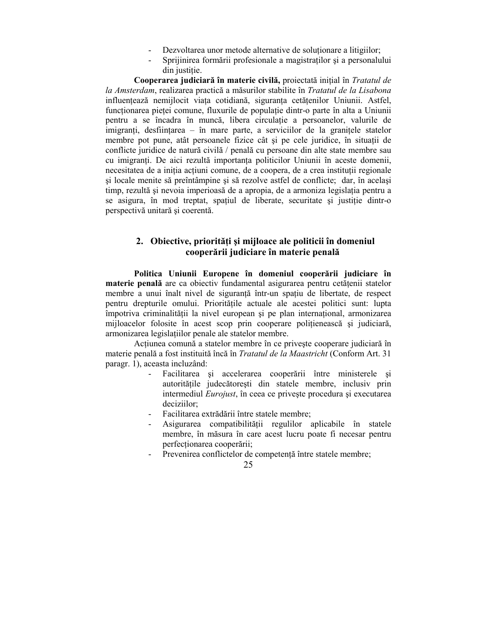- Dezvoltarea unor metode alternative de solutionare a litigiilor;
- Sprijinirea formării profesionale a magistraților și a personalului din justiție.

**Cooperarea judiciară în materie civilă,** proiectată inițial în *Tratatul de la Amsterdam*, realizarea practică a măsurilor stabilite în *Tratatul de la Lisabona* influentează nemijlocit viata cotidiană, siguranta cetătenilor Uniunii. Astfel, functionarea pieței comune, fluxurile de populație dintr-o parte în alta a Uniunii pentru a se încadra în muncă, libera circulație a persoanelor, valurile de imigranți, desființarea – în mare parte, a serviciilor de la granițele statelor membre pot pune, atât persoanele fizice cât și pe cele juridice, în situatii de conflicte juridice de natură civilă / penală cu persoane din alte state membre sau cu imigranți. De aici rezultă importanța politicilor Uniunii în aceste domenii, necesitatea de a iniția acțiuni comune, de a coopera, de a crea instituții regionale şi locale menite să preîntâmpine şi să rezolve astfel de conflicte; dar, în acelaşi timp, rezultă și nevoia imperioasă de a apropia, de a armoniza legislatia pentru a se asigura, în mod treptat, spațiul de liberate, securitate și justiție dintr-o perspectivă unitară şi coerentă.

# **2.** Obiective, priorități și mijloace ale politicii în domeniul **cooperării judiciare în materie penală**

**Politica Uniunii Europene în domeniul cooperării judiciare în**  materie penală are ca obiectiv fundamental asigurarea pentru cetățenii statelor membre a unui înalt nivel de siguranță într-un spațiu de libertate, de respect pentru drepturile omului. Prioritățile actuale ale acestei politici sunt: lupta împotriva criminalității la nivel european și pe plan internațional, armonizarea mijloacelor folosite în acest scop prin cooperare politienească și judiciară, armonizarea legislatiilor penale ale statelor membre.

Acțiunea comună a statelor membre în ce privește cooperare judiciară în materie penală a fost instituită încă în *Tratatul de la Maastricht* (Conform Art. 31 paragr. 1), aceasta incluzând:

- Facilitarea şi accelerarea cooperării între ministerele şi autoritățile judecătorești din statele membre, inclusiv prin intermediul *Eurojust*, în ceea ce priveşte procedura şi executarea deciziilor;
- Facilitarea extrădării între statele membre;
- Asigurarea compatibilității regulilor aplicabile în statele membre, în măsura în care acest lucru poate fi necesar pentru perfectionarea cooperării;
- Prevenirea conflictelor de competență între statele membre;

<sup>25</sup>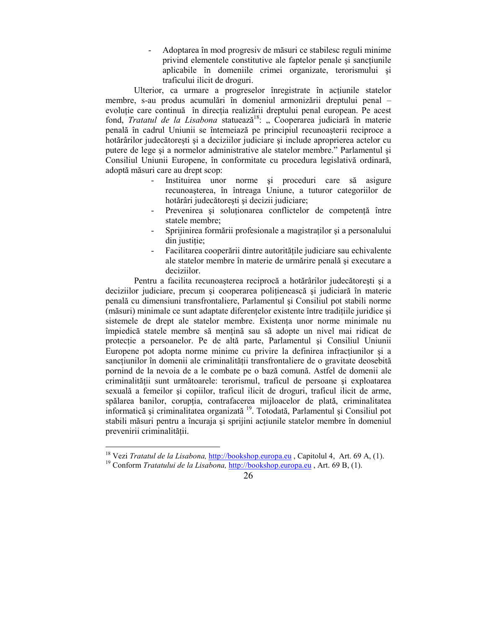- Adoptarea în mod progresiv de măsuri ce stabilesc reguli minime privind elementele constitutive ale faptelor penale și sancțiunile aplicabile în domeniile crimei organizate, terorismului şi traficului ilicit de droguri.

Ulterior, ca urmare a progreselor înregistrate în actiunile statelor membre, s-au produs acumulări în domeniul armonizării dreptului penal – evoluție care continuă în direcția realizării dreptului penal european. Pe acest fond, *Tratatul de la Lisabona* statuează<sup>18</sup>: " Cooperarea judiciară în materie penală în cadrul Uniunii se întemeiază pe principiul recunoaşterii reciproce a hotărârilor judecătoreşti şi a deciziilor judiciare şi include aproprierea actelor cu putere de lege şi a normelor administrative ale statelor membre." Parlamentul şi Consiliul Uniunii Europene, în conformitate cu procedura legislativă ordinară, adoptă măsuri care au drept scop:

- Instituirea unor norme şi proceduri care să asigure recunoaşterea, în întreaga Uniune, a tuturor categoriilor de hotărâri judecătoreşti şi decizii judiciare;
- Prevenirea și solutionarea conflictelor de competentă între statele membre;
- Sprijinirea formării profesionale a magistratilor și a personalului din justitie;
- Facilitarea cooperării dintre autoritățile judiciare sau echivalente ale statelor membre în materie de urmărire penală şi executare a deciziilor.

Pentru a facilita recunoaşterea reciprocă a hotărârilor judecătoreşti şi a deciziilor judiciare, precum și cooperarea polițienească și judiciară în materie penală cu dimensiuni transfrontaliere, Parlamentul şi Consiliul pot stabili norme (măsuri) minimale ce sunt adaptate diferentelor existente între tradițiile juridice și sistemele de drept ale statelor membre. Existenta unor norme minimale nu împiedică statele membre să mențină sau să adopte un nivel mai ridicat de protecție a persoanelor. Pe de altă parte, Parlamentul și Consiliul Uniunii Europene pot adopta norme minime cu privire la definirea infracțiunilor și a sancțiunilor în domenii ale criminalității transfrontaliere de o gravitate deosebită pornind de la nevoia de a le combate pe o bază comună. Astfel de domenii ale criminalității sunt următoarele: terorismul, traficul de persoane și exploatarea sexuală a femeilor şi copiilor, traficul ilicit de droguri, traficul ilicit de arme, spălarea banilor, corupția, contrafacerea mijloacelor de plată, criminalitatea informatică şi criminalitatea organizată <sup>19</sup>. Totodată, Parlamentul şi Consiliul pot stabili măsuri pentru a încuraja și sprijini acțiunile statelor membre în domeniul prevenirii criminalității.

<sup>&</sup>lt;sup>18</sup> Vezi *Tratatul de la Lisabona*, *http://bookshop.europa.eu*, Capitolul 4, Art. 69 A, (1).

<sup>19</sup> Conform *Tratatului de la Lisabona,* http://bookshop.europa.eu , Art. 69 B, (1).

<sup>26</sup>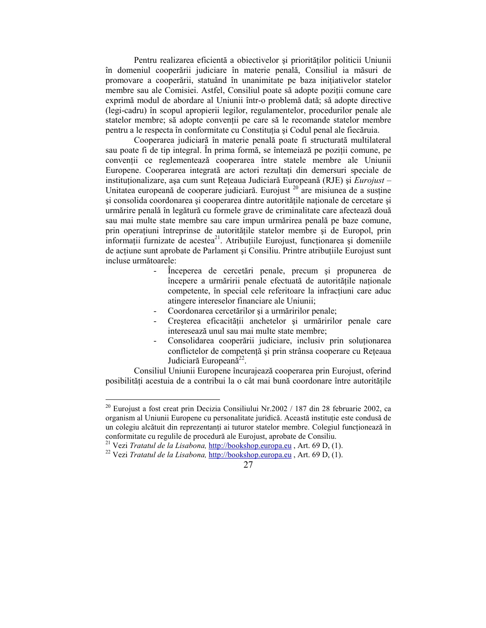Pentru realizarea eficientă a obiectivelor și priorităților politicii Uniunii în domeniul cooperării judiciare în materie penală, Consiliul ia măsuri de promovare a cooperării, statuând în unanimitate pe baza inițiativelor statelor membre sau ale Comisiei. Astfel, Consiliul poate să adopte poziții comune care exprimă modul de abordare al Uniunii într-o problemă dată; să adopte directive (legi-cadru) în scopul apropierii legilor, regulamentelor, procedurilor penale ale statelor membre; să adopte convenții pe care să le recomande statelor membre pentru a le respecta în conformitate cu Constituția și Codul penal ale fiecăruia.

Cooperarea judiciară în materie penală poate fi structurată multilateral sau poate fi de tip integral. În prima formă, se întemeiază pe poziții comune, pe convenții ce reglementează cooperarea între statele membre ale Uniunii Europene. Cooperarea integrată are actori rezultați din demersuri speciale de instituționalizare, așa cum sunt Rețeaua Judiciară Europeană (RJE) și *Eurojust* – Unitatea europeană de cooperare judiciară. Eurojust  $20^{\circ}$  are misiunea de a sustine și consolida coordonarea și cooperarea dintre autoritățile naționale de cercetare și urmărire penală în legătură cu formele grave de criminalitate care afectează două sau mai multe state membre sau care impun urmărirea penală pe baze comune, prin operatiuni întreprinse de autoritățile statelor membre și de Europol, prin informații furnizate de acestea<sup>21</sup>. Atribuțiile Eurojust, funcționarea și domeniile de actiune sunt aprobate de Parlament și Consiliu. Printre atribuțiile Eurojust sunt incluse următoarele:

- Începerea de cercetări penale, precum şi propunerea de începere a urmăririi penale efectuată de autoritățile naționale competente, în special cele referitoare la infracțiuni care aduc atingere intereselor financiare ale Uniunii;
- Coordonarea cercetărilor și a urmăririlor penale;
- Cresterea eficacității anchetelor și urmăririlor penale care interesează unul sau mai multe state membre;
- Consolidarea cooperării judiciare, inclusiv prin soluționarea conflictelor de competență și prin strânsa cooperare cu Rețeaua Judiciară Europeană<sup>22</sup>.

Consiliul Uniunii Europene încurajează cooperarea prin Eurojust, oferind posibilităti acestuia de a contribui la o cât mai bună coordonare între autoritățile

<sup>&</sup>lt;sup>20</sup> Eurojust a fost creat prin Decizia Consiliului Nr.2002 / 187 din 28 februarie 2002, ca organism al Uniunii Europene cu personalitate juridică. Această institutie este condusă de un colegiu alcătuit din reprezentanți ai tuturor statelor membre. Colegiul funcționează în conformitate cu regulile de procedură ale Eurojust, aprobate de Consiliu.

<sup>21</sup> Vezi *Tratatul de la Lisabona,* http://bookshop.europa.eu , Art. 69 D, (1).

<sup>22</sup> Vezi *Tratatul de la Lisabona,* http://bookshop.europa.eu , Art. 69 D, (1).

<sup>27</sup>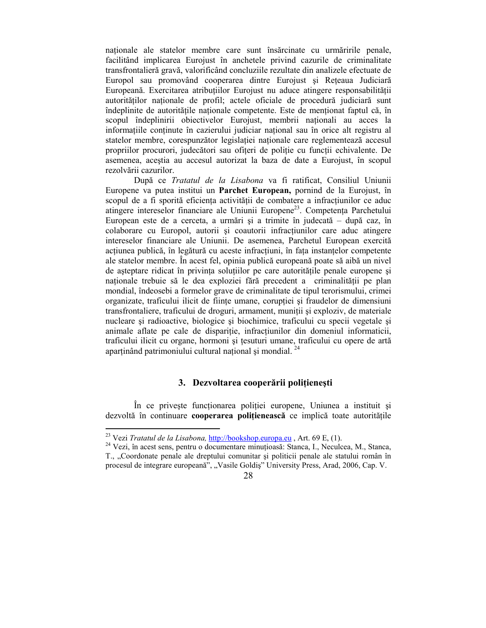naționale ale statelor membre care sunt însărcinate cu urmăririle penale, facilitând implicarea Eurojust în anchetele privind cazurile de criminalitate transfrontalieră gravă, valorificând concluziile rezultate din analizele efectuate de Europol sau promovând cooperarea dintre Eurojust și Rețeaua Judiciară Europeană. Exercitarea atributiilor Eurojust nu aduce atingere responsabilității autorităților naționale de profil; actele oficiale de procedură judiciară sunt îndeplinite de autoritățile naționale competente. Este de menționat faptul că, în scopul îndeplinirii obiectivelor Eurojust, membrii naționali au acces la informațiile conținute în cazierului judiciar național sau în orice alt registru al statelor membre, corespunzător legislației naționale care reglementează accesul propriilor procurori, judecători sau ofiteri de politie cu funcții echivalente. De asemenea, aceştia au accesul autorizat la baza de date a Eurojust, în scopul rezolvării cazurilor.

După ce *Tratatul de la Lisabona* va fi ratificat, Consiliul Uniunii Europene va putea institui un **Parchet European,** pornind de la Eurojust, în scopul de a fi sporită eficiența activității de combatere a infracțiunilor ce aduc atingere intereselor financiare ale Uniunii Europene<sup>23</sup>. Competența Parchetului European este de a cerceta, a urmări şi a trimite în judecată – după caz, în colaborare cu Europol, autorii și coautorii infracțiunilor care aduc atingere intereselor financiare ale Uniunii. De asemenea, Parchetul European exercită acțiunea publică, în legătură cu aceste infracțiuni, în fața instanțelor competente ale statelor membre. În acest fel, opinia publică europeană poate să aibă un nivel de așteptare ridicat în privința soluțiilor pe care autoritățile penale europene și naționale trebuie să le dea exploziei fără precedent a criminalității pe plan mondial, îndeosebi a formelor grave de criminalitate de tipul terorismului, crimei organizate, traficului ilicit de ființe umane, corupției și fraudelor de dimensiuni transfrontaliere, traficului de droguri, armament, munitii și exploziv, de materiale nucleare şi radioactive, biologice şi biochimice, traficului cu specii vegetale şi animale aflate pe cale de disparitie, infractiunilor din domeniul informaticii, traficului ilicit cu organe, hormoni și țesuturi umane, traficului cu opere de artă aparținând patrimoniului cultural național și mondial.<sup>24</sup>

# **3.** Dezvoltarea cooperării politienești

În ce privește funcționarea poliției europene, Uniunea a instituit și dezvoltă în continuare **cooperarea polițienească** ce implică toate autoritățile

<sup>23</sup> Vezi *Tratatul de la Lisabona,* http://bookshop.europa.eu , Art. 69 E, (1).

<sup>&</sup>lt;sup>24</sup> Vezi, în acest sens, pentru o documentare minuțioasă: Stanca, I., Neculcea, M., Stanca, T., "Coordonate penale ale dreptului comunitar și politicii penale ale statului român în procesul de integrare europeană", "Vasile Goldiș" University Press, Arad, 2006, Cap. V.

<sup>28</sup>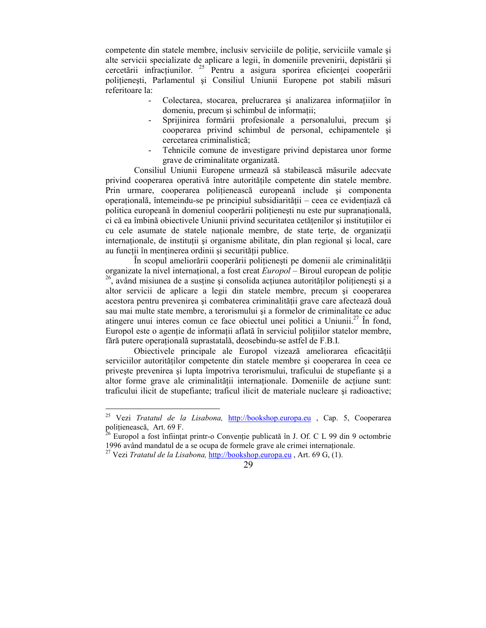competente din statele membre, inclusiv serviciile de politie, serviciile vamale și alte servicii specializate de aplicare a legii, în domeniile prevenirii, depistării şi cercetării infracțiunilor. <sup>25</sup> Pentru a asigura sporirea eficienței cooperării polițienești, Parlamentul și Consiliul Uniunii Europene pot stabili măsuri referitoare la:

- Colectarea, stocarea, prelucrarea și analizarea informațiilor în domeniu, precum și schimbul de informații;
- Sprijinirea formării profesionale a personalului, precum şi cooperarea privind schimbul de personal, echipamentele şi cercetarea criminalistică;
- Tehnicile comune de investigare privind depistarea unor forme grave de criminalitate organizată.

Consiliul Uniunii Europene urmează să stabilească măsurile adecvate privind cooperarea operativă între autoritățile competente din statele membre. Prin urmare, cooperarea politienească europeană include și componenta operațională, întemeindu-se pe principiul subsidiarității – ceea ce evidențiază că politica europeană în domeniul cooperării polițienești nu este pur supranațională, ci că ea îmbină obiectivele Uniunii privind securitatea cetățenilor și instituțiilor ei cu cele asumate de statele naționale membre, de state terțe, de organizații internationale, de institutii și organisme abilitate, din plan regional și local, care au funcții în menținerea ordinii și securității publice.

În scopul ameliorării cooperării polițienești pe domenii ale criminalității organizate la nivel internațional, a fost creat *Europol* – Biroul european de poliție  $^{26}$ , având misiunea de a sustine și consolida acțiunea autorităților politienești și a altor servicii de aplicare a legii din statele membre, precum şi cooperarea acestora pentru prevenirea și combaterea criminalității grave care afectează două sau mai multe state membre, a terorismului şi a formelor de criminalitate ce aduc atingere unui interes comun ce face obiectul unei politici a Uniunii.<sup>27</sup> În fond, Europol este o agenție de informații aflată în serviciul polițiilor statelor membre, fără putere operațională suprastatală, deosebindu-se astfel de F.B.I.

Obiectivele principale ale Europol vizează ameliorarea eficacității serviciilor autorităților competente din statele membre și cooperarea în ceea ce priveşte prevenirea şi lupta împotriva terorismului, traficului de stupefiante şi a altor forme grave ale criminalității internaționale. Domeniile de acțiune sunt: traficului ilicit de stupefiante; traficul ilicit de materiale nucleare şi radioactive;

<sup>25</sup> <sup>25</sup> Vezi *Tratatul de la Lisabona,* http://bookshop.europa.eu , Cap. 5, Cooperarea polițienească, Art. 69 F.

Europol a fost înființat printr-o Convenție publicată în J. Of. C L 99 din 9 octombrie 1996 având mandatul de a se ocupa de formele grave ale crimei internaționale.

<sup>27</sup> Vezi *Tratatul de la Lisabona,* http://bookshop.europa.eu , Art. 69 G, (1).

<sup>29</sup>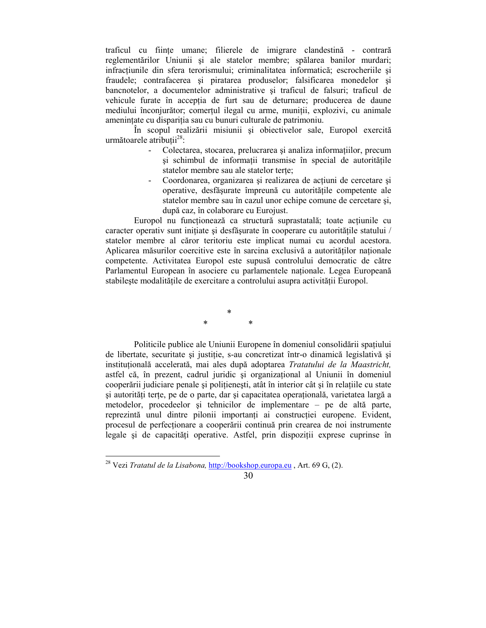traficul cu ființe umane; filierele de imigrare clandestină - contrară reglementărilor Uniunii şi ale statelor membre; spălarea banilor murdari; infracțiunile din sfera terorismului; criminalitatea informatică; escrocheriile și fraudele; contrafacerea şi piratarea produselor; falsificarea monedelor şi bancnotelor, a documentelor administrative şi traficul de falsuri; traficul de vehicule furate în acceptia de furt sau de deturnare; producerea de daune mediului înconjurător; comerțul ilegal cu arme, muniții, explozivi, cu animale amenintate cu dispariția sau cu bunuri culturale de patrimoniu.

În scopul realizării misiunii şi obiectivelor sale, Europol exercită următoarele atribuții $^{28}$ :

- Colectarea, stocarea, prelucrarea și analiza informatiilor, precum și schimbul de informații transmise în special de autoritățile statelor membre sau ale statelor terțe;
- Coordonarea, organizarea și realizarea de acțiuni de cercetare și operative, desfășurate împreună cu autoritățile competente ale statelor membre sau în cazul unor echipe comune de cercetare şi, după caz, în colaborare cu Eurojust.

Europol nu funcționează ca structură suprastatală; toate acțiunile cu caracter operativ sunt inițiate și desfășurate în cooperare cu autoritățile statului / statelor membre al căror teritoriu este implicat numai cu acordul acestora. Aplicarea măsurilor coercitive este în sarcina exclusivă a autorităților naționale competente. Activitatea Europol este supusă controlului democratic de către Parlamentul European în asociere cu parlamentele naționale. Legea Europeană stabileste modalitățile de exercitare a controlului asupra activității Europol.

 \*  $*$  \* \*

Politicile publice ale Uniunii Europene în domeniul consolidării spațiului de libertate, securitate și justiție, s-au concretizat într-o dinamică legislativă și instituțională accelerată, mai ales după adoptarea *Tratatului de la Maastricht*, astfel că, în prezent, cadrul juridic și organizațional al Uniunii în domeniul cooperării judiciare penale și politienești, atât în interior cât și în relatiile cu state și autorități terțe, pe de o parte, dar și capacitatea operațională, varietatea largă a metodelor, procedeelor şi tehnicilor de implementare – pe de altă parte, reprezintă unul dintre pilonii importanți ai construcției europene. Evident, procesul de perfectionare a cooperării continuă prin crearea de noi instrumente legale și de capacități operative. Astfel, prin dispoziții exprese cuprinse în



<sup>&</sup>lt;sup>28</sup> Vezi *Tratatul de la Lisabona*, <u>http://bookshop.europa.eu</u> , Art. 69 G, (2).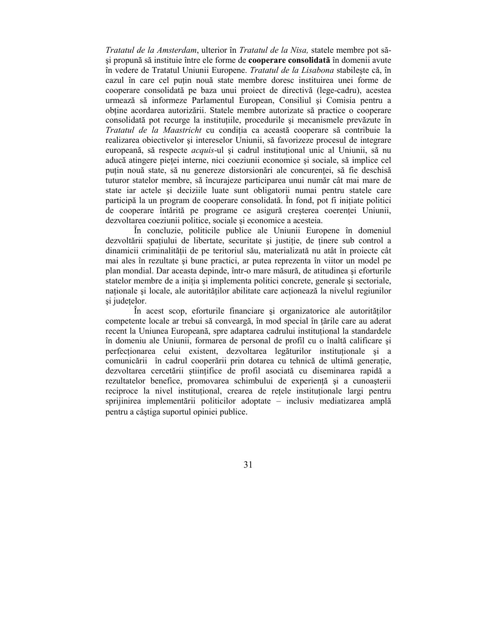*Tratatul de la Amsterdam*, ulterior în *Tratatul de la Nisa,* statele membre pot săşi propună să instituie între ele forme de **cooperare consolidată** în domenii avute în vedere de Tratatul Uniunii Europene. *Tratatul de la Lisabona* stabileşte că, în cazul în care cel puțin nouă state membre doresc instituirea unei forme de cooperare consolidată pe baza unui proiect de directivă (lege-cadru), acestea urmează să informeze Parlamentul European, Consiliul şi Comisia pentru a obține acordarea autorizării. Statele membre autorizate să practice o cooperare consolidată pot recurge la instituțiile, procedurile și mecanismele prevăzute în *Tratatul de la Maastricht* cu condiția ca această cooperare să contribuie la realizarea obiectivelor şi intereselor Uniunii, să favorizeze procesul de integrare europeană, să respecte *acquis*-ul și cadrul institutional unic al Uniunii, să nu aducă atingere pieței interne, nici coeziunii economice și sociale, să implice cel puțin nouă state, să nu genereze distorsionări ale concurenței, să fie deschisă tuturor statelor membre, să încurajeze participarea unui număr cât mai mare de state iar actele şi deciziile luate sunt obligatorii numai pentru statele care participă la un program de cooperare consolidată. În fond, pot fi inițiate politici de cooperare întărită pe programe ce asigură creșterea coerenței Uniunii, dezvoltarea coeziunii politice, sociale şi economice a acesteia.

În concluzie, politicile publice ale Uniunii Europene în domeniul dezvoltării spațiului de libertate, securitate și justiție, de ținere sub control a dinamicii criminalității de pe teritoriul său, materializată nu atât în proiecte cât mai ales în rezultate şi bune practici, ar putea reprezenta în viitor un model pe plan mondial. Dar aceasta depinde, într-o mare măsură, de atitudinea şi eforturile statelor membre de a iniția și implementa politici concrete, generale și sectoriale, nationale și locale, ale autorităților abilitate care actionează la nivelul regiunilor şi județelor.

În acest scop, eforturile financiare și organizatorice ale autoritătilor competente locale ar trebui să conveargă, în mod special în tările care au aderat recent la Uniunea Europeană, spre adaptarea cadrului institutional la standardele în domeniu ale Uniunii, formarea de personal de profil cu o înaltă calificare şi perfecționarea celui existent, dezvoltarea legăturilor instituționale și a comunicării în cadrul cooperării prin dotarea cu tehnică de ultimă generație, dezvoltarea cercetării științifice de profil asociată cu diseminarea rapidă a rezultatelor benefice, promovarea schimbului de experientă și a cunoașterii reciproce la nivel institutional, crearea de retele institutionale largi pentru sprijinirea implementării politicilor adoptate – inclusiv mediatizarea amplă pentru a câştiga suportul opiniei publice.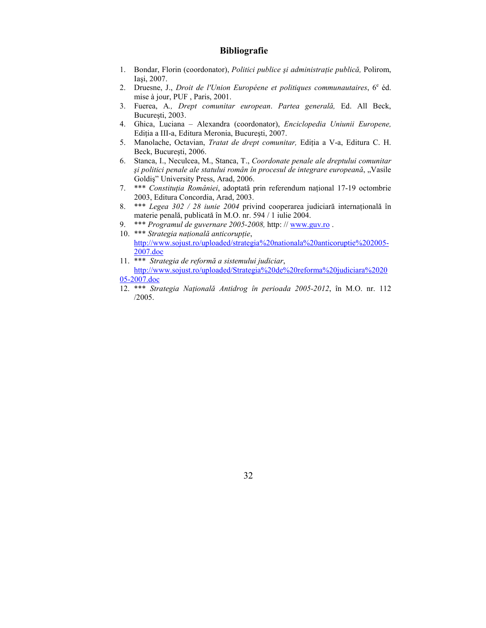#### **Bibliografie**

- 1. Bondar, Florin (coordonator), *Politici publice și administrație publică*, Polirom, Iaşi, 2007.
- 2. Druesne, J., *Droit de l'Union Européene et politiques communautaires*, 6<sup>e</sup> éd. mise à jour, PUF , Paris, 2001.
- 3. Fuerea, A*., Drept comunitar european*. *Partea generală,* Ed. All Beck, Bucureşti, 2003.
- 4. Ghica, Luciana Alexandra (coordonator), *Enciclopedia Uniunii Europene,*  Ediția a III-a, Editura Meronia, București, 2007.
- 5. Manolache, Octavian, *Tratat de drept comunitar*, Editia a V-a, Editura C. H. Beck, Bucureşti, 2006.
- 6. Stanca, I., Neculcea, M., Stanca, T., *Coordonate penale ale dreptului comunitar şi politici penale ale statului român în procesul de integrare europeană*, "Vasile Goldiş" University Press, Arad, 2006.
- 7. \*\*\* *Constituția României*, adoptată prin referendum național 17-19 octombrie 2003, Editura Concordia, Arad, 2003.
- 8. \*\*\* *Legea 302 / 28 iunie 2004* privind cooperarea judiciară internațională în materie penală, publicată în M.O. nr. 594 / 1 iulie 2004.
- 9. \*\*\* *Programul de guvernare 2005-2008,* http: // www.guv.ro .
- 10. \*\*\* *Strategia națională anticorupție*, http://www.sojust.ro/uploaded/strategia%20nationala%20anticoruptie%202005- 2007.doc
- 11. \*\*\* *Strategia de reformă a sistemului judiciar*, http://www.sojust.ro/uploaded/Strategia%20de%20reforma%20judiciara%2020
- 05-2007.doc
- 12. \*\*\* *Strategia Națională Antidrog în perioada 2005-2012*, în M.O. nr. 112 /2005.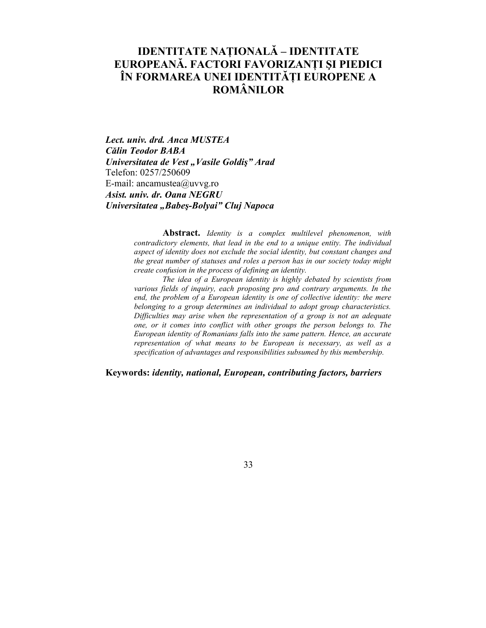# **IDENTITATE NAłIONALĂ – IDENTITATE EUROPEANĂ. FACTORI FAVORIZANłI ŞI PIEDICI ÎN FORMAREA UNEI IDENTITĂłI EUROPENE A ROMÂNILOR**

*Lect. univ. drd. Anca MUSTEA Călin Teodor BABA Universitatea de Vest "Vasile Goldis" Arad* Telefon: 0257/250609 E-mail: ancamustea@uvvg.ro *Asist. univ. dr. Oana NEGRU Universitatea "Babeş-Bolyai" Cluj Napoca* 

> **Abstract.** *Identity is a complex multilevel phenomenon, with contradictory elements, that lead in the end to a unique entity. The individual aspect of identity does not exclude the social identity, but constant changes and the great number of statuses and roles a person has in our society today might create confusion in the process of defining an identity.*

> *The idea of a European identity is highly debated by scientists from various fields of inquiry, each proposing pro and contrary arguments. In the end, the problem of a European identity is one of collective identity: the mere belonging to a group determines an individual to adopt group characteristics. Difficulties may arise when the representation of a group is not an adequate one, or it comes into conflict with other groups the person belongs to. The European identity of Romanians falls into the same pattern. Hence, an accurate representation of what means to be European is necessary, as well as a specification of advantages and responsibilities subsumed by this membership.*

**Keywords:** *identity, national, European, contributing factors, barriers*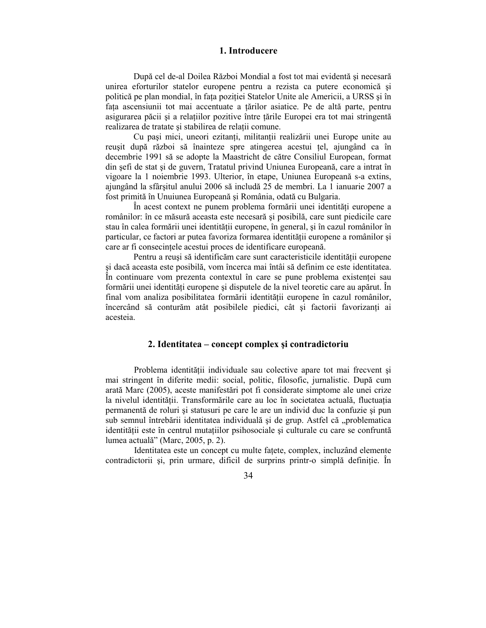#### **1. Introducere**

După cel de-al Doilea Război Mondial a fost tot mai evidentă și necesară unirea eforturilor statelor europene pentru a rezista ca putere economică şi politică pe plan mondial, în fața poziției Statelor Unite ale Americii, a URSS și în fata ascensiunii tot mai accentuate a tărilor asiatice. Pe de altă parte, pentru asigurarea păcii și a relațiilor pozitive între țările Europei era tot mai stringentă realizarea de tratate și stabilirea de relații comune.

Cu pași mici, uneori ezitanți, militanții realizării unei Europe unite au reusit după război să înainteze spre atingerea acestui tel, ajungând ca în decembrie 1991 să se adopte la Maastricht de către Consiliul European, format din şefi de stat şi de guvern, Tratatul privind Uniunea Europeană, care a intrat în vigoare la 1 noiembrie 1993. Ulterior, în etape, Uniunea Europeană s-a extins, ajungând la sfârşitul anului 2006 să includă 25 de membri. La 1 ianuarie 2007 a fost primită în Unuiunea Europeană şi România, odată cu Bulgaria.

În acest context ne punem problema formării unei identități europene a românilor: în ce măsură aceasta este necesară şi posibilă, care sunt piedicile care stau în calea formării unei identității europene, în general, și în cazul românilor în particular, ce factori ar putea favoriza formarea identității europene a românilor și care ar fi consecintele acestui proces de identificare europeană.

Pentru a reuși să identificăm care sunt caracteristicile identității europene şi dacă aceasta este posibilă, vom încerca mai întâi să definim ce este identitatea. În continuare vom prezenta contextul în care se pune problema existenței sau formării unei identități europene și disputele de la nivel teoretic care au apărut. În final vom analiza posibilitatea formării identității europene în cazul românilor, încercând să conturăm atât posibilele piedici, cât și factorii favorizanti ai acesteia.

## **2. Identitatea – concept complex şi contradictoriu**

Problema identității individuale sau colective apare tot mai frecvent și mai stringent în diferite medii: social, politic, filosofic, jurnalistic. După cum arată Marc (2005), aceste manifestări pot fi considerate simptome ale unei crize la nivelul identității. Transformările care au loc în societatea actuală, fluctuația permanentă de roluri şi statusuri pe care le are un individ duc la confuzie şi pun sub semnul întrebării identitatea individuală și de grup. Astfel că "problematica identității este în centrul mutațiilor psihosociale și culturale cu care se confruntă lumea actuală" (Marc, 2005, p. 2).

Identitatea este un concept cu multe fațete, complex, incluzând elemente contradictorii și, prin urmare, dificil de surprins printr-o simplă definiție. În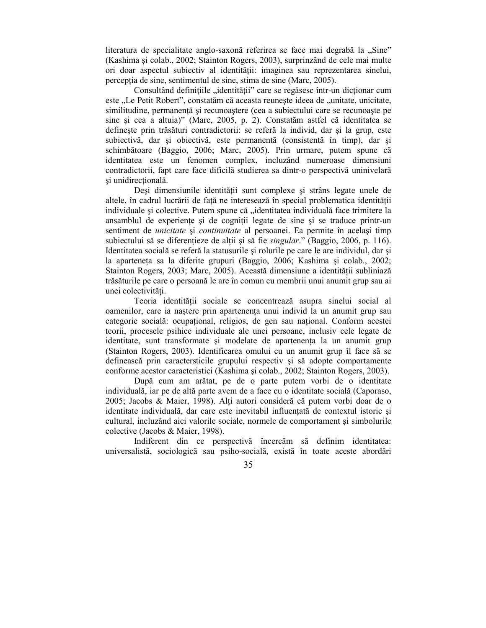literatura de specialitate anglo-saxonă referirea se face mai degrabă la "Sine" (Kashima şi colab., 2002; Stainton Rogers, 2003), surprinzând de cele mai multe ori doar aspectul subiectiv al identității: imaginea sau reprezentarea sinelui, perceptia de sine, sentimentul de sine, stima de sine (Marc, 2005).

Consultând definițiile "identității" care se regăsesc într-un dicționar cum este "Le Petit Robert", constatăm că aceasta reunește ideea de "unitate, unicitate, similitudine, permanență și recunoaștere (cea a subiectului care se recunoaște pe sine şi cea a altuia)" (Marc, 2005, p. 2). Constatăm astfel că identitatea se defineşte prin trăsături contradictorii: se referă la individ, dar şi la grup, este subiectivă, dar şi obiectivă, este permanentă (consistentă în timp), dar şi schimbătoare (Baggio, 2006; Marc, 2005). Prin urmare, putem spune că identitatea este un fenomen complex, incluzând numeroase dimensiuni contradictorii, fapt care face dificilă studierea sa dintr-o perspectivă uninivelară si unidirectională.

Deși dimensiunile identității sunt complexe și strâns legate unele de altele, în cadrul lucrării de față ne interesează în special problematica identității individuale și colective. Putem spune că "identitatea individuală face trimitere la ansamblul de experiente și de cogniții legate de sine și se traduce printr-un sentiment de *unicitate* şi *continuitate* al persoanei. Ea permite în acelaşi timp subiectului să se diferențieze de alții și să fie *singular*." (Baggio, 2006, p. 116). Identitatea socială se referă la statusurile şi rolurile pe care le are individul, dar şi la aparteneța sa la diferite grupuri (Baggio, 2006; Kashima și colab., 2002; Stainton Rogers, 2003; Marc, 2005). Această dimensiune a identității subliniază trăsăturile pe care o persoană le are în comun cu membrii unui anumit grup sau ai unei colectivități.

Teoria identității sociale se concentrează asupra sinelui social al oamenilor, care ia nastere prin apartenenta unui individ la un anumit grup sau categorie socială: ocupațional, religios, de gen sau național. Conform acestei teorii, procesele psihice individuale ale unei persoane, inclusiv cele legate de identitate, sunt transformate și modelate de apartenența la un anumit grup (Stainton Rogers, 2003). Identificarea omului cu un anumit grup îl face să se definească prin caractersticile grupului respectiv şi să adopte comportamente conforme acestor caracteristici (Kashima şi colab., 2002; Stainton Rogers, 2003).

După cum am arătat, pe de o parte putem vorbi de o identitate individuală, iar pe de altă parte avem de a face cu o identitate socială (Caporaso, 2005; Jacobs & Maier, 1998). Alți autori consideră că putem vorbi doar de o identitate individuală, dar care este inevitabil influențată de contextul istoric și cultural, incluzând aici valorile sociale, normele de comportament şi simbolurile colective (Jacobs & Maier, 1998).

Indiferent din ce perspectivă încercăm să definim identitatea: universalistă, sociologică sau psiho-socială, există în toate aceste abordări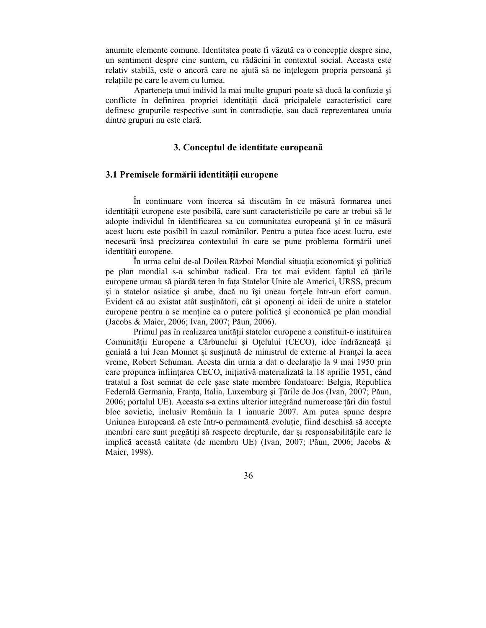anumite elemente comune. Identitatea poate fi văzută ca o conceptie despre sine, un sentiment despre cine suntem, cu rădăcini în contextul social. Aceasta este relativ stabilă, este o ancoră care ne ajută să ne înțelegem propria persoană și relatiile pe care le avem cu lumea.

Aparteneta unui individ la mai multe grupuri poate să ducă la confuzie și conflicte în definirea propriei identității dacă pricipalele caracteristici care definesc grupurile respective sunt în contradictie, sau dacă reprezentarea unuia dintre grupuri nu este clară.

## **3. Conceptul de identitate europeană**

## **3.1 Premisele formării identității europene**

În continuare vom încerca să discutăm în ce măsură formarea unei identității europene este posibilă, care sunt caracteristicile pe care ar trebui să le adopte individul în identificarea sa cu comunitatea europeană şi în ce măsură acest lucru este posibil în cazul românilor. Pentru a putea face acest lucru, este necesară însă precizarea contextului în care se pune problema formării unei identități europene.

În urma celui de-al Doilea Război Mondial situația economică și politică pe plan mondial s-a schimbat radical. Era tot mai evident faptul că tările europene urmau să piardă teren în fața Statelor Unite ale Americi, URSS, precum și a statelor asiatice și arabe, dacă nu își uneau forțele într-un efort comun. Evident că au existat atât susținători, cât și oponenți ai ideii de unire a statelor europene pentru a se mentine ca o putere politică și economică pe plan mondial (Jacobs & Maier, 2006; Ivan, 2007; Păun, 2006).

Primul pas în realizarea unității statelor europene a constituit-o instituirea Comunității Europene a Cărbunelui și Oțelului (CECO), idee îndrăzneață și genială a lui Jean Monnet și susținută de ministrul de externe al Franței la acea vreme, Robert Schuman. Acesta din urma a dat o declaratie la 9 mai 1950 prin care propunea înființarea CECO, inițiativă materializată la 18 aprilie 1951, când tratatul a fost semnat de cele şase state membre fondatoare: Belgia, Republica Federală Germania, Franța, Italia, Luxemburg și Țările de Jos (Ivan, 2007; Păun, 2006; portalul UE). Aceasta s-a extins ulterior integrând numeroase tări din fostul bloc sovietic, inclusiv România la 1 ianuarie 2007. Am putea spune despre Uniunea Europeană că este într-o permamentă evoluție, fiind deschisă să accepte membri care sunt pregătiți să respecte drepturile, dar și responsabilitățile care le implică această calitate (de membru UE) (Ivan, 2007; Păun, 2006; Jacobs & Maier, 1998).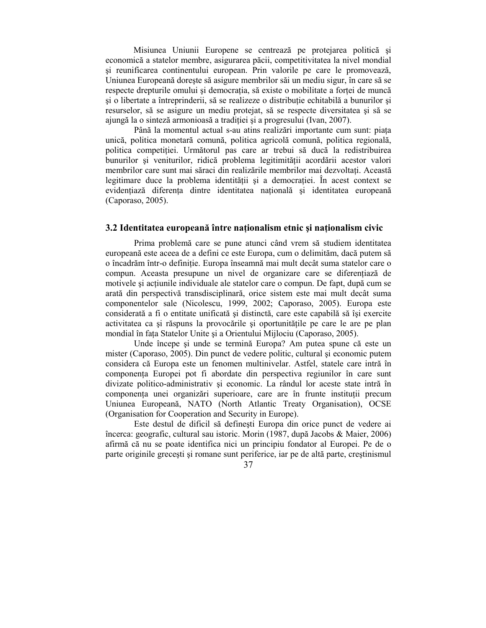Misiunea Uniunii Europene se centrează pe protejarea politică şi economică a statelor membre, asigurarea păcii, competitivitatea la nivel mondial şi reunificarea continentului european. Prin valorile pe care le promovează, Uniunea Europeană doreşte să asigure membrilor săi un mediu sigur, în care să se respecte drepturile omului și democratia, să existe o mobilitate a fortei de muncă si o libertate a întreprinderii, să se realizeze o distributie echitabilă a bunurilor și resurselor, să se asigure un mediu protejat, să se respecte diversitatea şi să se ajungă la o sinteză armonioasă a tradiției și a progresului (Ivan, 2007).

Până la momentul actual s-au atins realizări importante cum sunt: piața unică, politica monetară comună, politica agricolă comună, politica regională, politica competitiei. Următorul pas care ar trebui să ducă la redistribuirea bunurilor și veniturilor, ridică problema legitimității acordării acestor valori membrilor care sunt mai săraci din realizările membrilor mai dezvoltați. Această legitimare duce la problema identității și a democrației. În acest context se evidentiază diferenta dintre identitatea natională și identitatea europeană (Caporaso, 2005).

### **3.2 Identitatea europeană între nationalism etnic și nationalism civic**

Prima problemă care se pune atunci când vrem să studiem identitatea europeană este aceea de a defini ce este Europa, cum o delimităm, dacă putem să o încadrăm într-o definitie. Europa înseamnă mai mult decât suma statelor care o compun. Aceasta presupune un nivel de organizare care se diferențiază de motivele și acțiunile individuale ale statelor care o compun. De fapt, după cum se arată din perspectivă transdisciplinară, orice sistem este mai mult decât suma componentelor sale (Nicolescu, 1999, 2002; Caporaso, 2005). Europa este considerată a fi o entitate unificată şi distinctă, care este capabilă să îşi exercite activitatea ca și răspuns la provocările și oportunitățile pe care le are pe plan mondial în fața Statelor Unite și a Orientului Mijlociu (Caporaso, 2005).

Unde începe şi unde se termină Europa? Am putea spune că este un mister (Caporaso, 2005). Din punct de vedere politic, cultural şi economic putem considera că Europa este un fenomen multinivelar. Astfel, statele care intră în componența Europei pot fi abordate din perspectiva regiunilor în care sunt divizate politico-administrativ şi economic. La rândul lor aceste state intră în componenta unei organizări superioare, care are în frunte institutii precum Uniunea Europeană, NATO (North Atlantic Treaty Organisation), OCSE (Organisation for Cooperation and Security in Europe).

Este destul de dificil să defineşti Europa din orice punct de vedere ai încerca: geografic, cultural sau istoric. Morin (1987, după Jacobs & Maier, 2006) afirmă că nu se poate identifica nici un principiu fondator al Europei. Pe de o parte originile greceşti şi romane sunt periferice, iar pe de altă parte, creştinismul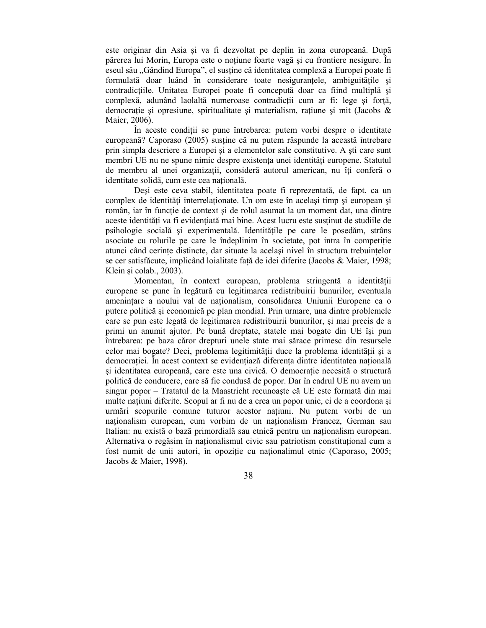este originar din Asia şi va fi dezvoltat pe deplin în zona europeană. După părerea lui Morin, Europa este o noțiune foarte vagă și cu frontiere nesigure. În eseul său "Gândind Europa", el susține că identitatea complexă a Europei poate fi formulată doar luând în considerare toate nesiguranțele, ambiguitățile și contradictiile. Unitatea Europei poate fi concepută doar ca fiind multiplă și complexă, adunând laolaltă numeroase contradictii cum ar fi: lege și fortă, democratie și opresiune, spiritualitate și materialism, rațiune și mit (Jacobs  $\&$ Maier, 2006).

În aceste condiții se pune întrebarea: putem vorbi despre o identitate europeană? Caporaso (2005) susține că nu putem răspunde la această întrebare prin simpla descriere a Europei şi a elementelor sale constitutive. A şti care sunt membri UE nu ne spune nimic despre existența unei identități europene. Statutul de membru al unei organizații, consideră autorul american, nu îți conferă o identitate solidă, cum este cea națională.

Deşi este ceva stabil, identitatea poate fi reprezentată, de fapt, ca un complex de identități interrelaționate. Un om este în același timp și european și român, iar în funcție de context și de rolul asumat la un moment dat, una dintre aceste identități va fi evidentiată mai bine. Acest lucru este sustinut de studiile de psihologie socială și experimentală. Identitățile pe care le posedăm, strâns asociate cu rolurile pe care le îndeplinim în societate, pot intra în competitie atunci când cerințe distincte, dar situate la același nivel în structura trebuințelor se cer satisfăcute, implicând loialitate față de idei diferite (Jacobs & Maier, 1998; Klein şi colab., 2003).

Momentan, în context european, problema stringentă a identității europene se pune în legătură cu legitimarea redistribuirii bunurilor, eventuala amenințare a noului val de naționalism, consolidarea Uniunii Europene ca o putere politică şi economică pe plan mondial. Prin urmare, una dintre problemele care se pun este legată de legitimarea redistribuirii bunurilor, şi mai precis de a primi un anumit ajutor. Pe bună dreptate, statele mai bogate din UE îşi pun întrebarea: pe baza căror drepturi unele state mai sărace primesc din resursele celor mai bogate? Deci, problema legitimității duce la problema identității și a democrației. În acest context se evidențiază diferența dintre identitatea națională și identitatea europeană, care este una civică. O democrație necesită o structură politică de conducere, care să fie condusă de popor. Dar în cadrul UE nu avem un singur popor – Tratatul de la Maastricht recunoaşte că UE este formată din mai multe națiuni diferite. Scopul ar fi nu de a crea un popor unic, ci de a coordona și urmări scopurile comune tuturor acestor națiuni. Nu putem vorbi de un nationalism european, cum vorbim de un nationalism Francez, German sau Italian: nu există o bază primordială sau etnică pentru un naționalism european. Alternativa o regăsim în naționalismul civic sau patriotism constituțional cum a fost numit de unii autori, în opoziție cu naționalimul etnic (Caporaso, 2005; Jacobs & Maier, 1998).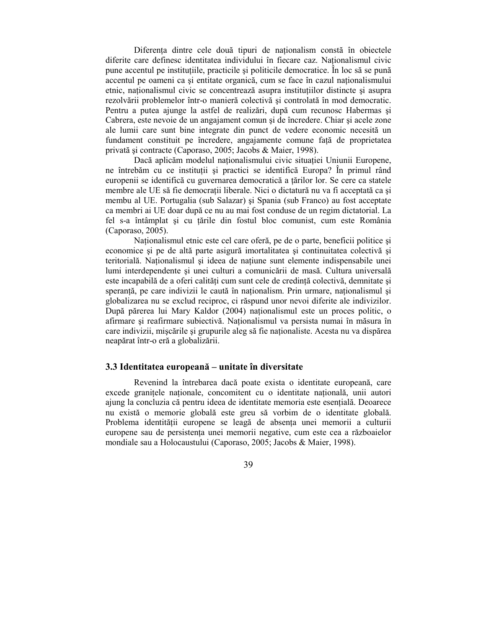Diferența dintre cele două tipuri de naționalism constă în obiectele diferite care definesc identitatea individului în fiecare caz. Naționalismul civic pune accentul pe instituțiile, practicile și politicile democratice. În loc să se pună accentul pe oameni ca și entitate organică, cum se face în cazul naționalismului etnic, nationalismul civic se concentrează asupra institutiilor distincte și asupra rezolvării problemelor într-o manieră colectivă şi controlată în mod democratic. Pentru a putea ajunge la astfel de realizări, după cum recunosc Habermas şi Cabrera, este nevoie de un angajament comun şi de încredere. Chiar şi acele zone ale lumii care sunt bine integrate din punct de vedere economic necesită un fundament constituit pe încredere, angajamente comune față de proprietatea privată şi contracte (Caporaso, 2005; Jacobs & Maier, 1998).

Dacă aplicăm modelul naționalismului civic situației Uniunii Europene, ne întrebăm cu ce instituții și practici se identifică Europa? În primul rând europenii se identifică cu guvernarea democratică a tărilor lor. Se cere ca statele membre ale UE să fie democratii liberale. Nici o dictatură nu va fi acceptată ca și membu al UE. Portugalia (sub Salazar) şi Spania (sub Franco) au fost acceptate ca membri ai UE doar după ce nu au mai fost conduse de un regim dictatorial. La fel s-a întâmplat și cu țările din fostul bloc comunist, cum este România (Caporaso, 2005).

Nationalismul etnic este cel care oferă, pe de o parte, beneficii politice și economice şi pe de altă parte asigură imortalitatea şi continuitatea colectivă şi teritorială. Nationalismul și ideea de natiune sunt elemente indispensabile unei lumi interdependente şi unei culturi a comunicării de masă. Cultura universală este incapabilă de a oferi calități cum sunt cele de credință colectivă, demnitate și sperantă, pe care indivizii le caută în nationalism. Prin urmare, nationalismul și globalizarea nu se exclud reciproc, ci răspund unor nevoi diferite ale indivizilor. După părerea lui Mary Kaldor (2004) nationalismul este un proces politic, o afirmare și reafirmare subiectivă. Naționalismul va persista numai în măsura în care indivizii, mișcările și grupurile aleg să fie nationaliste. Acesta nu va dispărea neapărat într-o eră a globalizării.

#### **3.3 Identitatea europeană – unitate în diversitate**

Revenind la întrebarea dacă poate exista o identitate europeană, care excede granițele naționale, concomitent cu o identitate națională, unii autori ajung la concluzia că pentru ideea de identitate memoria este esentială. Deoarece nu există o memorie globală este greu să vorbim de o identitate globală. Problema identității europene se leagă de absenta unei memorii a culturii europene sau de persistența unei memorii negative, cum este cea a războaielor mondiale sau a Holocaustului (Caporaso, 2005; Jacobs & Maier, 1998).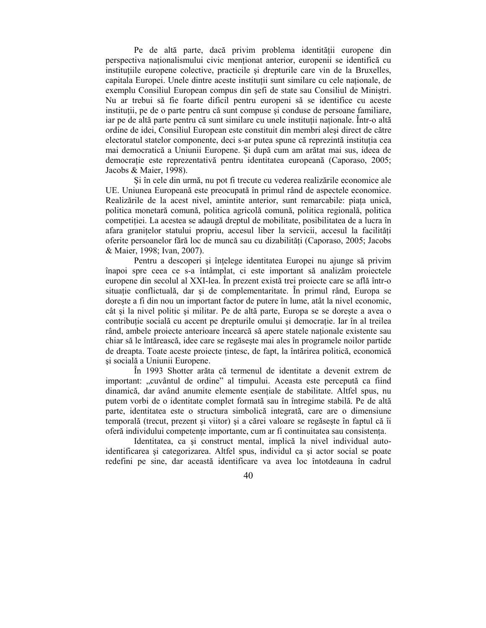Pe de altă parte, dacă privim problema identității europene din perspectiva naționalismului civic menționat anterior, europenii se identifică cu instituțiile europene colective, practicile și drepturile care vin de la Bruxelles, capitala Europei. Unele dintre aceste instituții sunt similare cu cele naționale, de exemplu Consiliul European compus din şefi de state sau Consiliul de Miniştri. Nu ar trebui să fie foarte dificil pentru europeni să se identifice cu aceste instituții, pe de o parte pentru că sunt compuse și conduse de persoane familiare, iar pe de altă parte pentru că sunt similare cu unele instituții naționale. Într-o altă ordine de idei, Consiliul European este constituit din membri aleşi direct de către electoratul statelor componente, deci s-ar putea spune că reprezintă instituția cea mai democratică a Uniunii Europene. Şi după cum am arătat mai sus, ideea de democrație este reprezentativă pentru identitatea europeană (Caporaso, 2005; Jacobs & Maier, 1998).

Şi în cele din urmă, nu pot fi trecute cu vederea realizările economice ale UE. Uniunea Europeană este preocupată în primul rând de aspectele economice. Realizările de la acest nivel, amintite anterior, sunt remarcabile: piața unică, politica monetară comună, politica agricolă comună, politica regională, politica competiției. La acestea se adaugă dreptul de mobilitate, posibilitatea de a lucra în afara granițelor statului propriu, accesul liber la servicii, accesul la facilități oferite persoanelor fără loc de muncă sau cu dizabilităti (Caporaso, 2005; Jacobs & Maier, 1998; Ivan, 2007).

Pentru a descoperi și înțelege identitatea Europei nu ajunge să privim înapoi spre ceea ce s-a întâmplat, ci este important să analizăm proiectele europene din secolul al XXI-lea. În prezent există trei proiecte care se află într-o situație conflictuală, dar și de complementaritate. În primul rând, Europa se doreşte a fi din nou un important factor de putere în lume, atât la nivel economic, cât şi la nivel politic şi militar. Pe de altă parte, Europa se se doreşte a avea o contributie socială cu accent pe drepturile omului și democratie. Iar în al treilea rând, ambele proiecte anterioare încearcă să apere statele nationale existente sau chiar să le întărească, idee care se regăseşte mai ales în programele noilor partide de dreapta. Toate aceste proiecte tintesc, de fapt, la întărirea politică, economică şi socială a Uniunii Europene.

În 1993 Shotter arăta că termenul de identitate a devenit extrem de important: "cuvântul de ordine" al timpului. Aceasta este percepută ca fiind dinamică, dar având anumite elemente esențiale de stabilitate. Altfel spus, nu putem vorbi de o identitate complet formată sau în întregime stabilă. Pe de altă parte, identitatea este o structura simbolică integrată, care are o dimensiune temporală (trecut, prezent şi viitor) şi a cărei valoare se regăseşte în faptul că îi oferă individului competențe importante, cum ar fi continuitatea sau consistența.

Identitatea, ca şi construct mental, implică la nivel individual autoidentificarea şi categorizarea. Altfel spus, individul ca şi actor social se poate redefini pe sine, dar această identificare va avea loc întotdeauna în cadrul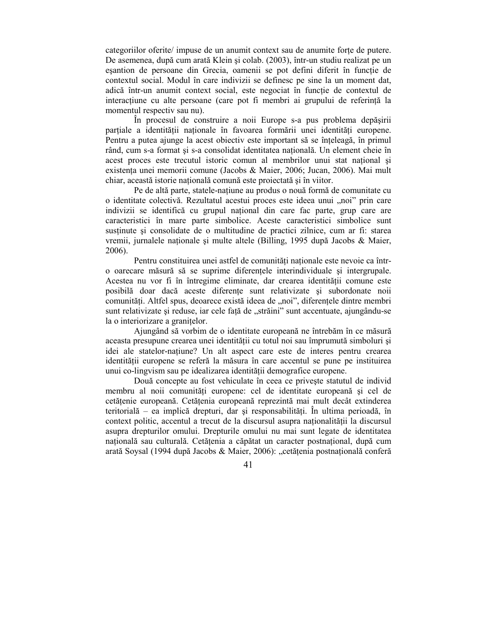categoriilor oferite/ impuse de un anumit context sau de anumite forte de putere. De asemenea, după cum arată Klein şi colab. (2003), într-un studiu realizat pe un eșantion de persoane din Grecia, oamenii se pot defini diferit în funcție de contextul social. Modul în care indivizii se definesc pe sine la un moment dat, adică într-un anumit context social, este negociat în functie de contextul de interactiune cu alte persoane (care pot fi membri ai grupului de referintă la momentul respectiv sau nu).

În procesul de construire a noii Europe s-a pus problema depăşirii parțiale a identității naționale în favoarea formării unei identități europene. Pentru a putea ajunge la acest obiectiv este important să se înțeleagă, în primul rând, cum s-a format și s-a consolidat identitatea natională. Un element cheie în acest proces este trecutul istoric comun al membrilor unui stat național și existența unei memorii comune (Jacobs & Maier, 2006; Jucan, 2006). Mai mult chiar, această istorie națională comună este proiectată și în viitor.

Pe de altă parte, statele-națiune au produs o nouă formă de comunitate cu o identitate colectivă. Rezultatul acestui proces este ideea unui "noi" prin care indivizii se identifică cu grupul național din care fac parte, grup care are caracteristici în mare parte simbolice. Aceste caracteristici simbolice sunt susținute și consolidate de o multitudine de practici zilnice, cum ar fi: starea vremii, jurnalele nationale și multe altele (Billing, 1995 după Jacobs  $\&$  Maier, 2006).

Pentru constituirea unei astfel de comunități naționale este nevoie ca întro oarecare măsură să se suprime diferențele interindividuale și intergrupale. Acestea nu vor fi în întregime eliminate, dar crearea identității comune este posibilă doar dacă aceste diferente sunt relativizate și subordonate noii comunități. Altfel spus, deoarece există ideea de "noi", diferențele dintre membri sunt relativizate și reduse, iar cele față de "străini" sunt accentuate, ajungându-se la o interiorizare a granitelor.

Ajungând să vorbim de o identitate europeană ne întrebăm în ce măsură aceasta presupune crearea unei identității cu totul noi sau împrumută simboluri și idei ale statelor-națiune? Un alt aspect care este de interes pentru crearea identității europene se referă la măsura în care accentul se pune pe instituirea unui co-lingvism sau pe idealizarea identității demografice europene.

Două concepte au fost vehiculate în ceea ce priveşte statutul de individ membru al noii comunități europene: cel de identitate europeană și cel de cetățenie europeană. Cetățenia europeană reprezintă mai mult decât extinderea teritorială – ea implică drepturi, dar și responsabilități. În ultima perioadă, în context politic, accentul a trecut de la discursul asupra nationalității la discursul asupra drepturilor omului. Drepturile omului nu mai sunt legate de identitatea națională sau culturală. Cetățenia a căpătat un caracter postnațional, după cum arată Soysal (1994 după Jacobs & Maier, 2006): "cetățenia postnațională conferă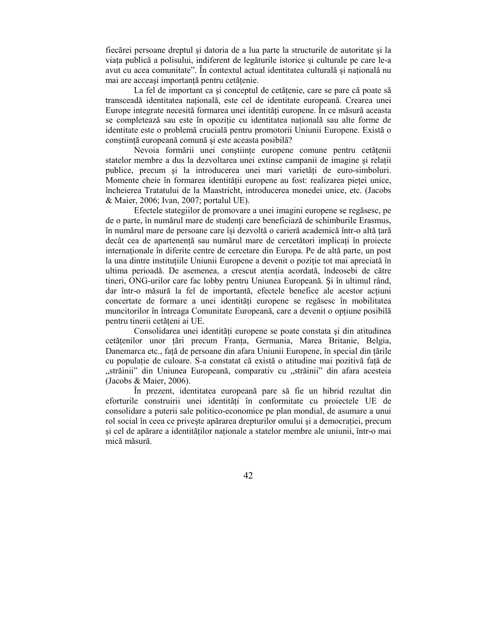fiecărei persoane dreptul şi datoria de a lua parte la structurile de autoritate şi la viața publică a polisului, indiferent de legăturile istorice și culturale pe care le-a avut cu acea comunitate". În contextul actual identitatea culturală și națională nu mai are acceași importanță pentru cetățenie.

La fel de important ca si conceptul de cetătenie, care se pare că poate să transceadă identitatea natională, este cel de identitate europeană. Crearea unei Europe integrate necesită formarea unei identități europene. În ce măsură aceasta se completează sau este în opoziție cu identitatea națională sau alte forme de identitate este o problemă crucială pentru promotorii Uniunii Europene. Există o constiintă europeană comună și este aceasta posibilă?

Nevoia formării unei constiinte europene comune pentru cetătenii statelor membre a dus la dezvoltarea unei extinse campanii de imagine și relații publice, precum și la introducerea unei mari varietăți de euro-simboluri. Momente cheie în formarea identității europene au fost: realizarea pietei unice, încheierea Tratatului de la Maastricht, introducerea monedei unice, etc. (Jacobs & Maier, 2006; Ivan, 2007; portalul UE).

Efectele stategiilor de promovare a unei imagini europene se regăsesc, pe de o parte, în numărul mare de studenți care beneficiază de schimburile Erasmus, în numărul mare de persoane care își dezvoltă o carieră academică într-o altă tară decât cea de apartenentă sau numărul mare de cercetători implicati în proiecte internationale în diferite centre de cercetare din Europa. Pe de altă parte, un post la una dintre institutiile Uniunii Europene a devenit o poziție tot mai apreciată în ultima perioadă. De asemenea, a crescut atenția acordată, îndeosebi de către tineri, ONG-urilor care fac lobby pentru Uniunea Europeană. Şi în ultimul rând, dar într-o măsură la fel de importantă, efectele benefice ale acestor acțiuni concertate de formare a unei identități europene se regăsesc în mobilitatea muncitorilor în întreaga Comunitate Europeană, care a devenit o optiune posibilă pentru tinerii cetăteni ai UE.

Consolidarea unei identități europene se poate constata și din atitudinea cetățenilor unor țări precum Franța, Germania, Marea Britanie, Belgia, Danemarca etc., față de persoane din afara Uniunii Europene, în special din țările cu populație de culoare. S-a constatat că există o atitudine mai pozitivă față de "străinii" din Uniunea Europeană, comparativ cu "străinii" din afara acesteia (Jacobs & Maier, 2006).

În prezent, identitatea europeană pare să fie un hibrid rezultat din eforturile construirii unei identități în conformitate cu proiectele UE de consolidare a puterii sale politico-economice pe plan mondial, de asumare a unui rol social în ceea ce priveste apărarea drepturilor omului și a democratiei, precum și cel de apărare a identităților naționale a statelor membre ale uniunii, într-o mai mică măsură.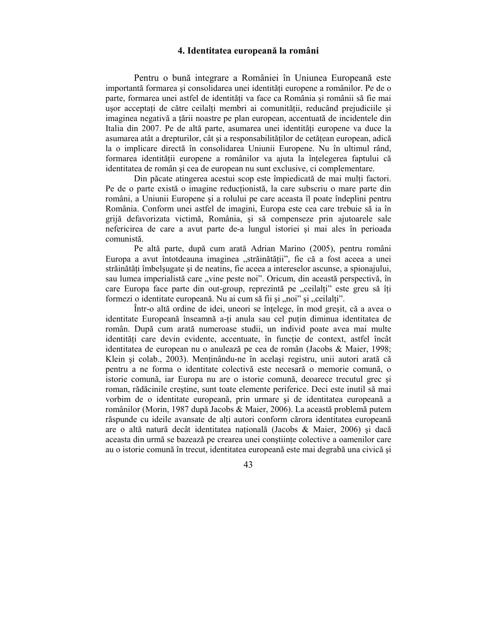### **4. Identitatea europeană la români**

Pentru o bună integrare a României în Uniunea Europeană este importantă formarea și consolidarea unei identități europene a românilor. Pe de o parte, formarea unei astfel de identități va face ca România și românii să fie mai ușor acceptați de către ceilalți membri ai comunității, reducând prejudiciile și imaginea negativă a țării noastre pe plan european, accentuată de incidentele din Italia din 2007. Pe de altă parte, asumarea unei identități europene va duce la asumarea atât a drepturilor, cât și a responsabilităților de cetățean european, adică la o implicare directă în consolidarea Uniunii Europene. Nu în ultimul rând, formarea identității europene a românilor va ajuta la întelegerea faptului că identitatea de român şi cea de european nu sunt exclusive, ci complementare.

Din păcate atingerea acestui scop este împiedicată de mai mulți factori. Pe de o parte există o imagine reductionistă, la care subscriu o mare parte din români, a Uniunii Europene şi a rolului pe care aceasta îl poate îndeplini pentru România. Conform unei astfel de imagini, Europa este cea care trebuie să ia în grijă defavorizata victimă, România, şi să compenseze prin ajutoarele sale nefericirea de care a avut parte de-a lungul istoriei şi mai ales în perioada comunistă.

Pe altă parte, după cum arată Adrian Marino (2005), pentru români Europa a avut întotdeauna imaginea "străinătății", fie că a fost aceea a unei străinătăți îmbelșugate și de neatins, fie aceea a intereselor ascunse, a spionajului, sau lumea imperialistă care "vine peste noi". Oricum, din această perspectivă, în care Europa face parte din out-group, reprezintă pe "ceilalti" este greu să îti formezi o identitate europeană. Nu ai cum să fii și "noi" și "ceilalti".

Într-o altă ordine de idei, uneori se înțelege, în mod greșit, că a avea o identitate Europeană înseamnă a-ți anula sau cel puțin diminua identitatea de român. După cum arată numeroase studii, un individ poate avea mai multe identități care devin evidente, accentuate, în funcție de context, astfel încât identitatea de european nu o anulează pe cea de român (Jacobs & Maier, 1998; Klein și colab., 2003). Menținându-ne în același registru, unii autori arată că pentru a ne forma o identitate colectivă este necesară o memorie comună, o istorie comună, iar Europa nu are o istorie comună, deoarece trecutul grec şi roman, rădăcinile creştine, sunt toate elemente periferice. Deci este inutil să mai vorbim de o identitate europeană, prin urmare şi de identitatea europeană a românilor (Morin, 1987 după Jacobs & Maier, 2006). La această problemă putem răspunde cu ideile avansate de alți autori conform cărora identitatea europeană are o altă natură decât identitatea națională (Jacobs & Maier, 2006) și dacă aceasta din urmă se bazează pe crearea unei constiinte colective a oamenilor care au o istorie comună în trecut, identitatea europeană este mai degrabă una civică şi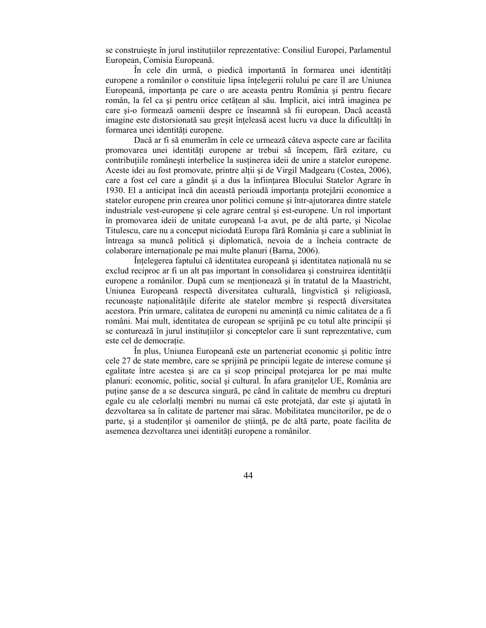se construiește în jurul instituțiilor reprezentative: Consiliul Europei, Parlamentul European, Comisia Europeană.

În cele din urmă, o piedică importantă în formarea unei identități europene a românilor o constituie lipsa înțelegerii rolului pe care îl are Uniunea Europeană, importanța pe care o are aceasta pentru România și pentru fiecare român, la fel ca și pentru orice cetătean al său. Implicit, aici intră imaginea pe care şi-o formează oamenii despre ce înseamnă să fii european. Dacă această imagine este distorsionată sau greșit înțeleasă acest lucru va duce la dificultăți în formarea unei identități europene.

Dacă ar fi să enumerăm în cele ce urmează câteva aspecte care ar facilita promovarea unei identități europene ar trebui să începem, fără ezitare, cu contribuțiile românești interbelice la susținerea ideii de unire a statelor europene. Aceste idei au fost promovate, printre alții și de Virgil Madgearu (Costea, 2006), care a fost cel care a gândit și a dus la înfiintarea Blocului Statelor Agrare în 1930. El a anticipat încă din această perioadă importanta protejării economice a statelor europene prin crearea unor politici comune şi într-ajutorarea dintre statele industriale vest-europene şi cele agrare central şi est-europene. Un rol important în promovarea ideii de unitate europeană l-a avut, pe de altă parte, şi Nicolae Titulescu, care nu a conceput niciodată Europa fără România şi care a subliniat în întreaga sa muncă politică şi diplomatică, nevoia de a încheia contracte de colaborare internationale pe mai multe planuri (Barna, 2006).

Înțelegerea faptului că identitatea europeană și identitatea națională nu se exclud reciproc ar fi un alt pas important în consolidarea și construirea identității europene a românilor. După cum se mentionează și în tratatul de la Maastricht, Uniunea Europeană respectă diversitatea culturală, lingvistică şi religioasă, recunoaște naționalitățile diferite ale statelor membre și respectă diversitatea acestora. Prin urmare, calitatea de europeni nu amenintă cu nimic calitatea de a fi români. Mai mult, identitatea de european se sprijină pe cu totul alte principii şi se conturează în jurul institutiilor și conceptelor care îi sunt reprezentative, cum este cel de democrație.

În plus, Uniunea Europeană este un parteneriat economic şi politic între cele 27 de state membre, care se sprijină pe principii legate de interese comune şi egalitate între acestea şi are ca şi scop principal protejarea lor pe mai multe planuri: economic, politic, social și cultural. În afara granitelor UE, România are putine sanse de a se descurca singură, pe când în calitate de membru cu drepturi egale cu ale celorlalți membri nu numai că este protejată, dar este și ajutată în dezvoltarea sa în calitate de partener mai sărac. Mobilitatea muncitorilor, pe de o parte, și a studenților și oamenilor de știință, pe de altă parte, poate facilita de asemenea dezvoltarea unei identități europene a românilor.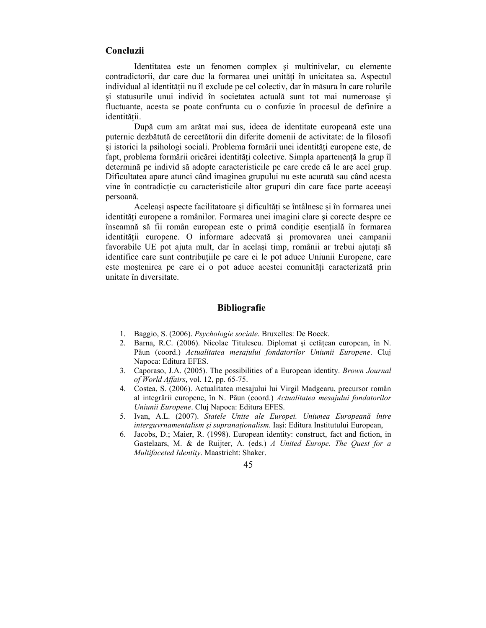#### **Concluzii**

Identitatea este un fenomen complex şi multinivelar, cu elemente contradictorii, dar care duc la formarea unei unități în unicitatea sa. Aspectul individual al identității nu îl exclude pe cel colectiv, dar în măsura în care rolurile şi statusurile unui individ în societatea actuală sunt tot mai numeroase şi fluctuante, acesta se poate confrunta cu o confuzie în procesul de definire a identității.

După cum am arătat mai sus, ideea de identitate europeană este una puternic dezbătută de cercetătorii din diferite domenii de activitate: de la filosofi si istorici la psihologi sociali. Problema formării unei identități europene este, de fapt, problema formării oricărei identităti colective. Simpla apartenentă la grup îl determină pe individ să adopte caracteristicile pe care crede că le are acel grup. Dificultatea apare atunci când imaginea grupului nu este acurată sau când acesta vine în contradictie cu caracteristicile altor grupuri din care face parte aceeasi persoană.

Aceleasi aspecte facilitatoare și dificultăți se întâlnesc și în formarea unei identități europene a românilor. Formarea unei imagini clare și corecte despre ce înseamnă să fii român european este o primă condiție esențială în formarea identității europene. O informare adecvată și promovarea unei campanii favorabile UE pot ajuta mult, dar în același timp, românii ar trebui ajutați să identifice care sunt contribuțiile pe care ei le pot aduce Uniunii Europene, care este moștenirea pe care ei o pot aduce acestei comunități caracterizată prin unitate în diversitate.

#### **Bibliografie**

- 1. Baggio, S. (2006). *Psychologie sociale*. Bruxelles: De Boeck.
- 2. Barna, R.C. (2006). Nicolae Titulescu. Diplomat și cetătean european, în N. Păun (coord.) *Actualitatea mesajului fondatorilor Uniunii Europene*. Cluj Napoca: Editura EFES.
- 3. Caporaso, J.A. (2005). The possibilities of a European identity. *Brown Journal of World Affairs*, vol. 12, pp. 65-75.
- 4. Costea, S. (2006). Actualitatea mesajului lui Virgil Madgearu, precursor român al integrării europene, în N. Păun (coord.) *Actualitatea mesajului fondatorilor Uniunii Europene*. Cluj Napoca: Editura EFES.
- 5. Ivan, A.L. (2007). *Statele Unite ale Europei. Uniunea Europeană între interguvrnamentalism și supranaționalism.* Iași: Editura Institutului European,
- 6. Jacobs, D.; Maier, R. (1998). European identity: construct, fact and fiction, in Gastelaars, M. & de Ruijter, A. (eds.) *A United Europe. The Quest for a Multifaceted Identity*. Maastricht: Shaker.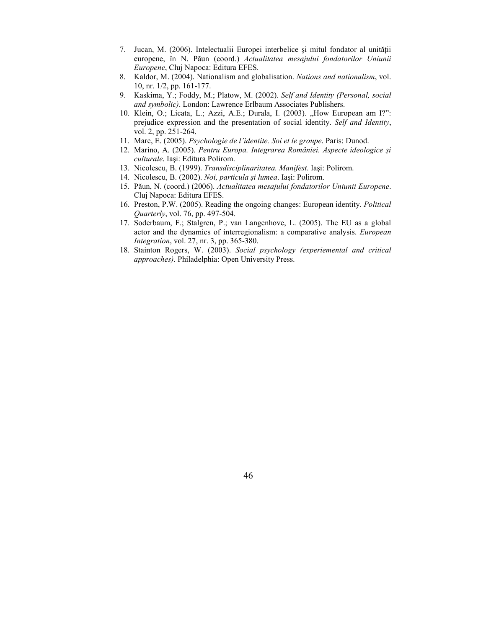- 7. Jucan, M. (2006). Intelectualii Europei interbelice și mitul fondator al unității europene, în N. Păun (coord.) *Actualitatea mesajului fondatorilor Uniunii Europene*, Cluj Napoca: Editura EFES.
- 8. Kaldor, M. (2004). Nationalism and globalisation. *Nations and nationalism*, vol. 10, nr. 1/2, pp. 161-177.
- 9. Kaskima, Y.; Foddy, M.; Platow, M. (2002). *Self and Identity (Personal, social and symbolic)*. London: Lawrence Erlbaum Associates Publishers.
- 10. Klein, O.; Licata, L.; Azzi, A.E.; Durala, I. (2003). "How European am I?": prejudice expression and the presentation of social identity. *Self and Identity*, vol. 2, pp. 251-264.
- 11. Marc, E. (2005). *Psychologie de l'identite. Soi et le groupe*. Paris: Dunod.
- 12. Marino, A. (2005). *Pentru Europa. Integrarea României. Aspecte ideologice şi culturale*. Iaşi: Editura Polirom.
- 13. Nicolescu, B. (1999). *Transdisciplinaritatea. Manifest.* Iaşi: Polirom.
- 14. Nicolescu, B. (2002). *Noi, particula şi lumea*. Iaşi: Polirom.
- 15. Păun, N. (coord.) (2006). *Actualitatea mesajului fondatorilor Uniunii Europene*. Cluj Napoca: Editura EFES.
- 16. Preston, P.W. (2005). Reading the ongoing changes: European identity. *Political Quarterly*, vol. 76, pp. 497-504.
- 17. Soderbaum, F.; Stalgren, P.; van Langenhove, L. (2005). The EU as a global actor and the dynamics of interregionalism: a comparative analysis. *European Integration*, vol. 27, nr. 3, pp. 365-380.
- 18. Stainton Rogers, W. (2003). *Social psychology (experiemental and critical approaches)*. Philadelphia: Open University Press.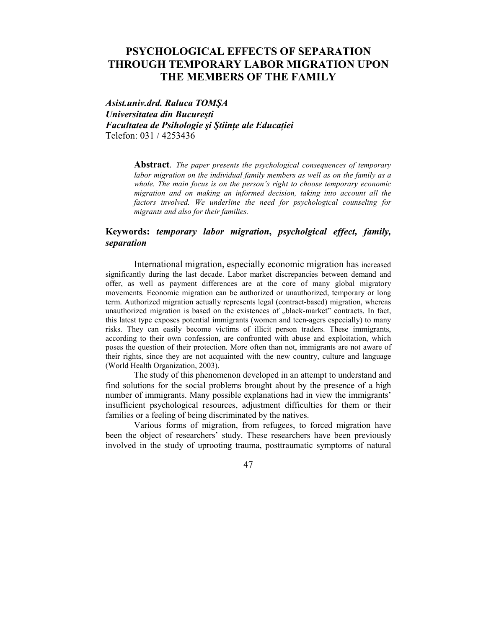# **PSYCHOLOGICAL EFFECTS OF SEPARATION THROUGH TEMPORARY LABOR MIGRATION UPON THE MEMBERS OF THE FAMILY**

*Asist.univ.drd. Raluca TOMŞA Universitatea din Bucureşti Facultatea de Psihologie și Științe ale Educației* Telefon: 031 / 4253436

> **Abstract***. The paper presents the psychological consequences of temporary labor migration on the individual family members as well as on the family as a whole. The main focus is on the person's right to choose temporary economic migration and on making an informed decision, taking into account all the factors involved. We underline the need for psychological counseling for migrants and also for their families.*

# **Keywords:** *temporary labor migration***,** *psycholgical effect, family, separation*

International migration, especially economic migration has increased significantly during the last decade. Labor market discrepancies between demand and offer, as well as payment differences are at the core of many global migratory movements. Economic migration can be authorized or unauthorized, temporary or long term. Authorized migration actually represents legal (contract-based) migration, whereas unauthorized migration is based on the existences of "black-market" contracts. In fact, this latest type exposes potential immigrants (women and teen-agers especially) to many risks. They can easily become victims of illicit person traders. These immigrants, according to their own confession, are confronted with abuse and exploitation, which poses the question of their protection. More often than not, immigrants are not aware of their rights, since they are not acquainted with the new country, culture and language (World Health Organization, 2003).

The study of this phenomenon developed in an attempt to understand and find solutions for the social problems brought about by the presence of a high number of immigrants. Many possible explanations had in view the immigrants' insufficient psychological resources, adjustment difficulties for them or their families or a feeling of being discriminated by the natives.

Various forms of migration, from refugees, to forced migration have been the object of researchers' study. These researchers have been previously involved in the study of uprooting trauma, posttraumatic symptoms of natural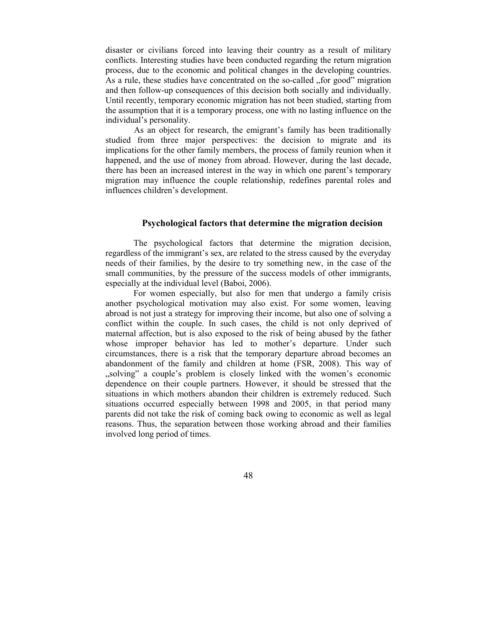disaster or civilians forced into leaving their country as a result of military conflicts. Interesting studies have been conducted regarding the return migration process, due to the economic and political changes in the developing countries. As a rule, these studies have concentrated on the so-called "for good" migration and then follow-up consequences of this decision both socially and individually. Until recently, temporary economic migration has not been studied, starting from the assumption that it is a temporary process, one with no lasting influence on the individual's personality.

As an object for research, the emigrant's family has been traditionally studied from three major perspectives: the decision to migrate and its implications for the other family members, the process of family reunion when it happened, and the use of money from abroad. However, during the last decade, there has been an increased interest in the way in which one parent's temporary migration may influence the couple relationship, redefines parental roles and influences children's development.

## **Psychological factors that determine the migration decision**

The psychological factors that determine the migration decision, regardless of the immigrant's sex, are related to the stress caused by the everyday needs of their families, by the desire to try something new, in the case of the small communities, by the pressure of the success models of other immigrants, especially at the individual level (Baboi, 2006).

For women especially, but also for men that undergo a family crisis another psychological motivation may also exist. For some women, leaving abroad is not just a strategy for improving their income, but also one of solving a conflict within the couple. In such cases, the child is not only deprived of maternal affection, but is also exposed to the risk of being abused by the father whose improper behavior has led to mother's departure. Under such circumstances, there is a risk that the temporary departure abroad becomes an abandonment of the family and children at home (FSR, 2008). This way of "solving" a couple's problem is closely linked with the women's economic dependence on their couple partners. However, it should be stressed that the situations in which mothers abandon their children is extremely reduced. Such situations occurred especially between 1998 and 2005, in that period many parents did not take the risk of coming back owing to economic as well as legal reasons. Thus, the separation between those working abroad and their families involved long period of times.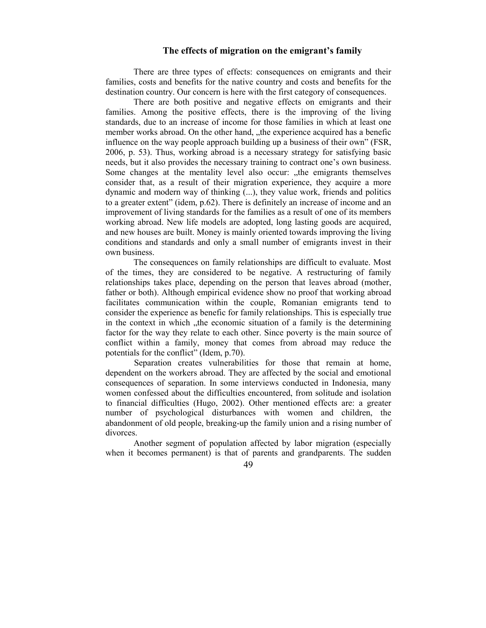#### **The effects of migration on the emigrant's family**

There are three types of effects: consequences on emigrants and their families, costs and benefits for the native country and costs and benefits for the destination country. Our concern is here with the first category of consequences.

There are both positive and negative effects on emigrants and their families. Among the positive effects, there is the improving of the living standards, due to an increase of income for those families in which at least one member works abroad. On the other hand, the experience acquired has a benefic influence on the way people approach building up a business of their own" (FSR, 2006, p. 53). Thus, working abroad is a necessary strategy for satisfying basic needs, but it also provides the necessary training to contract one's own business. Some changes at the mentality level also occur: "the emigrants themselves consider that, as a result of their migration experience, they acquire a more dynamic and modern way of thinking (...), they value work, friends and politics to a greater extent" (idem, p.62). There is definitely an increase of income and an improvement of living standards for the families as a result of one of its members working abroad. New life models are adopted, long lasting goods are acquired, and new houses are built. Money is mainly oriented towards improving the living conditions and standards and only a small number of emigrants invest in their own business.

The consequences on family relationships are difficult to evaluate. Most of the times, they are considered to be negative. A restructuring of family relationships takes place, depending on the person that leaves abroad (mother, father or both). Although empirical evidence show no proof that working abroad facilitates communication within the couple, Romanian emigrants tend to consider the experience as benefic for family relationships. This is especially true in the context in which "the economic situation of a family is the determining factor for the way they relate to each other. Since poverty is the main source of conflict within a family, money that comes from abroad may reduce the potentials for the conflict" (Idem, p.70).

Separation creates vulnerabilities for those that remain at home, dependent on the workers abroad. They are affected by the social and emotional consequences of separation. In some interviews conducted in Indonesia, many women confessed about the difficulties encountered, from solitude and isolation to financial difficulties (Hugo, 2002). Other mentioned effects are: a greater number of psychological disturbances with women and children, the abandonment of old people, breaking-up the family union and a rising number of divorces.

Another segment of population affected by labor migration (especially when it becomes permanent) is that of parents and grandparents. The sudden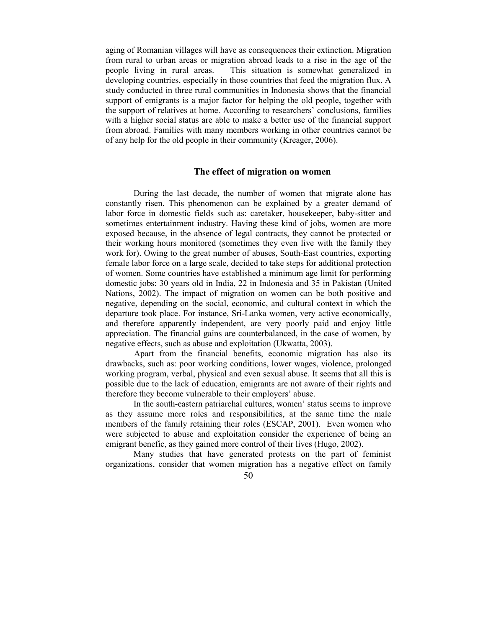aging of Romanian villages will have as consequences their extinction. Migration from rural to urban areas or migration abroad leads to a rise in the age of the people living in rural areas. This situation is somewhat generalized in developing countries, especially in those countries that feed the migration flux. A study conducted in three rural communities in Indonesia shows that the financial support of emigrants is a major factor for helping the old people, together with the support of relatives at home. According to researchers' conclusions, families with a higher social status are able to make a better use of the financial support from abroad. Families with many members working in other countries cannot be of any help for the old people in their community (Kreager, 2006).

### **The effect of migration on women**

During the last decade, the number of women that migrate alone has constantly risen. This phenomenon can be explained by a greater demand of labor force in domestic fields such as: caretaker, housekeeper, baby-sitter and sometimes entertainment industry. Having these kind of jobs, women are more exposed because, in the absence of legal contracts, they cannot be protected or their working hours monitored (sometimes they even live with the family they work for). Owing to the great number of abuses, South-East countries, exporting female labor force on a large scale, decided to take steps for additional protection of women. Some countries have established a minimum age limit for performing domestic jobs: 30 years old in India, 22 in Indonesia and 35 in Pakistan (United Nations, 2002). The impact of migration on women can be both positive and negative, depending on the social, economic, and cultural context in which the departure took place. For instance, Sri-Lanka women, very active economically, and therefore apparently independent, are very poorly paid and enjoy little appreciation. The financial gains are counterbalanced, in the case of women, by negative effects, such as abuse and exploitation (Ukwatta, 2003).

 Apart from the financial benefits, economic migration has also its drawbacks, such as: poor working conditions, lower wages, violence, prolonged working program, verbal, physical and even sexual abuse. It seems that all this is possible due to the lack of education, emigrants are not aware of their rights and therefore they become vulnerable to their employers' abuse.

In the south-eastern patriarchal cultures, women' status seems to improve as they assume more roles and responsibilities, at the same time the male members of the family retaining their roles (ESCAP, 2001). Even women who were subjected to abuse and exploitation consider the experience of being an emigrant benefic, as they gained more control of their lives (Hugo, 2002).

Many studies that have generated protests on the part of feminist organizations, consider that women migration has a negative effect on family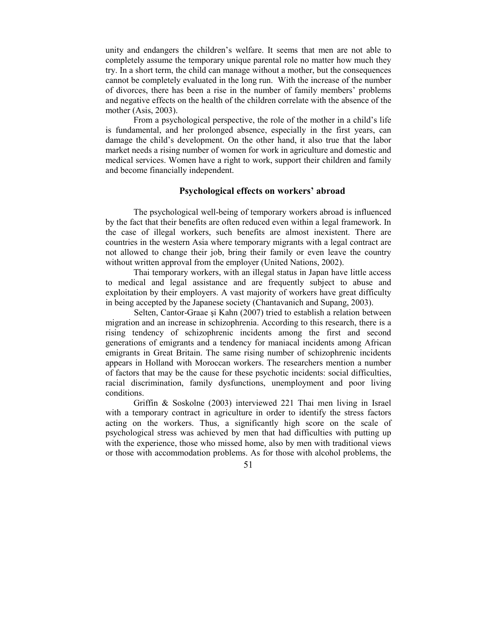unity and endangers the children's welfare. It seems that men are not able to completely assume the temporary unique parental role no matter how much they try. In a short term, the child can manage without a mother, but the consequences cannot be completely evaluated in the long run. With the increase of the number of divorces, there has been a rise in the number of family members' problems and negative effects on the health of the children correlate with the absence of the mother (Asis, 2003).

From a psychological perspective, the role of the mother in a child's life is fundamental, and her prolonged absence, especially in the first years, can damage the child's development. On the other hand, it also true that the labor market needs a rising number of women for work in agriculture and domestic and medical services. Women have a right to work, support their children and family and become financially independent.

#### **Psychological effects on workers' abroad**

The psychological well-being of temporary workers abroad is influenced by the fact that their benefits are often reduced even within a legal framework. In the case of illegal workers, such benefits are almost inexistent. There are countries in the western Asia where temporary migrants with a legal contract are not allowed to change their job, bring their family or even leave the country without written approval from the employer (United Nations, 2002).

Thai temporary workers, with an illegal status in Japan have little access to medical and legal assistance and are frequently subject to abuse and exploitation by their employers. A vast majority of workers have great difficulty in being accepted by the Japanese society (Chantavanich and Supang, 2003).

Selten, Cantor-Graae şi Kahn (2007) tried to establish a relation between migration and an increase in schizophrenia. According to this research, there is a rising tendency of schizophrenic incidents among the first and second generations of emigrants and a tendency for maniacal incidents among African emigrants in Great Britain. The same rising number of schizophrenic incidents appears in Holland with Moroccan workers. The researchers mention a number of factors that may be the cause for these psychotic incidents: social difficulties, racial discrimination, family dysfunctions, unemployment and poor living conditions.

Griffin & Soskolne (2003) interviewed 221 Thai men living in Israel with a temporary contract in agriculture in order to identify the stress factors acting on the workers. Thus, a significantly high score on the scale of psychological stress was achieved by men that had difficulties with putting up with the experience, those who missed home, also by men with traditional views or those with accommodation problems. As for those with alcohol problems, the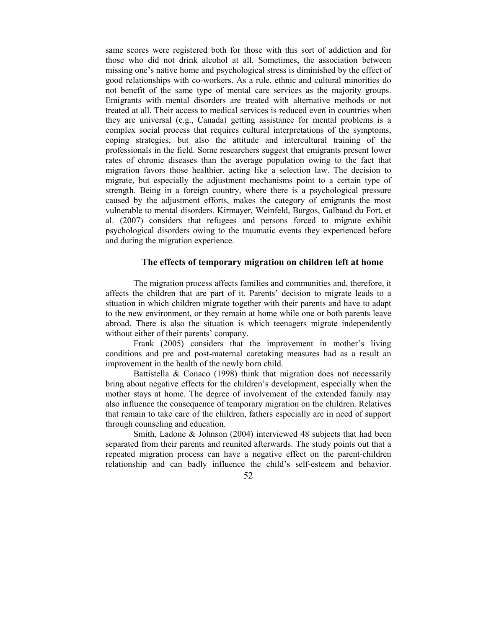same scores were registered both for those with this sort of addiction and for those who did not drink alcohol at all. Sometimes, the association between missing one's native home and psychological stress is diminished by the effect of good relationships with co-workers. As a rule, ethnic and cultural minorities do not benefit of the same type of mental care services as the majority groups. Emigrants with mental disorders are treated with alternative methods or not treated at all. Their access to medical services is reduced even in countries when they are universal (e.g., Canada) getting assistance for mental problems is a complex social process that requires cultural interpretations of the symptoms, coping strategies, but also the attitude and intercultural training of the professionals in the field. Some researchers suggest that emigrants present lower rates of chronic diseases than the average population owing to the fact that migration favors those healthier, acting like a selection law. The decision to migrate, but especially the adjustment mechanisms point to a certain type of strength. Being in a foreign country, where there is a psychological pressure caused by the adjustment efforts, makes the category of emigrants the most vulnerable to mental disorders. Kirmayer, Weinfeld, Burgos, Galbaud du Fort, et al. (2007) considers that refugees and persons forced to migrate exhibit psychological disorders owing to the traumatic events they experienced before and during the migration experience.

#### **The effects of temporary migration on children left at home**

The migration process affects families and communities and, therefore, it affects the children that are part of it. Parents' decision to migrate leads to a situation in which children migrate together with their parents and have to adapt to the new environment, or they remain at home while one or both parents leave abroad. There is also the situation is which teenagers migrate independently without either of their parents' company.

Frank (2005) considers that the improvement in mother's living conditions and pre and post-maternal caretaking measures had as a result an improvement in the health of the newly born child.

Battistella & Conaco (1998) think that migration does not necessarily bring about negative effects for the children's development, especially when the mother stays at home. The degree of involvement of the extended family may also influence the consequence of temporary migration on the children. Relatives that remain to take care of the children, fathers especially are in need of support through counseling and education.

Smith, Ladone & Johnson (2004) interviewed 48 subjects that had been separated from their parents and reunited afterwards. The study points out that a repeated migration process can have a negative effect on the parent-children relationship and can badly influence the child's self-esteem and behavior.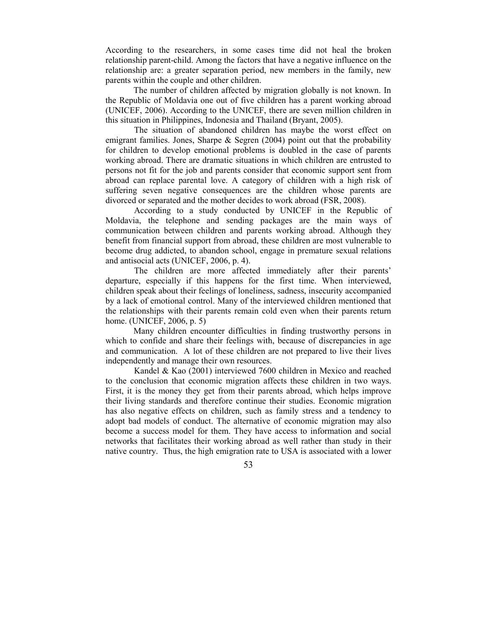According to the researchers, in some cases time did not heal the broken relationship parent-child. Among the factors that have a negative influence on the relationship are: a greater separation period, new members in the family, new parents within the couple and other children.

The number of children affected by migration globally is not known. In the Republic of Moldavia one out of five children has a parent working abroad (UNICEF, 2006). According to the UNICEF, there are seven million children in this situation in Philippines, Indonesia and Thailand (Bryant, 2005).

The situation of abandoned children has maybe the worst effect on emigrant families. Jones, Sharpe  $\&$  Segren (2004) point out that the probability for children to develop emotional problems is doubled in the case of parents working abroad. There are dramatic situations in which children are entrusted to persons not fit for the job and parents consider that economic support sent from abroad can replace parental love. A category of children with a high risk of suffering seven negative consequences are the children whose parents are divorced or separated and the mother decides to work abroad (FSR, 2008).

According to a study conducted by UNICEF in the Republic of Moldavia, the telephone and sending packages are the main ways of communication between children and parents working abroad. Although they benefit from financial support from abroad, these children are most vulnerable to become drug addicted, to abandon school, engage in premature sexual relations and antisocial acts (UNICEF, 2006, p. 4).

The children are more affected immediately after their parents' departure, especially if this happens for the first time. When interviewed, children speak about their feelings of loneliness, sadness, insecurity accompanied by a lack of emotional control. Many of the interviewed children mentioned that the relationships with their parents remain cold even when their parents return home. (UNICEF, 2006, p. 5)

Many children encounter difficulties in finding trustworthy persons in which to confide and share their feelings with, because of discrepancies in age and communication. A lot of these children are not prepared to live their lives independently and manage their own resources.

Kandel & Kao (2001) interviewed 7600 children in Mexico and reached to the conclusion that economic migration affects these children in two ways. First, it is the money they get from their parents abroad, which helps improve their living standards and therefore continue their studies. Economic migration has also negative effects on children, such as family stress and a tendency to adopt bad models of conduct. The alternative of economic migration may also become a success model for them. They have access to information and social networks that facilitates their working abroad as well rather than study in their native country. Thus, the high emigration rate to USA is associated with a lower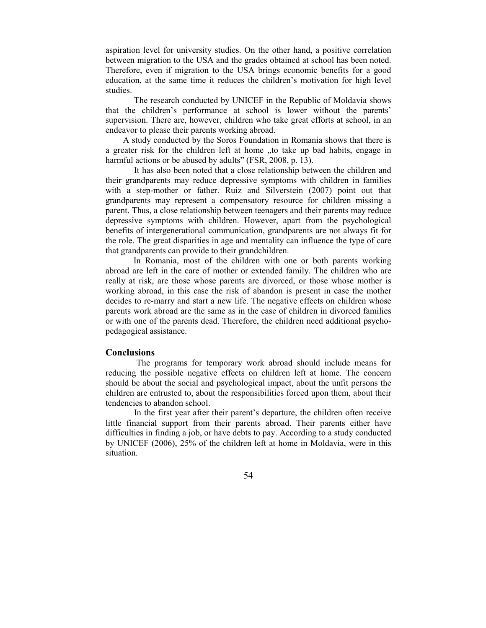aspiration level for university studies. On the other hand, a positive correlation between migration to the USA and the grades obtained at school has been noted. Therefore, even if migration to the USA brings economic benefits for a good education, at the same time it reduces the children's motivation for high level studies.

The research conducted by UNICEF in the Republic of Moldavia shows that the children's performance at school is lower without the parents' supervision. There are, however, children who take great efforts at school, in an endeavor to please their parents working abroad.

 A study conducted by the Soros Foundation in Romania shows that there is a greater risk for the children left at home ..to take up bad habits, engage in harmful actions or be abused by adults" (FSR, 2008, p. 13).

It has also been noted that a close relationship between the children and their grandparents may reduce depressive symptoms with children in families with a step-mother or father. Ruiz and Silverstein (2007) point out that grandparents may represent a compensatory resource for children missing a parent. Thus, a close relationship between teenagers and their parents may reduce depressive symptoms with children. However, apart from the psychological benefits of intergenerational communication, grandparents are not always fit for the role. The great disparities in age and mentality can influence the type of care that grandparents can provide to their grandchildren.

In Romania, most of the children with one or both parents working abroad are left in the care of mother or extended family. The children who are really at risk, are those whose parents are divorced, or those whose mother is working abroad, in this case the risk of abandon is present in case the mother decides to re-marry and start a new life. The negative effects on children whose parents work abroad are the same as in the case of children in divorced families or with one of the parents dead. Therefore, the children need additional psychopedagogical assistance.

#### **Conclusions**

The programs for temporary work abroad should include means for reducing the possible negative effects on children left at home. The concern should be about the social and psychological impact, about the unfit persons the children are entrusted to, about the responsibilities forced upon them, about their tendencies to abandon school.

In the first year after their parent's departure, the children often receive little financial support from their parents abroad. Their parents either have difficulties in finding a job, or have debts to pay. According to a study conducted by UNICEF (2006), 25% of the children left at home in Moldavia, were in this situation.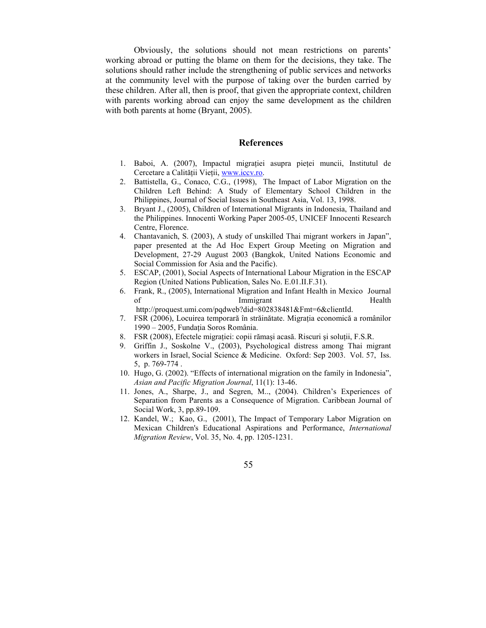Obviously, the solutions should not mean restrictions on parents' working abroad or putting the blame on them for the decisions, they take. The solutions should rather include the strengthening of public services and networks at the community level with the purpose of taking over the burden carried by these children. After all, then is proof, that given the appropriate context, children with parents working abroad can enjoy the same development as the children with both parents at home (Bryant, 2005).

#### **References**

- 1. Baboi, A. (2007), Impactul migratiei asupra pietei muncii, Institutul de Cercetare a Calității Vieții, www.iccv.ro.
- 2. Battistella, G., Conaco, C.G., (1998), The Impact of Labor Migration on the Children Left Behind: A Study of Elementary School Children in the Philippines, Journal of Social Issues in Southeast Asia, Vol. 13, 1998.
- 3. Bryant J., (2005), Children of International Migrants in Indonesia, Thailand and the Philippines. Innocenti Working Paper 2005-05, UNICEF Innocenti Research Centre, Florence.
- 4. Chantavanich, S. (2003), A study of unskilled Thai migrant workers in Japan", paper presented at the Ad Hoc Expert Group Meeting on Migration and Development, 27-29 August 2003 (Bangkok, United Nations Economic and Social Commission for Asia and the Pacific).
- 5. ESCAP, (2001), Social Aspects of International Labour Migration in the ESCAP Region (United Nations Publication, Sales No. E.01.II.F.31).
- 6. Frank, R., (2005), International Migration and Infant Health in Mexico Journal of Immigrant http://proquest.umi.com/pqdweb?did=802838481&Fmt=6&clientId.
- 7. FSR (2006), Locuirea temporară în străinătate. Migrația economică a românilor 1990 – 2005, Fundația Soros România.
- 8. FSR (2008), Efectele migrației: copii rămași acasă. Riscuri și soluții, F.S.R.
- 9. Griffin J., Soskolne V., (2003), Psychological distress among Thai migrant workers in Israel, Social Science & Medicine. Oxford: Sep 2003. Vol. 57, Iss. 5, p. 769-774 .
- 10. Hugo, G. (2002). "Effects of international migration on the family in Indonesia", *Asian and Pacific Migration Journal*, 11(1): 13-46.
- 11. Jones, A., Sharpe, J., and Segren, M.., (2004). Children's Experiences of Separation from Parents as a Consequence of Migration. Caribbean Journal of Social Work, 3, pp.89-109.
- 12. Kandel, W.; Kao, G., (2001), The Impact of Temporary Labor Migration on Mexican Children's Educational Aspirations and Performance, *International Migration Review*, Vol. 35, No. 4, pp. 1205-1231.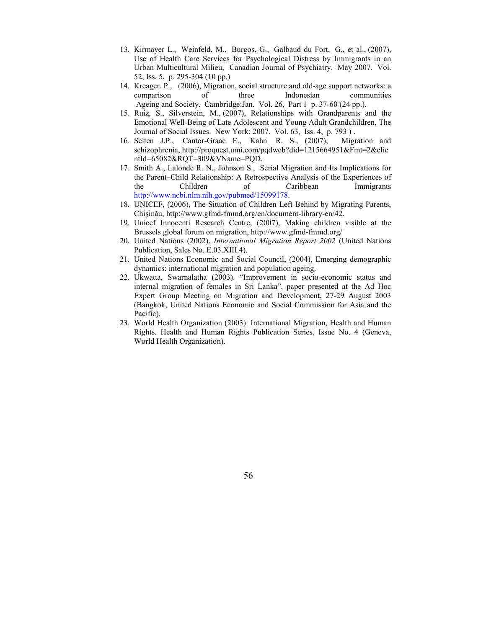- 13. Kirmayer L., Weinfeld, M., Burgos, G., Galbaud du Fort, G., et al., (2007), Use of Health Care Services for Psychological Distress by Immigrants in an Urban Multicultural Milieu, Canadian Journal of Psychiatry. May 2007. Vol. 52, Iss. 5, p. 295-304 (10 pp.)
- 14. Kreager. P., (2006), Migration, social structure and old-age support networks: a comparison of three Indonesian communities Ageing and Society. Cambridge:Jan. Vol. 26, Part 1 p. 37-60 (24 pp.).
- 15. Ruiz, S., Silverstein, M., (2007), Relationships with Grandparents and the Emotional Well-Being of Late Adolescent and Young Adult Grandchildren, The Journal of Social Issues. New York: 2007. Vol. 63, Iss. 4, p. 793 ) .
- 16. Selten J.P., Cantor-Graae E., Kahn R. S., (2007), Migration and schizophrenia, http://proquest.umi.com/pqdweb?did=1215664951&Fmt=2&clie ntId=65082&RQT=309&VName=PQD.
- 17. Smith A., Lalonde R. N., Johnson S., Serial Migration and Its Implications for the Parent–Child Relationship: A Retrospective Analysis of the Experiences of the Children of Caribbean Immigrants http://www.ncbi.nlm.nih.gov/pubmed/15099178.
- 18. UNICEF, (2006), The Situation of Children Left Behind by Migrating Parents, Chişinău, http://www.gfmd-fmmd.org/en/document-library-en/42.
- 19. Unicef Innocenti Research Centre, (2007), Making children visible at the Brussels global forum on migration, http://www.gfmd-fmmd.org/
- 20. United Nations (2002). *International Migration Report 2002* (United Nations Publication, Sales No. E.03.XIII.4).
- 21. United Nations Economic and Social Council, (2004), Emerging demographic dynamics: international migration and population ageing.
- 22. Ukwatta, Swarnalatha (2003). "Improvement in socio-economic status and internal migration of females in Sri Lanka", paper presented at the Ad Hoc Expert Group Meeting on Migration and Development, 27-29 August 2003 (Bangkok, United Nations Economic and Social Commission for Asia and the Pacific).
- 23. World Health Organization (2003). International Migration, Health and Human Rights. Health and Human Rights Publication Series, Issue No. 4 (Geneva, World Health Organization).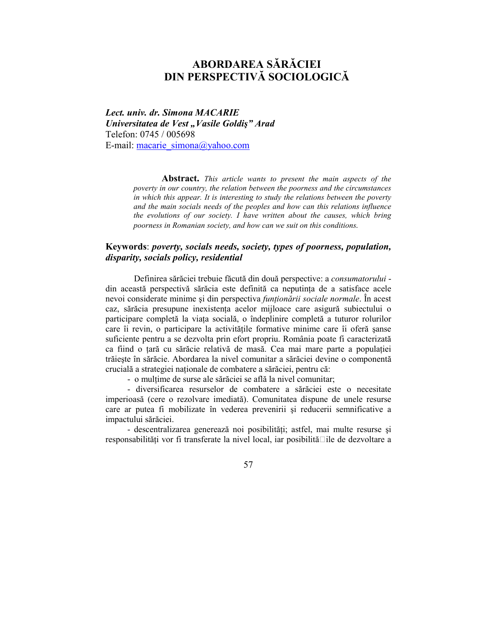# **ABORDAREA SĂRĂCIEI DIN PERSPECTIVĂ SOCIOLOGICĂ**

*Lect. univ. dr. Simona MACARIE Universitatea de Vest "Vasile Goldis" Arad* Telefon: 0745 / 005698 E-mail: macarie\_simona@yahoo.com

> **Abstract.** *This article wants to present the main aspects of the poverty in our country, the relation between the poorness and the circumstances in which this appear. It is interesting to study the relations between the poverty and the main socials needs of the peoples and how can this relations influence the evolutions of our society. I have written about the causes, which bring poorness in Romanian society, and how can we suit on this conditions.*

### **Keywords**: *poverty, socials needs, society, types of poorness, population, disparity, socials policy, residential*

Definirea sărăciei trebuie făcută din două perspective: a *consumatorului* din această perspectivă sărăcia este definită ca neputința de a satisface acele nevoi considerate minime si din perspectiva *funtionării sociale normale*. În acest caz, sărăcia presupune inexistența acelor mijloace care asigură subiectului o participare completă la viața socială, o îndeplinire completă a tuturor rolurilor care îi revin, o participare la activitățile formative minime care îi oferă sanse suficiente pentru a se dezvolta prin efort propriu. România poate fi caracterizată ca fiind o țară cu sărăcie relativă de masă. Cea mai mare parte a populației trăieşte în sărăcie. Abordarea la nivel comunitar a sărăciei devine o componentă crucială a strategiei naționale de combatere a sărăciei, pentru că:

- o multime de surse ale sărăciei se află la nivel comunitar;

 - diversificarea resurselor de combatere a sărăciei este o necesitate imperioasă (cere o rezolvare imediată). Comunitatea dispune de unele resurse care ar putea fi mobilizate în vederea prevenirii şi reducerii semnificative a impactului sărăciei.

- descentralizarea generează noi posibilități; astfel, mai multe resurse și responsabilități vor fi transferate la nivel local, iar posibilită [ile de dezvoltare a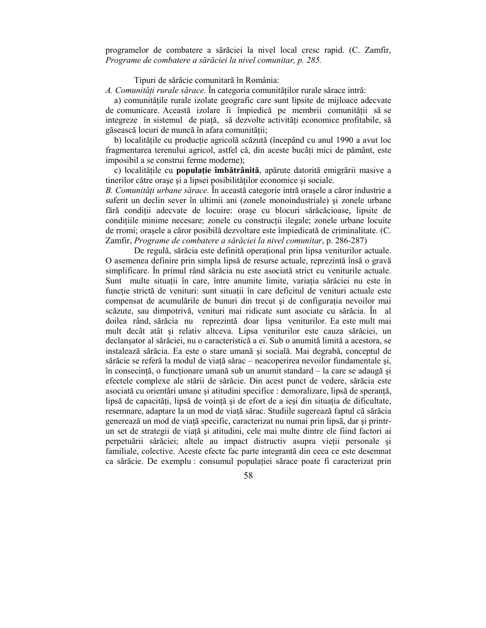programelor de combatere a sărăciei la nivel local cresc rapid. (C. Zamfir, *Programe de combatere a sărăciei la nivel comunitar, p. 285.* 

Tipuri de sărăcie comunitară în România:

*A. Comunități rurale sărace.* În categoria comunităților rurale sărace intră:

a) comunitățile rurale izolate geografic care sunt lipsite de mijloace adecvate de comunicare. Această izolare îi împiedică pe membrii comunității să se integreze în sistemul de piață, să dezvolte activități economice profitabile, să găsească locuri de muncă în afara comunității;

b) localitățile cu producție agricolă scăzută (începând cu anul 1990 a avut loc fragmentarea terenului agricol, astfel că, din aceste bucăți mici de pământ, este imposibil a se construi ferme moderne);

c) localitățile cu *populație îmbătrânită*, apărute datorită emigrării masive a tinerilor către orașe și a lipsei posibilităților economice și sociale.

*B. Comunități urbane sărace.* În această categorie intră orașele a căror industrie a suferit un declin sever în ultimii ani (zonele monoindustriale) şi zonele urbane fără condiții adecvate de locuire: orașe cu blocuri sărăcăcioase, lipsite de condițiile minime necesare; zonele cu construcții ilegale; zonele urbane locuite de rromi; oraşele a căror posibilă dezvoltare este împiedicată de criminalitate. (C. Zamfir, *Programe de combatere a sărăciei la nivel comunitar*, p. 286-287)

De regulă, sărăcia este definită operațional prin lipsa veniturilor actuale. O asemenea definire prin simpla lipsă de resurse actuale, reprezintă însă o gravă simplificare. În primul rând sărăcia nu este asociată strict cu veniturile actuale. Sunt multe situatii în care, între anumite limite, variatia sărăciei nu este în functie strictă de venituri: sunt situatii în care deficitul de venituri actuale este compensat de acumulările de bunuri din trecut și de configurația nevoilor mai scăzute, sau dimpotrivă, venituri mai ridicate sunt asociate cu sărăcia. În al doilea rând, sărăcia nu reprezintă doar lipsa veniturilor. Ea este mult mai mult decât atât şi relativ altceva. Lipsa veniturilor este cauza sărăciei, un declanşator al sărăciei, nu o caracteristică a ei. Sub o anumită limită a acestora, se instalează sărăcia. Ea este o stare umană şi socială. Mai degrabă, conceptul de sărăcie se referă la modul de viață sărac – neacoperirea nevoilor fundamentale și, în consecință, o funcționare umană sub un anumit standard – la care se adaugă și efectele complexe ale stării de sărăcie. Din acest punct de vedere, sărăcia este asociată cu orientări umane și atitudini specifice : demoralizare, lipsă de speranță, lipsă de capacități, lipsă de voință și de efort de a ieși din situația de dificultate, resemnare, adaptare la un mod de viață sărac. Studiile sugerează faptul că sărăcia generează un mod de viată specific, caracterizat nu numai prin lipsă, dar și printrun set de strategii de viață și atitudini, cele mai multe dintre ele fiind factori ai perpetuării sărăciei; altele au impact distructiv asupra vieții personale și familiale, colective. Aceste efecte fac parte integrantă din ceea ce este desemnat ca sărăcie. De exemplu : consumul populației sărace poate fi caracterizat prin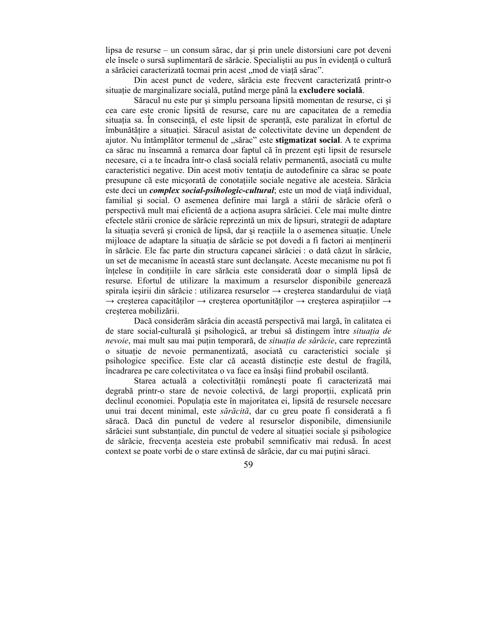lipsa de resurse – un consum sărac, dar şi prin unele distorsiuni care pot deveni ele însele o sursă suplimentară de sărăcie. Specialiștii au pus în evidență o cultură a sărăciei caracterizată tocmai prin acest "mod de viață sărac".

Din acest punct de vedere, sărăcia este frecvent caracterizată printr-o situație de marginalizare socială, putând merge până la excludere socială.

Săracul nu este pur şi simplu persoana lipsită momentan de resurse, ci şi cea care este cronic lipsită de resurse, care nu are capacitatea de a remedia situația sa. În consecință, el este lipsit de speranță, este paralizat în efortul de îmbunătățire a situației. Săracul asistat de colectivitate devine un dependent de ajutor. Nu întâmplător termenul de "sărac" este **stigmatizat social**. A te exprima ca sărac nu înseamnă a remarca doar faptul că în prezent eşti lipsit de resursele necesare, ci a te încadra într-o clasă socială relativ permanentă, asociată cu multe caracteristici negative. Din acest motiv tentația de autodefinire ca sărac se poate presupune că este micsorată de conotațiile sociale negative ale acesteia. Sărăcia este deci un *complex social-psihologic-cultural*; este un mod de viată individual, familial şi social. O asemenea definire mai largă a stării de sărăcie oferă o perspectivă mult mai eficientă de a actiona asupra sărăciei. Cele mai multe dintre efectele stării cronice de sărăcie reprezintă un mix de lipsuri, strategii de adaptare la situația severă și cronică de lipsă, dar și reacțiile la o asemenea situație. Unele mijloace de adaptare la situatia de sărăcie se pot dovedi a fi factori ai mentinerii în sărăcie. Ele fac parte din structura capcanei sărăciei : o dată căzut în sărăcie, un set de mecanisme în această stare sunt declanşate. Aceste mecanisme nu pot fi înțelese în condițiile în care sărăcia este considerată doar o simplă lipsă de resurse. Efortul de utilizare la maximum a resurselor disponibile generează spirala ieșirii din sărăcie : utilizarea resurselor  $\rightarrow$  creșterea standardului de viață  $\rightarrow$  creșterea capacităților  $\rightarrow$  creșterea oportunităților  $\rightarrow$  creșterea aspirațiilor  $\rightarrow$ creşterea mobilizării.

Dacă considerăm sărăcia din această perspectivă mai largă, în calitatea ei de stare social-culturală și psihologică, ar trebui să distingem între *situația de nevoie*, mai mult sau mai puțin temporară, de *situația de sărăcie*, care reprezintă o situație de nevoie permanentizată, asociată cu caracteristici sociale și psihologice specifice. Este clar că această distincție este destul de fragilă, încadrarea pe care colectivitatea o va face ea însăşi fiind probabil oscilantă.

Starea actuală a colectivității românești poate fi caracterizată mai degrabă printr-o stare de nevoie colectivă, de largi proportii, explicată prin declinul economiei. Populația este în majoritatea ei, lipsită de resursele necesare unui trai decent minimal, este *sărăcită*, dar cu greu poate fi considerată a fi săracă. Dacă din punctul de vedere al resurselor disponibile, dimensiunile sărăciei sunt substanțiale, din punctul de vedere al situației sociale și psihologice de sărăcie, frecvența acesteia este probabil semnificativ mai redusă. În acest context se poate vorbi de o stare extinsă de sărăcie, dar cu mai puțini săraci.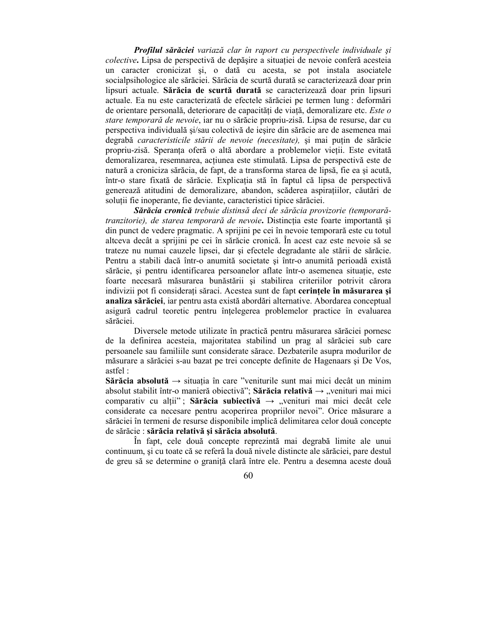*Profilul sărăciei variază clar în raport cu perspectivele individuale şi colective*. Lipsa de perspectivă de depășire a situației de nevoie conferă acesteia un caracter cronicizat şi, o dată cu acesta, se pot instala asociatele socialpsihologice ale sărăciei. Sărăcia de scurtă durată se caracterizează doar prin lipsuri actuale. **Sărăcia de scurtă durată** se caracterizează doar prin lipsuri actuale. Ea nu este caracterizată de efectele sărăciei pe termen lung : deformări de orientare personală, deteriorare de capacități de viață, demoralizare etc. Este o *stare temporară de nevoie*, iar nu o sărăcie propriu-zisă. Lipsa de resurse, dar cu perspectiva individuală şi/sau colectivă de ieşire din sărăcie are de asemenea mai degrabă *caracteristicile stării de nevoie (necesitate)*, și mai puțin de sărăcie propriu-zisă. Speranta oferă o altă abordare a problemelor vietii. Este evitată demoralizarea, resemnarea, acțiunea este stimulată. Lipsa de perspectivă este de natură a croniciza sărăcia, de fapt, de a transforma starea de lipsă, fie ea şi acută, într-o stare fixată de sărăcie. Explicația stă în faptul că lipsa de perspectivă generează atitudini de demoralizare, abandon, scăderea aspirațiilor, căutări de soluții fie inoperante, fie deviante, caracteristici tipice sărăciei.

*Sărăcia cronică trebuie distinsă deci de sărăcia provizorie (temporarătranzitorie), de starea temporară de nevoie*. Distincția este foarte importantă și din punct de vedere pragmatic. A sprijini pe cei în nevoie temporară este cu totul altceva decât a sprijini pe cei în sărăcie cronică. În acest caz este nevoie să se trateze nu numai cauzele lipsei, dar şi efectele degradante ale stării de sărăcie. Pentru a stabili dacă într-o anumită societate şi într-o anumită perioadă există sărăcie, și pentru identificarea persoanelor aflate într-o asemenea situație, este foarte necesară măsurarea bunăstării şi stabilirea criteriilor potrivit cărora indivizii pot fi considerați săraci. Acestea sunt de fapt cerințele în măsurarea și **analiza sărăciei**, iar pentru asta există abordări alternative. Abordarea conceptual asigură cadrul teoretic pentru înțelegerea problemelor practice în evaluarea sărăciei.

Diversele metode utilizate în practică pentru măsurarea sărăciei pornesc de la definirea acesteia, majoritatea stabilind un prag al sărăciei sub care persoanele sau familiile sunt considerate sărace. Dezbaterile asupra modurilor de măsurare a sărăciei s-au bazat pe trei concepte definite de Hagenaars şi De Vos, astfel :

Sărăcia absolută → situația în care "veniturile sunt mai mici decât un minim absolut stabilit într-o manieră obiectivă"; Sărăcia relativă → "venituri mai mici comparativ cu alții" ; Sărăcia subiectivă → "venituri mai mici decât cele considerate ca necesare pentru acoperirea propriilor nevoi". Orice măsurare a sărăciei în termeni de resurse disponibile implică delimitarea celor două concepte de sărăcie : **sărăcia relativă şi sărăcia absolută**.

În fapt, cele două concepte reprezintă mai degrabă limite ale unui continuum, şi cu toate că se referă la două nivele distincte ale sărăciei, pare destul de greu să se determine o graniță clară între ele. Pentru a desemna aceste două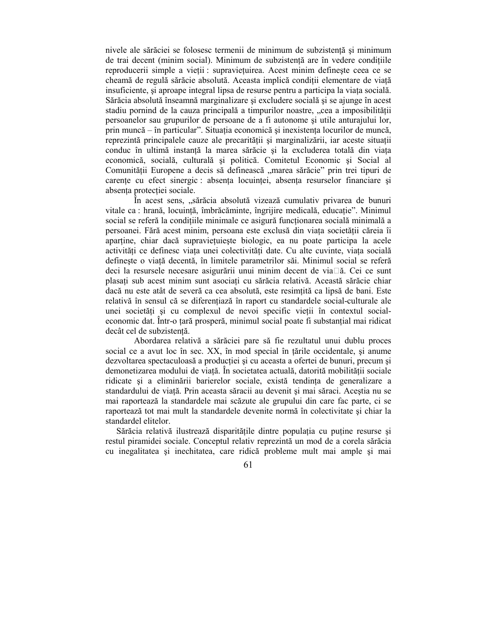nivele ale sărăciei se folosesc termenii de minimum de subzistență și minimum de trai decent (minim social). Minimum de subzistență are în vedere condițiile reproducerii simple a vieții : supraviețuirea. Acest minim definește ceea ce se cheamă de regulă sărăcie absolută. Aceasta implică condiții elementare de viață insuficiente, și aproape integral lipsa de resurse pentru a participa la viața socială. Sărăcia absolută înseamnă marginalizare şi excludere socială şi se ajunge în acest stadiu pornind de la cauza principală a timpurilor noastre, "cea a imposibilității persoanelor sau grupurilor de persoane de a fi autonome şi utile anturajului lor, prin muncă – în particular". Situația economică și inexistența locurilor de muncă, reprezintă principalele cauze ale precarității și marginalizării, iar aceste situații conduc în ultimă instantă la marea sărăcie și la excluderea totală din viata economică, socială, culturală şi politică. Comitetul Economic şi Social al Comunității Europene a decis să definească "marea sărăcie" prin trei tipuri de carente cu efect sinergic : absenta locuintei, absenta resurselor financiare și absenta protecției sociale.

În acest sens, "sărăcia absolută vizează cumulativ privarea de bunuri vitale ca : hrană, locuință, îmbrăcăminte, îngrijire medicală, educație". Minimul social se referă la condițiile minimale ce asigură funcționarea socială minimală a persoanei. Fără acest minim, persoana este exclusă din viața societății căreia îi apartine, chiar dacă supravietuieste biologic, ea nu poate participa la acele activități ce definesc viața unei colectivități date. Cu alte cuvinte, viața socială definește o viată decentă, în limitele parametrilor săi. Minimul social se referă deci la resursele necesare asigurării unui minim decent de viață. Cei ce sunt plasati sub acest minim sunt asociati cu sărăcia relativă. Această sărăcie chiar dacă nu este atât de severă ca cea absolută, este resimțită ca lipsă de bani. Este relativă în sensul că se diferențiază în raport cu standardele social-culturale ale unei societăți și cu complexul de nevoi specific vietii în contextul socialeconomic dat. Într-o țară prosperă, minimul social poate fi substanțial mai ridicat decât cel de subzistentă.

Abordarea relativă a sărăciei pare să fie rezultatul unui dublu proces social ce a avut loc în sec. XX, în mod special în țările occidentale, și anume dezvoltarea spectaculoasă a producției și cu aceasta a ofertei de bunuri, precum și demonetizarea modului de viață. În societatea actuală, datorită mobilității sociale ridicate și a eliminării barierelor sociale, există tendinta de generalizare a standardului de viată. Prin aceasta săracii au devenit și mai săraci. Aceștia nu se mai raportează la standardele mai scăzute ale grupului din care fac parte, ci se raportează tot mai mult la standardele devenite normă în colectivitate şi chiar la standardel elitelor.

Sărăcia relativă ilustrează disparitățile dintre populația cu puține resurse și restul piramidei sociale. Conceptul relativ reprezintă un mod de a corela sărăcia cu inegalitatea şi inechitatea, care ridică probleme mult mai ample şi mai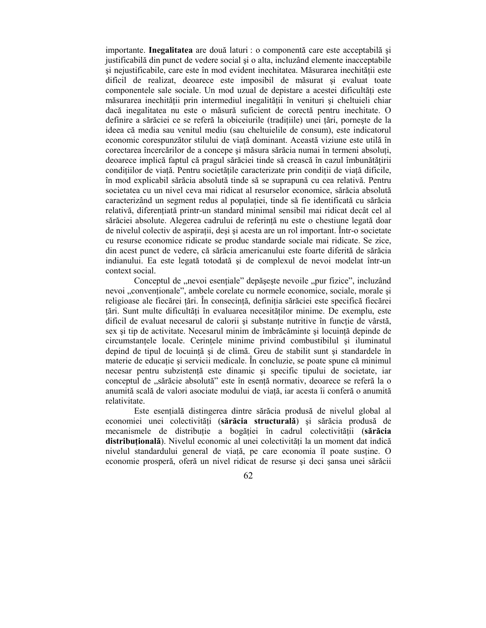importante. **Inegalitatea** are două laturi : o componentă care este acceptabilă şi justificabilă din punct de vedere social şi o alta, incluzând elemente inacceptabile și nejustificabile, care este în mod evident inechitatea. Măsurarea inechității este dificil de realizat, deoarece este imposibil de măsurat şi evaluat toate componentele sale sociale. Un mod uzual de depistare a acestei dificultăti este măsurarea inechității prin intermediul inegalității în venituri și cheltuieli chiar dacă inegalitatea nu este o măsură suficient de corectă pentru inechitate. O definire a sărăciei ce se referă la obiceiurile (tradițiile) unei țări, pornește de la ideea că media sau venitul mediu (sau cheltuielile de consum), este indicatorul economic corespunzător stilului de viață dominant. Această viziune este utilă în corectarea încercărilor de a concepe și măsura sărăcia numai în termeni absoluti, deoarece implică faptul că pragul sărăciei tinde să crească în cazul îmbunătățirii condițiilor de viață. Pentru societățile caracterizate prin condiții de viață dificile, în mod explicabil sărăcia absolută tinde să se suprapună cu cea relativă. Pentru societatea cu un nivel ceva mai ridicat al resurselor economice, sărăcia absolută caracterizând un segment redus al populației, tinde să fie identificată cu sărăcia relativă, diferentiată printr-un standard minimal sensibil mai ridicat decât cel al sărăciei absolute. Alegerea cadrului de referință nu este o chestiune legată doar de nivelul colectiv de aspirații, deși și acesta are un rol important. Într-o societate cu resurse economice ridicate se produc standarde sociale mai ridicate. Se zice, din acest punct de vedere, că sărăcia americanului este foarte diferită de sărăcia indianului. Ea este legată totodată şi de complexul de nevoi modelat într-un context social.

Conceptul de "nevoi esențiale" depășește nevoile "pur fizice", incluzând nevoi "convenționale", ambele corelate cu normele economice, sociale, morale și religioase ale fiecărei țări. În consecință, definiția sărăciei este specifică fiecărei tări. Sunt multe dificultăti în evaluarea necesitătilor minime. De exemplu, este dificil de evaluat necesarul de calorii și substanțe nutritive în funcție de vârstă, sex și tip de activitate. Necesarul minim de îmbrăcăminte și locuință depinde de circumstantele locale. Cerințele minime privind combustibilul și iluminatul depind de tipul de locuință și de climă. Greu de stabilit sunt și standardele în materie de educație și servicii medicale. În concluzie, se poate spune că minimul necesar pentru subzistență este dinamic și specific tipului de societate, iar conceptul de "sărăcie absolută" este în esență normativ, deoarece se referă la o anumită scală de valori asociate modului de viață, iar acesta îi conferă o anumită relativitate.

Este esențială distingerea dintre sărăcia produsă de nivelul global al economiei unei colectivități (sărăcia structurală) și sărăcia produsă de mecanismele de distribuție a bogăției în cadrul colectivității (sărăcia distribuțională). Nivelul economic al unei colectivități la un moment dat indică nivelul standardului general de viață, pe care economia îl poate susține. O economie prosperă, oferă un nivel ridicat de resurse şi deci şansa unei sărăcii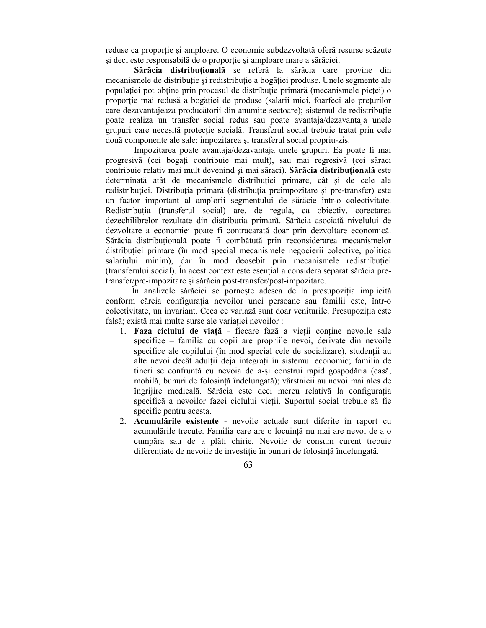reduse ca proporție și amploare. O economie subdezvoltată oferă resurse scăzute si deci este responsabilă de o proporție și amploare mare a sărăciei.

Sărăcia distribuțională se referă la sărăcia care provine din mecanismele de distribuție și redistribuție a bogăției produse. Unele segmente ale populatiei pot obtine prin procesul de distributie primară (mecanismele pietei) o proportie mai redusă a bogătiei de produse (salarii mici, foarfeci ale preturilor care dezavantajează producătorii din anumite sectoare); sistemul de redistribuție poate realiza un transfer social redus sau poate avantaja/dezavantaja unele grupuri care necesită protecție socială. Transferul social trebuie tratat prin cele două componente ale sale: impozitarea şi transferul social propriu-zis.

Impozitarea poate avantaja/dezavantaja unele grupuri. Ea poate fi mai progresivă (cei bogați contribuie mai mult), sau mai regresivă (cei săraci contribuie relativ mai mult devenind și mai săraci). Sărăcia distribuțională este determinată atât de mecanismele distribuției primare, cât și de cele ale redistribuției. Distribuția primară (distribuția preimpozitare și pre-transfer) este un factor important al amplorii segmentului de sărăcie într-o colectivitate. Redistribuția (transferul social) are, de regulă, ca obiectiv, corectarea dezechilibrelor rezultate din distribuția primară. Sărăcia asociată nivelului de dezvoltare a economiei poate fi contracarată doar prin dezvoltare economică. Sărăcia distributională poate fi combătută prin reconsiderarea mecanismelor distribuției primare (în mod special mecanismele negocierii colective, politica salariului minim), dar în mod deosebit prin mecanismele redistribuției  $(transf_{\text{er}})$  social). În acest context este esențial a considera separat sărăcia pretransfer/pre-impozitare şi sărăcia post-transfer/post-impozitare.

În analizele sărăciei se pornește adesea de la presupoziția implicită conform căreia configurația nevoilor unei persoane sau familii este, într-o colectivitate, un invariant. Ceea ce variază sunt doar veniturile. Presupozitia este falsă: există mai multe surse ale variatiei nevoilor :

- 1. **Faza ciclului de viață** fiecare fază a vieții contine nevoile sale specifice – familia cu copii are propriile nevoi, derivate din nevoile specifice ale copilului (în mod special cele de socializare), studenții au alte nevoi decât adulții deja integrați în sistemul economic; familia de tineri se confruntă cu nevoia de a-şi construi rapid gospodăria (casă, mobilă, bunuri de folosintă îndelungată); vârstnicii au nevoi mai ales de îngrijire medicală. Sărăcia este deci mereu relativă la configurația specifică a nevoilor fazei ciclului vieții. Suportul social trebuie să fie specific pentru acesta.
- 2. **Acumulările existente** nevoile actuale sunt diferite în raport cu acumulările trecute. Familia care are o locuință nu mai are nevoi de a o cumpăra sau de a plăti chirie. Nevoile de consum curent trebuie diferențiate de nevoile de investiție în bunuri de folosință îndelungată.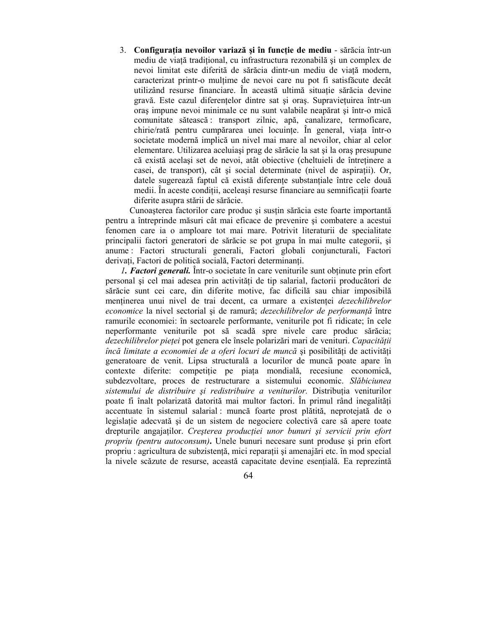3. **Configurația nevoilor variază și în funcție de mediu - sărăcia într-un** mediu de viață tradițional, cu infrastructura rezonabilă și un complex de nevoi limitat este diferită de sărăcia dintr-un mediu de viață modern, caracterizat printr-o mulțime de nevoi care nu pot fi satisfăcute decât utilizând resurse financiare. În această ultimă situatie sărăcia devine gravă. Este cazul diferentelor dintre sat și oraș. Supravietuirea într-un oraş impune nevoi minimale ce nu sunt valabile neapărat şi într-o mică comunitate sătească : transport zilnic, apă, canalizare, termoficare, chirie/rată pentru cumpărarea unei locuințe. În general, viața într-o societate modernă implică un nivel mai mare al nevoilor, chiar al celor elementare. Utilizarea aceluiaşi prag de sărăcie la sat şi la oraş presupune că există același set de nevoi, atât obiective (cheltuieli de întreținere a casei, de transport), cât și social determinate (nivel de aspirații). Or, datele sugerează faptul că există diferențe substanțiale între cele două medii. În aceste condiții, aceleași resurse financiare au semnificații foarte diferite asupra stării de sărăcie.

Cunoașterea factorilor care produc și susțin sărăcia este foarte importantă pentru a întreprinde măsuri cât mai eficace de prevenire şi combatere a acestui fenomen care ia o amploare tot mai mare. Potrivit literaturii de specialitate principalii factori generatori de sărăcie se pot grupa în mai multe categorii, şi anume : Factori structurali generali, Factori globali conjuncturali, Factori derivați, Factori de politică socială, Factori determinanți.

*l. Factori generali.* Într-o societate în care veniturile sunt obtinute prin efort personal și cel mai adesea prin activități de tip salarial, factorii producători de sărăcie sunt cei care, din diferite motive, fac dificilă sau chiar imposibilă menținerea unui nivel de trai decent, ca urmare a existenței *dezechilibrelor* economice la nivel sectorial și de ramură; *dezechilibrelor de performantă* între ramurile economiei: în sectoarele performante, veniturile pot fi ridicate; în cele neperformante veniturile pot să scadă spre nivele care produc sărăcia; dezechilibrelor pieței pot genera ele însele polarizări mari de venituri. *Capacității încă limitate a economiei de a oferi locuri de muncă* și posibilități de activități generatoare de venit. Lipsa structurală a locurilor de muncă poate apare în contexte diferite: competiție pe piața mondială, recesiune economică, subdezvoltare, proces de restructurare a sistemului economic. *Slăbiciunea*  sistemului de distribuire și redistribuire a veniturilor. Distributia veniturilor poate fi înalt polarizată datorită mai multor factori. În primul rând inegalități accentuate în sistemul salarial : muncă foarte prost plătită, neprotejată de o legislatie adecvată și de un sistem de negociere colectivă care să apere toate drepturile angajatilor. *Creșterea producției unor bunuri și servicii prin efort propriu (pentru autoconsum)***.** Unele bunuri necesare sunt produse şi prin efort propriu : agricultura de subzistență, mici reparații și amenajări etc. în mod special la nivele scăzute de resurse, această capacitate devine esențială. Ea reprezintă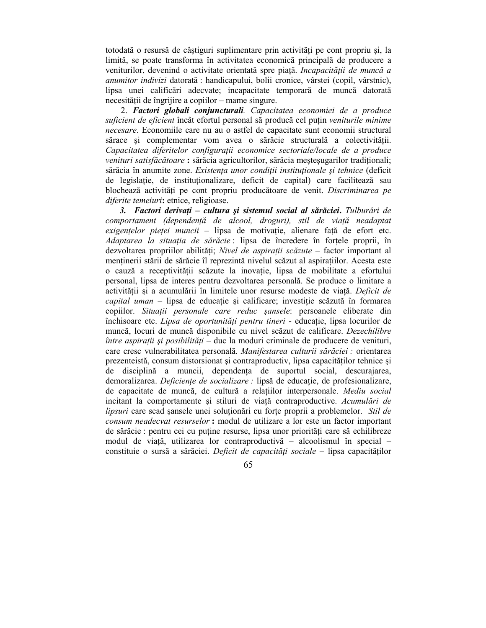totodată o resursă de câștiguri suplimentare prin activități pe cont propriu și, la limită, se poate transforma în activitatea economică principală de producere a veniturilor, devenind o activitate orientată spre piață. *Incapacității de muncă a anumitor indivizi* datorată : handicapului, bolii cronice, vârstei (copil, vârstnic), lipsa unei calificări adecvate; incapacitate temporară de muncă datorată necesității de îngrijire a copiilor – mame singure.

 2. *Factori globali conjuncturali. Capacitatea economiei de a produce suficient de eficient* încât efortul personal să producă cel puțin *veniturile minime necesare*. Economiile care nu au o astfel de capacitate sunt economii structural sărace și complementar vom avea o sărăcie structurală a colectivității. Capacitatea diferitelor configuratii economice sectoriale/locale de a produce *venituri satisfăcătoare* : sărăcia agricultorilor, sărăcia meșteșugarilor tradiționali; sărăcia în anumite zone. Existența unor condiții instituționale și tehnice (deficit de legislatie, de institutionalizare, deficit de capital) care facilitează sau blochează activități pe cont propriu producătoare de venit. *Discriminarea pe diferite temeiuri***:** etnice, religioase.

3. Factori derivați – cultura și sistemul social al sărăciei. Tulburări de comportament (dependență de alcool, droguri), stil de viață neadaptat exigențelor pieței muncii – lipsa de motivație, alienare față de efort etc. *Adaptarea la situatia de sărăcie* : lipsa de încredere în fortele proprii, în dezvoltarea propriilor abilități; *Nivel de aspirații scăzute* – factor important al mentinerii stării de sărăcie îl reprezintă nivelul scăzut al aspirațiilor. Acesta este o cauză a receptivității scăzute la inovație, lipsa de mobilitate a efortului personal, lipsa de interes pentru dezvoltarea personală. Se produce o limitare a activității și a acumulării în limitele unor resurse modeste de viață. Deficit de *capital uman* – lipsa de educație și calificare; investiție scăzută în formarea copiilor. *Situații personale care reduc șansele*: persoanele eliberate din închisoare etc. *Lipsa de oportunităti pentru tineri* - educatie, lipsa locurilor de muncă, locuri de muncă disponibile cu nivel scăzut de calificare. *Dezechilibre între aspirații și posibilități* – duc la moduri criminale de producere de venituri, care cresc vulnerabilitatea personală. *Manifestarea culturii sărăciei :* orientarea prezenteistă, consum distorsionat și contraproductiv, lipsa capacităților tehnice și de disciplină a muncii, dependența de suportul social, descurajarea, demoralizarea. *Deficiente de socializare* : lipsă de educatie, de profesionalizare, de capacitate de muncă, de cultură a relatiilor interpersonale. Mediu social incitant la comportamente și stiluri de viață contraproductive. Acumulări de *lipsuri* care scad sansele unei solutionări cu forțe proprii a problemelor. Stil de *consum neadecvat resurselor* **:** modul de utilizare a lor este un factor important de sărăcie : pentru cei cu puține resurse, lipsa unor priorități care să echilibreze modul de viață, utilizarea lor contraproductivă - alcoolismul în special constituie o sursă a sărăciei. *Deficit de capacități sociale* – lipsa capacităților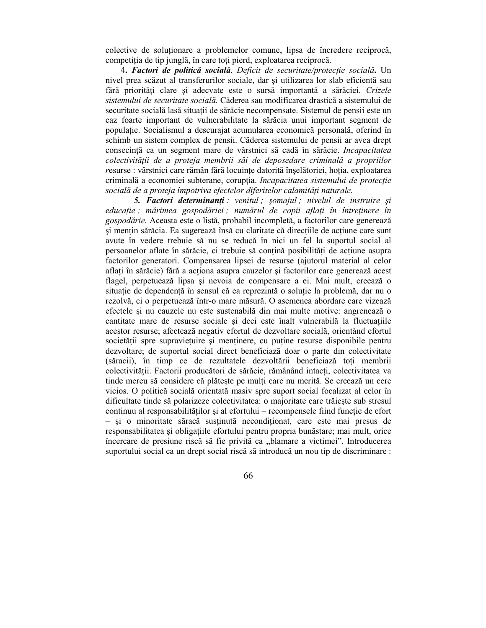colective de solutionare a problemelor comune, lipsa de încredere reciprocă, competiția de tip junglă, în care toți pierd, exploatarea reciprocă.

4. Factori de politică socială. Deficit de securitate/protecție socială. Un nivel prea scăzut al transferurilor sociale, dar şi utilizarea lor slab eficientă sau fără priorități clare și adecvate este o sursă importantă a sărăciei. Crizele *sistemului de securitate socială.* Căderea sau modificarea drastică a sistemului de securitate socială lasă situații de sărăcie necompensate. Sistemul de pensii este un caz foarte important de vulnerabilitate la sărăcia unui important segment de populație. Socialismul a descurajat acumularea economică personală, oferind în schimb un sistem complex de pensii. Căderea sistemului de pensii ar avea drept consecinŃă ca un segment mare de vârstnici să cadă în sărăcie. *Incapacitatea*  colectivității de a proteja membrii săi de deposedare criminală a propriilor resurse : vârstnici care rămân fără locuințe datorită înșelătoriei, hoția, exploatarea criminală a economiei subterane, coruptia. *Incapacitatea sistemului de protectie* socială de a proteja împotriva efectelor diferitelor calamități naturale.

**5. Factori determinanți**: venitul; șomajul; nivelul de instruire și educație ; mărimea gospodăriei ; numărul de copii aflați în întreținere în *gospodărie.* Aceasta este o listă, probabil incompletă, a factorilor care generează și mențin sărăcia. Ea sugerează însă cu claritate că direcțiile de acțiune care sunt avute în vedere trebuie să nu se reducă în nici un fel la suportul social al persoanelor aflate în sărăcie, ci trebuie să contină posibilități de actiune asupra factorilor generatori. Compensarea lipsei de resurse (ajutorul material al celor aflați în sărăcie) fără a acționa asupra cauzelor și factorilor care generează acest flagel, perpetuează lipsa şi nevoia de compensare a ei. Mai mult, creează o situație de dependență în sensul că ea reprezintă o soluție la problemă, dar nu o rezolvă, ci o perpetuează într-o mare măsură. O asemenea abordare care vizează efectele şi nu cauzele nu este sustenabilă din mai multe motive: angrenează o cantitate mare de resurse sociale și deci este înalt vulnerabilă la fluctuațiile acestor resurse; afectează negativ efortul de dezvoltare socială, orientând efortul societății spre supraviețuire și menținere, cu puține resurse disponibile pentru dezvoltare; de suportul social direct beneficiază doar o parte din colectivitate (săracii), în timp ce de rezultatele dezvoltării beneficiază toți membrii colectivității. Factorii producători de sărăcie, rămânând intacți, colectivitatea va tinde mereu să considere că plăteste pe multi care nu merită. Se creează un cerc vicios. O politică socială orientată masiv spre suport social focalizat al celor în dificultate tinde să polarizeze colectivitatea: o majoritate care trăieşte sub stresul continuu al responsabilităților și al efortului – recompensele fiind funcție de efort  $-$  si o minoritate săracă sustinută neconditionat, care este mai presus de responsabilitatea și obligațiile efortului pentru propria bunăstare; mai mult, orice încercare de presiune riscă să fie privită ca "blamare a victimei". Introducerea suportului social ca un drept social riscă să introducă un nou tip de discriminare :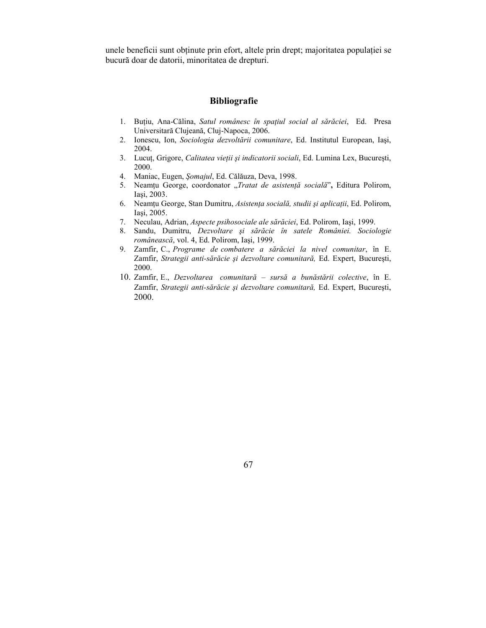unele beneficii sunt obținute prin efort, altele prin drept; majoritatea populației se bucură doar de datorii, minoritatea de drepturi.

### **Bibliografie**

- 1. Buțiu, Ana-Călina, Satul românesc în spațiul social al sărăciei, Ed. Presa Universitară Clujeană, Cluj-Napoca, 2006.
- 2. Ionescu, Ion, *Sociologia dezvoltării comunitare*, Ed. Institutul European, Iaşi, 2004.
- 3. Lucuț, Grigore, Calitatea vieții și indicatorii sociali, Ed. Lumina Lex, București, 2000.
- 4. Maniac, Eugen, *Şomajul*, Ed. Călăuza, Deva, 1998.
- 5. Neamțu George, coordonator "Tratat de asistență socială", Editura Polirom, Iaşi, 2003.
- 6. Neamțu George, Stan Dumitru, Asistența socială, studii și aplicații, Ed. Polirom, Iaşi, 2005.
- 7. Neculau, Adrian, *Aspecte psihosociale ale sărăciei*, Ed. Polirom, Iaşi, 1999.
- 8. Sandu, Dumitru, *Dezvoltare şi sărăcie în satele României. Sociologie românească*, vol. 4, Ed. Polirom, Iaşi, 1999.
- 9. Zamfir, C., *Programe de combatere a sărăciei la nivel comunitar*, în E. Zamfir, *Strategii anti-sărăcie şi dezvoltare comunitară,* Ed. Expert, Bucureşti, 2000.
- 10. Zamfir, E., *Dezvoltarea comunitară sursă a bunăstării colective*, în E. Zamfir, *Strategii anti-sărăcie şi dezvoltare comunitară,* Ed. Expert, Bucureşti, 2000.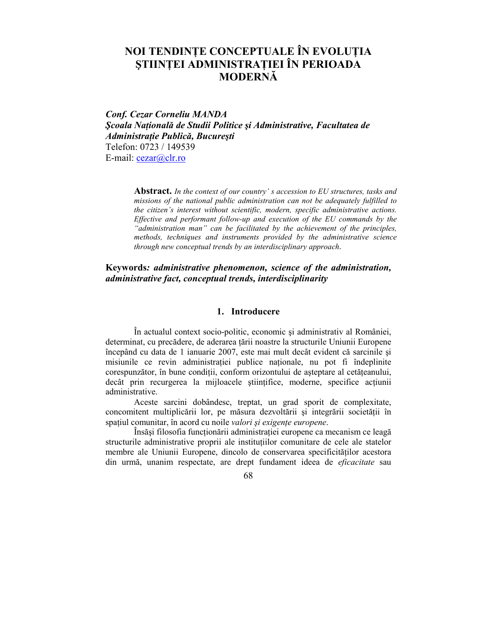# **NOI TENDINłE CONCEPTUALE ÎN EVOLUłIA ŞTIINłEI ADMINISTRAłIEI ÎN PERIOADA MODERNĂ**

*Conf. Cezar Corneliu MANDA Şcoala NaŃională de Studii Politice şi Administrative, Facultatea de AdministraŃie Publică, Bucureşti*  Telefon: 0723 / 149539 E-mail: cezar@clr.ro

> **Abstract.** *In the context of our country' s accession to EU structures, tasks and missions of the national public administration can not be adequately fulfilled to the citizen's interest without scientific, modern, specific administrative actions. Effective and performant follow-up and execution of the EU commands by the "administration man" can be facilitated by the achievement of the principles, methods, techniques and instruments provided by the administrative science through new conceptual trends by an interdisciplinary approach.*

# **Keywords***: administrative phenomenon, science of the administration, administrative fact, conceptual trends, interdisciplinarity*

### **1. Introducere**

În actualul context socio-politic, economic şi administrativ al României, determinat, cu precădere, de aderarea țării noastre la structurile Uniunii Europene începând cu data de 1 ianuarie 2007, este mai mult decât evident că sarcinile şi misiunile ce revin administratiei publice nationale, nu pot fi îndeplinite corespunzător, în bune condiții, conform orizontului de așteptare al cetățeanului, decât prin recurgerea la mijloacele științifice, moderne, specifice acțiunii administrative.

Aceste sarcini dobândesc, treptat, un grad sporit de complexitate, concomitent multiplicării lor, pe măsura dezvoltării și integrării societății în spațiul comunitar, în acord cu noile *valori și exigențe europene*.

Însăși filosofia funcționării administrației europene ca mecanism ce leagă structurile administrative proprii ale institutiilor comunitare de cele ale statelor membre ale Uniunii Europene, dincolo de conservarea specificităților acestora din urmă, unanim respectate, are drept fundament ideea de *eficacitate* sau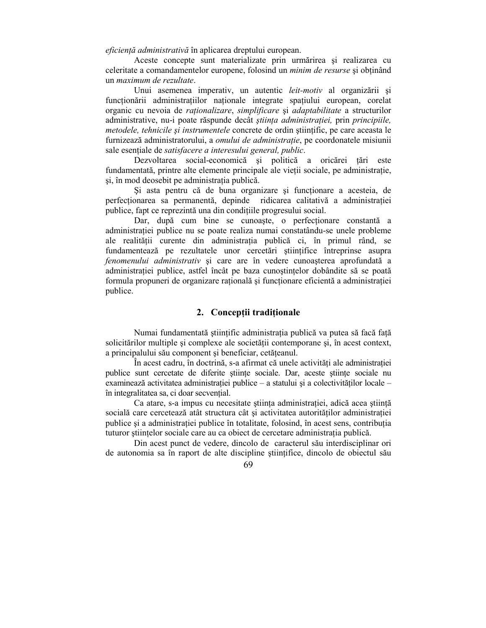eficiență administrativă în aplicarea dreptului european.

Aceste concepte sunt materializate prin urmărirea şi realizarea cu celeritate a comandamentelor europene, folosind un *minim de resurse* și obținând un *maximum de rezultate*.

Unui asemenea imperativ, un autentic *leit-motiv* al organizării şi funcționării administrațiilor naționale integrate spațiului european, corelat organic cu nevoia de *rationalizare*, *simplificare* și *adaptabilitate* a structurilor administrative, nu-i poate răspunde decât *știința administrației*, prin *principiile*, *metodele, tehnicile și instrumentele* concrete de ordin științific, pe care aceasta le furnizează administratorului, a *omului de administrație*, pe coordonatele misiunii sale esentiale de *satisfacere a interesului general, public.* 

Dezvoltarea social-economică și politică a oricărei țări este fundamentată, printre alte elemente principale ale vieții sociale, pe administrație, si, în mod deosebit pe administrația publică.

Si asta pentru că de buna organizare și funcționare a acesteia, de perfecționarea sa permanentă, depinde ridicarea calitativă a administrației publice, fapt ce reprezintă una din condițiile progresului social.

Dar, după cum bine se cunoaște, o perfecționare constantă a administrației publice nu se poate realiza numai constatându-se unele probleme ale realității curente din administrația publică ci, în primul rând, se fundamentează pe rezultatele unor cercetări științifice întreprinse asupra *fenomenului administrativ* şi care are în vedere cunoaşterea aprofundată a administrației publice, astfel încât pe baza cunoștințelor dobândite să se poată formula propuneri de organizare ratională și functionare eficientă a administratiei publice.

### **2.** Conceptii traditionale

Numai fundamentată științific administrația publică va putea să facă față solicitărilor multiple și complexe ale societății contemporane și, în acest context, a principalului său component și beneficiar, cetățeanul.

În acest cadru, în doctrină, s-a afirmat că unele activități ale administratiei publice sunt cercetate de diferite stiinte sociale. Dar, aceste stiinte sociale nu examinează activitatea administrației publice – a statului și a colectivităților locale – în integralitatea sa, ci doar secvențial.

Ca atare, s-a impus cu necesitate știința administrației, adică acea știință socială care cercetează atât structura cât și activitatea autorităților administrației publice și a administrației publice în totalitate, folosind, în acest sens, contribuția tuturor stiintelor sociale care au ca obiect de cercetare administratia publică.

Din acest punct de vedere, dincolo de caracterul său interdisciplinar ori de autonomia sa în raport de alte discipline științifice, dincolo de obiectul său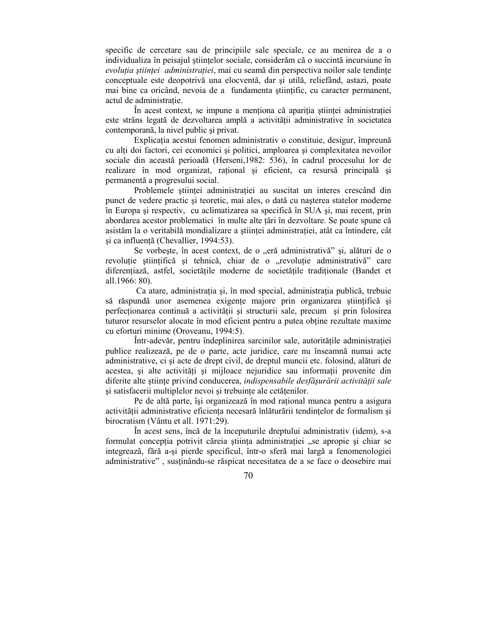specific de cercetare sau de principiile sale speciale, ce au menirea de a o individualiza în peisajul științelor sociale, considerăm că o succintă incursiune în evoluția științei administrației, mai cu seamă din perspectiva noilor sale tendințe conceptuale este deopotrivă una elocventă, dar şi utilă, reliefând, astazi, poate mai bine ca oricând, nevoia de a fundamenta stiintific, cu caracter permanent, actul de administratie.

În acest context, se impune a menționa că apariția științei administrației este strâns legată de dezvoltarea amplă a activității administrative în societatea contemporană, la nivel public şi privat.

Explicația acestui fenomen administrativ o constituie, desigur, împreună cu alti doi factori, cei economici și politici, amploarea și complexitatea nevoilor sociale din această perioadă (Herseni,1982: 536), în cadrul procesului lor de realizare în mod organizat, rațional și eficient, ca resursă principală și permanentă a progresului social.

Problemele științei administrației au suscitat un interes crescând din punct de vedere practic şi teoretic, mai ales, o dată cu naşterea statelor moderne în Europa şi respectiv, cu aclimatizarea sa specifică în SUA şi, mai recent, prin abordarea acestor problematici în multe alte țări în dezvoltare. Se poate spune că asistăm la o veritabilă mondializare a stiintei administratiei, atât ca întindere, cât si ca influentă (Chevallier, 1994:53).

Se vorbește, în acest context, de o "eră administrativă" și, alături de o revoluție științifică și tehnică, chiar de o "revoluție administrativă" care diferențiază, astfel, societățile moderne de societățile tradiționale (Bandet et all.1966: 80).

Ca atare, administrația și, în mod special, administrația publică, trebuie să răspundă unor asemenea exigențe majore prin organizarea științifică și perfectionarea continuă a activității și structurii sale, precum și prin folosirea tuturor resurselor alocate în mod eficient pentru a putea obtine rezultate maxime cu eforturi minime (Oroveanu, 1994:5).

Într-adevăr, pentru îndeplinirea sarcinilor sale, autoritățile administrației publice realizează, pe de o parte, acte juridice, care nu înseamnă numai acte administrative, ci şi acte de drept civil, de dreptul muncii etc. folosind, alături de acestea, și alte activități și mijloace nejuridice sau informații provenite din diferite alte știinte privind conducerea, *indispensabile desfășurării activitătii sale* si satisfacerii multiplelor nevoi și trebuințe ale cetățenilor.

Pe de altă parte, își organizează în mod rațional munca pentru a asigura activității administrative eficiența necesară înlăturării tendințelor de formalism și birocratism (Vântu et all. 1971:29).

În acest sens, încă de la începuturile dreptului administrativ (idem), s-a formulat concepția potrivit căreia știința administrației "se apropie și chiar se integrează, fără a-şi pierde specificul, într-o sferă mai largă a fenomenologiei administrative", susținându-se răspicat necesitatea de a se face o deosebire mai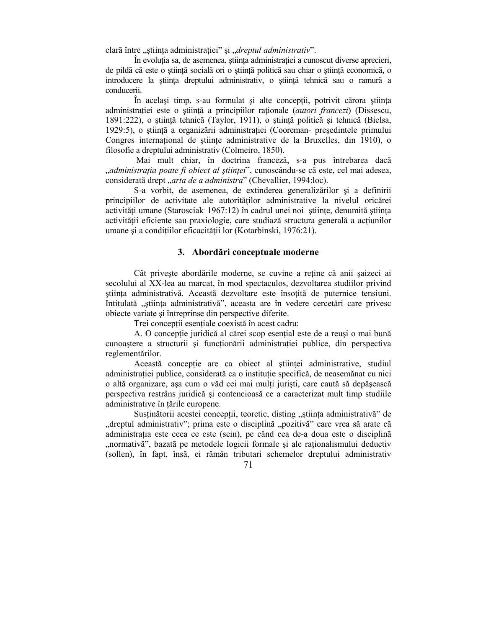clară între "știința administrației" și "*dreptul administrativ*".

În evoluția sa, de asemenea, știința administrației a cunoscut diverse aprecieri, de pildă că este o știință socială ori o știință politică sau chiar o știință economică, o introducere la știința dreptului administrativ, o știință tehnică sau o ramură a conducerii.

În acelasi timp, s-au formulat și alte conceptii, potrivit cărora știința administrației este o știință a principiilor raționale (*autori francezi*) (Dissescu, 1891:222), o știință tehnică (Taylor, 1911), o știință politică și tehnică (Bielsa, 1929:5), o știință a organizării administrației (Cooreman- președintele primului Congres international de stiinte administrative de la Bruxelles, din 1910), o filosofie a dreptului administrativ (Colmeiro, 1850).

 Mai mult chiar, în doctrina franceză, s-a pus întrebarea dacă "administrația poate fi obiect al științei", cunoscându-se că este, cel mai adesea, considerată drept "*arta de a administra*" (Chevallier, 1994:loc).

S-a vorbit, de asemenea, de extinderea generalizărilor şi a definirii principiilor de activitate ale autorităților administrative la nivelul oricărei activități umane (Starosciak<sup>,</sup> 1967:12) în cadrul unei noi științe, denumită știința activității eficiente sau praxiologie, care studiază structura generală a acțiunilor umane și a condițiilor eficacității lor (Kotarbinski, 1976:21).

#### **3. Abordări conceptuale moderne**

Cât priveste abordările moderne, se cuvine a retine că anii saizeci ai secolului al XX-lea au marcat, în mod spectaculos, dezvoltarea studiilor privind stiinta administrativă. Această dezvoltare este însoțită de puternice tensiuni. Intitulată "știința administrativă", aceasta are în vedere cercetări care privesc obiecte variate şi întreprinse din perspective diferite.

Trei conceptii esențiale coexistă în acest cadru:

A. O concepție juridică al cărei scop esențial este de a reuși o mai bună cunoaștere a structurii și funcționării administrației publice, din perspectiva reglementărilor.

Această conceptie are ca obiect al stiintei administrative, studiul administratiei publice, considerată ca o instituție specifică, de neasemănat cu nici o altă organizare, așa cum o văd cei mai mulți juriști, care caută să depășească perspectiva restrâns juridică şi contencioasă ce a caracterizat mult timp studiile administrative în tările europene.

Susținătorii acestei concepții, teoretic, disting "știința administrativă" de "dreptul administrativ"; prima este o disciplină "pozitivă" care vrea să arate că administrația este ceea ce este (sein), pe când cea de-a doua este o disciplină "normativă", bazată pe metodele logicii formale și ale raționalismului deductiv (sollen), în fapt, însă, ei rămân tributari schemelor dreptului administrativ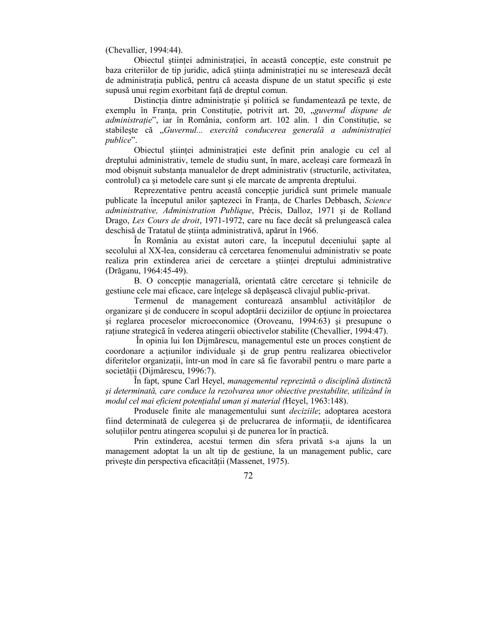(Chevallier, 1994:44).

Obiectul științei administrației, în această concepție, este construit pe baza criteriilor de tip juridic, adică știința administrației nu se interesează decât de administrația publică, pentru că aceasta dispune de un statut specific și este supusă unui regim exorbitant față de dreptul comun.

Distinctia dintre administratie și politică se fundamentează pe texte, de exemplu în Franța, prin Constituție, potrivit art. 20, "guvernul dispune de *administrație*", iar în România, conform art. 102 alin. 1 din Constituție, se stabilește că "Guvernul... exercită conducerea generală a administrației *publice*".

Obiectul stiintei administratiei este definit prin analogie cu cel al dreptului administrativ, temele de studiu sunt, în mare, aceleaşi care formează în mod obișnuit substanța manualelor de drept administrativ (structurile, activitatea, controlul) ca şi metodele care sunt şi ele marcate de amprenta dreptului.

Reprezentative pentru această concepție juridică sunt primele manuale publicate la începutul anilor saptezeci în Franța, de Charles Debbasch, *Science administrative, Administration Publique*, Précis, Dalloz, 1971 şi de Rolland Drago, *Les Cours de droit*, 1971-1972, care nu face decât să prelungească calea deschisă de Tratatul de stiinta administrativă, apărut în 1966.

În România au existat autori care, la începutul deceniului şapte al secolului al XX-lea, considerau că cercetarea fenomenului administrativ se poate realiza prin extinderea ariei de cercetare a științei dreptului administrative (Drăganu, 1964:45-49).

B. O conceptie managerială, orientată către cercetare și tehnicile de gestiune cele mai eficace, care înțelege să depășească clivajul public-privat.

Termenul de management conturează ansamblul activităților de organizare și de conducere în scopul adoptării deciziilor de optiune în proiectarea şi reglarea proceselor microeconomice (Oroveanu, 1994:63) şi presupune o ratiune strategică în vederea atingerii obiectivelor stabilite (Chevallier, 1994:47).

 În opinia lui Ion Dijmărescu, managementul este un proces conştient de coordonare a actiunilor individuale și de grup pentru realizarea obiectivelor diferitelor organizații, într-un mod în care să fie favorabil pentru o mare parte a societății (Dijmărescu, 1996:7).

În fapt, spune Carl Heyel, *managementul reprezintă o disciplină distinctă şi determinată, care conduce la rezolvarea unor obiective prestabilite, utilizând în*  modul cel mai eficient potențialul uman și material (Heyel, 1963:148).

Produsele finite ale managementului sunt *deciziile*; adoptarea acestora fiind determinată de culegerea și de prelucrarea de informații, de identificarea soluțiilor pentru atingerea scopului și de punerea lor în practică.

Prin extinderea, acestui termen din sfera privată s-a ajuns la un management adoptat la un alt tip de gestiune, la un management public, care privește din perspectiva eficacității (Massenet, 1975).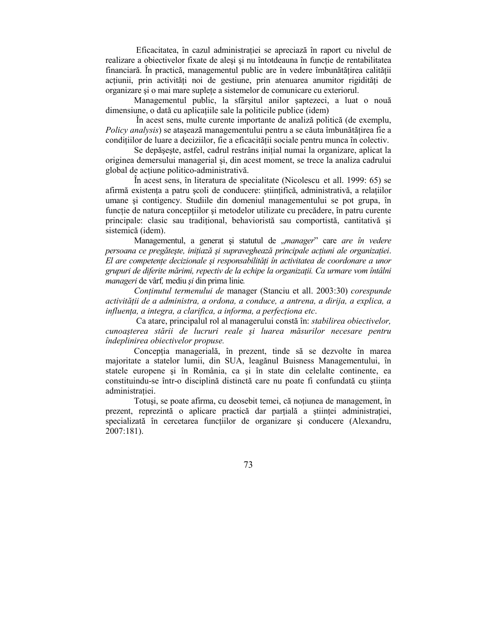Eficacitatea, în cazul administrației se apreciază în raport cu nivelul de realizare a obiectivelor fixate de alesi și nu întotdeauna în funcție de rentabilitatea financiară. În practică, managementul public are în vedere îmbunătățirea calității acțiunii, prin activități noi de gestiune, prin atenuarea anumitor rigidități de organizare si o mai mare suplete a sistemelor de comunicare cu exteriorul.

Managementul public, la sfârşitul anilor şaptezeci, a luat o nouă dimensiune, o dată cu aplicațiile sale la politicile publice (idem)

 În acest sens, multe curente importante de analiză politică (de exemplu, *Policy analysis*) se atașează managementului pentru a se căuta îmbunătățirea fie a condițiilor de luare a deciziilor, fie a eficacității sociale pentru munca în colectiv.

Se depăseste, astfel, cadrul restrâns initial numai la organizare, aplicat la originea demersului managerial şi, din acest moment, se trece la analiza cadrului global de acțiune politico-administrativă.

În acest sens, în literatura de specialitate (Nicolescu et all. 1999: 65) se afirmă existenta a patru scoli de conducere: științifică, administrativă, a relațiilor umane şi contigency. Studiile din domeniul managementului se pot grupa, în funcție de natura concepțiilor și metodelor utilizate cu precădere, în patru curente principale: clasic sau tradițional, behavioristă sau comportistă, cantitativă și sistemică (idem).

Managementul, a generat și statutul de "*manager*" care *are în vedere* persoana ce pregătește, inițiază și supraveghează principale acțiuni ale organizației. El are competente decizionale și responsabilități în activitatea de coordonare a unor grupuri de diferite mărimi, repectiv de la echipe la organizații. Ca urmare vom întâlni *manageri* de vârf*,* mediu *şi* din prima linie*.* 

*Conținutul termenului de manager* (Stanciu et all. 2003:30) *corespunde* activității de a administra, a ordona, a conduce, a antrena, a dirija, a explica, a *influenta, a integra, a clarifica, a informa, a perfectiona etc.* 

 Ca atare, principalul rol al managerului constă în: *stabilirea obiectivelor, cunoaşterea stării de lucruri reale şi luarea măsurilor necesare pentru îndeplinirea obiectivelor propuse.* 

Conceptia managerială, în prezent, tinde să se dezvolte în marea majoritate a statelor lumii, din SUA, leagănul Buisness Managementului, în statele europene şi în România, ca şi în state din celelalte continente, ea constituindu-se într-o disciplină distinctă care nu poate fi confundată cu știința administratiei.

Totuși, se poate afirma, cu deosebit temei, că noțiunea de management, în prezent, reprezintă o aplicare practică dar parțială a științei administrației, specializată în cercetarea funcțiilor de organizare și conducere (Alexandru, 2007:181).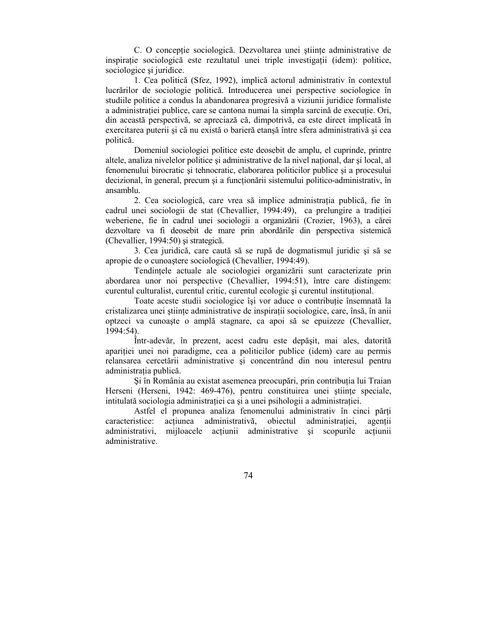C. O conceptie sociologică. Dezvoltarea unei științe administrative de inspirație sociologică este rezultatul unei triple investigații (idem): politice, sociologice şi juridice.

1. Cea politică (Sfez, 1992), implică actorul administrativ în contextul lucrărilor de sociologie politică. Introducerea unei perspective sociologice în studiile politice a condus la abandonarea progresivă a viziunii juridice formaliste a administrației publice, care se cantona numai la simpla sarcină de execuție. Ori, din această perspectivă, se apreciază că, dimpotrivă, ea este direct implicată în exercitarea puterii şi că nu există o barieră etanşă între sfera administrativă şi cea politică.

Domeniul sociologiei politice este deosebit de amplu, el cuprinde, printre altele, analiza nivelelor politice și administrative de la nivel național, dar și local, al fenomenului birocratic şi tehnocratic, elaborarea politicilor publice şi a procesului decizional, în general, precum și a funcționării sistemului politico-administrativ, în ansamblu.

2. Cea sociologică, care vrea să implice administrația publică, fie în cadrul unei sociologii de stat (Chevallier, 1994:49), ca prelungire a tradiției weberiene, fie în cadrul unei sociologii a organizării (Crozier, 1963), a cărei dezvoltare va fi deosebit de mare prin abordările din perspectiva sistemică (Chevallier, 1994:50) şi strategică.

3. Cea juridică, care caută să se rupă de dogmatismul juridic şi să se apropie de o cunoaştere sociologică (Chevallier, 1994:49).

Tendințele actuale ale sociologiei organizării sunt caracterizate prin abordarea unor noi perspective (Chevallier, 1994:51), între care distingem: curentul culturalist, curentul critic, curentul ecologic și curentul instituțional.

Toate aceste studii sociologice își vor aduce o contribuție însemnată la cristalizarea unei știinte administrative de inspiratii sociologice, care, însă, în anii optzeci va cunoaşte o amplă stagnare, ca apoi să se epuizeze (Chevallier, 1994:54).

Într-adevăr, în prezent, acest cadru este depăşit, mai ales, datorită aparitiei unei noi paradigme, cea a politicilor publice (idem) care au permis relansarea cercetării administrative şi concentrând din nou interesul pentru administrația publică.

Si în România au existat asemenea preocupări, prin contributia lui Traian Herseni (Herseni, 1942: 469-476), pentru constituirea unei științe speciale, intitulată sociologia administrației ca și a unei psihologii a administrației.

Astfel el propunea analiza fenomenului administrativ în cinci părti caracteristice: actiunea administrativă, obiectul administratiei, agentii administrativi, mijloacele acțiunii administrative și scopurile acțiunii administrative.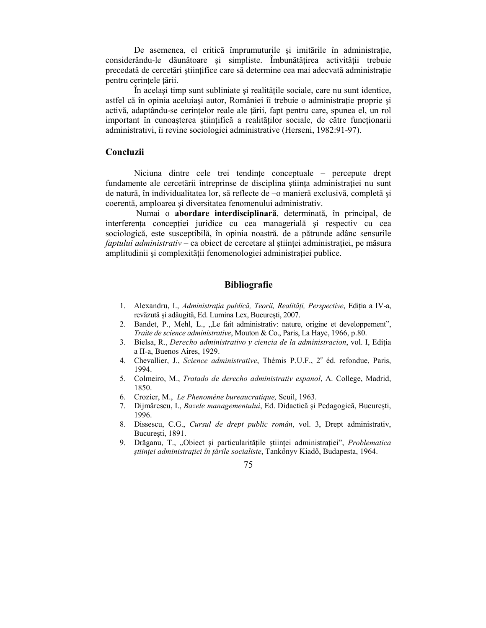De asemenea, el critică împrumuturile și imitările în administrație, considerându-le dăunătoare și simpliste. Îmbunătățirea activității trebuie precedată de cercetări științifice care să determine cea mai adecvată administrație pentru cerintele tării.

În acelasi timp sunt subliniate și realitățile sociale, care nu sunt identice, astfel că în opinia aceluiași autor, României îi trebuie o administratie proprie și activă, adaptându-se cerințelor reale ale țării, fapt pentru care, spunea el, un rol important în cunoașterea științifică a realităților sociale, de către funcționarii administrativi, îi revine sociologiei administrative (Herseni, 1982:91-97).

#### **Concluzii**

Niciuna dintre cele trei tendinte conceptuale – percepute drept fundamente ale cercetării întreprinse de disciplina știința administrației nu sunt de natură, în individualitatea lor, să reflecte de –o manieră exclusivă, completă şi coerentă, amploarea şi diversitatea fenomenului administrativ.

 Numai o **abordare interdisciplinară**, determinată, în principal, de interferența concepției juridice cu cea managerială și respectiv cu cea sociologică, este susceptibilă, în opinia noastră. de a pătrunde adânc sensurile *faptului administrativ* – ca obiect de cercetare al științei administrației, pe măsura amplitudinii și complexității fenomenologiei administrației publice.

### **Bibliografie**

- 1. Alexandru, I., *Administratia publică, Teorii, Realităti, Perspective*, Editia a IV-a, revăzută şi adăugită, Ed. Lumina Lex, Bucureşti, 2007.
- 2. Bandet, P., Mehl, L., "Le fait administrativ: nature, origine et developpement", *Traite de science administrative*, Mouton & Co., Paris, La Haye, 1966, p.80.
- 3. Bielsa, R., *Derecho administrativo y ciencia de la administracion*, vol. I, Ediția a II-a, Buenos Aires, 1929.
- 4. Chevallier, J., Science administrative, Thémis P.U.F., 2<sup>e</sup> éd. refondue, Paris, 1994.
- 5. Colmeiro, M., *Tratado de derecho administrativ espanol*, A. College, Madrid, 1850.
- 6. Crozier, M., *Le Phenomène bureaucratique,* Seuil, 1963.
- 7. Dijmărescu, I., *Bazele managementului*, Ed. Didactică şi Pedagogică, Bucureşti, 1996.
- 8. Dissescu, C.G., *Cursul de drept public român*, vol. 3, Drept administrativ, Bucureşti, 1891.
- 9. Drăganu, T., "Obiect și particularitățile științei administratiei", *Problematica științei administrației în țările socialiste*, Tankőnyv Kiadő, Budapesta, 1964.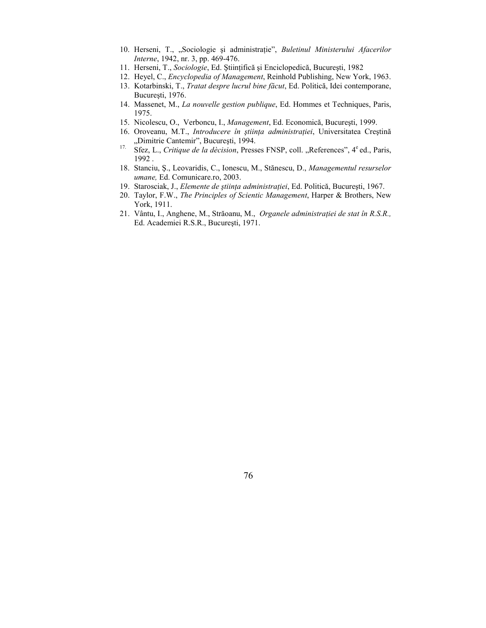- 10. Herseni, T., "Sociologie și administrație", *Buletinul Ministerului Afacerilor Interne*, 1942, nr. 3, pp. 469-476.
- 11. Herseni, T., *Sociologie*, Ed. Științifică și Enciclopedică, București, 1982
- 12. Heyel, C., *Encyclopedia of Management*, Reinhold Publishing, New York, 1963.
- 13. Kotarbinski, T., *Tratat despre lucrul bine făcut*, Ed. Politică, Idei contemporane, Bucureşti, 1976.
- 14. Massenet, M., *La nouvelle gestion publique*, Ed. Hommes et Techniques, Paris, 1975.
- 15. Nicolescu, O., Verboncu, I., *Management*, Ed. Economică, Bucureşti, 1999.
- 16. Oroveanu, M.T., *Introducere în știința administrației*, Universitatea Creștină "Dimitrie Cantemir", București, 1994.
- <sup>17.</sup> Sfez, L., *Critique de la dècision*, Presses FNSP, coll. "References", 4<sup>e</sup> ed., Paris, 1992 .
- 18. Stanciu, Ş., Leovaridis, C., Ionescu, M., Stănescu, D., *Managementul resurselor umane,* Ed. Comunicare.ro, 2003.
- 19. Starosciak, J., *Elemente de știința administrației*, Ed. Politică, București, 1967.
- 20. Taylor, F.W., *The Principles of Scientic Management*, Harper & Brothers, New York, 1911.
- 21. Vântu, I., Anghene, M., Străoanu, M., *Organele administrației de stat în R.S.R.*, Ed. Academiei R.S.R., Bucureşti, 1971.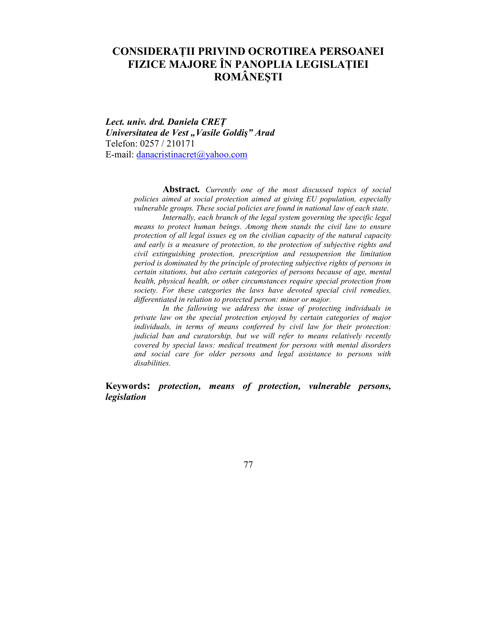# **CONSIDERAłII PRIVIND OCROTIREA PERSOANEI FIZICE MAJORE ÎN PANOPLIA LEGISLAȚIEI ROMÂNEŞTI**

*Lect. univ. drd. Daniela CREł Universitatea de Vest "Vasile Goldis" Arad* Telefon: 0257 / 210171 E-mail: danacristinacret@yahoo.com

> **Abstract***. Currently one of the most discussed topics of social policies aimed at social protection aimed at giving EU population, especially vulnerable groups. These social policies are found in national law of each state.*

> *Internally, each branch of the legal system governing the specific legal means to protect human beings. Among them stands the civil law to ensure protection of all legal issues eg on the civilian capacity of the natural capacity and early is a measure of protection, to the protection of subjective rights and civil extinguishing protection, prescription and resuspension the limitation period is dominated by the principle of protecting subjective rights of persons in certain sitations, but also certain categories of persons because of age, mental health, physical health, or other circumstances require special protection from society. For these categories the laws have devoted special civil remedies, differentiated in relation to protected person: minor or major.*

> *In the fallowing we address the issue of protecting individuals in private law on the special protection enjoyed by certain categories of major individuals, in terms of means conferred by civil law for their protection: judicial ban and curatorship, but we will refer to means relatively recently covered by special laws: medical treatment for persons with mental disorders and social care for older persons and legal assistance to persons with disabilities.*

**Keywords:** *protection, means of protection, vulnerable persons, legislation*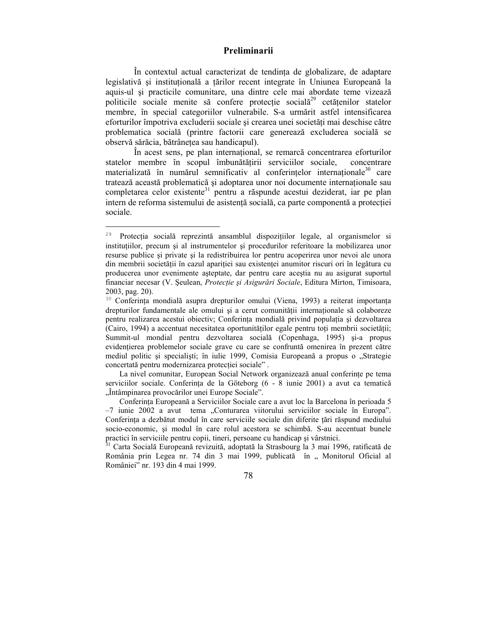#### **Preliminarii**

În contextul actual caracterizat de tendința de globalizare, de adaptare legislativă și instituțională a țărilor recent integrate în Uniunea Europeană la aquis-ul şi practicile comunitare, una dintre cele mai abordate teme vizează politicile sociale menite să confere protectie socială<sup>29</sup> cetătenilor statelor membre, în special categoriilor vulnerabile. S-a urmărit astfel intensificarea eforturilor împotriva excluderii sociale și crearea unei societăți mai deschise către problematica socială (printre factorii care generează excluderea socială se observă sărăcia, bătrânețea sau handicapul).

În acest sens, pe plan internațional, se remarcă concentrarea eforturilor statelor membre în scopul îmbunătătirii serviciilor sociale, concentrare materializată în numărul semnificativ al conferințelor internaționale<sup>30</sup> care tratează această problematică și adoptarea unor noi documente internaționale sau completarea celor existente<sup>31</sup> pentru a răspunde acestui deziderat, iar pe plan intern de reforma sistemului de asistență socială, ca parte componentă a protecției sociale.

La nivel comunitar, European Social Network organizează anual conferințe pe tema serviciilor sociale. Conferința de la Göteborg  $(6 - 8)$  iunie 2001) a avut ca tematică "Întâmpinarea provocărilor unei Europe Sociale".

 $29$ Protecția socială reprezintă ansamblul dispozițiilor legale, al organismelor si instituțiilor, precum și al instrumentelor și procedurilor referitoare la mobilizarea unor resurse publice şi private şi la redistribuirea lor pentru acoperirea unor nevoi ale unora din membrii societății în cazul apariției sau existenței anumitor riscuri ori în legătura cu producerea unor evenimente aşteptate, dar pentru care aceştia nu au asigurat suportul financiar necesar (V. Seulean, *Protecție și Asigurări Sociale*, Editura Mirton, Timisoara, 2003, pag. 20).

<sup>30</sup> Conferința mondială asupra drepturilor omului (Viena, 1993) a reiterat importanța drepturilor fundamentale ale omului și a cerut comunității internaționale să colaboreze pentru realizarea acestui obiectiv; Conferinta mondială privind populația și dezvoltarea (Cairo, 1994) a accentuat necesitatea oportunitătilor egale pentru toti membrii societății; Summit-ul mondial pentru dezvoltarea socială (Copenhaga, 1995) şi-a propus evidentierea problemelor sociale grave cu care se confruntă omenirea în prezent către mediul politic și specialiști; în iulie 1999, Comisia Europeană a propus o "Strategie concertată pentru modernizarea protecției sociale".

Conferința Europeană a Serviciilor Sociale care a avut loc la Barcelona în perioada 5  $-7$  iunie 2002 a avut tema "Conturarea viitorului serviciilor sociale în Europa". Conferința a dezbătut modul în care serviciile sociale din diferite țări răspund mediului socio-economic, şi modul în care rolul acestora se schimbă. S-au accentuat bunele practici în serviciile pentru copii, tineri, persoane cu handicap şi vârstnici.

<sup>31</sup> Carta Socială Europeană revizuită, adoptată la Strasbourg la 3 mai 1996, ratificată de România prin Legea nr. 74 din 3 mai 1999, publicată în "Monitorul Oficial al României" nr. 193 din 4 mai 1999.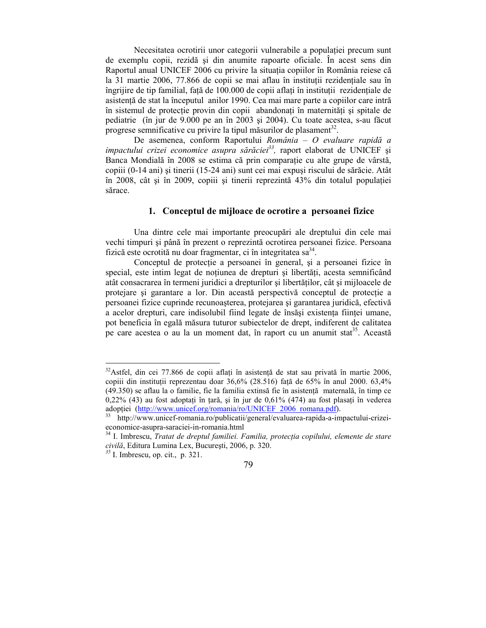Necesitatea ocrotirii unor categorii vulnerabile a populației precum sunt de exemplu copii, rezidă şi din anumite rapoarte oficiale. În acest sens din Raportul anual UNICEF 2006 cu privire la situația copiilor în România reiese că la 31 martie 2006, 77.866 de copii se mai aflau în instituții rezidențiale sau în îngrijire de tip familial, fată de 100.000 de copii aflati în instituții rezidentiale de asistență de stat la începutul anilor 1990. Cea mai mare parte a copiilor care intră în sistemul de protecție provin din copii abandonați în maternități și spitale de pediatrie (în jur de 9.000 pe an în 2003 şi 2004). Cu toate acestea, s-au făcut progrese semnificative cu privire la tipul măsurilor de plasament $^{32}$ .

De asemenea, conform Raportului *România – O evaluare rapidă a impactului crizei economice asupra sărăciei<sup>33</sup> ,* raport elaborat de UNICEF şi Banca Mondială în 2008 se estima că prin comparație cu alte grupe de vârstă, copiii (0-14 ani) şi tinerii (15-24 ani) sunt cei mai expuşi riscului de sărăcie. Atât în 2008, cât și în 2009, copiii și tinerii reprezintă 43% din totalul populației sărace.

## **1. Conceptul de mijloace de ocrotire a persoanei fizice**

Una dintre cele mai importante preocupări ale dreptului din cele mai vechi timpuri şi până în prezent o reprezintă ocrotirea persoanei fizice. Persoana fizică este ocrotită nu doar fragmentar, ci în integritatea sa<sup>34</sup>.

Conceptul de protecție a persoanei în general, și a persoanei fizice în special, este intim legat de notiunea de drepturi și libertăți, acesta semnificând atât consacrarea în termeni juridici a drepturilor și libertăților, cât și mijloacele de protejare și garantare a lor. Din această perspectivă conceptul de protecție a persoanei fizice cuprinde recunoaşterea, protejarea şi garantarea juridică, efectivă a acelor drepturi, care indisolubil fiind legate de însăși existența ființei umane, pot beneficia în egală măsura tuturor subiectelor de drept, indiferent de calitatea pe care acestea o au la un moment dat, în raport cu un anumit stat<sup>35</sup>. Această

 $32$ Astfel, din cei 77.866 de copii aflați în asistență de stat sau privată în martie 2006, copiii din institutii reprezentau doar  $36,6\%$  (28.516) fată de 65% în anul 2000. 63,4%  $(49.350)$  se aflau la o familie, fie la familia extinsă fie în asistentă maternală, în timp ce  $0.22\%$  (43) au fost adoptati în tară, și în jur de  $0.61\%$  (474) au fost plasati în vederea adoptiei (http://www.unicef.org/romania/ro/UNICEF 2006 romana.pdf).

<sup>33</sup> http://www.unicef-romania.ro/publicatii/general/evaluarea-rapida-a-impactului-crizeieconomice-asupra-saraciei-in-romania.html

<sup>&</sup>lt;sup>34</sup> I. Imbrescu, *Tratat de dreptul familiei. Familia, protecția copilului, elemente de stare civilă*, Editura Lumina Lex, Bucureşti, 2006, p. 320.

*<sup>35</sup>* I. Imbrescu, op. cit., p. 321.

<sup>79</sup>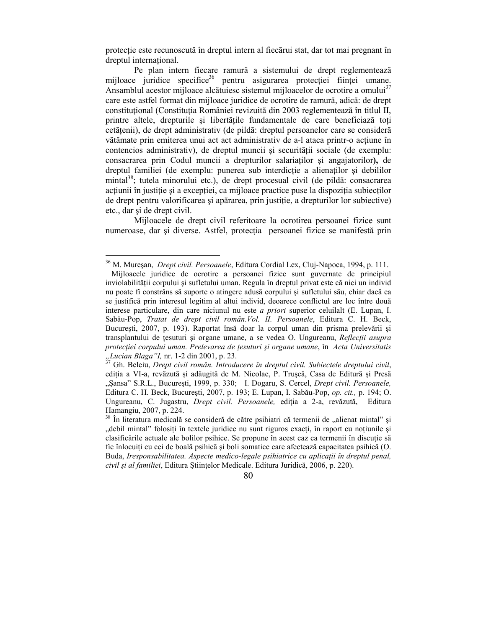protecție este recunoscută în dreptul intern al fiecărui stat, dar tot mai pregnant în dreptul international.

Pe plan intern fiecare ramură a sistemului de drept reglementează mijloace juridice specifice<sup>36</sup> pentru asigurarea protecției ființei umane. Ansamblul acestor mijloace alcătuiesc sistemul mijloacelor de ocrotire a omului $3^{37}$ care este astfel format din mijloace juridice de ocrotire de ramură, adică: de drept constituțional (Constituția României revizuită din 2003 reglementează în titlul II, printre altele, drepturile și libertățile fundamentale de care beneficiază toti cetățenii), de drept administrativ (de pildă: dreptul persoanelor care se consideră vătămate prin emiterea unui act act administrativ de a-l ataca printr-o acțiune în contencios administrativ), de dreptul muncii și securității sociale (de exemplu: consacrarea prin Codul muncii a drepturilor salariaților și angajatorilor), de dreptul familiei (de exemplu: punerea sub interdicție a alienaților și debililor mintal<sup>38</sup>; tutela minorului etc.), de drept procesual civil (de pildă: consacrarea acțiunii în justiție și a excepției, ca mijloace practice puse la dispoziția subiecților de drept pentru valorificarea și apărarea, prin justiție, a drepturilor lor subiective) etc., dar şi de drept civil.

Mijloacele de drept civil referitoare la ocrotirea persoanei fizice sunt numeroase, dar și diverse. Astfel, protecția persoanei fizice se manifestă prin

 $\overline{a}$ 

<sup>36</sup> M. Mureşan, *Drept civil. Persoanele*, Editura Cordial Lex, Cluj-Napoca, 1994, p. 111.

Mijloacele juridice de ocrotire a persoanei fizice sunt guvernate de principiul inviolabilității corpului și sufletului uman. Regula în dreptul privat este că nici un individ nu poate fi constrâns să suporte o atingere adusă corpului şi sufletului său, chiar dacă ea se justifică prin interesul legitim al altui individ, deoarece conflictul are loc între două interese particulare, din care niciunul nu este *a priori* superior celuilalt (E. Lupan, I. Sabău-Pop, *Tratat de drept civil român.Vol. II. Persoanele*, Editura C. H. Beck, Bucureşti, 2007, p. 193). Raportat însă doar la corpul uman din prisma prelevării şi transplantului de tesuturi și organe umane, a se vedea O. Ungureanu, *Reflecții asupra protectiei corpului uman. Prelevarea de tesuturi și organe umane*, în *Acta Universitatis "Lucian Blaga"I,* nr. 1-2 din 2001, p. 23.

<sup>37</sup> Gh. Beleiu, *Drept civil român. Introducere în dreptul civil. Subiectele dreptului civil*, ediția a VI-a, revăzută și adăugită de M. Nicolae, P. Trușcă, Casa de Editură și Presă "Şansa" S.R.L., Bucureşti, 1999, p. 330; I. Dogaru, S. Cercel, *Drept civil. Persoanele,*  Editura C. H. Beck, Bucureşti, 2007, p. 193; E. Lupan, I. Sabău-Pop, *op. cit.,* p. 194; O. Ungureanu, C. Jugastru, *Drept civil. Persoanele*, ediția a 2-a, revăzută, Editura Hamangiu, 2007, p. 224.

 $38$  În literatura medicală se consideră de către psihiatri că termenii de "alienat mintal" și "debil mintal" folositi în textele juridice nu sunt riguros exacti, în raport cu notiunile si clasificările actuale ale bolilor psihice. Se propune în acest caz ca termenii în discuție să fie înlocuiti cu cei de boală psihică și boli somatice care afectează capacitatea psihică (O. Buda, *Iresponsabilitatea. Aspecte medico-legale psihiatrice cu aplicatii în dreptul penal,* civil și al familiei, Editura Științelor Medicale. Editura Juridică, 2006, p. 220).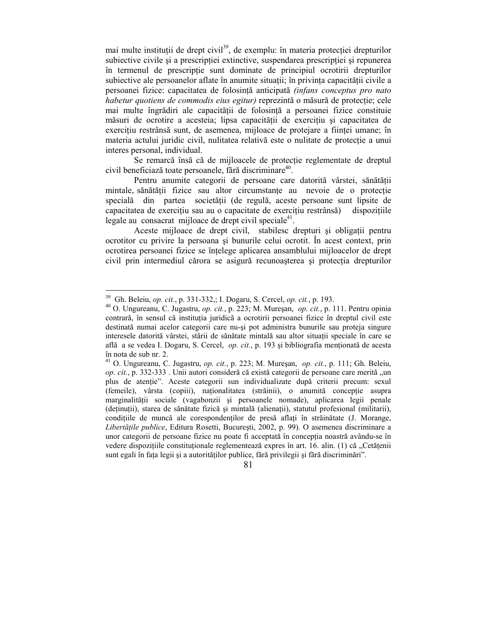mai multe instituții de drept civil $39$ , de exemplu: în materia protecției drepturilor subiective civile și a prescripției extinctive, suspendarea prescripției și repunerea în termenul de prescripție sunt dominate de principiul ocrotirii drepturilor subiective ale persoanelor aflate în anumite situații; în privința capacității civile a persoanei fizice: capacitatea de folosință anticipată *(infans conceptus pro nato habetur quotiens de commodis eius egitur*) reprezintă o măsură de protectie; cele mai multe îngrădiri ale capacității de folosință a persoanei fizice constituie măsuri de ocrotire a acesteia; lipsa capacității de exercițiu și capacitatea de exercițiu restrânsă sunt, de asemenea, mijloace de protejare a ființei umane; în materia actului juridic civil, nulitatea relativă este o nulitate de protecție a unui interes personal, individual.

Se remarcă însă că de mijloacele de protecție reglementate de dreptul civil beneficiază toate persoanele, fără discriminare<sup>40</sup>.

Pentru anumite categorii de persoane care datorită vârstei, sănătății mintale, sănătății fizice sau altor circumstante au nevoie de o protectie specială din partea societății (de regulă, aceste persoane sunt lipsite de capacitatea de exercițiu sau au o capacitate de exercițiu restrânsă) dispozițiile legale au consacrat mijloace de drept civil speciale<sup>41</sup>.

Aceste mijloace de drept civil, stabilesc drepturi și obligații pentru ocrotitor cu privire la persoana şi bunurile celui ocrotit. În acest context, prin ocrotirea persoanei fizice se înțelege aplicarea ansamblului mijloacelor de drept civil prin intermediul cărora se asigură recunoașterea și protecția drepturilor

 $\overline{a}$ 

<sup>39</sup> Gh. Beleiu, *op. cit.*, p. 331-332,; I. Dogaru, S. Cercel, *op. cit.*, p. 193.

<sup>40</sup> O. Ungureanu, C. Jugastru, *op. cit.*, p. 223; M. Mureşan, *op. cit.*, p. 111. Pentru opinia contrară, în sensul că instituția juridică a ocrotirii persoanei fizice în dreptul civil este destinată numai acelor categorii care nu-şi pot administra bunurile sau proteja singure interesele datorită vârstei, stării de sănătate mintală sau altor situații speciale în care se află a se vedea I. Dogaru, S. Cercel, *op. cit.*, p. 193 și bibliografia mentionată de acesta în nota de sub nr. 2.

<sup>41</sup> O. Ungureanu, C. Jugastru, *op. cit.*, p. 223; M. Mureşan, *op. cit.*, p. 111; Gh. Beleiu, *op. cit.*, p. 332-333. Unii autori consideră că există categorii de persoane care merită "un plus de atenție". Aceste categorii sun individualizate după criterii precum: sexul (femeile), vârsta (copiii), naționalitatea (străinii), o anumită concepție asupra marginalității sociale (vagabonzii și persoanele nomade), aplicarea legii penale (detinuții), starea de sănătate fizică și mintală (alienații), statutul profesional (militarii), condițiile de muncă ale corespondenților de presă aflați în străinătate (J. Morange, Libertățile publice, Editura Rosetti, București, 2002, p. 99). O asemenea discriminare a unor categorii de persoane fizice nu poate fi acceptată în concepția noastră avându-se în vedere dispozițiile constituționale reglementează expres în art. 16. alin. (1) că "Cetățenii sunt egali în fața legii și a autorităților publice, fără privilegii și fără discriminări".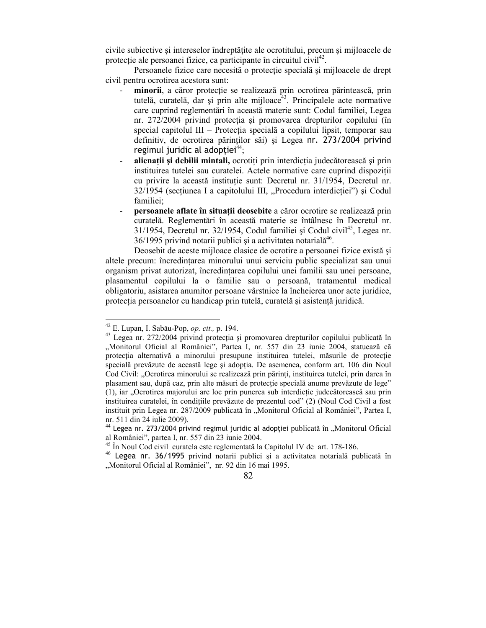civile subiective și intereselor îndreptățite ale ocrotitului, precum și mijloacele de protecție ale persoanei fizice, ca participante în circuitul civil $4^2$ .

Persoanele fizice care necesită o protecție specială și mijloacele de drept civil pentru ocrotirea acestora sunt:

- minorii, a căror protectie se realizează prin ocrotirea părintească, prin tutelă, curatelă, dar și prin alte mijloace $43$ . Principalele acte normative care cuprind reglementări în această materie sunt: Codul familiei, Legea nr. 272/2004 privind protectia și promovarea drepturilor copilului (în special capitolul III – Protecția specială a copilului lipsit, temporar sau definitiv, de ocrotirea părinților săi) și Legea nr. 273/2004 privind regimul juridic al adoptiei $44$ ;
- alienații și debilii mintali, ocrotiți prin interdicția judecătorească și prin instituirea tutelei sau curatelei. Actele normative care cuprind dispoziții cu privire la această institutie sunt: Decretul nr. 31/1954, Decretul nr. 32/1954 (sectiunea I a capitolului III, "Procedura interdictiei") și Codul familiei;
- persoanele aflate în situații deosebite a căror ocrotire se realizează prin curatelă. Reglementări în această materie se întâlnesc în Decretul nr. 31/1954, Decretul nr. 32/1954, Codul familiei și Codul civil<sup>45</sup>, Legea nr.  $36/1995$  privind notarii publici și a activitatea notarială<sup>46</sup>.

Deosebit de aceste mijloace clasice de ocrotire a persoanei fizice există şi altele precum: încredințarea minorului unui serviciu public specializat sau unui organism privat autorizat, încredințarea copilului unei familii sau unei persoane, plasamentul copilului la o familie sau o persoană, tratamentul medical obligatoriu, asistarea anumitor persoane vârstnice la încheierea unor acte juridice, protecția persoanelor cu handicap prin tutelă, curatelă și asistență juridică.

<sup>42</sup> E. Lupan, I. Sabău-Pop, *op. cit.,* p. 194.

 $^{43}$  Legea nr. 272/2004 privind protectia și promovarea drepturilor copilului publicată în "Monitorul Oficial al României", Partea I, nr. 557 din 23 iunie 2004, statuează că protectia alternativă a minorului presupune instituirea tutelei, măsurile de protectie specială prevăzute de această lege și adopția. De asemenea, conform art. 106 din Noul Cod Civil: "Ocrotirea minorului se realizează prin părinți, instituirea tutelei, prin darea în plasament sau, după caz, prin alte măsuri de protectie specială anume prevăzute de lege" (1), iar "Ocrotirea majorului are loc prin punerea sub interdicție judecătorească sau prin instituirea curatelei, în condițiile prevăzute de prezentul cod" (2) (Noul Cod Civil a fost instituit prin Legea nr. 287/2009 publicată în "Monitorul Oficial al României", Partea I, nr. 511 din 24 iulie 2009).

 $44$  Legea nr. 273/2004 privind regimul juridic al adopției publicată în "Monitorul Oficial al României", partea I, nr. 557 din 23 iunie 2004.

<sup>45</sup> În Noul Cod civil curatela este reglementată la Capitolul IV de art. 178-186.

<sup>46</sup> Legea nr. 36/1995 privind notarii publici şi a activitatea notarială publicată în "Monitorul Oficial al României", nr. 92 din 16 mai 1995.

<sup>82</sup>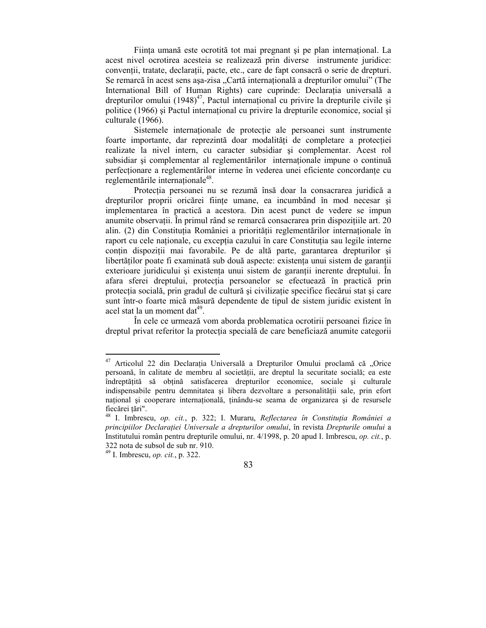Ființa umană este ocrotită tot mai pregnant și pe plan internațional. La acest nivel ocrotirea acesteia se realizează prin diverse instrumente juridice: convenții, tratate, declarații, pacte, etc., care de fapt consacră o serie de drepturi. Se remarcă în acest sens așa-zisa "Cartă internațională a drepturilor omului" (The International Bill of Human Rights) care cuprinde: Declaratia universală a drepturilor omului  $(1948)^{47}$ , Pactul international cu privire la drepturile civile și politice (1966) și Pactul internațional cu privire la drepturile economice, social și culturale (1966).

Sistemele internaționale de protecție ale persoanei sunt instrumente foarte importante, dar reprezintă doar modalităti de completare a protectiei realizate la nivel intern, cu caracter subsidiar şi complementar. Acest rol subsidiar și complementar al reglementărilor internaționale impune o continuă perfecționare a reglementărilor interne în vederea unei eficiente concordanțe cu reglementările internaționale<sup>48</sup>.

Protecția persoanei nu se rezumă însă doar la consacrarea juridică a drepturilor proprii oricărei ființe umane, ea incumbând în mod necesar și implementarea în practică a acestora. Din acest punct de vedere se impun anumite observații. În primul rând se remarcă consacrarea prin dispozițiile art. 20 alin. (2) din Constituția României a priorității reglementărilor internaționale în raport cu cele nationale, cu exceptia cazului în care Constitutia sau legile interne conțin dispoziții mai favorabile. Pe de altă parte, garantarea drepturilor și libertăților poate fi examinată sub două aspecte: existența unui sistem de garanții exterioare juridicului și existența unui sistem de garanții inerente dreptului. În afara sferei dreptului, protecția persoanelor se efectuează în practică prin protecția socială, prin gradul de cultură și civilizație specifice fiecărui stat și care sunt într-o foarte mică măsură dependente de tipul de sistem juridic existent în acel stat la un moment dat<sup>49</sup>.

În cele ce urmează vom aborda problematica ocrotirii persoanei fizice în dreptul privat referitor la protecția specială de care beneficiază anumite categorii

<sup>&</sup>lt;sup>47</sup> Articolul 22 din Declarația Universală a Drepturilor Omului proclamă că "Orice persoană, în calitate de membru al societății, are dreptul la securitate socială; ea este îndreptățită să obțină satisfacerea drepturilor economice, sociale și culturale indispensabile pentru demnitatea și libera dezvoltare a personalității sale, prin efort national și cooperare internațională, ținându-se seama de organizarea și de resursele fiecărei tări".

<sup>&</sup>lt;sup>48</sup> I. Imbrescu, *op. cit.*, p. 322; I. Muraru, *Reflectarea în Constitutia României a principiilor Declarației Universale a drepturilor omului*, în revista *Drepturile omului* a Institutului român pentru drepturile omului, nr. 4/1998, p. 20 apud I. Imbrescu, *op. cit.*, p. 322 nota de subsol de sub nr. 910.

<sup>49</sup> I. Imbrescu, *op. cit.*, p. 322.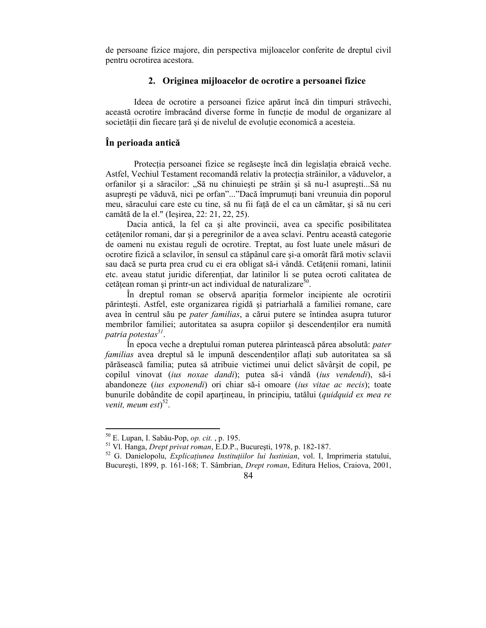de persoane fizice majore, din perspectiva mijloacelor conferite de dreptul civil pentru ocrotirea acestora.

#### **2. Originea mijloacelor de ocrotire a persoanei fizice**

Ideea de ocrotire a persoanei fizice apărut încă din timpuri străvechi, această ocrotire îmbracând diverse forme în funcție de modul de organizare al societății din fiecare țară și de nivelul de evoluție economică a acesteia.

# **În perioada antică**

Protectia persoanei fizice se regăseste încă din legislatia ebraică veche. Astfel, Vechiul Testament recomandă relativ la protectia străinilor, a văduvelor, a orfanilor şi a săracilor: "Să nu chinuieşti pe străin şi să nu-l asupreşti...Să nu asuprești pe văduvă, nici pe orfan"..."Dacă împrumuți bani vreunuia din poporul meu, săracului care este cu tine, să nu fii față de el ca un cămătar, și să nu ceri camătă de la el." (Ieşirea, 22: 21, 22, 25).

Dacia antică, la fel ca şi alte provincii, avea ca specific posibilitatea cetățenilor romani, dar și a peregrinilor de a avea sclavi. Pentru această categorie de oameni nu existau reguli de ocrotire. Treptat, au fost luate unele măsuri de ocrotire fizică a sclavilor, în sensul ca stăpânul care şi-a omorât fără motiv sclavii sau dacă se purta prea crud cu ei era obligat să-i vândă. Cetățenii romani, latinii etc. aveau statut juridic diferențiat, dar latinilor li se putea ocroti calitatea de cetățean roman și printr-un act individual de naturalizare<sup>50</sup>.

În dreptul roman se observă apariția formelor incipiente ale ocrotirii părinteşti. Astfel, este organizarea rigidă şi patriarhală a familiei romane, care avea în centrul său pe *pater familias*, a cărui putere se întindea asupra tuturor membrilor familiei; autoritatea sa asupra copiilor și descendentilor era numită *patria potestas<sup>51</sup>* .

În epoca veche a dreptului roman puterea părintească părea absolută: *pater familias* avea dreptul să le impună descendenților aflați sub autoritatea sa să părăsească familia; putea să atribuie victimei unui delict săvârşit de copil, pe copilul vinovat (*ius noxae dandi*); putea să-i vândă (*ius vendendi*), să-i abandoneze (*ius exponendi*) ori chiar să-i omoare (*ius vitae ac necis*); toate bunurile dobândite de copil aparțineau, în principiu, tatălui (*quidquid ex mea re venit, meum est*) 52 .

<sup>50</sup> E. Lupan, I. Sabău-Pop, *op. cit.* , p. 195.

<sup>51</sup> Vl. Hanga, *Drept privat roman*, E.D.P., Bucureşti, 1978, p. 182-187.

<sup>&</sup>lt;sup>52</sup> G. Danielopolu, *Explicatiunea Institutiilor lui Iustinian*, vol. I, Imprimeria statului, Bucureşti, 1899, p. 161-168; T. Sâmbrian, *Drept roman*, Editura Helios, Craiova, 2001,

<sup>84</sup>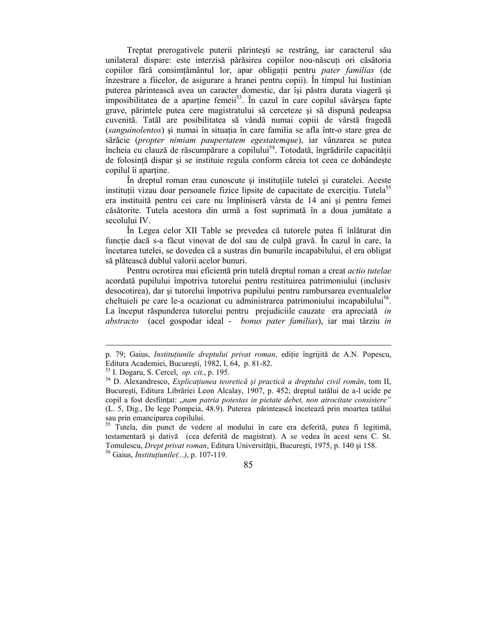Treptat prerogativele puterii părinteşti se restrâng, iar caracterul său unilateral dispare: este interzisă părăsirea copiilor nou-născuți ori căsătoria copiilor fără consimțământul lor, apar obligații pentru *pater familias* (de înzestrare a fiicelor, de asigurare a hranei pentru copii). În timpul lui Iustinian puterea părintească avea un caracter domestic, dar îşi păstra durata viageră şi imposibilitatea de a aparține femeii<sup>53</sup>. În cazul în care copilul săvârșea fapte grave, părintele putea cere magistratului să cerceteze şi să dispună pedeapsa cuvenită. Tatăl are posibilitatea să vândă numai copiii de vârstă fragedă (*sanguinolentos*) și numai în situația în care familia se afla într-o stare grea de sărăcie (*propter nimiam paupertatem egestatemque*), iar vânzarea se putea încheia cu clauză de răscumpărare a copilului<sup>54</sup>. Totodată, îngrădirile capacității de folosință dispar și se instituie regula conform căreia tot ceea ce dobândește copilul îi aparține.

În dreptul roman erau cunoscute și instituțiile tutelei și curatelei. Aceste instituții vizau doar persoanele fizice lipsite de capacitate de exercițiu. Tutela<sup>55</sup> era instituită pentru cei care nu împliniseră vârsta de 14 ani şi pentru femei căsătorite. Tutela acestora din urmă a fost suprimată în a doua jumătate a secolului IV.

În Legea celor XII Table se prevedea că tutorele putea fi înlăturat din functie dacă s-a făcut vinovat de dol sau de culpă gravă. În cazul în care, la încetarea tutelei, se dovedea că a sustras din bunurile incapabilului, el era obligat să plătească dublul valorii acelor bunuri.

Pentru ocrotirea mai eficientă prin tutelă dreptul roman a creat *actio tutelae* acordată pupilului împotriva tutorelui pentru restituirea patrimoniului (inclusiv desocotirea), dar şi tutorelui împotriva pupilului pentru rambursarea eventualelor cheltuieli pe care le-a ocazionat cu administrarea patrimoniului incapabilului<sup>56</sup>. La început răspunderea tutorelui pentru prejudiciile cauzate era apreciată *in abstracto* (acel gospodar ideal - *bonus pater familias*), iar mai târziu *in* 

-

p. 79; Gaius, *Instituțiunile dreptului privat roman*, ediție îngrijită de A.N. Popescu, Editura Academiei, Bucureşti, 1982, I, 64, p. 81-82.

<sup>53</sup> I. Dogaru, S. Cercel, *op. cit.*, p. 195.

<sup>&</sup>lt;sup>54</sup> D. Alexandresco, *Explicațiunea teoretică și practică a dreptului civil român*, tom II, Bucureşti, Editura Librăriei Leon Alcalay, 1907, p. 452; dreptul tatălui de a-l ucide pe copil a fost desfiintat: "*nam patria potestas in pietate debet, non atrocitate consistere*" (L. 5, Dig., De lege Pompeia, 48.9). Puterea părintească încetează prin moartea tatălui sau prin emanciparea copilului.

<sup>55</sup> Tutela, din punct de vedere al modului în care era deferită, putea fi legitimă, testamentară şi dativă (cea deferită de magistrat). A se vedea în acest sens C. St. Tomulescu, *Drept privat roman*, Editura Universității, București, 1975, p. 140 și 158. <sup>56</sup> Gaius, *Instituțiunile*(...), p. 107-119.

<sup>85</sup>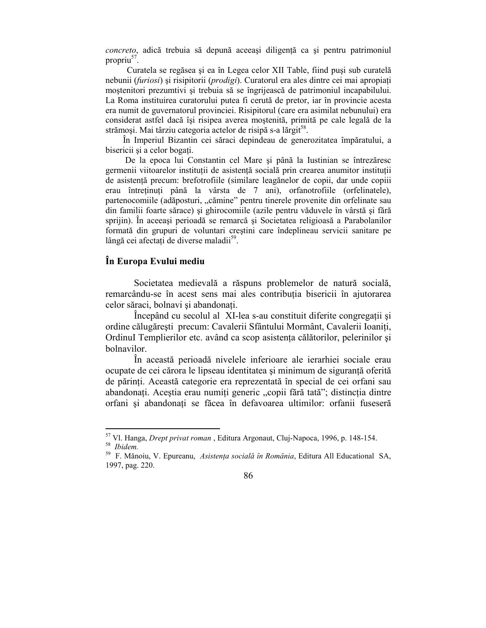*concreto*, adică trebuia să depună aceeași diligentă ca și pentru patrimoniul propriu<sup>57</sup>.

Curatela se regăsea şi ea în Legea celor XII Table, fiind puşi sub curatelă nebunii (*furiosi*) și risipitorii (*prodigi*). Curatorul era ales dintre cei mai apropiați moştenitori prezumtivi şi trebuia să se îngrijească de patrimoniul incapabilului. La Roma instituirea curatorului putea fi cerută de pretor, iar în provincie acesta era numit de guvernatorul provinciei. Risipitorul (care era asimilat nebunului) era considerat astfel dacă îşi risipea averea moştenită, primită pe cale legală de la strămoși. Mai târziu categoria actelor de risipă s-a lărgit<sup>58</sup>.

 În Imperiul Bizantin cei săraci depindeau de generozitatea împăratului, a bisericii și a celor bogati.

 De la epoca lui Constantin cel Mare şi până la Iustinian se întrezăresc germenii viitoarelor instituții de asistență socială prin crearea anumitor instituții de asistentă precum: brefotrofiile (similare leagănelor de copii, dar unde copiii erau întreținuți până la vârsta de 7 ani), orfanotrofiile (orfelinatele), partenocomiile (adăposturi, "cămine" pentru tinerele provenite din orfelinate sau din familii foarte sărace) şi ghirocomiile (azile pentru văduvele în vârstă şi fără sprijin). În aceeaşi perioadă se remarcă şi Societatea religioasă a Parabolanilor formată din grupuri de voluntari creştini care îndeplineau servicii sanitare pe lângă cei afectați de diverse maladii<sup>59</sup>.

#### **În Europa Evului mediu**

 $\overline{a}$ 

Societatea medievală a răspuns problemelor de natură socială, remarcându-se în acest sens mai ales contributia bisericii în ajutorarea celor săraci, bolnavi și abandonați.

Începând cu secolul al XI-lea s-au constituit diferite congregații și ordine călugărești precum: Cavalerii Sfântului Mormânt, Cavalerii Ioaniți, OrdinuI Templierilor etc. având ca scop asistenta călătorilor, pelerinilor și bolnavilor.

În această perioadă nivelele inferioare ale ierarhiei sociale erau ocupate de cei cărora le lipseau identitatea și minimum de siguranță oferită de părinți. Această categorie era reprezentată în special de cei orfani sau abandonați. Aceștia erau numiți generic "copii fără tată"; distincția dintre orfani și abandonati se făcea în defavoarea ultimilor: orfanii fuseseră

<sup>57</sup> Vl. Hanga, *Drept privat roman* , Editura Argonaut, Cluj-Napoca, 1996, p. 148-154. 58 *Ibidem.* 

<sup>&</sup>lt;sup>59</sup> F. Mănoiu, V. Epureanu, Asistența socială în România, Editura All Educational SA, 1997, pag. 220.

<sup>86</sup>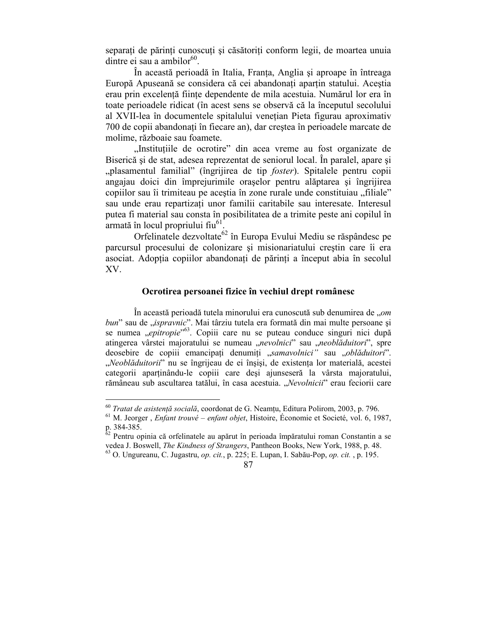separați de părinți cunoscuți și căsătoriți conform legii, de moartea unuia dintre ei sau a ambilor<sup>60</sup>.

În această perioadă în Italia, Franța, Anglia și aproape în întreaga Europă Apuseană se considera că cei abandonați aparțin statului. Aceștia erau prin excelență ființe dependente de mila acestuia. Numărul lor era în toate perioadele ridicat (în acest sens se observă că la începutul secolului al XVII-lea în documentele spitalului venețian Pieta figurau aproximativ 700 de copii abandonați în fiecare an), dar creștea în perioadele marcate de molime, războaie sau foamete.

"Instituțiile de ocrotire" din acea vreme au fost organizate de Biserică şi de stat, adesea reprezentat de seniorul local. În paralel, apare şi "plasamentul familial" (îngrijirea de tip *foster*). Spitalele pentru copii angajau doici din împrejurimile oraşelor pentru alăptarea şi îngrijirea copiilor sau îi trimiteau pe aceștia în zone rurale unde constituiau "filiale" sau unde erau repartizați unor familii caritabile sau interesate. Interesul putea fi material sau consta în posibilitatea de a trimite peste ani copilul în armată în locul propriului fiu<sup>61</sup>.

Orfelinatele dezvoltate<sup>62</sup> în Europa Evului Mediu se răspândesc pe parcursul procesului de colonizare şi misionariatului creştin care îi era asociat. Adopția copiilor abandonați de părinți a început abia în secolul XV.

#### **Ocrotirea persoanei fizice în vechiul drept românesc**

În această perioadă tutela minorului era cunoscută sub denumirea de "*om bun*" sau de "*ispravnic*". Mai târziu tutela era formată din mai multe persoane şi se numea "*epitropie*"<sup>63</sup>. Copiii care nu se puteau conduce singuri nici după atingerea vârstei majoratului se numeau "*nevolnici*" sau "*neoblăduitori*", spre deosebire de copiii emancipați denumiți "samavolnici" sau "oblăduitori". "Neoblăduitorii" nu se îngrijeau de ei înșiși, de existența lor materială, acestei categorii aparținându-le copiii care deși ajunseseră la vârsta majoratului, rămâneau sub ascultarea tatălui, în casa acestuia. "*Nevolnicii*" erau feciorii care

 $\overline{a}$ 

<sup>&</sup>lt;sup>60</sup> *Tratat de asistență socială*, coordonat de G. Neamțu, Editura Polirom, 2003, p. 796.

<sup>61</sup> M. Jeorger , *Enfant trouvé – enfant objet*, Histoire, Économie et Societé, vol. 6, 1987, p. 384-385.

<sup>62</sup> Pentru opinia că orfelinatele au apărut în perioada împăratului roman Constantin a se vedea J. Boswell, *The Kindness of Strangers*, Pantheon Books, New York, 1988, p. 48.

<sup>63</sup> O. Ungureanu, C. Jugastru, *op. cit.*, p. 225; E. Lupan, I. Sabău-Pop, *op. cit.* , p. 195.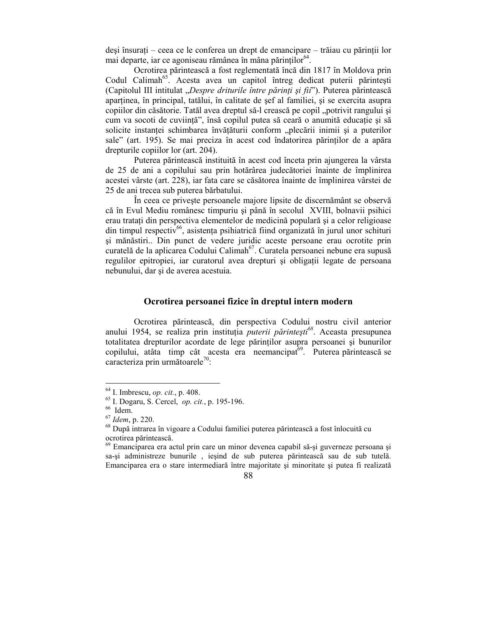desi însurati – ceea ce le conferea un drept de emancipare – trăiau cu părinții lor mai departe, iar ce agoniseau rămânea în mâna părinților<sup>64</sup>.

Ocrotirea părintească a fost reglementată încă din 1817 în Moldova prin Codul Calimah<sup>65</sup>. Acesta avea un capitol întreg dedicat puterii părintești (Capitolul III intitulat *"Despre driturile între părinti și fii*"). Puterea părintească apartinea, în principal, tatălui, în calitate de sef al familiei, și se exercita asupra copiilor din căsătorie. Tatăl avea dreptul să-l crească pe copil "potrivit rangului și cum va socoti de cuviință", însă copilul putea să ceară o anumită educație și să solicite instanței schimbarea învățăturii conform "plecării inimii și a puterilor sale" (art. 195). Se mai preciza în acest cod îndatorirea părinților de a apăra drepturile copiilor lor (art. 204).

Puterea părintească instituită în acest cod înceta prin ajungerea la vârsta de 25 de ani a copilului sau prin hotărârea judecătoriei înainte de împlinirea acestei vârste (art. 228), iar fata care se căsătorea înainte de împlinirea vârstei de 25 de ani trecea sub puterea bărbatului.

În ceea ce priveşte persoanele majore lipsite de discernământ se observă că în Evul Mediu românesc timpuriu şi până în secolul XVIII, bolnavii psihici erau tratați din perspectiva elementelor de medicină populară și a celor religioase din timpul respectiv<sup>66</sup>, asistența psihiatrică fiind organizată în jurul unor schituri şi mănăstiri.. Din punct de vedere juridic aceste persoane erau ocrotite prin curatelă de la aplicarea Codului Calimah<sup>67</sup>. Curatela persoanei nebune era supusă regulilor epitropiei, iar curatorul avea drepturi și obligații legate de persoana nebunului, dar şi de averea acestuia.

#### **Ocrotirea persoanei fizice în dreptul intern modern**

Ocrotirea părintească, din perspectiva Codului nostru civil anterior anului 1954, se realiza prin instituția *puterii părintești<sup>68</sup>*. Aceasta presupunea totalitatea drepturilor acordate de lege părinților asupra persoanei și bunurilor copilului, atâta timp cât acesta era neemancipat<sup> $69$ </sup>. Puterea părintească se caracteriza prin următoarele $^{70}$ :

<sup>64</sup> I. Imbrescu, *op. cit.*, p. 408.

<sup>65</sup> I. Dogaru, S. Cercel, *op. cit.*, p. 195-196.

<sup>66</sup> Idem.

<sup>67</sup> *Idem*, p. 220.

<sup>68</sup> După intrarea în vigoare a Codului familiei puterea părintească a fost înlocuită cu ocrotirea părintească.

<sup>69</sup> Emanciparea era actul prin care un minor devenea capabil să-şi guverneze persoana şi sa-şi administreze bunurile , ieşind de sub puterea părintească sau de sub tutelă. Emanciparea era o stare intermediară între majoritate şi minoritate şi putea fi realizată

<sup>88</sup>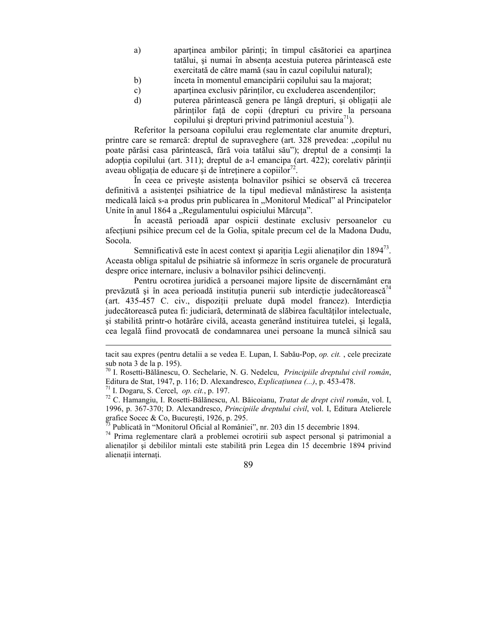- a) aparținea ambilor părinți; în timpul căsătoriei ea aparținea tatălui, și numai în absența acestuia puterea părintească este exercitată de către mamă (sau în cazul copilului natural);
- b) înceta în momentul emancipării copilului sau la majorat;
- c) apartinea exclusiv părintilor, cu excluderea ascendentilor;
- d) puterea părintească genera pe lângă drepturi, și obligații ale părinților față de copii (drepturi cu privire la persoana copilului și drepturi privind patrimoniul acestuia<sup>71</sup>).

Referitor la persoana copilului erau reglementate clar anumite drepturi, printre care se remarcă: dreptul de supraveghere (art. 328 prevedea: "copilul nu poate părăsi casa părintească, fără voia tatălui său"); dreptul de a consimti la adopția copilului (art. 311); dreptul de a-l emancipa (art. 422); corelativ părinții aveau obligația de educare și de întreținere a copiilor<sup>72</sup>.

În ceea ce privește asistența bolnavilor psihici se observă că trecerea definitivă a asistentei psihiatrice de la tipul medieval mănăstiresc la asistenta medicală laică s-a produs prin publicarea în "Monitorul Medical" al Principatelor Unite în anul 1864 a "Regulamentului ospiciului Mărcuța".

În această perioadă apar ospicii destinate exclusiv persoanelor cu afecțiuni psihice precum cel de la Golia, spitale precum cel de la Madona Dudu, Socola.

Semnificativă este în acest context și apariția Legii alienaților din 1894<sup>73</sup>. Aceasta obliga spitalul de psihiatrie să informeze în scris organele de procuratură despre orice internare, inclusiv a bolnavilor psihici delincvenți.

Pentru ocrotirea juridică a persoanei majore lipsite de discernământ era prevăzută și în acea perioadă instituția punerii sub interdicție judecătorească<sup>74</sup> (art. 435-457 C. civ., dispoziții preluate după model francez). Interdicția judecătorească putea fi: judiciară, determinată de slăbirea facultăților intelectuale, şi stabilită printr-o hotărâre civilă, aceasta generând instituirea tutelei, şi legală, cea legală fiind provocată de condamnarea unei persoane la muncă silnică sau

-

tacit sau expres (pentru detalii a se vedea E. Lupan, I. Sabău-Pop, *op. cit.* , cele precizate sub nota 3 de la p. 195).

<sup>70</sup> I. Rosetti-Bălănescu, O. Sechelarie, N. G. Nedelcu, *Principiile dreptului civil român*, Editura de Stat, 1947, p. 116; D. Alexandresco, *Explicațiunea* (...), p. 453-478.

<sup>71</sup> I. Dogaru, S. Cercel, *op. cit.*, p. 197.

<sup>72</sup> C. Hamangiu, I. Rosetti-Bălănescu, Al. Băicoianu, *Tratat de drept civil român*, vol. I, 1996, p. 367-370; D. Alexandresco, *Principiile dreptului civil*, vol. I, Editura Atelierele grafice Socec & Co, Bucureşti, 1926, p. 295.

<sup>73</sup> Publicată în "Monitorul Oficial al României", nr. 203 din 15 decembrie 1894.

<sup>&</sup>lt;sup>74</sup> Prima reglementare clară a problemei ocrotirii sub aspect personal și patrimonial a alienaților și debililor mintali este stabilită prin Legea din 15 decembrie 1894 privind alienații internați.

<sup>89</sup>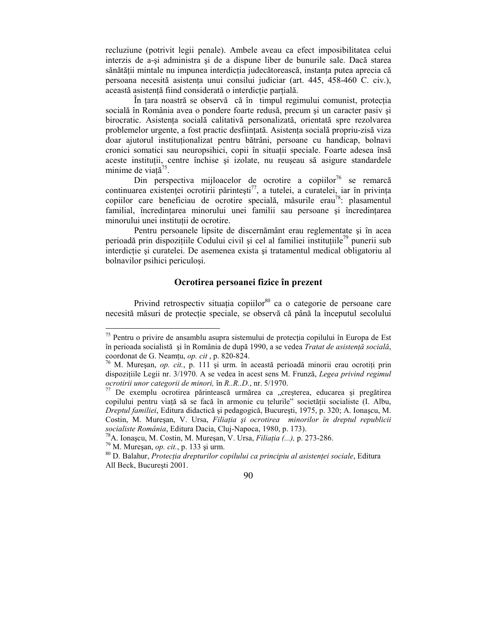recluziune (potrivit legii penale). Ambele aveau ca efect imposibilitatea celui interzis de a-şi administra şi de a dispune liber de bunurile sale. Dacă starea sănătății mintale nu impunea interdicția judecătorească, instanța putea aprecia că persoana necesită asistența unui consilui judiciar (art. 445, 458-460 C. civ.), această asistentă fiind considerată o interdictie partială.

În țara noastră se observă că în timpul regimului comunist, protecția socială în România avea o pondere foarte redusă, precum şi un caracter pasiv şi birocratic. Asistența socială calitativă personalizată, orientată spre rezolvarea problemelor urgente, a fost practic desființată. Asistența socială propriu-zisă viza doar ajutorul instituționalizat pentru bătrâni, persoane cu handicap, bolnavi cronici somatici sau neuropsihici, copii în situatii speciale. Foarte adesea însă aceste instituții, centre închise și izolate, nu reușeau să asigure standardele minime de viață<sup>75</sup>.

Din perspectiva mijloacelor de ocrotire a copiilor<sup>76</sup> se remarcă continuarea existenței ocrotirii părintești<sup>77</sup>, a tutelei, a curatelei, iar în privința copiilor care beneficiau de ocrotire specială, măsurile erau<sup>78</sup>: plasamentul familial, încredințarea minorului unei familii sau persoane și încredințarea minorului unei instituții de ocrotire.

Pentru persoanele lipsite de discernământ erau reglementate şi în acea perioadă prin dispozițiile Codului civil și cel al familiei instituțiile<sup>79</sup> punerii sub interdicție și curatelei. De asemenea exista și tratamentul medical obligatoriu al bolnavilor psihici periculoşi.

### **Ocrotirea persoanei fizice în prezent**

Privind retrospectiv situația copiilor<sup>80</sup> ca o categorie de persoane care necesită măsuri de protecție speciale, se observă că până la începutul secolului

<sup>&</sup>lt;sup>75</sup> Pentru o privire de ansamblu asupra sistemului de protecția copilului în Europa de Est în perioada socialistă şi în România de după 1990, a se vedea *Tratat de asistenŃă socială*, coordonat de G. Neamțu, op. cit, p. 820-824.

<sup>&</sup>lt;sup>76</sup> M. Mureșan, *op. cit.*, p. 111 și urm. în această perioadă minorii erau ocrotiți prin dispozițiile Legii nr. 3/1970. A se vedea în acest sens M. Frunză, *Legea privind regimul ocrotirii unor categorii de minori,* în *R..R..D.*, nr. 5/1970.

 $77$  De exemplu ocrotirea părintească urmărea ca "creșterea, educarea și pregătirea copilului pentru viață să se facă în armonie cu țelurile" societății socialiste (I. Albu, *Dreptul familiei*, Editura didactică şi pedagogică, Bucureşti, 1975, p. 320; A. Ionaşcu, M. Costin, M. Mureșan, V. Ursa, *Filiația și ocrotirea minorilor în dreptul republicii socialiste România*, Editura Dacia, Cluj-Napoca, 1980, p. 173).

<sup>&</sup>lt;sup>78</sup>A. Ionașcu, M. Costin, M. Mureșan, V. Ursa, *Filiația (...)*, p. 273-286.

<sup>79</sup> M. Mureşan, *op. cit.*, p. 133 şi urm.

<sup>&</sup>lt;sup>80</sup> D. Balahur, *Protectia drepturilor copilului ca principiu al asistenței sociale*, Editura All Beck, Bucureşti 2001.

<sup>90</sup>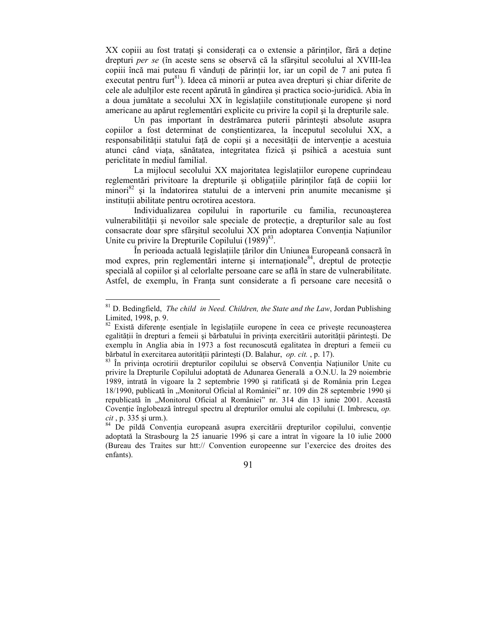XX copiii au fost tratați și considerați ca o extensie a părinților, fără a deține drepturi *per se* (în aceste sens se observă că la sfârşitul secolului al XVIII-lea copiii încă mai puteau fi vânduți de părinții lor, iar un copil de 7 ani putea fi executat pentru furt<sup>81</sup>). Ideea că minorii ar putea avea drepturi și chiar diferite de cele ale adultilor este recent apărută în gândirea și practica socio-juridică. Abia în a doua jumătate a secolului XX în legislatiile constitutionale europene și nord americane au apărut reglementări explicite cu privire la copil şi la drepturile sale.

Un pas important în destrămarea puterii părinteşti absolute asupra copiilor a fost determinat de conştientizarea, la începutul secolului XX, a responsabilității statului față de copii și a necesității de intervenție a acestuia atunci când viata, sănătatea, integritatea fizică și psihică a acestuia sunt periclitate în mediul familial.

La mijlocul secolului XX majoritatea legislațiilor europene cuprindeau reglementări privitoare la drepturile și obligațiile părinților față de copiii lor minori $82$  si la îndatorirea statului de a interveni prin anumite mecanisme si instituții abilitate pentru ocrotirea acestora.

Individualizarea copilului în raporturile cu familia, recunoaşterea vulnerabilității și nevoilor sale speciale de protecție, a drepturilor sale au fost consacrate doar spre sfârșitul secolului XX prin adoptarea Convenția Națiunilor Unite cu privire la Drepturile Copilului  $(1989)^{83}$ .

În perioada actuală legislațiile țărilor din Uniunea Europeană consacră în mod expres, prin reglementări interne și internaționale<sup>84</sup>, dreptul de protecție specială al copiilor şi al celorlalte persoane care se află în stare de vulnerabilitate. Astfel, de exemplu, în Franta sunt considerate a fi persoane care necesită o

 $\overline{a}$ 

<sup>81</sup> D. Bedingfield, *The child in Need. Children, the State and the Law*, Jordan Publishing Limited, 1998, p. 9.

 $82$  Există diferente esențiale în legislațiile europene în ceea ce privește recunoașterea egalității în drepturi a femeii și bărbatului în privința exercitării autorității părintești. De exemplu în Anglia abia în 1973 a fost recunoscută egalitatea în drepturi a femeii cu bărbatul în exercitarea autorității părintești (D. Balahur, *op. cit.*, p. 17).

<sup>83</sup> În privința ocrotirii drepturilor copilului se observă Convenția Națiunilor Unite cu privire la Drepturile Copilului adoptată de Adunarea Generală a O.N.U. la 29 noiembrie 1989, intrată în vigoare la 2 septembrie 1990 şi ratificată şi de România prin Legea 18/1990, publicată în "Monitorul Oficial al României" nr. 109 din 28 septembrie 1990 și republicată în "Monitorul Oficial al României" nr. 314 din 13 iunie 2001. Această Coventie înglobează întregul spectru al drepturilor omului ale copilului (I. Imbrescu, *op. cit* , p. 335 şi urm.).

<sup>84</sup> De pildă Convenția europeană asupra exercitării drepturilor copilului, convenție adoptată la Strasbourg la 25 ianuarie 1996 şi care a intrat în vigoare la 10 iulie 2000 (Bureau des Traites sur htt:// Convention europeenne sur l'exercice des droites des enfants).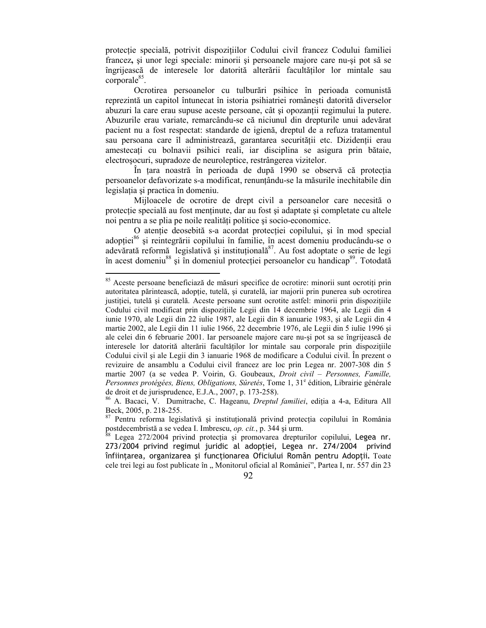protectie specială, potrivit dispozițiilor Codului civil francez Codului familiei francez**,** şi unor legi speciale: minorii şi persoanele majore care nu-şi pot să se îngrijească de interesele lor datorită alterării facultăților lor mintale sau corporale<sup>85</sup>.

Ocrotirea persoanelor cu tulburări psihice în perioada comunistă reprezintă un capitol întunecat în istoria psihiatriei româneşti datorită diverselor abuzuri la care erau supuse aceste persoane, cât și opozanții regimului la putere. Abuzurile erau variate, remarcându-se că niciunul din drepturile unui adevărat pacient nu a fost respectat: standarde de igienă, dreptul de a refuza tratamentul sau persoana care îl administrează, garantarea securității etc. Dizidentii erau amestecati cu bolnavii psihici reali, iar disciplina se asigura prin bătaie, electroşocuri, supradoze de neuroleptice, restrângerea vizitelor.

În țara noastră în perioada de după 1990 se observă că protecția persoanelor defavorizate s-a modificat, renuntându-se la măsurile inechitabile din legislația și practica în domeniu.

Mijloacele de ocrotire de drept civil a persoanelor care necesită o protecție specială au fost menținute, dar au fost și adaptate și completate cu altele noi pentru a se plia pe noile realități politice și socio-economice.

O atenție deosebită s-a acordat protecției copilului, și în mod special adoptiei<sup>86</sup> și reintegrării copilului în familie, în acest domeniu producându-se o adevărată reformă legislativă și instituțională $87$ . Au fost adoptate o serie de legi în acest domeniu<sup>88</sup> și în domeniul protecției persoanelor cu handicap<sup>89</sup>. Totodată

 $\overline{a}$ 

<sup>85</sup> Aceste persoane beneficiază de măsuri specifice de ocrotire: minorii sunt ocrotiți prin autoritatea părintească, adopție, tutelă, și curatelă, iar majorii prin punerea sub ocrotirea justiției, tutelă și curatelă. Aceste persoane sunt ocrotite astfel: minorii prin dispozițiile Codului civil modificat prin dispozițiile Legii din 14 decembrie 1964, ale Legii din 4 iunie 1970, ale Legii din 22 iulie 1987, ale Legii din 8 ianuarie 1983, şi ale Legii din 4 martie 2002, ale Legii din 11 iulie 1966, 22 decembrie 1976, ale Legii din 5 iulie 1996 şi ale celei din 6 februarie 2001. Iar persoanele majore care nu-şi pot sa se îngrijească de interesele lor datorită alterării facultăților lor mintale sau corporale prin dispozițiile Codului civil şi ale Legii din 3 ianuarie 1968 de modificare a Codului civil. În prezent o revizuire de ansamblu a Codului civil francez are loc prin Legea nr. 2007-308 din 5 martie 2007 (a se vedea P. Voirin, G. Goubeaux, *Droit civil – Personnes, Famille,*  Personnes protégées, Biens, Obligations, Sûretés, Tome 1, 31<sup>e</sup> édition, Librairie générale de droit et de jurisprudence, E.J.A., 2007, p. 173-258).

<sup>&</sup>lt;sup>86</sup> A. Bacaci, V. Dumitrache, C. Hageanu, *Dreptul familiei*, ediția a 4-a, Editura All Beck, 2005, p. 218-255.

<sup>87</sup> Pentru reforma legislativă și instituțională privind protecția copilului în România postdecembristă a se vedea I. Imbrescu, *op. cit.*, p. 344 şi urm.

Legea 272/2004 privind protecția și promovarea drepturilor copilului, Legea nr. 273/2004 privind regimul juridic al adopției, Legea nr. 274/2004 privind înfiinŃarea, organizarea şi funcŃionarea Oficiului Român pentru AdopŃii**.** Toate cele trei legi au fost publicate în " Monitorul oficial al României", Partea I, nr. 557 din 23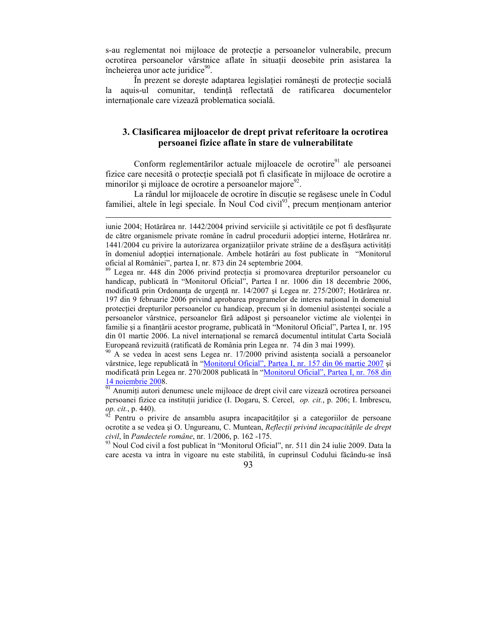s-au reglementat noi mijloace de protectie a persoanelor vulnerabile, precum ocrotirea persoanelor vârstnice aflate în situații deosebite prin asistarea la încheierea unor acte juridice<sup>90</sup>.

În prezent se dorește adaptarea legislației românești de protecție socială la aquis-ul comunitar, tendintă reflectată de ratificarea documentelor internationale care vizează problematica socială.

## **3. Clasificarea mijloacelor de drept privat referitoare la ocrotirea persoanei fizice aflate în stare de vulnerabilitate**

Conform reglementărilor actuale mijloacele de ocrotire<sup>91</sup> ale persoanei fizice care necesită o protectie specială pot fi clasificate în mijloace de ocrotire a minorilor și mijloace de ocrotire a persoanelor majore<sup>92</sup>.

La rândul lor mijloacele de ocrotire în discuție se regăsesc unele în Codul familiei, altele în legi speciale. În Noul Cod civil<sup>93</sup>, precum menționam anterior

-

 $90$  A se vedea în acest sens Legea nr. 17/2000 privind asistența socială a persoanelor vârstnice, lege republicată în "Monitorul Oficial", Partea I, nr. 157 din 06 martie 2007 și modificată prin Legea nr. 270/2008 publicată în "Monitorul Oficial", Partea I, nr. 768 din 14 noiembrie 2008.

<sup>91</sup> Anumiți autori denumesc unele mijloace de drept civil care vizează ocrotirea persoanei persoanei fizice ca institutii juridice (I. Dogaru, S. Cercel, *op. cit.*, p. 206; I. Imbrescu, *op. cit.*, p. 440).

Pentru o privire de ansamblu asupra incapacităților și a categoriilor de persoane ocrotite a se vedea și O. Ungureanu, C. Muntean, *Reflecții privind incapacitățile de drept civil*, în *Pandectele române*, nr. 1/2006, p. 162 -175.

93 Noul Cod civil a fost publicat în "Monitorul Oficial", nr. 511 din 24 iulie 2009. Data la care acesta va intra în vigoare nu este stabilită, în cuprinsul Codului făcându-se însă

iunie 2004; Hotărârea nr. 1442/2004 privind serviciile și activitătile ce pot fi desfășurate de către organismele private române în cadrul procedurii adopției interne, Hotărârea nr.  $1441/2004$  cu privire la autorizarea organizațiilor private străine de a desfășura activități în domeniul adoptiei internationale. Ambele hotărâri au fost publicate în "Monitorul oficial al României", partea I, nr. 873 din 24 septembrie 2004.

<sup>&</sup>lt;sup>89</sup> Legea nr. 448 din 2006 privind protecția si promovarea drepturilor persoanelor cu handicap, publicată în "Monitorul Oficial", Partea I nr. 1006 din 18 decembrie 2006, modificată prin Ordonanța de urgență nr. 14/2007 și Legea nr. 275/2007; Hotărârea nr. 197 din 9 februarie 2006 privind aprobarea programelor de interes national în domeniul protecției drepturilor persoanelor cu handicap, precum și în domeniul asistenței sociale a persoanelor vârstnice, persoanelor fără adăpost și persoanelor victime ale violenței în familie și a finanțării acestor programe, publicată în "Monitorul Oficial", Partea I, nr. 195 din 01 martie 2006. La nivel internațional se remarcă documentul intitulat Carta Socială Europeană revizuită (ratificată de România prin Legea nr. 74 din 3 mai 1999).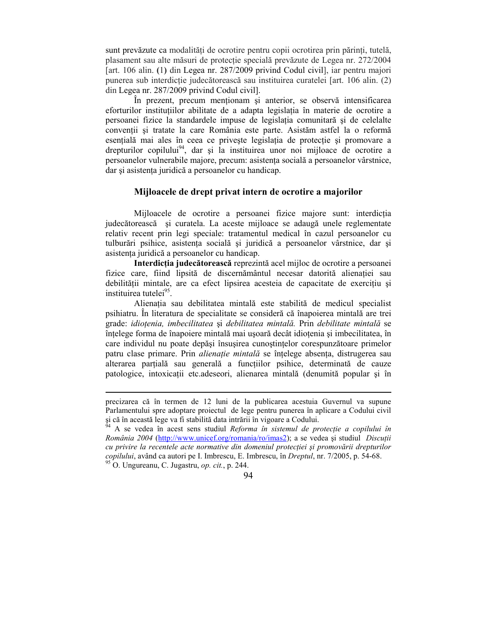sunt prevăzute ca modalități de ocrotire pentru copii ocrotirea prin părinți, tutelă, plasament sau alte măsuri de protectie specială prevăzute de Legea nr. 272/2004 [art. 106 alin. **(**1**)** din Legea nr. 287/2009 privind Codul civil], iar pentru majori punerea sub interdicție judecătorească sau instituirea curatelei [art. 106 alin. (2) din Legea nr. 287/2009 privind Codul civil].

În prezent, precum menționam și anterior, se observă intensificarea eforturilor instituțiilor abilitate de a adapta legislația în materie de ocrotire a persoanei fizice la standardele impuse de legislatia comunitară și de celelalte convenții și tratate la care România este parte. Asistăm astfel la o reformă esentială mai ales în ceea ce priveste legislatia de protectie și promovare a drepturilor copilului<sup>94</sup>, dar și la instituirea unor noi mijloace de ocrotire a persoanelor vulnerabile majore, precum: asistența socială a persoanelor vârstnice, dar și asistența juridică a persoanelor cu handicap.

#### **Mijloacele de drept privat intern de ocrotire a majorilor**

Mijloacele de ocrotire a persoanei fizice majore sunt: interdicția judecătorească şi curatela. La aceste mijloace se adaugă unele reglementate relativ recent prin legi speciale: tratamentul medical în cazul persoanelor cu tulburări psihice, asistenta socială și juridică a persoanelor vârstnice, dar și asistența juridică a persoanelor cu handicap.

Interdictia judecătorească reprezintă acel mijloc de ocrotire a persoanei fizice care, fiind lipsită de discernământul necesar datorită alienatiei sau debilității mintale, are ca efect lipsirea acesteia de capacitate de exercițiu și instituirea tutelei<sup>95</sup>.

Alienația sau debilitatea mintală este stabilită de medicul specialist psihiatru. În literatura de specialitate se consideră că înapoierea mintală are trei grade: *idioțenia, imbecilitatea* și *debilitatea mintală*. Prin *debilitate mintală* se înțelege forma de înapoiere mintală mai ușoară decât idioțenia și imbecilitatea, în care individul nu poate depăși însușirea cunoștințelor corespunzătoare primelor patru clase primare. Prin *alienație mintală* se înțelege absența, distrugerea sau alterarea partială sau generală a functiilor psihice, determinată de cauze patologice, intoxicatii etc.adeseori, alienarea mintală (denumită popular și în

-

precizarea că în termen de 12 luni de la publicarea acestuia Guvernul va supune Parlamentului spre adoptare proiectul de lege pentru punerea în aplicare a Codului civil şi că în această lege va fi stabilită data intrării în vigoare a Codului.

A se vedea în acest sens studiul *Reforma în sistemul de protectie a copilului în România* 2004 (http://www.unicef.org/romania/ro/imas2); a se vedea și studiul *Discutii* cu privire la recentele acte normative din domeniul protecției și promovării drepturilor *copilului*, având ca autori pe I. Imbrescu, E. Imbrescu, în *Dreptul*, nr. 7/2005, p. 54-68. <sup>95</sup> O. Ungureanu, C. Jugastru, *op. cit.*, p. 244.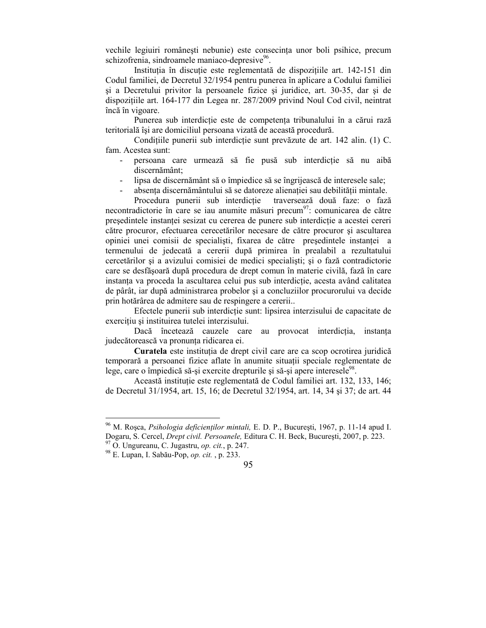vechile legiuiri românești nebunie) este consecința unor boli psihice, precum schizofrenia, sindroamele maniaco-depresive<sup>96</sup>.

Instituția în discuție este reglementată de dispozițiile art. 142-151 din Codul familiei, de Decretul 32/1954 pentru punerea în aplicare a Codului familiei şi a Decretului privitor la persoanele fizice şi juridice, art. 30-35, dar şi de dispozițiile art. 164-177 din Legea nr. 287/2009 privind Noul Cod civil, neintrat încă în vigoare.

Punerea sub interdicție este de competența tribunalului în a cărui rază teritorială îşi are domiciliul persoana vizată de această procedură.

Condițiile punerii sub interdicție sunt prevăzute de art. 142 alin. (1) C. fam. Acestea sunt:

- persoana care urmează să fie pusă sub interdictie să nu aibă discernământ;
- lipsa de discernământ să o împiedice să se îngrijească de interesele sale;
- absența discernământului să se datoreze alienației sau debilității mintale.

Procedura punerii sub interdicție traversează două faze: o fază necontradictorie în care se iau anumite măsuri precum<sup>97</sup>: comunicarea de către președintele instanței sesizat cu cererea de punere sub interdicție a acestei cereri către procuror, efectuarea cerecetărilor necesare de către procuror şi ascultarea opiniei unei comisii de specialisti, fixarea de către presedintele instantei a termenului de jedecată a cererii după primirea în prealabil a rezultatului cercetărilor şi a avizului comisiei de medici specialişti; şi o fază contradictorie care se desfăşoară după procedura de drept comun în materie civilă, fază în care instanța va proceda la ascultarea celui pus sub interdictie, acesta având calitatea de pârât, iar după administrarea probelor şi a concluziilor procurorului va decide prin hotărârea de admitere sau de respingere a cererii..

Efectele punerii sub interdictie sunt: lipsirea interzisului de capacitate de exercitiu și instituirea tutelei interzisului.

Dacă încetează cauzele care au provocat interdicția, instanța judecătorească va pronunța ridicarea ei.

Curatela este instituția de drept civil care are ca scop ocrotirea juridică temporară a persoanei fizice aflate în anumite situații speciale reglementate de lege, care o împiedică să-și exercite drepturile și să-și apere interesele<sup>98</sup>.

Această institutie este reglementată de Codul familiei art. 132, 133, 146; de Decretul 31/1954, art. 15, 16; de Decretul 32/1954, art. 14, 34 şi 37; de art. 44

<sup>&</sup>lt;sup>96</sup> M. Roșca, *Psihologia deficienților mintali*, E. D. P., București, 1967, p. 11-14 apud I. Dogaru, S. Cercel, *Drept civil. Persoanele,* Editura C. H. Beck, Bucureşti, 2007, p. 223.

<sup>97</sup> O. Ungureanu, C. Jugastru, *op. cit.*, p. 247.

<sup>98</sup> E. Lupan, I. Sabău-Pop, *op. cit.* , p. 233.

<sup>95</sup>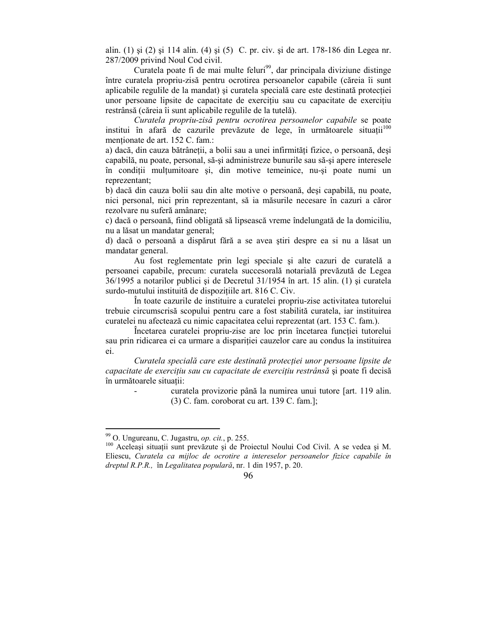alin. (1) şi (2) şi 114 alin. (4) şi (5) C. pr. civ. şi de art. 178-186 din Legea nr. 287/2009 privind Noul Cod civil.

 $C$ uratela poate fi de mai multe feluri<sup>99</sup>, dar principala diviziune distinge între curatela propriu-zisă pentru ocrotirea persoanelor capabile (căreia îi sunt aplicabile regulile de la mandat) și curatela specială care este destinată protectiei unor persoane lipsite de capacitate de exercitiu sau cu capacitate de exercitiu restrânsă (căreia îi sunt aplicabile regulile de la tutelă).

*Curatela propriu-zisă pentru ocrotirea persoanelor capabile* se poate institui în afară de cazurile prevăzute de lege, în următoarele situații<sup>100</sup> mentionate de art. 152 C. fam.:

a) dacă, din cauza bătrânetii, a bolii sau a unei infirmități fizice, o persoană, desi capabilă, nu poate, personal, să-şi administreze bunurile sau să-şi apere interesele în condiții mulțumitoare și, din motive temeinice, nu-și poate numi un reprezentant;

b) dacă din cauza bolii sau din alte motive o persoană, deşi capabilă, nu poate, nici personal, nici prin reprezentant, să ia măsurile necesare în cazuri a căror rezolvare nu suferă amânare;

c) dacă o persoană, fiind obligată să lipsească vreme îndelungată de la domiciliu, nu a lăsat un mandatar general;

d) dacă o persoană a dispărut fără a se avea ştiri despre ea si nu a lăsat un mandatar general.

 Au fost reglementate prin legi speciale şi alte cazuri de curatelă a persoanei capabile, precum: curatela succesorală notarială prevăzută de Legea 36/1995 a notarilor publici şi de Decretul 31/1954 în art. 15 alin. (1) şi curatela surdo-mutului instituită de dispozițiile art. 816 C. Civ.

În toate cazurile de instituire a curatelei propriu-zise activitatea tutorelui trebuie circumscrisă scopului pentru care a fost stabilită curatela, iar instituirea curatelei nu afectează cu nimic capacitatea celui reprezentat (art. 153 C. fam.).

Încetarea curatelei propriu-zise are loc prin încetarea funcției tutorelui sau prin ridicarea ei ca urmare a dispariției cauzelor care au condus la instituirea ei.

Curatela specială care este destinată protecției unor persoane lipsite de capacitate de exercițiu sau cu capacitate de exercițiu restrânsă și poate fi decisă în următoarele situatii:

> - curatela provizorie până la numirea unui tutore [art. 119 alin. (3) C. fam. coroborat cu art. 139 C. fam.];

<sup>99</sup> O. Ungureanu, C. Jugastru, *op. cit.*, p. 255.

<sup>&</sup>lt;sup>100</sup> Aceleași situații sunt prevăzute și de Proiectul Noului Cod Civil. A se vedea și M. Eliescu, *Curatela ca mijloc de ocrotire a intereselor persoanelor fizice capabile în dreptul R.P.R.,* în *Legalitatea populară*, nr. 1 din 1957, p. 20.

<sup>96</sup>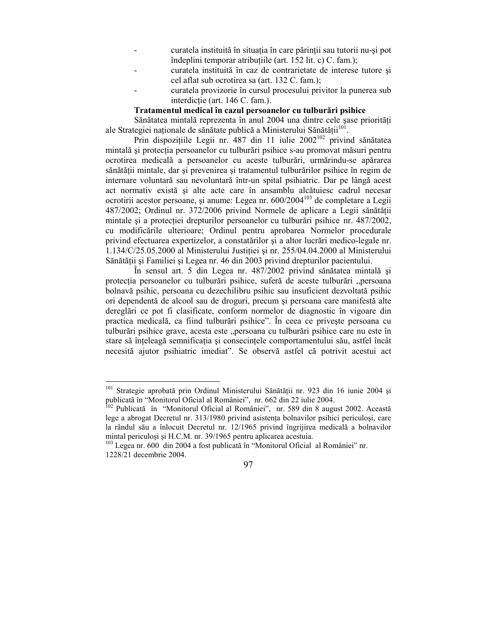- curatela instituită în situația în care părinții sau tutorii nu-și pot îndeplini temporar atribuțiile (art.  $152$  lit. c) C. fam.);
- curatela instituită în caz de contrarietate de interese tutore şi cel aflat sub ocrotirea sa (art. 132 C. fam.);
- curatela provizorie în cursul procesului privitor la punerea sub interdictie (art. 146 C. fam.).

#### **Tratamentul medical în cazul persoanelor cu tulburări psihice**

Sănătatea mintală reprezenta în anul 2004 una dintre cele șase priorități ale Strategiei naționale de sănătate publică a Ministerului Sănătății<sup>101</sup>.

Prin dispozițiile Legii nr. 487 din 11 iulie 2002<sup>102</sup> privind sănătatea mintală și protectia persoanelor cu tulburări psihice s-au promovat măsuri pentru ocrotirea medicală a persoanelor cu aceste tulburări, urmărindu-se apărarea sănătății mintale, dar și prevenirea și tratamentul tulburărilor psihice în regim de internare voluntară sau nevoluntară într-un spital psihiatric. Dar pe lângă acest act normativ există şi alte acte care în ansamblu alcătuiesc cadrul necesar ocrotirii acestor persoane, și anume: Legea nr.  $600/2004^{103}$  de completare a Legii 487/2002; Ordinul nr. 372/2006 privind Normele de aplicare a Legii sănătății mintale și a protecției drepturilor persoanelor cu tulburări psihice nr. 487/2002, cu modificările ulterioare; Ordinul pentru aprobarea Normelor procedurale privind efectuarea expertizelor, a constatărilor şi a altor lucrări medico-legale nr. 1.134/C/25.05.2000 al Ministerului Justiției și nr. 255/04.04.2000 al Ministerului Sănătății și Familiei și Legea nr. 46 din 2003 privind drepturilor pacientului.

În sensul art. 5 din Legea nr. 487/2002 privind sănătatea mintală şi protecția persoanelor cu tulburări psihice, suferă de aceste tulburări "persoana bolnavă psihic, persoana cu dezechilibru psihic sau insuficient dezvoltată psihic ori dependentă de alcool sau de droguri, precum şi persoana care manifestă alte dereglări ce pot fi clasificate, conform normelor de diagnostic în vigoare din practica medicală, ca fiind tulburări psihice". În ceea ce priveşte persoana cu tulburări psihice grave, acesta este "persoana cu tulburări psihice care nu este în stare să înțeleagă semnificația și consecințele comportamentului său, astfel încât necesită ajutor psihiatric imediat". Se observă astfel că potrivit acestui act

 $101$ Strategie aprobată prin Ordinul Ministerului Sănătătii nr. 923 din 16 iunie 2004 și publicată în "Monitorul Oficial al României", nr. 662 din 22 iulie 2004.<br><sup>102</sup> Publicată în "Monitorul Oficial al Româniai", nr. 590 din 9 august

<sup>102</sup> Publicată în "Monitorul Oficial al României", nr. 589 din 8 august 2002. Această lege a abrogat Decretul nr. 313/1980 privind asistența bolnavilor psihici periculoși, care la rândul său a înlocuit Decretul nr. 12/1965 privind îngrijirea medicală a bolnavilor mintal periculoşi şi H.C.M. nr. 39/1965 pentru aplicarea acestuia.

<sup>103</sup> Legea nr. 600 din 2004 a fost publicată în "Monitorul Oficial al României" nr. 1228/21 decembrie 2004.

<sup>97</sup>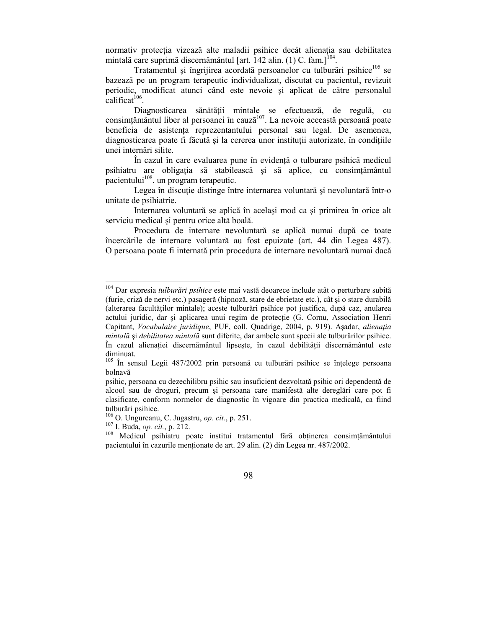normativ protecția vizează alte maladii psihice decât alienația sau debilitatea mintală care suprimă discernământul [art. 142 alin.  $(1)$  C. fam.]<sup>104</sup>.

Tratamentul și îngrijirea acordată persoanelor cu tulburări psihice<sup>105</sup> se bazează pe un program terapeutic individualizat, discutat cu pacientul, revizuit periodic, modificat atunci când este nevoie şi aplicat de către personalul  $cal<sup>106</sup>$ .

Diagnosticarea sănătății mintale se efectuează, de regulă, cu  $\frac{1}{2}$ consimțământul liber al persoanei în cauză<sup>107</sup>. La nevoie aceeastă persoană poate beneficia de asistența reprezentantului personal sau legal. De asemenea, diagnosticarea poate fi făcută și la cererea unor instituții autorizate, în condițiile unei internări silite.

În cazul în care evaluarea pune în evidență o tulburare psihică medicul psihiatru are obligația să stabilească și să aplice, cu consimțământul pacientului<sup>108</sup>, un program terapeutic.

Legea în discuție distinge între internarea voluntară și nevoluntară într-o unitate de psihiatrie.

Internarea voluntară se aplică în acelaşi mod ca şi primirea în orice alt serviciu medical şi pentru orice altă boală.

Procedura de internare nevoluntară se aplică numai după ce toate încercările de internare voluntară au fost epuizate (art. 44 din Legea 487). O persoana poate fi internată prin procedura de internare nevoluntară numai dacă

<sup>106</sup> O. Ungureanu, C. Jugastru, *op. cit.*, p. 251.

<sup>107</sup> I. Buda, *op. cit.*, p. 212.

<sup>104</sup> Dar expresia *tulburări psihice* este mai vastă deoarece include atât o perturbare subită (furie, criză de nervi etc.) pasageră (hipnoză, stare de ebrietate etc.), cât şi o stare durabilă (alterarea facultăților mintale); aceste tulburări psihice pot justifica, după caz, anularea actului juridic, dar și aplicarea unui regim de protecție (G. Cornu, Association Henri Capitant, *Vocabulaire juridique*, PUF, coll. Quadrige, 2004, p. 919). Aşadar, *alienația mintală* şi *debilitatea mintală* sunt diferite, dar ambele sunt specii ale tulburărilor psihice. În cazul alienației discernământul lipsește, în cazul debilității discernământul este diminuat.

 $105$  În sensul Legii 487/2002 prin persoană cu tulburări psihice se înțelege persoana bolnavă

psihic, persoana cu dezechilibru psihic sau insuficient dezvoltată psihic ori dependentă de alcool sau de droguri, precum şi persoana care manifestă alte dereglări care pot fi clasificate, conform normelor de diagnostic în vigoare din practica medicală, ca fiind tulburări psihice.

<sup>&</sup>lt;sup>108</sup> Medicul psihiatru poate institui tratamentul fără obținerea consimțământului pacientului în cazurile menționate de art. 29 alin. (2) din Legea nr. 487/2002.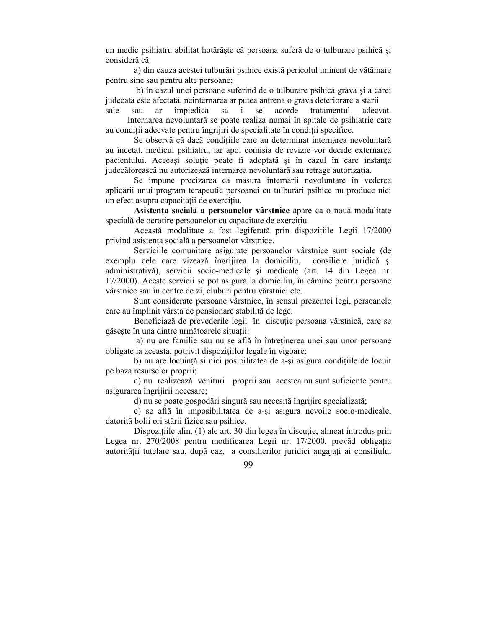un medic psihiatru abilitat hotărăşte că persoana suferă de o tulburare psihică şi consideră că:

a) din cauza acestei tulburări psihice există pericolul iminent de vătămare pentru sine sau pentru alte persoane;

 b) în cazul unei persoane suferind de o tulburare psihică gravă şi a cărei judecată este afectată, neinternarea ar putea antrena o gravă deteriorare a stării

sale sau ar împiedica să i se acorde tratamentul adecvat. Internarea nevoluntară se poate realiza numai în spitale de psihiatrie care au condiții adecvate pentru îngrijiri de specialitate în condiții specifice.

Se observă că dacă condițiile care au determinat internarea nevoluntară au încetat, medicul psihiatru, iar apoi comisia de revizie vor decide externarea pacientului. Aceeași soluție poate fi adoptată și în cazul în care instanța judecătorească nu autorizează internarea nevoluntară sau retrage autorizația.

Se impune precizarea că măsura internării nevoluntare în vederea aplicării unui program terapeutic persoanei cu tulburări psihice nu produce nici un efect asupra capacității de exercițiu.

Asistența socială a persoanelor vârstnice apare ca o nouă modalitate specială de ocrotire persoanelor cu capacitate de exercițiu.

Această modalitate a fost legiferată prin dispozițiile Legii 17/2000 privind asistenta socială a persoanelor vârstnice.

Serviciile comunitare asigurate persoanelor vârstnice sunt sociale (de exemplu cele care vizează îngrijirea la domiciliu, consiliere juridică şi administrativă), servicii socio-medicale şi medicale (art. 14 din Legea nr. 17/2000). Aceste servicii se pot asigura la domiciliu, în cămine pentru persoane vârstnice sau în centre de zi, cluburi pentru vârstnici etc.

Sunt considerate persoane vârstnice, în sensul prezentei legi, persoanele care au împlinit vârsta de pensionare stabilită de lege.

Beneficiază de prevederile legii în discuție persoana vârstnică, care se găsește în una dintre următoarele situații:

a) nu are familie sau nu se află în întreținerea unei sau unor persoane obligate la aceasta, potrivit dispozițiilor legale în vigoare;

b) nu are locuință și nici posibilitatea de a-și asigura condițiile de locuit pe baza resurselor proprii;

c) nu realizează venituri proprii sau acestea nu sunt suficiente pentru asigurarea îngrijirii necesare;

d) nu se poate gospodări singură sau necesită îngrijire specializată;

e) se află în imposibilitatea de a-şi asigura nevoile socio-medicale, datorită bolii ori stării fizice sau psihice.

Dispozițiile alin.  $(1)$  ale art. 30 din legea în discuție, alineat introdus prin Legea nr. 270/2008 pentru modificarea Legii nr. 17/2000, prevăd obligația autorității tutelare sau, după caz, a consilierilor juridici angajați ai consiliului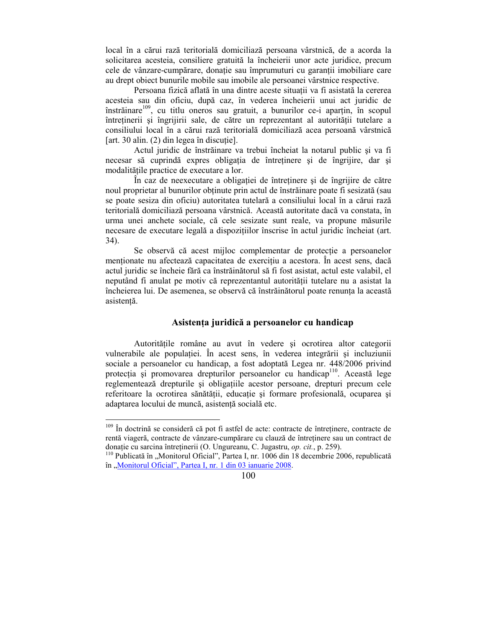local în a cărui rază teritorială domiciliază persoana vârstnică, de a acorda la solicitarea acesteia, consiliere gratuită la încheierii unor acte juridice, precum cele de vânzare-cumpărare, donație sau împrumuturi cu garanții imobiliare care au drept obiect bunurile mobile sau imobile ale persoanei vârstnice respective.

Persoana fizică aflată în una dintre aceste situatii va fi asistată la cererea acesteia sau din oficiu, după caz, în vederea încheierii unui act juridic de înstrăinare<sup>109</sup>, cu titlu oneros sau gratuit, a bunurilor ce-i aparțin, în scopul întreținerii și îngrijirii sale, de către un reprezentant al autorității tutelare a consiliului local în a cărui rază teritorială domiciliază acea persoană vârstnică [art. 30 alin.  $(2)$  din legea în discuție].

Actul juridic de înstrăinare va trebui încheiat la notarul public şi va fi necesar să cuprindă expres obligația de întreținere și de îngrijire, dar și modalitățile practice de executare a lor.

În caz de neexecutare a obligației de întreținere și de îngrijire de către noul proprietar al bunurilor obtinute prin actul de înstrăinare poate fi sesizată (sau se poate sesiza din oficiu) autoritatea tutelară a consiliului local în a cărui rază teritorială domiciliază persoana vârstnică. Această autoritate dacă va constata, în urma unei anchete sociale, că cele sesizate sunt reale, va propune măsurile necesare de executare legală a dispozițiilor înscrise în actul juridic încheiat (art. 34).

Se observă că acest mijloc complementar de protecție a persoanelor mentionate nu afectează capacitatea de exercitiu a acestora. În acest sens, dacă actul juridic se încheie fără ca înstrăinătorul să fi fost asistat, actul este valabil, el neputând fi anulat pe motiv că reprezentantul autorității tutelare nu a asistat la încheierea lui. De asemenea, se observă că înstrăinătorul poate renunța la această asistență.

## Asistenta juridică a persoanelor cu handicap

Autoritățile române au avut în vedere și ocrotirea altor categorii vulnerabile ale populației. În acest sens, în vederea integrării și incluziunii sociale a persoanelor cu handicap, a fost adoptată Legea nr. 448/2006 privind protecția și promovarea drepturilor persoanelor cu handicap<sup>110</sup>. Această lege reglementează drepturile și obligațiile acestor persoane, drepturi precum cele referitoare la ocrotirea sănătății, educație și formare profesională, ocuparea și adaptarea locului de muncă, asistență socială etc.

<sup>&</sup>lt;sup>109</sup> În doctrină se consideră că pot fi astfel de acte: contracte de întreținere, contracte de rentă viageră, contracte de vânzare-cumpărare cu clauză de întretinere sau un contract de donație cu sarcina întreținerii (O. Ungureanu, C. Jugastru, *op. cit.*, p. 259).

 $110$  Publicată în "Monitorul Oficial", Partea I, nr. 1006 din 18 decembrie 2006, republicată în "Monitorul Oficial", Partea I, nr. 1 din 03 ianuarie 2008.

<sup>100</sup>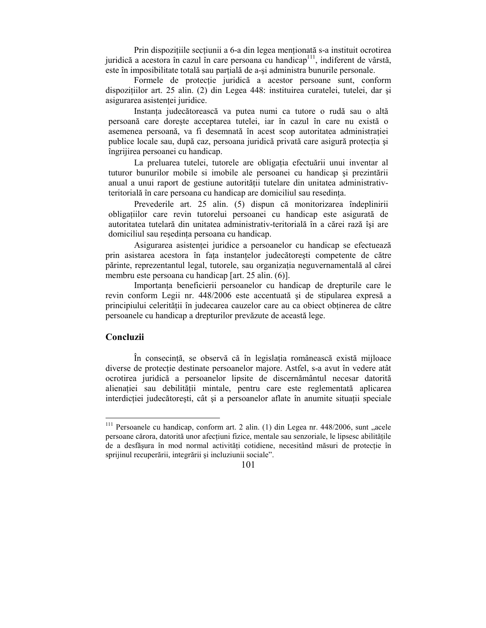Prin dispozitiile sectiunii a 6-a din legea mentionată s-a instituit ocrotirea juridică a acestora în cazul în care persoana cu handicap<sup>111</sup>, indiferent de vârstă, este în imposibilitate totală sau parțială de a-și administra bunurile personale.

Formele de protecție juridică a acestor persoane sunt, conform dispozițiilor art. 25 alin. (2) din Legea 448: instituirea curatelei, tutelei, dar și asigurarea asistenței juridice.

Instanța judecătorească va putea numi ca tutore o rudă sau o altă persoană care doreşte acceptarea tutelei, iar în cazul în care nu există o asemenea persoană, va fi desemnată în acest scop autoritatea administrației publice locale sau, după caz, persoana juridică privată care asigură protecția și îngrijirea persoanei cu handicap.

La preluarea tutelei, tutorele are obligatia efectuării unui inventar al tuturor bunurilor mobile si imobile ale persoanei cu handicap şi prezintării anual a unui raport de gestiune autorității tutelare din unitatea administrativteritorială în care persoana cu handicap are domiciliul sau resedința.

Prevederile art. 25 alin. (5) dispun că monitorizarea îndeplinirii obligațiilor care revin tutorelui persoanei cu handicap este asigurată de autoritatea tutelară din unitatea administrativ-teritorială în a cărei rază îşi are domiciliul sau reședința persoana cu handicap.

Asigurarea asistentei juridice a persoanelor cu handicap se efectuează prin asistarea acestora în fața instanțelor judecătorești competente de către părinte, reprezentantul legal, tutorele, sau organizația neguvernamentală al cărei membru este persoana cu handicap [art. 25 alin. (6)].

Importanța beneficierii persoanelor cu handicap de drepturile care le revin conform Legii nr. 448/2006 este accentuată şi de stipularea expresă a principiului celerității în judecarea cauzelor care au ca obiect obținerea de către persoanele cu handicap a drepturilor prevăzute de această lege.

## **Concluzii**

 $\overline{a}$ 

În consecintă, se observă că în legislatia românească există mijloace diverse de protectie destinate persoanelor majore. Astfel, s-a avut în vedere atât ocrotirea juridică a persoanelor lipsite de discernământul necesar datorită alienației sau debilității mintale, pentru care este reglementată aplicarea interdicției judecătorești, cât și a persoanelor aflate în anumite situații speciale

 $111$  Persoanele cu handicap, conform art. 2 alin. (1) din Legea nr. 448/2006, sunt "acele persoane cărora, datorită unor afecțiuni fizice, mentale sau senzoriale, le lipsesc abilitățile de a desfășura în mod normal activități cotidiene, necesitând măsuri de protecție în sprijinul recuperării, integrării şi incluziunii sociale".

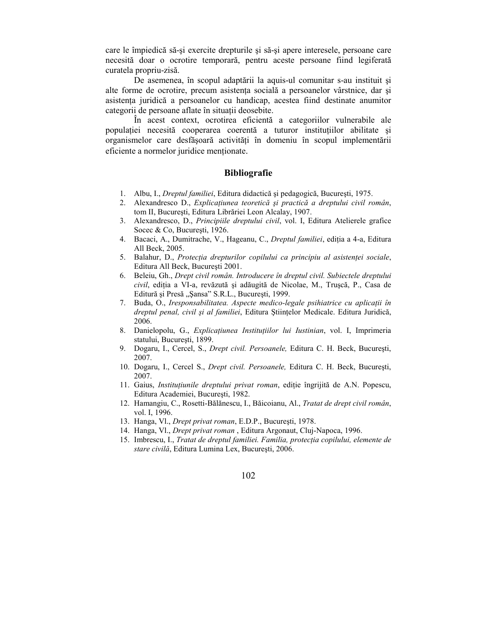care le împiedică să-şi exercite drepturile şi să-şi apere interesele, persoane care necesită doar o ocrotire temporară, pentru aceste persoane fiind legiferată curatela propriu-zisă.

 De asemenea, în scopul adaptării la aquis-ul comunitar s-au instituit şi alte forme de ocrotire, precum asistenta socială a persoanelor vârstnice, dar și asistenta juridică a persoanelor cu handicap, acestea fiind destinate anumitor categorii de persoane aflate în situații deosebite.

 În acest context, ocrotirea eficientă a categoriilor vulnerabile ale populației necesită cooperarea coerentă a tuturor instituțiilor abilitate și organismelor care desfășoară activități în domeniu în scopul implementării eficiente a normelor juridice menționate.

#### **Bibliografie**

- 1. Albu, I., *Dreptul familiei*, Editura didactică şi pedagogică, Bucureşti, 1975.
- 2. Alexandresco D., *Explicatiunea teoretică și practică a dreptului civil român*, tom II, Bucureşti, Editura Librăriei Leon Alcalay, 1907.
- 3. Alexandresco, D., *Principiile dreptului civil*, vol. I, Editura Atelierele grafice Socec & Co, Bucureşti, 1926.
- 4. Bacaci, A., Dumitrache, V., Hageanu, C., *Dreptul familiei*, ediția a 4-a, Editura All Beck, 2005.
- 5. Balahur, D., *Protecția drepturilor copilului ca principiu al asistenței sociale*, Editura All Beck, Bucureşti 2001.
- 6. Beleiu, Gh., *Drept civil român. Introducere în dreptul civil. Subiectele dreptului civil*, ediția a VI-a, revăzută și adăugită de Nicolae, M., Trușcă, P., Casa de Editură și Presă "Șansa" S.R.L., București, 1999.
- 7. Buda, O., *Iresponsabilitatea. Aspecte medico-legale psihiatrice cu aplicații în dreptul penal, civil și al familiei*, Editura Științelor Medicale. Editura Juridică, 2006.
- 8. Danielopolu, G., *Explicațiunea Instituțiilor lui Iustinian*, vol. I, Imprimeria statului, Bucureşti, 1899.
- 9. Dogaru, I., Cercel, S., *Drept civil. Persoanele,* Editura C. H. Beck, Bucureşti, 2007.
- 10. Dogaru, I., Cercel S., *Drept civil. Persoanele,* Editura C. H. Beck, Bucureşti, 2007.
- 11. Gaius, *Instituțiunile dreptului privat roman*, ediție îngrijită de A.N. Popescu, Editura Academiei, Bucureşti, 1982.
- 12. Hamangiu, C., Rosetti-Bălănescu, I., Băicoianu, Al., *Tratat de drept civil român*, vol. I, 1996.
- 13. Hanga, Vl., *Drept privat roman*, E.D.P., Bucureşti, 1978.
- 14. Hanga, Vl., *Drept privat roman* , Editura Argonaut, Cluj-Napoca, 1996.
- 15. Imbrescu, I., *Tratat de dreptul familiei. Familia, protecția copilului, elemente de stare civilă*, Editura Lumina Lex, Bucureşti, 2006.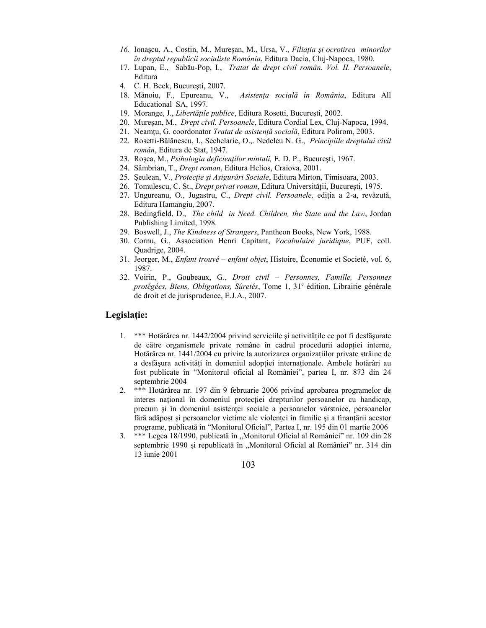- 16. Ionașcu, A., Costin, M., Mureșan, M., Ursa, V., *Filiația și ocrotirea minorilor în dreptul republicii socialiste România*, Editura Dacia, Cluj-Napoca, 1980.
- 17. Lupan, E., Sabău-Pop, I., *Tratat de drept civil român. Vol. II. Persoanele*, Editura
- 4. C. H. Beck, București, 2007.<br>18. Mănoiu, F., Epureanu, V.,
- 18. Mănoiu, F., Epureanu, V., *AsistenŃa socială în România*, Editura All Educational SA, 1997.
- 19. Morange, J., *Libertățile publice*, Editura Rosetti, București, 2002.
- 20. Mureşan, M., *Drept civil. Persoanele*, Editura Cordial Lex, Cluj-Napoca, 1994.
- 21. Neamțu, G. coordonator *Tratat de asistență socială*, Editura Polirom, 2003.
- 22. Rosetti-Bălănescu, I., Sechelarie, O.,. Nedelcu N. G., *Principiile dreptului civil român*, Editura de Stat, 1947.
- 23. Roșca, M., *Psihologia deficienților mintali*, E. D. P., București, 1967.
- 24. Sâmbrian, T., *Drept roman*, Editura Helios, Craiova, 2001.
- 25. Şeulean, V., *Protecție și Asigurări Sociale*, Editura Mirton, Timisoara, 2003.
- 26. Tomulescu, C. St., *Drept privat roman*, Editura Universității, București, 1975.
- 27. Ungureanu, O., Jugastru, C., *Drept civil. Persoanele, ediția a 2-a*, revăzută, Editura Hamangiu, 2007.
- 28. Bedingfield, D., *The child in Need. Children, the State and the Law*, Jordan Publishing Limited, 1998.
- 29. Boswell, J., *The Kindness of Strangers*, Pantheon Books, New York, 1988.
- 30. Cornu, G., Association Henri Capitant, *Vocabulaire juridique*, PUF, coll. Quadrige, 2004.
- 31. Jeorger, M., *Enfant trouvé enfant objet*, Histoire, Économie et Societé, vol. 6, 1987.
- 32. Voirin, P., Goubeaux, G., *Droit civil Personnes, Famille, Personnes*  protégées, Biens, Obligations, Sûretés, Tome 1, 31<sup>e</sup> édition, Librairie générale de droit et de jurisprudence, E.J.A., 2007.

#### Legislatie:

- 1. \*\*\* Hotărârea nr. 1442/2004 privind serviciile și activitățile ce pot fi desfășurate de către organismele private române în cadrul procedurii adopției interne, Hotărârea nr. 1441/2004 cu privire la autorizarea organizațiilor private străine de a desfășura activități în domeniul adopției internaționale. Ambele hotărâri au fost publicate în "Monitorul oficial al României", partea I, nr. 873 din 24 septembrie 2004
- 2. \*\*\* Hotărârea nr. 197 din 9 februarie 2006 privind aprobarea programelor de interes national în domeniul protectiei drepturilor persoanelor cu handicap, precum și în domeniul asistenței sociale a persoanelor vârstnice, persoanelor fără adăpost și persoanelor victime ale violenței în familie și a finanțării acestor programe, publicată în "Monitorul Oficial", Partea I, nr. 195 din 01 martie 2006
- 3. \*\*\* Legea 18/1990, publicată în "Monitorul Oficial al României" nr. 109 din 28 septembrie 1990 și republicată în "Monitorul Oficial al României" nr. 314 din 13 iunie 2001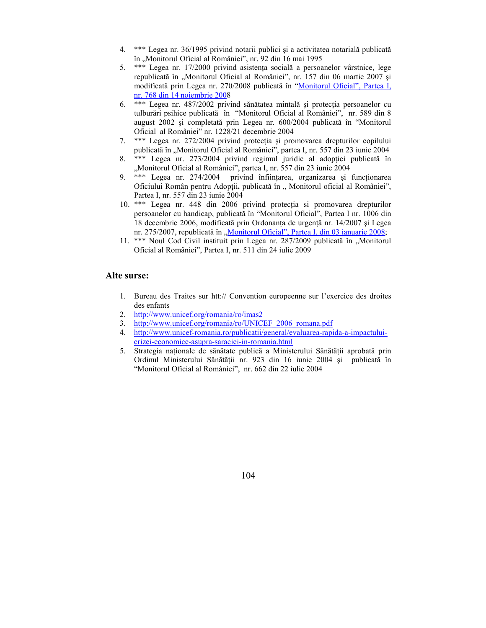- 4. \*\*\* Legea nr. 36/1995 privind notarii publici şi a activitatea notarială publicată în "Monitorul Oficial al României", nr. 92 din 16 mai 1995
- 5. \*\*\* Legea nr. 17/2000 privind asistența socială a persoanelor vârstnice, lege republicată în "Monitorul Oficial al României", nr. 157 din 06 martie 2007 și modificată prin Legea nr. 270/2008 publicată în "Monitorul Oficial", Partea I, nr. 768 din 14 noiembrie 2008
- 6. \*\*\* Legea nr. 487/2002 privind sănătatea mintală și protecția persoanelor cu tulburări psihice publicată în "Monitorul Oficial al României", nr. 589 din 8 august 2002 şi completată prin Legea nr. 600/2004 publicată în "Monitorul Oficial al României" nr. 1228/21 decembrie 2004
- 7. \*\*\* Legea nr. 272/2004 privind protecția și promovarea drepturilor copilului publicată în "Monitorul Oficial al României", partea I, nr. 557 din 23 iunie 2004
- 8. \*\*\* Legea nr. 273/2004 privind regimul juridic al adopției publicată în "Monitorul Oficial al României", partea I, nr. 557 din 23 iunie 2004
- 9. \*\*\* Legea nr. 274/2004 privind înființarea, organizarea și funcționarea Oficiului Român pentru Adopții. publicată în " Monitorul oficial al României", Partea I, nr. 557 din 23 iunie 2004
- 10. \*\*\* Legea nr. 448 din 2006 privind protecția si promovarea drepturilor persoanelor cu handicap, publicată în "Monitorul Oficial", Partea I nr. 1006 din 18 decembrie 2006, modificată prin Ordonanța de urgență nr. 14/2007 și Legea nr. 275/2007, republicată în "Monitorul Oficial", Partea I, din 03 ianuarie 2008;
- 11. \*\*\* Noul Cod Civil instituit prin Legea nr. 287/2009 publicată în "Monitorul Oficial al României", Partea I, nr. 511 din 24 iulie 2009

## **Alte surse:**

- 1. Bureau des Traites sur htt:// Convention europeenne sur l'exercice des droites des enfants
- 2. http://www.unicef.org/romania/ro/imas2
- 3. http://www.unicef.org/romania/ro/UNICEF\_2006\_romana.pdf
- 4. http://www.unicef-romania.ro/publicatii/general/evaluarea-rapida-a-impactuluicrizei-economice-asupra-saraciei-in-romania.html
- 5. Strategia naționale de sănătate publică a Ministerului Sănătății aprobată prin Ordinul Ministerului Sănătății nr. 923 din 16 iunie 2004 și publicată în "Monitorul Oficial al României", nr. 662 din 22 iulie 2004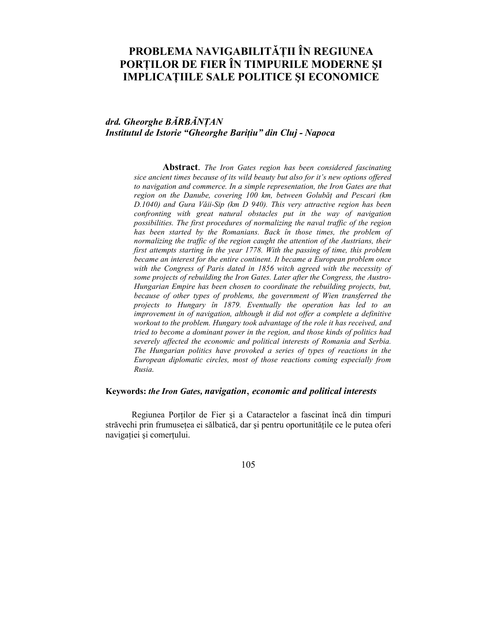# **PROBLEMA NAVIGABILITĂłII ÎN REGIUNEA PORłILOR DE FIER ÎN TIMPURILE MODERNE ŞI IMPLICAłIILE SALE POLITICE ŞI ECONOMICE**

# *drd. Gheorghe BĂRBĂNłAN Institutul de Istorie "Gheorghe Baritiu" din Cluj - Napoca*

**Abstract**. *The Iron Gates region has been considered fascinating sice ancient times because of its wild beauty but also for it's new options offered to navigation and commerce. In a simple representation, the Iron Gates are that*  region on the Danube, covering 100 km, between Golubăț and Pescari (km *D.1040) and Gura Văii-Sip (km D 940). This very attractive region has been confronting with great natural obstacles put in the way of navigation possibilities. The first procedures of normalizing the naval traffic of the region has been started by the Romanians. Back în those times, the problem of normalizing the traffic of the region caught the attention of the Austrians, their first attempts starting în the year 1778. With the passing of time, this problem became an interest for the entire continent. It became a European problem once with the Congress of Paris dated in 1856 witch agreed with the necessity of some projects of rebuilding the Iron Gates. Later after the Congress, the Austro-Hungarian Empire has been chosen to coordinate the rebuilding projects, but, because of other types of problems, the government of Wien transferred the projects to Hungary în 1879. Eventually the operation has led to an improvement in of navigation, although it did not offer a complete a definitive workout to the problem. Hungary took advantage of the role it has received, and tried to become a dominant power in the region, and those kinds of politics had severely affected the economic and political interests of Romania and Serbia. The Hungarian politics have provoked a series of types of reactions in the European diplomatic circles, most of those reactions coming especially from Rusia.* 

#### **Keywords:** *the Iron Gates, navigation*, *economic and political interests*

Regiunea Porților de Fier și a Cataractelor a fascinat încă din timpuri străvechi prin frumusetea ei sălbatică, dar și pentru oportunitățile ce le putea oferi navigației și comerțului.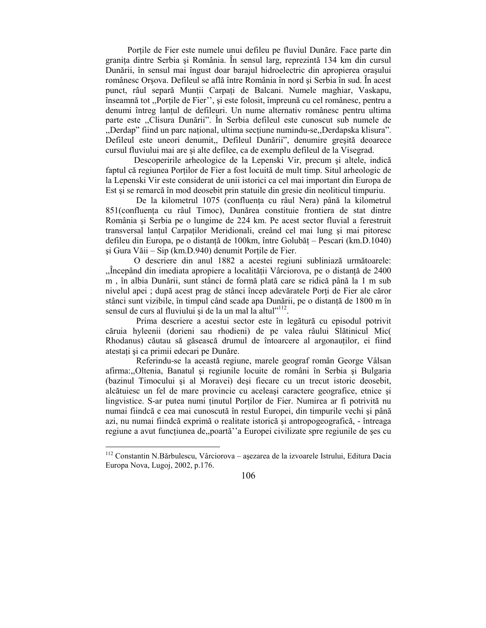Porțile de Fier este numele unui defileu pe fluviul Dunăre. Face parte din granita dintre Serbia și România. În sensul larg, reprezintă 134 km din cursul Dunării, în sensul mai îngust doar barajul hidroelectric din apropierea oraşului românesc Orşova. Defileul se află între România în nord şi Serbia în sud. În acest punct, râul separă Munții Carpați de Balcani. Numele maghiar, Vaskapu, înseamnă tot "Porțile de Fier", și este folosit, împreună cu cel românesc, pentru a denumi întreg lanțul de defileuri. Un nume alternativ românesc pentru ultima parte este ,,Clisura Dunării". În Serbia defileul este cunoscut sub numele de "Derdap" fiind un parc național, ultima secțiune numindu-se, Derdapska klisura". Defileul este uneori denumit,, Defileul Dunării", denumire greşită deoarece cursul fluviului mai are şi alte defilee, ca de exemplu defileul de la Visegrad.

 Descoperirile arheologice de la Lepenski Vir, precum şi altele, indică faptul că regiunea Porților de Fier a fost locuită de mult timp. Situl arheologic de la Lepenski Vir este considerat de unii istorici ca cel mai important din Europa de Est şi se remarcă în mod deosebit prin statuile din gresie din neoliticul timpuriu.

De la kilometrul 1075 (confluența cu râul Nera) până la kilometrul 851 (confluența cu râul Timoc), Dunărea constituie frontiera de stat dintre România şi Serbia pe o lungime de 224 km. Pe acest sector fluvial a ferestruit transversal lanțul Carpaților Meridionali, creând cel mai lung și mai pitoresc defileu din Europa, pe o distantă de 100km, între Golubăt – Pescari (km.D.1040)  $si$  Gura Văii – Sip (km. D. 940) denumit Portile de Fier.

 O descriere din anul 1882 a acestei regiuni subliniază următoarele: ,,Începând din imediata apropiere a localității Vârciorova, pe o distanță de 2400 m , în albia Dunării, sunt stânci de formă plată care se ridică până la 1 m sub nivelul apei ; după acest prag de stânci încep adevăratele Porți de Fier ale căror stânci sunt vizibile, în timpul când scade apa Dunării, pe o distanță de 1800 m în sensul de curs al fluviului și de la un mal la altul $1^{1/12}$ .

 Prima descriere a acestui sector este în legătură cu episodul potrivit căruia hyleenii (dorieni sau rhodieni) de pe valea râului Slătinicul Mic( Rhodanus) căutau să găsească drumul de întoarcere al argonauților, ei fiind atestați și ca primii edecari pe Dunăre.

 Referindu-se la această regiune, marele geograf român George Vâlsan afirma:,,Oltenia, Banatul şi regiunile locuite de români în Serbia şi Bulgaria (bazinul Timocului şi al Moravei) deşi fiecare cu un trecut istoric deosebit, alcătuiesc un fel de mare provincie cu aceleaşi caractere geografice, etnice şi lingvistice. S-ar putea numi ținutul Porților de Fier. Numirea ar fi potrivită nu numai fiindcă e cea mai cunoscută în restul Europei, din timpurile vechi şi până azi, nu numai fiindcă exprimă o realitate istorică şi antropogeografică, - întreaga regiune a avut funcțiunea de,,poartă<sup>"</sup>a Europei civilizate spre regiunile de șes cu

<sup>112</sup> Constantin N.Bărbulescu, Vârciorova – aşezarea de la izvoarele Istrului, Editura Dacia Europa Nova, Lugoj, 2002, p.176.

<sup>106</sup>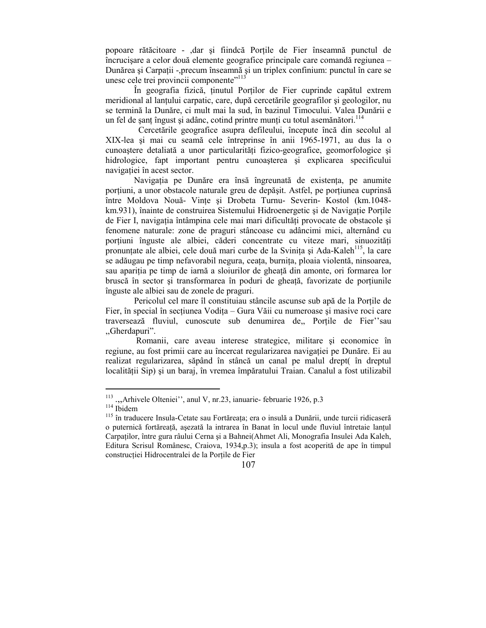popoare rătăcitoare - ,dar și fiindcă Porțile de Fier înseamnă punctul de încrucişare a celor două elemente geografice principale care comandă regiunea – Dunărea și Carpații -,precum înseamnă și un triplex confinium: punctul în care se unesc cele trei provincii componente"<sup>113</sup>

În geografia fizică, ținutul Porților de Fier cuprinde capătul extrem meridional al lantului carpatic, care, după cercetările geografilor și geologilor, nu se termină la Dunăre, ci mult mai la sud, în bazinul Timocului. Valea Dunării e un fel de sant îngust și adânc, cotind printre munți cu totul asemănători.<sup>114</sup>

 Cercetările geografice asupra defileului, începute încă din secolul al XIX-lea şi mai cu seamă cele întreprinse în anii 1965-1971, au dus la o cunoastere detaliată a unor particularități fizico-geografice, geomorfologice și hidrologice, fapt important pentru cunoaşterea şi explicarea specificului navigației în acest sector.

Navigația pe Dunăre era însă îngreunată de existența, pe anumite portiuni, a unor obstacole naturale greu de depășit. Astfel, pe portiunea cuprinsă între Moldova Nouă- Vințe și Drobeta Turnu- Severin- Kostol (km.1048km.931), înainte de construirea Sistemului Hidroenergetic și de Navigatie Portile de Fier I, navigația întâmpina cele mai mari dificultăți provocate de obstacole și fenomene naturale: zone de praguri stâncoase cu adâncimi mici, alternând cu portiuni înguste ale albiei, căderi concentrate cu viteze mari, sinuozităti pronuntate ale albiei, cele două mari curbe de la Svinița și Ada-Kaleh<sup>115</sup>, la care se adăugau pe timp nefavorabil negura, ceata, burnița, ploaia violentă, ninsoarea, sau apariția pe timp de iarnă a sloiurilor de gheață din amonte, ori formarea lor bruscă în sector și transformarea în poduri de gheată, favorizate de portiunile înguste ale albiei sau de zonele de praguri.

Pericolul cel mare îl constituiau stâncile ascunse sub apă de la Porțile de Fier, în special în sectiunea Vodita – Gura Văii cu numeroase și masive roci care traversează fluviul, cunoscute sub denumirea de, Portile de Fier''sau ,,Gherdapuri".

 Romanii, care aveau interese strategice, militare şi economice în regiune, au fost primii care au încercat regularizarea navigației pe Dunăre. Ei au realizat regularizarea, săpând în stâncă un canal pe malul drept( în dreptul localității Sip) și un baraj, în vremea împăratului Traian. Canalul a fost utilizabil

<sup>&</sup>lt;sup>113</sup> .,,Arhivele Olteniei'', anul V, nr.23, ianuarie- februarie 1926, p.3

<sup>&</sup>lt;sup>114</sup> Ibidem

<sup>&</sup>lt;sup>115</sup> în traducere Insula-Cetate sau Fortăreața; era o insulă a Dunării, unde turcii ridicaseră o puternică fortăreață, așezată la intrarea în Banat în locul unde fluviul întretaie lanțul Carpaților, între gura râului Cerna și a Bahnei(Ahmet Ali, Monografia Insulei Ada Kaleh, Editura Scrisul Românesc, Craiova, 1934,p.3); insula a fost acoperită de ape în timpul construcției Hidrocentralei de la Porțile de Fier

<sup>107</sup>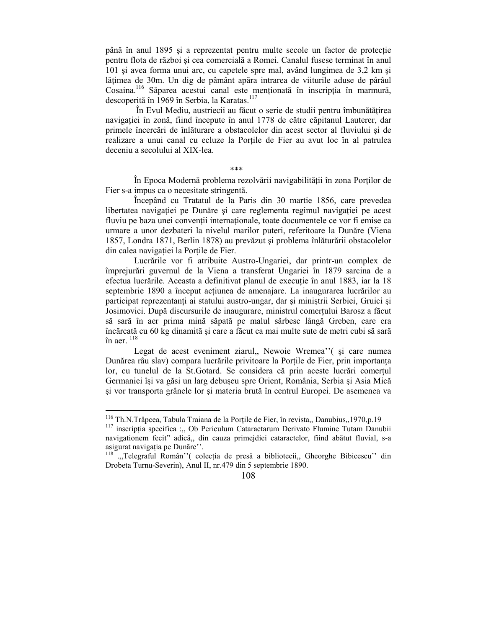până în anul 1895 și a reprezentat pentru multe secole un factor de protecție pentru flota de război şi cea comercială a Romei. Canalul fusese terminat în anul 101 şi avea forma unui arc, cu capetele spre mal, având lungimea de 3,2 km şi lățimea de 30m. Un dig de pâmânt apăra intrarea de viiturile aduse de pârâul Cosaina.<sup>116</sup> Săparea acestui canal este mentionată în inscriptia în marmură, descoperită în 1969 în Serbia, la Karatas.<sup>117</sup>

În Evul Mediu, austriecii au făcut o serie de studii pentru îmbunătățirea navigatiei în zonă, fiind începute în anul 1778 de către căpitanul Lauterer, dar primele încercări de înlăturare a obstacolelor din acest sector al fluviului şi de realizare a unui canal cu ecluze la Porțile de Fier au avut loc în al patrulea deceniu a secolului al XIX-lea.

 $***$ 

În Epoca Modernă problema rezolvării navigabilității în zona Porților de Fier s-a impus ca o necesitate stringentă.

 Începând cu Tratatul de la Paris din 30 martie 1856, care prevedea libertatea navigației pe Dunăre și care reglementa regimul navigației pe acest fluviu pe baza unei convenții internaționale, toate documentele ce vor fi emise ca urmare a unor dezbateri la nivelul marilor puteri, referitoare la Dunăre (Viena 1857, Londra 1871, Berlin 1878) au prevăzut şi problema înlăturării obstacolelor din calea navigației la Porțile de Fier.

 Lucrările vor fi atribuite Austro-Ungariei, dar printr-un complex de împrejurări guvernul de la Viena a transferat Ungariei în 1879 sarcina de a efectua lucrările. Aceasta a definitivat planul de execuție în anul 1883, iar la 18 septembrie 1890 a început acțiunea de amenajare. La inaugurarea lucrărilor au participat reprezentanți ai statului austro-ungar, dar și miniștrii Serbiei, Gruici și Josimovici. După discursurile de inaugurare, ministrul comertului Barosz a făcut să sară în aer prima mină săpată pe malul sârbesc lângă Greben, care era încărcată cu 60 kg dinamită şi care a făcut ca mai multe sute de metri cubi să sară în aer.  $118$ 

 Legat de acest eveniment ziarul,, Newoie Wremea''( şi care numea Dunărea râu slav) compara lucrările privitoare la Porțile de Fier, prin importanța lor, cu tunelul de la St.Gotard. Se considera că prin aceste lucrări comerțul Germaniei îşi va găsi un larg debuşeu spre Orient, România, Serbia şi Asia Mică şi vor transporta grânele lor şi materia brută în centrul Europei. De asemenea va

l

<sup>&</sup>lt;sup>116</sup> Th.N.Trâpcea, Tabula Traiana de la Porțile de Fier, în revista,, Danubius,,1970,p.19

 $117$  inscriptia specifica : ,, Ob Periculum Cataractarum Derivato Flumine Tutam Danubii navigationem fecit" adică,, din cauza primejdiei cataractelor, fiind abătut fluvial, s-a asigurat navigația pe Dunăre''.

 $118$ , Telegraful Român''( colecția de presă a bibliotecii, Gheorghe Bibicescu'' din Drobeta Turnu-Severin), Anul II, nr.479 din 5 septembrie 1890.

<sup>108</sup>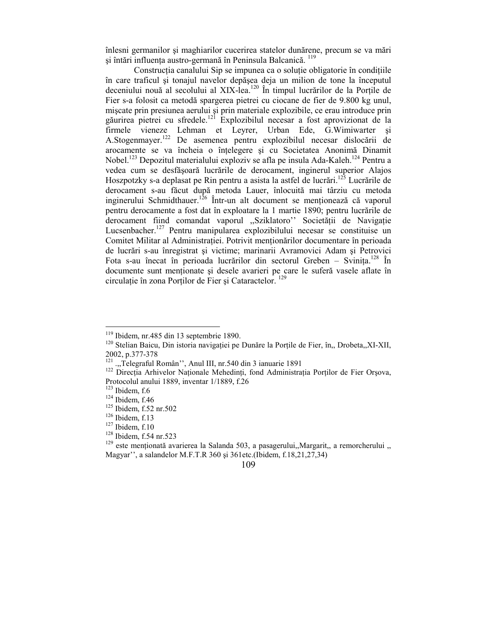înlesni germanilor şi maghiarilor cucerirea statelor dunărene, precum se va mări și întări influența austro-germană în Peninsula Balcanică. <sup>119</sup>

Construcția canalului Sip se impunea ca o soluție obligatorie în condițiile în care traficul şi tonajul navelor depăşea deja un milion de tone la începutul deceniului nouă al secolului al XIX-lea.<sup>120</sup> În timpul lucrărilor de la Porțile de Fier s-a folosit ca metodă spargerea pietrei cu ciocane de fier de 9.800 kg unul, mişcate prin presiunea aerului şi prin materiale explozibile, ce erau introduce prin găurirea pietrei cu sfredele.<sup>121</sup> Explozibilul necesar a fost aprovizionat de la firmele vieneze Lehman et Leyrer, Urban Ede, G.Wimiwarter şi A.Stogenmayer.<sup>122</sup> De asemenea pentru explozibilul necesar dislocării de arocamente se va încheia o întelegere și cu Societatea Anonimă Dinamit Nobel.<sup>123</sup> Depozitul materialului exploziv se afla pe insula Ada-Kaleh.<sup>124</sup> Pentru a vedea cum se desfăşoară lucrările de derocament, inginerul superior Alajos Hoszpotzky s-a deplasat pe Rin pentru a asista la astfel de lucrări.<sup>125</sup> Lucrările de derocament s-au făcut după metoda Lauer, înlocuită mai târziu cu metoda inginerului Schmidthauer.<sup>126</sup> Într-un alt document se menționează că vaporul pentru derocamente a fost dat în exploatare la 1 martie 1890; pentru lucrările de derocament fiind comandat vaporul "Sziklatoro" Societății de Navigație Lucsenbacher.<sup>127</sup> Pentru manipularea explozibilului necesar se constituise un Comitet Militar al Administratiei. Potrivit mentionărilor documentare în perioada de lucrări s-au înregistrat şi victime; marinarii Avramovici Adam şi Petrovici Fota s-au înecat în perioada lucrărilor din sectorul Greben – Svinita.<sup>128</sup> În documente sunt menționate și desele avarieri pe care le suferă vasele aflate în circulație în zona Porților de Fier și Cataractelor. <sup>129</sup>

<sup>&</sup>lt;sup>119</sup> Ibidem, nr.485 din 13 septembrie 1890.

 $120$  Stelian Baicu, Din istoria navigației pe Dunăre la Porțile de Fier, în,, Drobeta,,XI-XII, 2002, p.377-378

 $\frac{121}{121}$ .,Telegraful Român'', Anul III, nr.540 din 3 ianuarie 1891

<sup>&</sup>lt;sup>122</sup> Directia Arhivelor Naționale Mehedinți, fond Administrația Porților de Fier Orșova, Protocolul anului 1889, inventar 1/1889, f.26

 $123$  Ibidem, f.6

 $124$  Ibidem, f.46

<sup>125</sup> Ibidem, f.52 nr.502

 $126$  Ibidem, f.13

 $127$  Ibidem, f.10

<sup>128</sup> Ibidem, f.54 nr.523

 $129$  este menționată avarierea la Salanda 503, a pasagerului,,Margarit,, a remorcherului " Magyar'', a salandelor M.F.T.R 360 şi 361etc.(Ibidem, f.18,21,27,34)

<sup>109</sup>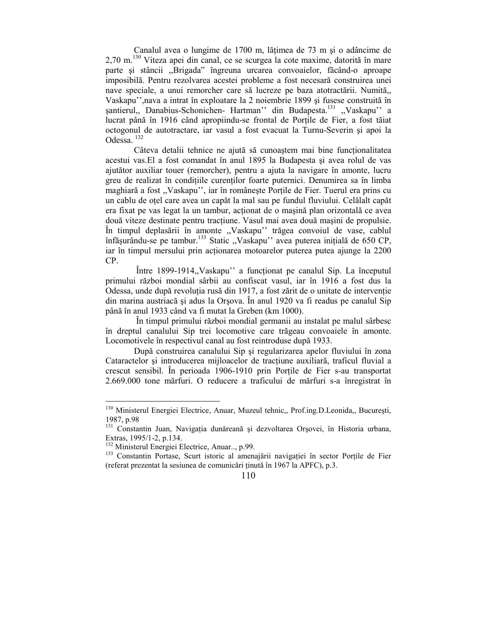Canalul avea o lungime de 1700 m, lățimea de 73 m și o adâncime de  $2,70$  m.<sup>130</sup> Viteza apei din canal, ce se scurgea la cote maxime, datorită în mare parte şi stâncii ,,Brigada" îngreuna urcarea convoaielor, făcând-o aproape imposibilă. Pentru rezolvarea acestei probleme a fost necesară construirea unei nave speciale, a unui remorcher care să lucreze pe baza atotractării. Numită,, Vaskapu'',nava a intrat în exploatare la 2 noiembrie 1899 şi fusese construită în şantierul,, Danabius-Schonichen- Hartman'' din Budapesta.<sup>131</sup> ,,Vaskapu'' a lucrat până în 1916 când apropiindu-se frontal de Portile de Fier, a fost tăiat octogonul de autotractare, iar vasul a fost evacuat la Turnu-Severin şi apoi la Odessa.<sup>132</sup>

Câteva detalii tehnice ne ajută să cunoaștem mai bine functionalitatea acestui vas.El a fost comandat în anul 1895 la Budapesta şi avea rolul de vas ajutător auxiliar touer (remorcher), pentru a ajuta la navigare în amonte, lucru greu de realizat în conditiile curentilor foarte puternici. Denumirea sa în limba maghiară a fost "Vaskapu", iar în românește Porțile de Fier. Tuerul era prins cu un cablu de oțel care avea un capăt la mal sau pe fundul fluviului. Celălalt capăt era fixat pe vas legat la un tambur, acționat de o mașină plan orizontală ce avea două viteze destinate pentru tracțiune. Vasul mai avea două mașini de propulsie. În timpul deplasării în amonte ,,Vaskapu'' trăgea convoiul de vase, cablul înfăsurându-se pe tambur.<sup>133</sup> Static "Vaskapu" avea puterea initială de 650 CP, iar în timpul mersului prin acționarea motoarelor puterea putea ajunge la 2200 CP.

Între 1899-1914, Vaskapu'' a funcționat pe canalul Sip. La începutul primului război mondial sârbii au confiscat vasul, iar în 1916 a fost dus la Odessa, unde după revoluția rusă din 1917, a fost zărit de o unitate de intervenție din marina austriacă şi adus la Orşova. În anul 1920 va fi readus pe canalul Sip până în anul 1933 când va fi mutat la Greben (km 1000).

 În timpul primului război mondial germanii au instalat pe malul sârbesc în dreptul canalului Sip trei locomotive care trăgeau convoaiele în amonte. Locomotivele în respectivul canal au fost reintroduse după 1933.

 După construirea canalului Sip şi regularizarea apelor fluviului în zona Cataractelor și introducerea mijloacelor de tracțiune auxiliară, traficul fluvial a crescut sensibil. În perioada 1906-1910 prin Porțile de Fier s-au transportat 2.669.000 tone mărfuri. O reducere a traficului de mărfuri s-a înregistrat în

<sup>&</sup>lt;sup>130</sup> Ministerul Energiei Electrice, Anuar, Muzeul tehnic,, Prof.ing.D.Leonida,, București, 1987, p.98

<sup>&</sup>lt;sup>131</sup> Constantin Juan, Navigația dunăreană și dezvoltarea Orșovei, în Historia urbana, Extras, 1995/1-2, p.134.

<sup>132</sup> Ministerul Energiei Electrice, Anuar.., p.99.

 $133$  Constantin Portase, Scurt istoric al amenajării navigatiei în sector Portile de Fier (referat prezentat la sesiunea de comunicări ținută în 1967 la APFC), p.3.

<sup>110</sup>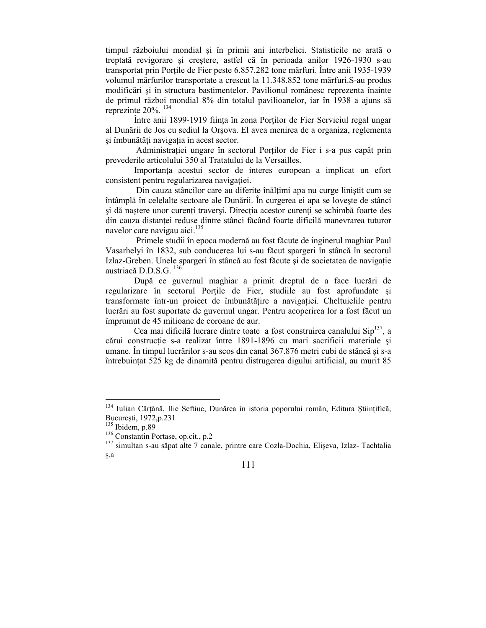timpul războiului mondial şi în primii ani interbelici. Statisticile ne arată o treptată revigorare şi creştere, astfel că în perioada anilor 1926-1930 s-au transportat prin Porțile de Fier peste 6.857.282 tone mărfuri. Între anii 1935-1939 volumul mărfurilor transportate a crescut la 11.348.852 tone mărfuri.S-au produs modificări şi în structura bastimentelor. Pavilionul românesc reprezenta înainte de primul război mondial 8% din totalul pavilioanelor, iar în 1938 a ajuns să reprezinte 20%. <sup>134</sup>

Între anii 1899-1919 ființa în zona Porților de Fier Serviciul regal ungar al Dunării de Jos cu sediul la Orşova. El avea menirea de a organiza, reglementa și îmbunătăți navigația în acest sector.

Administratiei ungare în sectorul Portilor de Fier i s-a pus capăt prin prevederile articolului 350 al Tratatului de la Versailles.

Importanța acestui sector de interes european a implicat un efort consistent pentru regularizarea navigației.

Din cauza stâncilor care au diferite înălțimi apa nu curge liniștit cum se întâmplă în celelalte sectoare ale Dunării. În curgerea ei apa se loveşte de stânci și dă naștere unor curenți traverși. Direcția acestor curenți se schimbă foarte des din cauza distantei reduse dintre stânci făcând foarte dificilă manevrarea tuturor navelor care navigau aici.<sup>135</sup>

 Primele studii în epoca modernă au fost făcute de inginerul maghiar Paul Vasarhelyi în 1832, sub conducerea lui s-au făcut spargeri în stâncă în sectorul Izlaz-Greben. Unele spargeri în stâncă au fost făcute și de societatea de navigație austriacă D.D.S.G.<sup>136</sup>

 După ce guvernul maghiar a primit dreptul de a face lucrări de regularizare în sectorul Porțile de Fier, studiile au fost aprofundate și transformate într-un proiect de îmbunătățire a navigației. Cheltuielile pentru lucrări au fost suportate de guvernul ungar. Pentru acoperirea lor a fost făcut un împrumut de 45 milioane de coroane de aur.

Cea mai dificilă lucrare dintre toate a fost construirea canalului Sip<sup>137</sup>, a cărui construcție s-a realizat între 1891-1896 cu mari sacrificii materiale și umane. În timpul lucrărilor s-au scos din canal 367.876 metri cubi de stâncă şi s-a întrebuințat 525 kg de dinamită pentru distrugerea digului artificial, au murit 85

 $\overline{a}$ 

<sup>&</sup>lt;sup>134</sup> Iulian Cârțână, Ilie Seftiuc, Dunărea în istoria poporului român, Editura Științifică, Bucureşti, 1972,p.231

<sup>&</sup>lt;sup>135</sup> Ibidem, p.89

<sup>136</sup> Constantin Portase, op.cit., p.2

<sup>137</sup> simultan s-au săpat alte 7 canale, printre care Cozla-Dochia, Elişeva, Izlaz- Tachtalia ş.a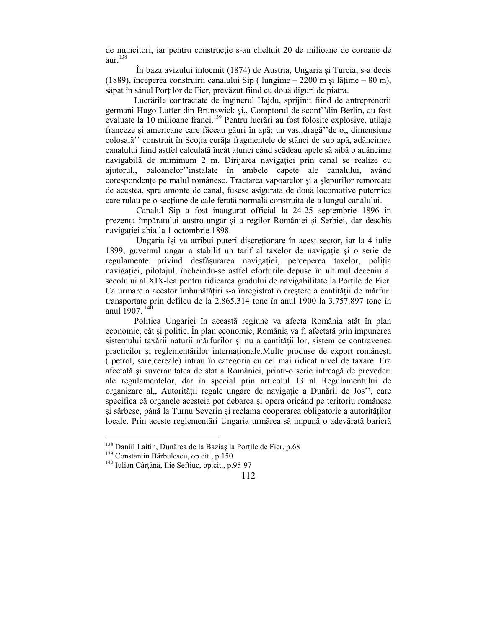de muncitori, iar pentru constructie s-au cheltuit 20 de milioane de coroane de aur.<sup>138</sup>

 În baza avizului întocmit (1874) de Austria, Ungaria şi Turcia, s-a decis (1889), începerea construirii canalului Sip ( lungime  $-2200$  m și lățime  $-80$  m), săpat în sânul Portilor de Fier, prevăzut fiind cu două diguri de piatră.

 Lucrările contractate de inginerul Hajdu, sprijinit fiind de antreprenorii germani Hugo Lutter din Brunswick şi,, Comptorul de scont''din Berlin, au fost evaluate la 10 milioane franci.<sup>139</sup> Pentru lucrări au fost folosite explosive, utilaje franceze şi americane care făceau găuri în apă; un vas,,dragă''de o,, dimensiune colosală<sup>"</sup> construit în Scoția curăța fragmentele de stânci de sub apă, adâncimea canalului fiind astfel calculată încât atunci când scădeau apele să aibă o adâncime navigabilă de mimimum 2 m. Dirijarea navigației prin canal se realize cu ajutorul,, baloanelor''instalate în ambele capete ale canalului, având corespondente pe malul românesc. Tractarea vapoarelor și a șlepurilor remorcate de acestea, spre amonte de canal, fusese asigurată de două locomotive puternice care rulau pe o secțiune de cale ferată normală construită de-a lungul canalului.

 Canalul Sip a fost inaugurat official la 24-25 septembrie 1896 în prezența împăratului austro-ungar și a regilor României și Serbiei, dar deschis navigatiei abia la 1 octombrie 1898.

Ungaria își va atribui puteri discretionare în acest sector, iar la 4 iulie 1899, guvernul ungar a stabilit un tarif al taxelor de navigatie și o serie de regulamente privind desfășurarea navigației, perceperea taxelor, poliția navigației, pilotajul, încheindu-se astfel eforturile depuse în ultimul deceniu al secolului al XIX-lea pentru ridicarea gradului de navigabilitate la Portile de Fier. Ca urmare a acestor îmbunătățiri s-a înregistrat o creștere a cantității de mărfuri transportate prin defileu de la 2.865.314 tone în anul 1900 la 3.757.897 tone în anul 1907. <sup>140</sup>

 Politica Ungariei în această regiune va afecta România atât în plan economic, cât şi politic. În plan economic, România va fi afectată prin impunerea sistemului taxării naturii mărfurilor și nu a cantității lor, sistem ce contravenea practicilor și reglementărilor internaționale.Multe produse de export românești ( petrol, sare,cereale) intrau în categoria cu cel mai ridicat nivel de taxare. Era afectată şi suveranitatea de stat a României, printr-o serie întreagă de prevederi ale regulamentelor, dar în special prin articolul 13 al Regulamentului de organizare al., Autorității regale ungare de navigație a Dunării de Jos'', care specifica că organele acesteia pot debarca şi opera oricând pe teritoriu românesc și sârbesc, până la Turnu Severin și reclama cooperarea obligatorie a autorităților locale. Prin aceste reglementări Ungaria urmărea să impună o adevărată barieră

<sup>&</sup>lt;sup>138</sup> Daniil Laitin, Dunărea de la Baziaș la Porțile de Fier, p.68

<sup>139</sup> Constantin Bărbulescu, op.cit., p.150

<sup>&</sup>lt;sup>140</sup> Iulian Cârțână, Ilie Seftiuc, op.cit., p.95-97

<sup>112</sup>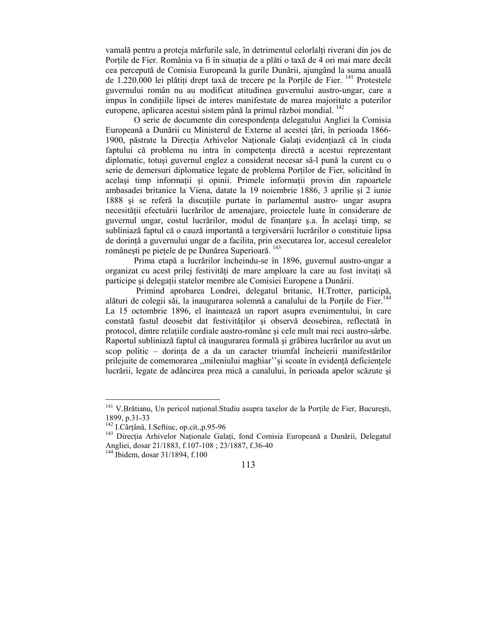vamală pentru a proteja mărfurile sale, în detrimentul celorlalți riverani din jos de Porțile de Fier. România va fi în situația de a plăti o taxă de 4 ori mai mare decât cea percepută de Comisia Europeană la gurile Dunării, ajungând la suma anuală de 1.220.000 lei plătiți drept taxă de trecere pe la Porțile de Fier. <sup>141</sup> Protestele guvernului român nu au modificat atitudinea guvernului austro-ungar, care a impus în conditiile lipsei de interes manifestate de marea majoritate a puterilor europene, aplicarea acestui sistem până la primul război mondial.<sup>142</sup>

O serie de documente din corespondența delegatului Angliei la Comisia Europeană a Dunării cu Ministerul de Externe al acestei țări, în perioada 1866-1900, păstrate la Direcția Arhivelor Naționale Galați evidențiază că în ciuda faptului că problema nu intra în competenta directă a acestui reprezentant diplomatic, totuşi guvernul englez a considerat necesar să-l pună la curent cu o serie de demersuri diplomatice legate de problema Porților de Fier, solicitând în același timp informații și opinii. Primele informații provin din rapoartele ambasadei britanice la Viena, datate la 19 noiembrie 1886, 3 aprilie şi 2 iunie 1888 și se referă la discuțiile purtate în parlamentul austro- ungar asupra necesității efectuării lucrărilor de amenajare, proiectele luate în considerare de guvernul ungar, costul lucrărilor, modul de finanțare ș.a. În același timp, se subliniază faptul că o cauză importantă a tergiversării lucrărilor o constituie lipsa de dorintă a guvernului ungar de a facilita, prin executarea lor, accesul cerealelor românești pe piețele de pe Dunărea Superioară.<sup>143</sup>

 Prima etapă a lucrărilor încheindu-se în 1896, guvernul austro-ungar a organizat cu acest prilej festivități de mare amploare la care au fost invitați să participe și delegații statelor membre ale Comisiei Europene a Dunării.

 Primind aprobarea Londrei, delegatul britanic, H.Trotter, participă, alături de colegii săi, la inaugurarea solemnă a canalului de la Porțile de Fier.<sup>144</sup> La 15 octombrie 1896, el înaintează un raport asupra evenimentului, în care constată fastul deosebit dat festivităților și observă deosebirea, reflectată în protocol, dintre relatiile cordiale austro-române și cele mult mai reci austro-sârbe. Raportul subliniază faptul că inaugurarea formală şi grăbirea lucrărilor au avut un scop politic – dorința de a da un caracter triumfal încheierii manifestărilor prilejuite de comemorarea "mileniului maghiar" și scoate în evidență deficiențele lucrării, legate de adâncirea prea mică a canalului, în perioada apelor scăzute şi

<sup>&</sup>lt;sup>141</sup> V.Brătianu, Un pericol național.Studiu asupra taxelor de la Porțile de Fier, București, 1899, p.31-33

 $142$  I.Cârțână, I.Seftiuc, op.cit., p.95-96

<sup>&</sup>lt;sup>143</sup> Direcția Arhivelor Naționale Galați, fond Comisia Europeană a Dunării, Delegatul Angliei, dosar 21/1883, f.107-108 ; 23/1887, f.36-40

<sup>144</sup> Ibidem, dosar 31/1894, f.100

<sup>113</sup>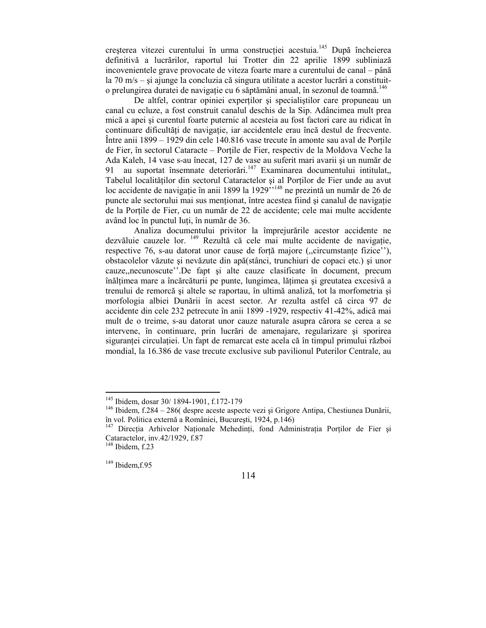creșterea vitezei curentului în urma constructiei acestuia.<sup>145</sup> După încheierea definitivă a lucrărilor, raportul lui Trotter din 22 aprilie 1899 subliniază incovenientele grave provocate de viteza foarte mare a curentului de canal – până la 70 m/s – şi ajunge la concluzia că singura utilitate a acestor lucrări a constituito prelungirea duratei de navigatie cu 6 săptămâni anual, în sezonul de toamnă.<sup>146</sup>

De altfel, contrar opiniei expertilor si specialistilor care propuneau un canal cu ecluze, a fost construit canalul deschis de la Sip. Adâncimea mult prea mică a apei şi curentul foarte puternic al acesteia au fost factori care au ridicat în continuare dificultăți de navigație, iar accidentele erau încă destul de frecvente. Între anii 1899 – 1929 din cele 140.816 vase trecute în amonte sau aval de Porțile de Fier, în sectorul Cataracte – Porțile de Fier, respectiv de la Moldova Veche la Ada Kaleh, 14 vase s-au înecat, 127 de vase au suferit mari avarii şi un număr de 91 au suportat însemnate deteriorări.<sup>147</sup> Examinarea documentului intitulat,, Tabelul localităților din sectorul Cataractelor și al Porților de Fier unde au avut loc accidente de navigație în anii 1899 la 1929 $^{7,148}$  ne prezintă un număr de 26 de puncte ale sectorului mai sus mentionat, între acestea fiind și canalul de navigație de la Porțile de Fier, cu un număr de 22 de accidente; cele mai multe accidente având loc în punctul Iuți, în număr de 36.

 Analiza documentului privitor la împrejurările acestor accidente ne dezvăluie cauzele lor.  $^{149}$  Rezultă că cele mai multe accidente de navigatie, respective 76, s-au datorat unor cause de forță majore ("circumstanțe fizice"), obstacolelor văzute şi nevăzute din apă(stânci, trunchiuri de copaci etc.) şi unor cauze,,necunoscute''.De fapt şi alte cauze clasificate în document, precum înălțimea mare a încărcăturii pe punte, lungimea, lățimea și greutatea excesivă a trenului de remorcă şi altele se raportau, în ultimă analiză, tot la morfometria şi morfologia albiei Dunării în acest sector. Ar rezulta astfel că circa 97 de accidente din cele 232 petrecute în anii 1899 -1929, respectiv 41-42%, adică mai mult de o treime, s-au datorat unor cauze naturale asupra cărora se cerea a se intervene, în continuare, prin lucrări de amenajare, regularizare şi sporirea siguranței circulației. Un fapt de remarcat este acela că în timpul primului război mondial, la 16.386 de vase trecute exclusive sub pavilionul Puterilor Centrale, au

 $\overline{a}$ 

 $149$  Ibidem, f.95

<sup>&</sup>lt;sup>145</sup> Ibidem, dosar 30/ 1894-1901, f.172-179

<sup>146</sup> Ibidem, f.284 – 286( despre aceste aspecte vezi şi Grigore Antipa, Chestiunea Dunării, în vol. Politica externă a României, Bucureşti, 1924, p.146)

<sup>&</sup>lt;sup>147</sup> Direcția Arhivelor Naționale Mehedinți, fond Administrația Porților de Fier și Cataractelor, inv.42/1929, f.87

 $148$  Ibidem, f.23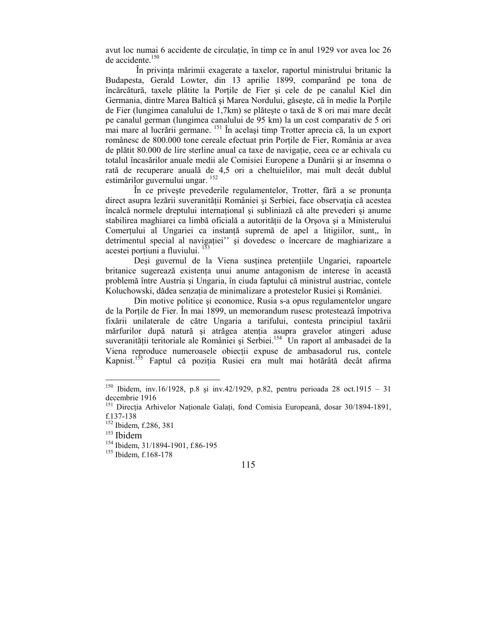avut loc numai 6 accidente de circulatie, în timp ce în anul 1929 vor avea loc 26 de accidente.<sup>150</sup>

În privința mărimii exagerate a taxelor, raportul ministrului britanic la Budapesta, Gerald Lowter, din 13 aprilie 1899, comparând pe tona de încărcătură, taxele plătite la Porțile de Fier și cele de pe canalul Kiel din Germania, dintre Marea Baltică și Marea Nordului, găsește, că în medie la Portile de Fier (lungimea canalului de 1,7km) se plăteşte o taxă de 8 ori mai mare decât pe canalul german (lungimea canalului de 95 km) la un cost comparativ de 5 ori mai mare al lucrării germane. <sup>151</sup> În același timp Trotter aprecia că, la un export românesc de 800.000 tone cereale efectuat prin Porțile de Fier, România ar avea de plătit 80.000 de lire sterline anual ca taxe de navigatie, ceea ce ar echivala cu totalul încasărilor anuale medii ale Comisiei Europene a Dunării şi ar însemna o rată de recuperare anuală de 4,5 ori a cheltuielilor, mai mult decât dublul estimărilor guvernului ungar. <sup>152</sup>

În ce privește prevederile regulamentelor, Trotter, fără a se pronunța direct asupra lezării suveranității României și Serbiei, face observația că acestea încalcă normele dreptului internațional și subliniază că alte prevederi și anume stabilirea maghiarei ca limbă oficială a autorității de la Orsova și a Ministerului Comertului al Ungariei ca instantă supremă de apel a litigiilor, sunt,, în detrimentul special al navigatiei'' si dovedesc o încercare de maghiarizare a acestei porțiuni a fluviului.  $1\overline{53}$ 

Deși guvernul de la Viena susținea pretențiile Ungariei, rapoartele britanice sugerează existența unui anume antagonism de interese în această problemă între Austria şi Ungaria, în ciuda faptului că ministrul austriac, contele Koluchowski, dădea senzația de minimalizare a protestelor Rusiei și României.

 Din motive politice şi economice, Rusia s-a opus regulamentelor ungare de la Portile de Fier. În mai 1899, un memorandum rusesc protestează împotriva fixării unilaterale de către Ungaria a tarifului, contesta principiul taxării mărfurilor după natură și atrăgea atenția asupra gravelor atingeri aduse suveranității teritoriale ale României și Serbiei.<sup>154</sup> Un raport al ambasadei de la Viena reproduce numeroasele obiecții expuse de ambasadorul rus, contele Kapnist.<sup>155</sup> Faptul că poziția Rusiei era mult mai hotărâtă decât afirma

<sup>&</sup>lt;sup>150</sup> Ibidem, inv.16/1928, p.8 și inv.42/1929, p.82, pentru perioada 28 oct.1915 – 31 decembrie 1916

<sup>&</sup>lt;sup>151</sup> Direcția Arhivelor Naționale Galați, fond Comisia Europeană, dosar 30/1894-1891, f.137-138

<sup>152</sup> Ibidem, f.286, 381

<sup>153</sup> Ibidem

<sup>154</sup> Ibidem, 31/1894-1901, f.86-195

<sup>155</sup> Ibidem, f.168-178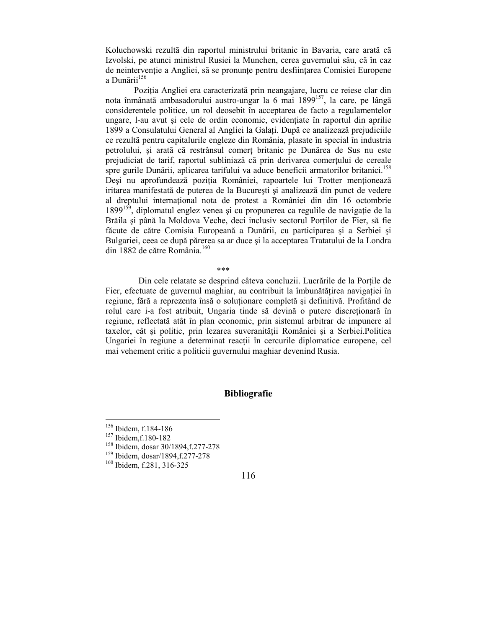Koluchowski rezultă din raportul ministrului britanic în Bavaria, care arată că Izvolski, pe atunci ministrul Rusiei la Munchen, cerea guvernului său, că în caz de neintervenție a Angliei, să se pronunțe pentru desființarea Comisiei Europene a Dunării<sup>156</sup>

Pozitia Angliei era caracterizată prin neangajare, lucru ce reiese clar din nota înmânată ambasadorului austro-ungar la 6 mai 1899<sup>157</sup>, la care, pe lângă considerentele politice, un rol deosebit în acceptarea de facto a regulamentelor ungare, l-au avut și cele de ordin economic, evidențiate în raportul din aprilie 1899 a Consulatului General al Angliei la Galați. După ce analizează prejudiciile ce rezultă pentru capitalurile engleze din România, plasate în special în industria petrolului, și arată că restrânsul comert britanic pe Dunărea de Sus nu este prejudiciat de tarif, raportul subliniază că prin derivarea comerțului de cereale spre gurile Dunării, aplicarea tarifului va aduce beneficii armatorilor britanici.<sup>158</sup> Deși nu aprofundează poziția României, rapoartele lui Trotter menționează iritarea manifestată de puterea de la Bucureşti şi analizează din punct de vedere al dreptului international nota de protest a României din din 16 octombrie  $1899^{159}$ , diplomatul englez venea și cu propunerea ca regulile de navigație de la Brăila și până la Moldova Veche, deci inclusiv sectorul Portilor de Fier, să fie făcute de către Comisia Europeană a Dunării, cu participarea şi a Serbiei şi Bulgariei, ceea ce după părerea sa ar duce şi la acceptarea Tratatului de la Londra din 1882 de către România.<sup>160</sup>

# \*\*\*

Din cele relatate se desprind câteva concluzii. Lucrările de la Portile de Fier, efectuate de guvernul maghiar, au contribuit la îmbunătățirea navigației în regiune, fără a reprezenta însă o soluționare completă și definitivă. Profitând de rolul care i-a fost atribuit, Ungaria tinde să devină o putere discretionară în regiune, reflectată atât în plan economic, prin sistemul arbitrar de impunere al taxelor, cât și politic, prin lezarea suveranității României și a Serbiei.Politica Ungariei în regiune a determinat reacții în cercurile diplomatice europene, cel mai vehement critic a politicii guvernului maghiar devenind Rusia.

# **Bibliografie**

<sup>156</sup> Ibidem, f.184-186

<sup>&</sup>lt;sup>157</sup> Ibidem, f. 180-182

<sup>158</sup> Ibidem, dosar 30/1894,f.277-278

<sup>159</sup> Ibidem, dosar/1894,f.277-278

<sup>160</sup> Ibidem, f.281, 316-325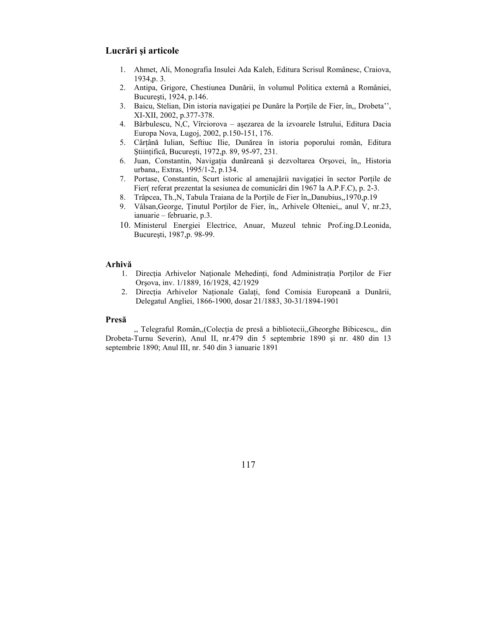# **Lucrări şi articole**

- 1. Ahmet, Ali, Monografia Insulei Ada Kaleh, Editura Scrisul Românesc, Craiova, 1934,p. 3.
- 2. Antipa, Grigore, Chestiunea Dunării, în volumul Politica externă a României, Bucureşti, 1924, p.146.
- 3. Baicu, Stelian, Din istoria navigației pe Dunăre la Porțile de Fier, în,, Drobeta'', XI-XII, 2002, p.377-378.
- 4. Bărbulescu, N,C, Vîrciorova aşezarea de la izvoarele Istrului, Editura Dacia Europa Nova, Lugoj, 2002, p.150-151, 176.
- 5. Cârțână Iulian, Seftiuc Ilie, Dunărea în istoria poporului român, Editura Stiințifică, București, 1972, p. 89, 95-97, 231.
- 6. Juan, Constantin, Navigația dunăreană și dezvoltarea Orșovei, în,, Historia urbana,, Extras, 1995/1-2, p.134.
- 7. Portase, Constantin, Scurt istoric al amenajării navigației în sector Porțile de Fier( referat prezentat la sesiunea de comunicări din 1967 la A.P.F.C), p. 2-3.
- 8. Trâpcea, Th., N, Tabula Traiana de la Porțile de Fier în, Danubius, 1970, p.19
- 9. Vâlsan, George, Ținutul Porților de Fier, în,, Arhivele Olteniei,, anul V, nr.23, ianuarie – februarie, p.3.
- 10. Ministerul Energiei Electrice, Anuar, Muzeul tehnic Prof.ing.D.Leonida, Bucureşti, 1987,p. 98-99.

### **Arhivă**

- 1. Direcția Arhivelor Naționale Mehedinți, fond Administrația Porților de Fier Orşova, inv. 1/1889, 16/1928, 42/1929
- 2. Direcția Arhivelor Naționale Galați, fond Comisia Europeană a Dunării, Delegatul Angliei, 1866-1900, dosar 21/1883, 30-31/1894-1901

#### **Presă**

", Telegraful Român,,(Colecția de presă a bibliotecii,,Gheorghe Bibicescu,, din Drobeta-Turnu Severin), Anul II, nr.479 din 5 septembrie 1890 şi nr. 480 din 13 septembrie 1890; Anul III, nr. 540 din 3 ianuarie 1891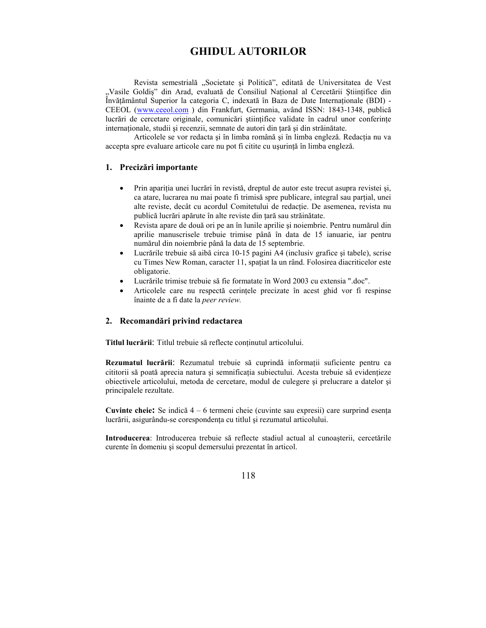# **GHIDUL AUTORILOR**

Revista semestrială "Societate și Politică", editată de Universitatea de Vest "Vasile Goldiș" din Arad, evaluată de Consiliul Național al Cercetării Științifice din Învățământul Superior la categoria C, indexată în Baza de Date Internationale (BDI) -CEEOL (www.ceeol.com ) din Frankfurt, Germania, având ISSN: 1843-1348, publică lucrări de cercetare originale, comunicări stiintifice validate în cadrul unor conferinte internationale, studii și recenzii, semnate de autori din tară și din străinătate.

Articolele se vor redacta și în limba română și în limba engleză. Redacția nu va accepta spre evaluare articole care nu pot fi citite cu usurintă în limba engleză.

## **1. Precizări importante**

- Prin apariția unei lucrări în revistă, dreptul de autor este trecut asupra revistei și, ca atare, lucrarea nu mai poate fi trimisă spre publicare, integral sau parțial, unei alte reviste, decât cu acordul Comitetului de redacție. De asemenea, revista nu publică lucrări apărute în alte reviste din țară sau străinătate.
- Revista apare de două ori pe an în lunile aprilie şi noiembrie. Pentru numărul din aprilie manuscrisele trebuie trimise până în data de 15 ianuarie, iar pentru numărul din noiembrie până la data de 15 septembrie.
- Lucrările trebuie să aibă circa 10-15 pagini A4 (inclusiv grafice şi tabele), scrise cu Times New Roman, caracter 11, spațiat la un rând. Folosirea diacriticelor este obligatorie.
- Lucrările trimise trebuie să fie formatate în Word 2003 cu extensia ".doc".
- Articolele care nu respectă cerintele precizate în acest ghid vor fi respinse înainte de a fi date la *peer review.*

### **2. Recomandări privind redactarea**

**Titlul lucrării**: Titlul trebuie să reflecte conținutul articolului.

Rezumatul lucrării: Rezumatul trebuie să cuprindă informații suficiente pentru ca cititorii să poată aprecia natura și semnificatia subiectului. Acesta trebuie să evidentieze obiectivele articolului, metoda de cercetare, modul de culegere şi prelucrare a datelor şi principalele rezultate.

**Cuvinte cheie:** Se indică  $4 - 6$  termeni cheie (cuvinte sau expresii) care surprind esenta lucrării, asigurându-se corespondența cu titlul și rezumatul articolului.

**Introducerea**: Introducerea trebuie să reflecte stadiul actual al cunoaşterii, cercetările curente în domeniu şi scopul demersului prezentat în articol.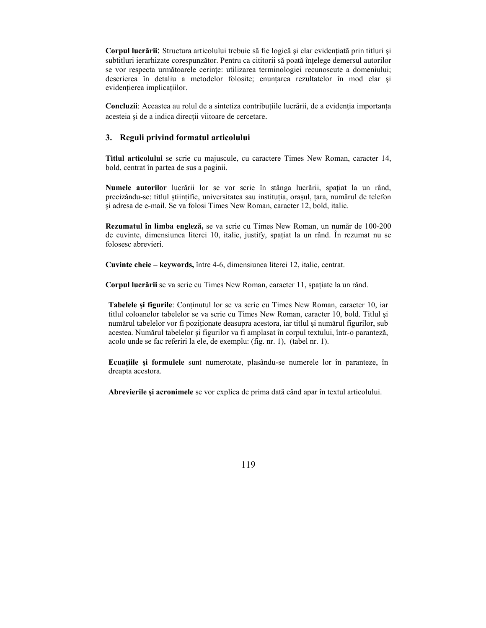**Corpul lucrării**: Structura articolului trebuie să fie logică și clar evidențiată prin titluri și subtitluri ierarhizate corespunzător. Pentru ca cititorii să poată înțelege demersul autorilor se vor respecta următoarele cerințe: utilizarea terminologiei recunoscute a domeniului; descrierea în detaliu a metodelor folosite; enunțarea rezultatelor în mod clar și evidențierea implicațiilor.

**Concluzii**: Aceastea au rolul de a sintetiza contribuțiile lucrării, de a evidenția importanța acesteia și de a indica directii viitoare de cercetare.

### **3. Reguli privind formatul articolului**

**Titlul articolului** se scrie cu majuscule, cu caractere Times New Roman, caracter 14, bold, centrat în partea de sus a paginii.

Numele autorilor lucrării lor se vor scrie în stânga lucrării, spațiat la un rând, precizându-se: titlul științific, universitatea sau instituția, orașul, țara, numărul de telefon şi adresa de e-mail. Se va folosi Times New Roman, caracter 12, bold, italic.

**Rezumatul în limba engleză,** se va scrie cu Times New Roman, un număr de 100-200 de cuvinte, dimensiunea literei 10, italic, justify, spațiat la un rând. În rezumat nu se folosesc abrevieri.

**Cuvinte cheie – keywords,** între 4-6, dimensiunea literei 12, italic, centrat.

**Corpul lucrării** se va scrie cu Times New Roman, caracter 11, spatiate la un rând.

Tabelele și figurile: Conținutul lor se va scrie cu Times New Roman, caracter 10, iar titlul coloanelor tabelelor se va scrie cu Times New Roman, caracter 10, bold. Titlul şi numărul tabelelor vor fi poziționate deasupra acestora, iar titlul și numărul figurilor, sub acestea. Numărul tabelelor şi figurilor va fi amplasat în corpul textului, într-o paranteză, acolo unde se fac referiri la ele, de exemplu: (fig. nr. 1), (tabel nr. 1).

**Ecuațiile și formulele** sunt numerotate, plasându-se numerele lor în paranteze, în dreapta acestora.

**Abrevierile şi acronimele** se vor explica de prima dată când apar în textul articolului.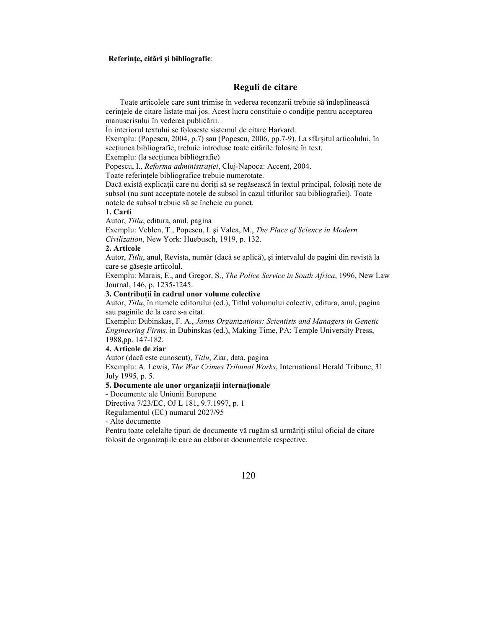#### **Referințe, citări și bibliografie:**

# **Reguli de citare**

Toate articolele care sunt trimise în vederea recenzarii trebuie să îndeplinească cerințele de citare listate mai jos. Acest lucru constituie o condiție pentru acceptarea manuscrisului în vederea publicării.

În interiorul textului se foloseste sistemul de citare Harvard.

Exemplu: (Popescu, 2004, p.7) sau (Popescu, 2006, pp.7-9). La sfârşitul articolului, în secțiunea bibliografie, trebuie introduse toate citările folosite în text.

Exemplu: (la sectiunea bibliografie)

Popescu, I., *Reforma administrației*, Cluj-Napoca: Accent, 2004.

Toate referințele bibliografice trebuie numerotate.

Dacă există explicații care nu doriți să se regăsească în textul principal, folosiți note de subsol (nu sunt acceptate notele de subsol în cazul titlurilor sau bibliografiei). Toate notele de subsol trebuie să se încheie cu punct.

#### **1. Carti**

Autor, *Titlu*, editura, anul, pagina

Exemplu: Veblen, T., Popescu, I. şi Valea, M., *The Place of Science in Modern Civilization*, New York: Huebusch, 1919, p. 132.

#### **2. Articole**

Autor, *Titlu*, anul, Revista, număr (dacă se aplică), şi intervalul de pagini din revistă la care se găseşte articolul.

Exemplu: Marais, E., and Gregor, S., *The Police Service in South Africa*, 1996, New Law Journal, 146, p. 1235-1245.

### 3. Contribuții în cadrul unor volume colective

Autor, *Titlu*, în numele editorului (ed.), Titlul volumului colectiv, editura, anul, pagina sau paginile de la care s-a citat.

Exemplu: Dubinskas, F. A., *Janus Organizations: Scientists and Managers in Genetic Engineering Firms,* in Dubinskas (ed.), Making Time, PA: Temple University Press, 1988,pp. 147-182.

#### **4. Articole de ziar**

Autor (dacă este cunoscut), *Titlu*, Ziar, data, pagina

Exemplu: A. Lewis, *The War Crimes Tribunal Works*, International Herald Tribune, 31 July 1995, p. 5.

#### **5. Documente ale unor organizatii internationale**

- Documente ale Uniunii Europene

Directiva 7/23/EC, OJ L 181, 9.7.1997, p. 1

Regulamentul (EC) numarul 2027/95

- Alte documente

Pentru toate celelalte tipuri de documente vă rugăm să urmăriți stilul oficial de citare folosit de organizațiile care au elaborat documentele respective.